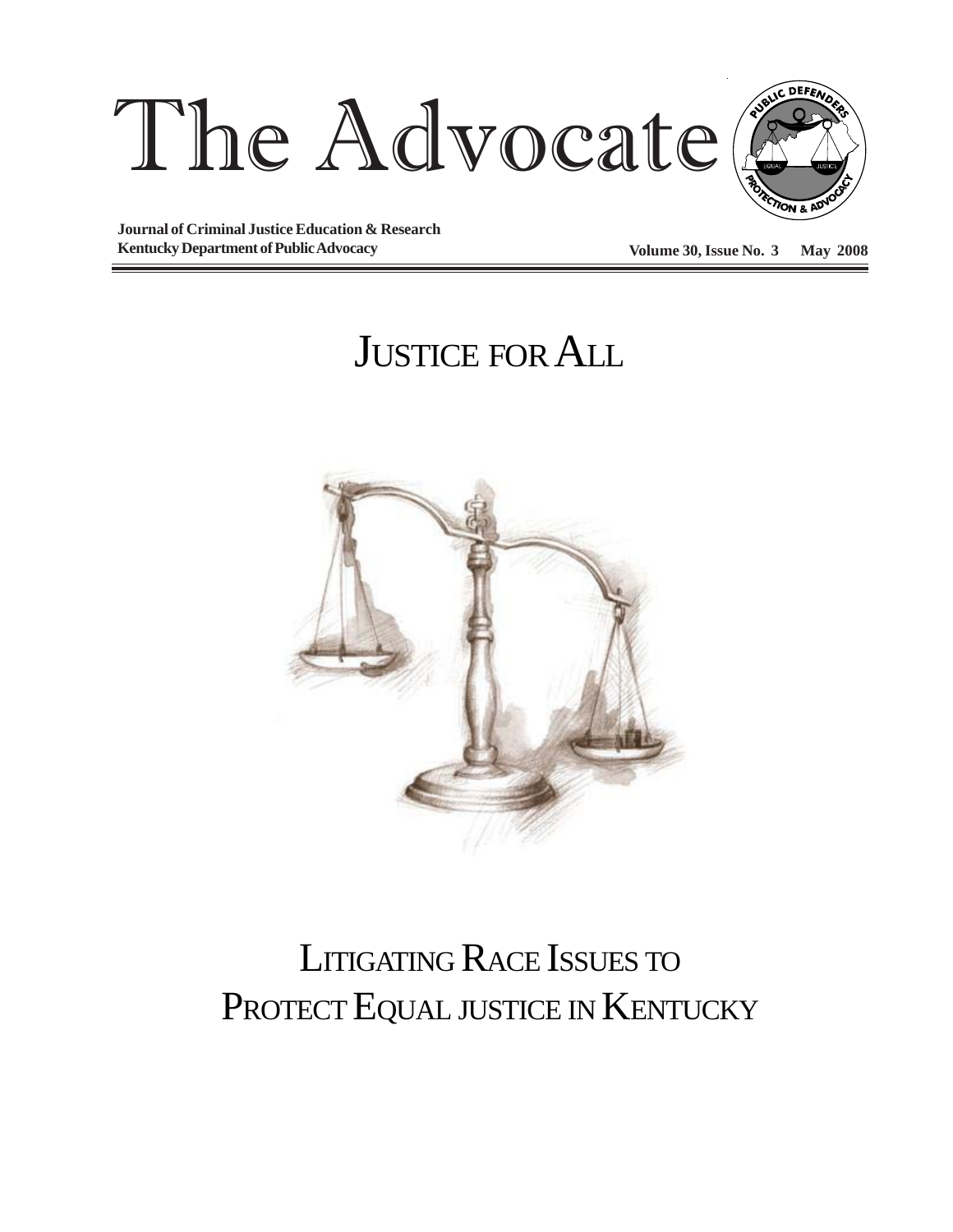



**Journal of Criminal Justice Education & Research Kentucky Department of Public Advocacy Volume 30, Issue No. 3 May 2008** 

# JUSTICE FOR ALL



# LITIGATING RACE ISSUES TO PROTECT EQUAL JUSTICE IN KENTUCKY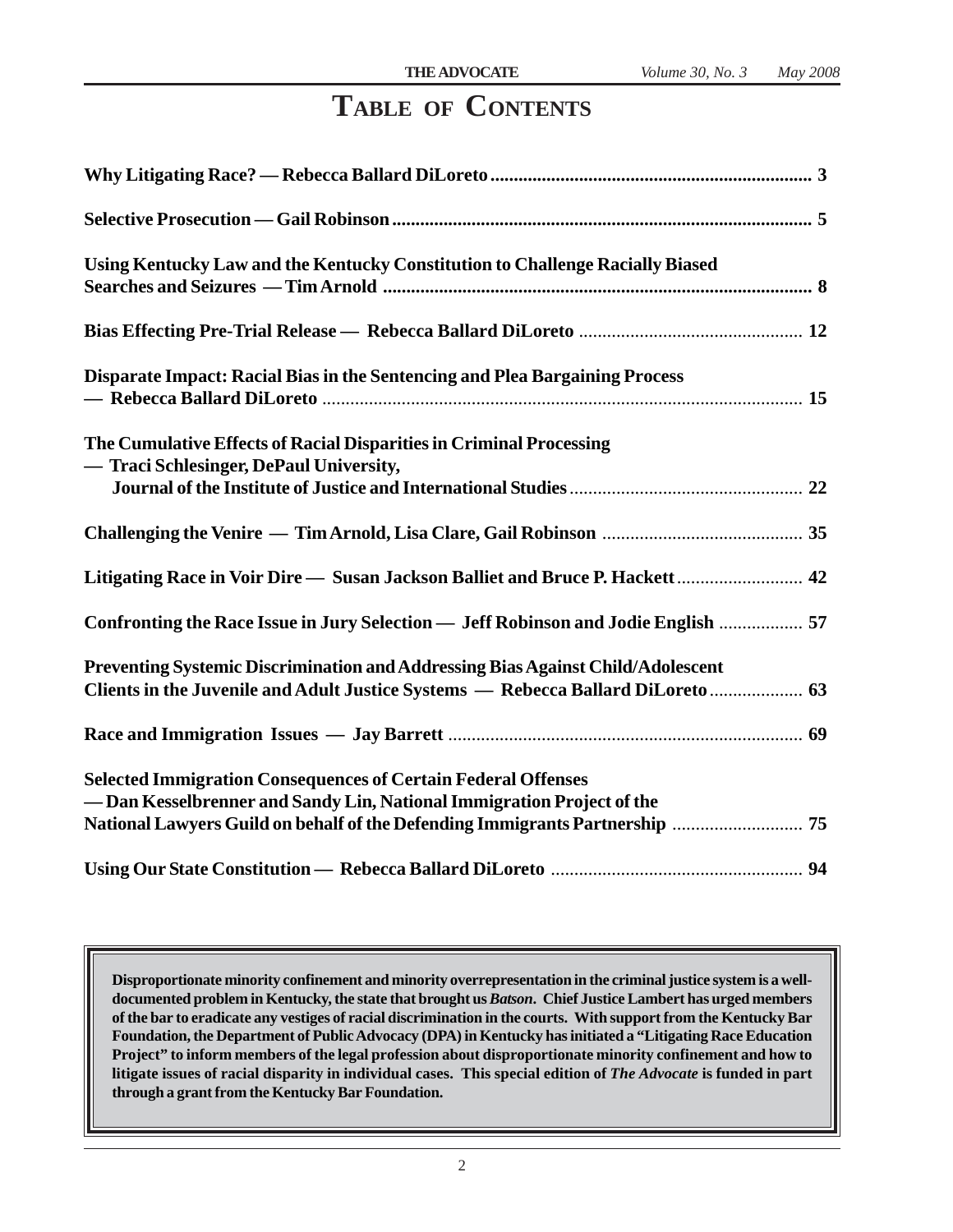### **TABLE OF CONTENTS**

| Using Kentucky Law and the Kentucky Constitution to Challenge Racially Biased                                                                                                                                                  |
|--------------------------------------------------------------------------------------------------------------------------------------------------------------------------------------------------------------------------------|
|                                                                                                                                                                                                                                |
| Disparate Impact: Racial Bias in the Sentencing and Plea Bargaining Process                                                                                                                                                    |
| The Cumulative Effects of Racial Disparities in Criminal Processing<br>- Traci Schlesinger, DePaul University,                                                                                                                 |
|                                                                                                                                                                                                                                |
|                                                                                                                                                                                                                                |
| Confronting the Race Issue in Jury Selection — Jeff Robinson and Jodie English  57                                                                                                                                             |
| Preventing Systemic Discrimination and Addressing Bias Against Child/Adolescent<br>Clients in the Juvenile and Adult Justice Systems - Rebecca Ballard DiLoreto  63                                                            |
|                                                                                                                                                                                                                                |
| <b>Selected Immigration Consequences of Certain Federal Offenses</b><br>- Dan Kesselbrenner and Sandy Lin, National Immigration Project of the<br>National Lawyers Guild on behalf of the Defending Immigrants Partnership  75 |
|                                                                                                                                                                                                                                |

**Disproportionate minority confinement and minority overrepresentation in the criminal justice system is a welldocumented problem in Kentucky, the state that brought us** *Batson***. Chief Justice Lambert has urged members of the bar to eradicate any vestiges of racial discrimination in the courts. With support from the Kentucky Bar Foundation, the Department of Public Advocacy (DPA) in Kentucky has initiated a "Litigating Race Education Project" to inform members of the legal profession about disproportionate minority confinement and how to litigate issues of racial disparity in individual cases. This special edition of** *The Advocate* **is funded in part through a grant from the Kentucky Bar Foundation.**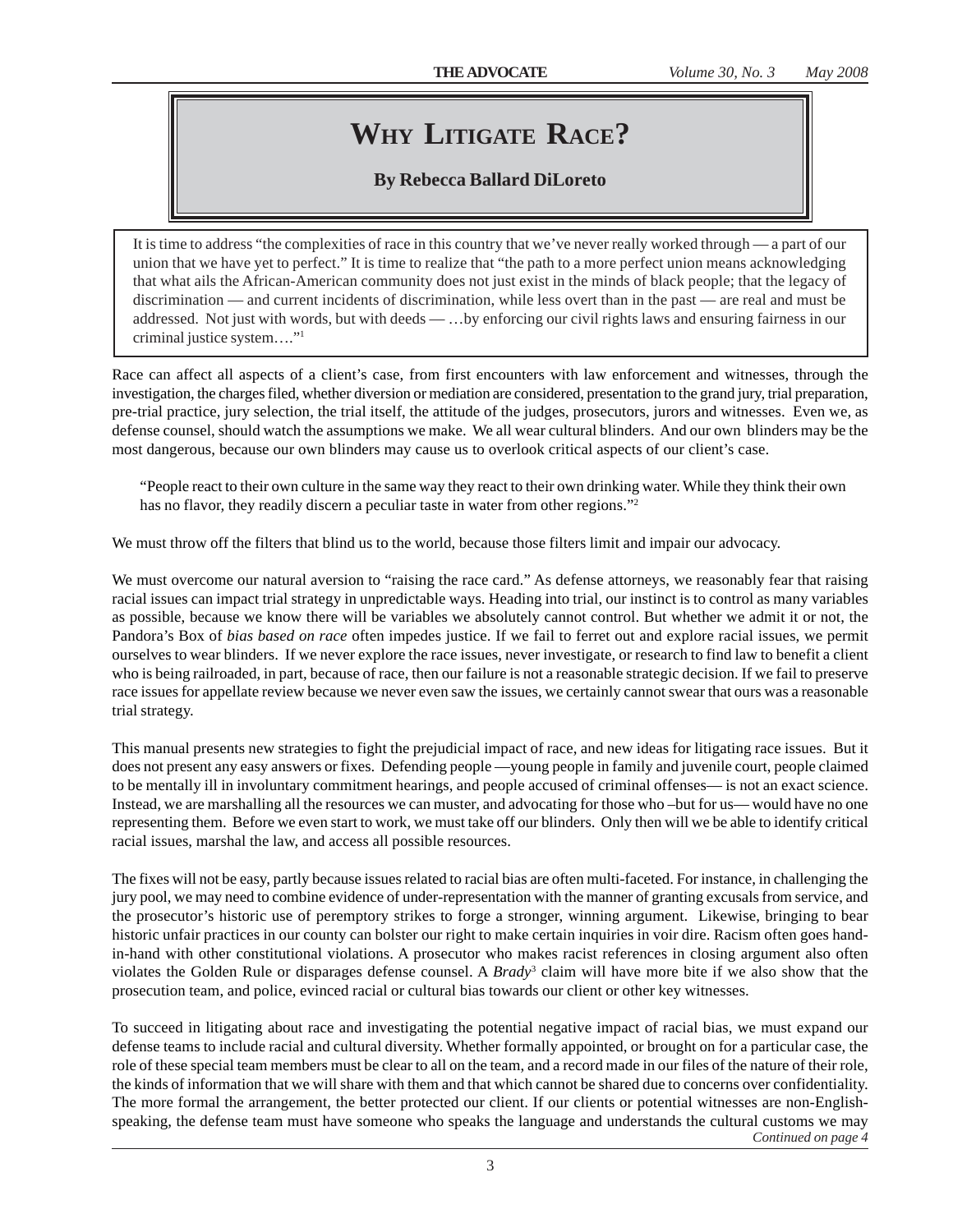## **WHY LITIGATE RACE?**

### **By Rebecca Ballard DiLoreto**

It is time to address "the complexities of race in this country that we've never really worked through — a part of our union that we have yet to perfect." It is time to realize that "the path to a more perfect union means acknowledging that what ails the African-American community does not just exist in the minds of black people; that the legacy of discrimination — and current incidents of discrimination, while less overt than in the past — are real and must be addressed. Not just with words, but with deeds — …by enforcing our civil rights laws and ensuring fairness in our criminal justice system…."1

Race can affect all aspects of a client's case, from first encounters with law enforcement and witnesses, through the investigation, the charges filed, whether diversion or mediation are considered, presentation to the grand jury, trial preparation, pre-trial practice, jury selection, the trial itself, the attitude of the judges, prosecutors, jurors and witnesses. Even we, as defense counsel, should watch the assumptions we make. We all wear cultural blinders. And our own blinders may be the most dangerous, because our own blinders may cause us to overlook critical aspects of our client's case.

"People react to their own culture in the same way they react to their own drinking water. While they think their own has no flavor, they readily discern a peculiar taste in water from other regions."<sup>2</sup>

We must throw off the filters that blind us to the world, because those filters limit and impair our advocacy.

We must overcome our natural aversion to "raising the race card." As defense attorneys, we reasonably fear that raising racial issues can impact trial strategy in unpredictable ways. Heading into trial, our instinct is to control as many variables as possible, because we know there will be variables we absolutely cannot control. But whether we admit it or not, the Pandora's Box of *bias based on race* often impedes justice. If we fail to ferret out and explore racial issues, we permit ourselves to wear blinders. If we never explore the race issues, never investigate, or research to find law to benefit a client who is being railroaded, in part, because of race, then our failure is not a reasonable strategic decision. If we fail to preserve race issues for appellate review because we never even saw the issues, we certainly cannot swear that ours was a reasonable trial strategy.

This manual presents new strategies to fight the prejudicial impact of race, and new ideas for litigating race issues. But it does not present any easy answers or fixes. Defending people —young people in family and juvenile court, people claimed to be mentally ill in involuntary commitment hearings, and people accused of criminal offenses— is not an exact science. Instead, we are marshalling all the resources we can muster, and advocating for those who –but for us— would have no one representing them. Before we even start to work, we must take off our blinders. Only then will we be able to identify critical racial issues, marshal the law, and access all possible resources.

The fixes will not be easy, partly because issues related to racial bias are often multi-faceted. For instance, in challenging the jury pool, we may need to combine evidence of under-representation with the manner of granting excusals from service, and the prosecutor's historic use of peremptory strikes to forge a stronger, winning argument. Likewise, bringing to bear historic unfair practices in our county can bolster our right to make certain inquiries in voir dire. Racism often goes handin-hand with other constitutional violations. A prosecutor who makes racist references in closing argument also often violates the Golden Rule or disparages defense counsel. A *Brady*<sup>3</sup> claim will have more bite if we also show that the prosecution team, and police, evinced racial or cultural bias towards our client or other key witnesses.

To succeed in litigating about race and investigating the potential negative impact of racial bias, we must expand our defense teams to include racial and cultural diversity. Whether formally appointed, or brought on for a particular case, the role of these special team members must be clear to all on the team, and a record made in our files of the nature of their role, the kinds of information that we will share with them and that which cannot be shared due to concerns over confidentiality. The more formal the arrangement, the better protected our client. If our clients or potential witnesses are non-Englishspeaking, the defense team must have someone who speaks the language and understands the cultural customs we may *Continued on page 4*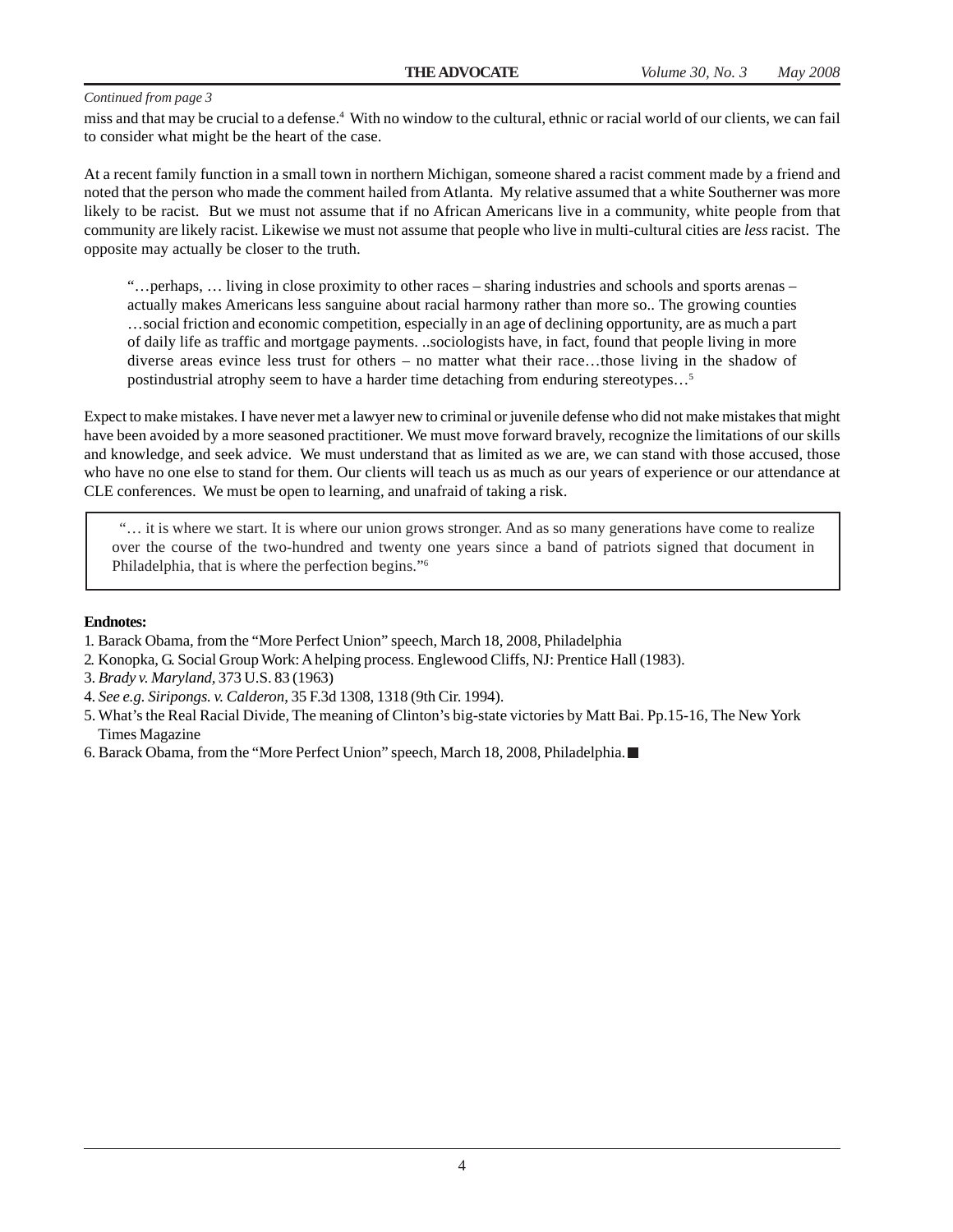miss and that may be crucial to a defense.4 With no window to the cultural, ethnic or racial world of our clients, we can fail to consider what might be the heart of the case.

At a recent family function in a small town in northern Michigan, someone shared a racist comment made by a friend and noted that the person who made the comment hailed from Atlanta. My relative assumed that a white Southerner was more likely to be racist. But we must not assume that if no African Americans live in a community, white people from that community are likely racist. Likewise we must not assume that people who live in multi-cultural cities are *less* racist. The opposite may actually be closer to the truth.

"…perhaps, … living in close proximity to other races – sharing industries and schools and sports arenas – actually makes Americans less sanguine about racial harmony rather than more so.. The growing counties …social friction and economic competition, especially in an age of declining opportunity, are as much a part of daily life as traffic and mortgage payments. ..sociologists have, in fact, found that people living in more diverse areas evince less trust for others – no matter what their race…those living in the shadow of postindustrial atrophy seem to have a harder time detaching from enduring stereotypes…5

Expect to make mistakes. I have never met a lawyer new to criminal or juvenile defense who did not make mistakes that might have been avoided by a more seasoned practitioner. We must move forward bravely, recognize the limitations of our skills and knowledge, and seek advice. We must understand that as limited as we are, we can stand with those accused, those who have no one else to stand for them. Our clients will teach us as much as our years of experience or our attendance at CLE conferences. We must be open to learning, and unafraid of taking a risk.

 "… it is where we start. It is where our union grows stronger. And as so many generations have come to realize over the course of the two-hundred and twenty one years since a band of patriots signed that document in Philadelphia, that is where the perfection begins."6

#### **Endnotes:**

- 1. Barack Obama, from the "More Perfect Union" speech, March 18, 2008, Philadelphia
- 2. Konopka, G. Social Group Work: A helping process. Englewood Cliffs, NJ: Prentice Hall (1983).
- 3. *Brady v. Maryland,* 373 U.S. 83 (1963)
- 4. *See e.g. Siripongs. v. Calderon*, 35 F.3d 1308, 1318 (9th Cir. 1994).
- 5. What's the Real Racial Divide, The meaning of Clinton's big-state victories by Matt Bai. Pp.15-16, The New York Times Magazine
- 6. Barack Obama, from the "More Perfect Union" speech, March 18, 2008, Philadelphia.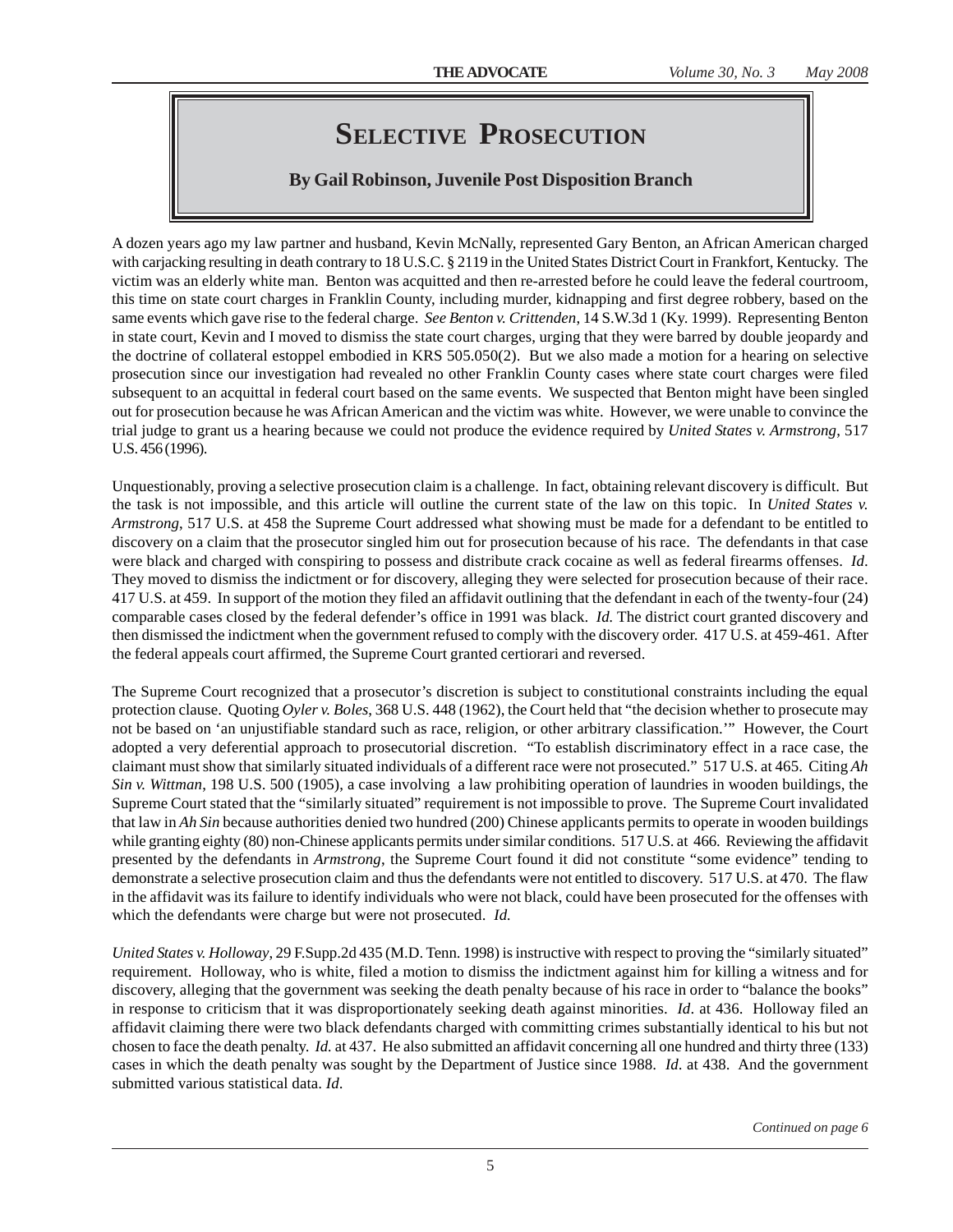### **SELECTIVE PROSECUTION**

### **By Gail Robinson, Juvenile Post Disposition Branch**

A dozen years ago my law partner and husband, Kevin McNally, represented Gary Benton, an African American charged with carjacking resulting in death contrary to 18 U.S.C. § 2119 in the United States District Court in Frankfort, Kentucky. The victim was an elderly white man. Benton was acquitted and then re-arrested before he could leave the federal courtroom, this time on state court charges in Franklin County, including murder, kidnapping and first degree robbery, based on the same events which gave rise to the federal charge. *See Benton v. Crittenden*, 14 S.W.3d 1 (Ky. 1999). Representing Benton in state court, Kevin and I moved to dismiss the state court charges, urging that they were barred by double jeopardy and the doctrine of collateral estoppel embodied in KRS 505.050(2). But we also made a motion for a hearing on selective prosecution since our investigation had revealed no other Franklin County cases where state court charges were filed subsequent to an acquittal in federal court based on the same events. We suspected that Benton might have been singled out for prosecution because he was African American and the victim was white. However, we were unable to convince the trial judge to grant us a hearing because we could not produce the evidence required by *United States v. Armstrong*, 517 U.S. 456 (1996).

Unquestionably, proving a selective prosecution claim is a challenge. In fact, obtaining relevant discovery is difficult. But the task is not impossible, and this article will outline the current state of the law on this topic. In *United States v. Armstrong*, 517 U.S. at 458 the Supreme Court addressed what showing must be made for a defendant to be entitled to discovery on a claim that the prosecutor singled him out for prosecution because of his race. The defendants in that case were black and charged with conspiring to possess and distribute crack cocaine as well as federal firearms offenses. *Id*. They moved to dismiss the indictment or for discovery, alleging they were selected for prosecution because of their race. 417 U.S. at 459. In support of the motion they filed an affidavit outlining that the defendant in each of the twenty-four (24) comparable cases closed by the federal defender's office in 1991 was black. *Id.* The district court granted discovery and then dismissed the indictment when the government refused to comply with the discovery order. 417 U.S. at 459-461. After the federal appeals court affirmed, the Supreme Court granted certiorari and reversed.

The Supreme Court recognized that a prosecutor's discretion is subject to constitutional constraints including the equal protection clause. Quoting *Oyler v. Boles*, 368 U.S. 448 (1962), the Court held that "the decision whether to prosecute may not be based on 'an unjustifiable standard such as race, religion, or other arbitrary classification.'" However, the Court adopted a very deferential approach to prosecutorial discretion. "To establish discriminatory effect in a race case, the claimant must show that similarly situated individuals of a different race were not prosecuted." 517 U.S. at 465. Citing *Ah Sin v. Wittman*, 198 U.S. 500 (1905), a case involving a law prohibiting operation of laundries in wooden buildings, the Supreme Court stated that the "similarly situated" requirement is not impossible to prove. The Supreme Court invalidated that law in *Ah Sin* because authorities denied two hundred (200) Chinese applicants permits to operate in wooden buildings while granting eighty (80) non-Chinese applicants permits under similar conditions. 517 U.S. at 466. Reviewing the affidavit presented by the defendants in *Armstrong*, the Supreme Court found it did not constitute "some evidence" tending to demonstrate a selective prosecution claim and thus the defendants were not entitled to discovery. 517 U.S. at 470. The flaw in the affidavit was its failure to identify individuals who were not black, could have been prosecuted for the offenses with which the defendants were charge but were not prosecuted. *Id.*

*United States v. Holloway*, 29 F.Supp.2d 435 (M.D. Tenn. 1998) is instructive with respect to proving the "similarly situated" requirement. Holloway, who is white, filed a motion to dismiss the indictment against him for killing a witness and for discovery, alleging that the government was seeking the death penalty because of his race in order to "balance the books" in response to criticism that it was disproportionately seeking death against minorities. *Id*. at 436. Holloway filed an affidavit claiming there were two black defendants charged with committing crimes substantially identical to his but not chosen to face the death penalty. *Id.* at 437. He also submitted an affidavit concerning all one hundred and thirty three (133) cases in which the death penalty was sought by the Department of Justice since 1988. *Id*. at 438. And the government submitted various statistical data. *Id*.

*Continued on page 6*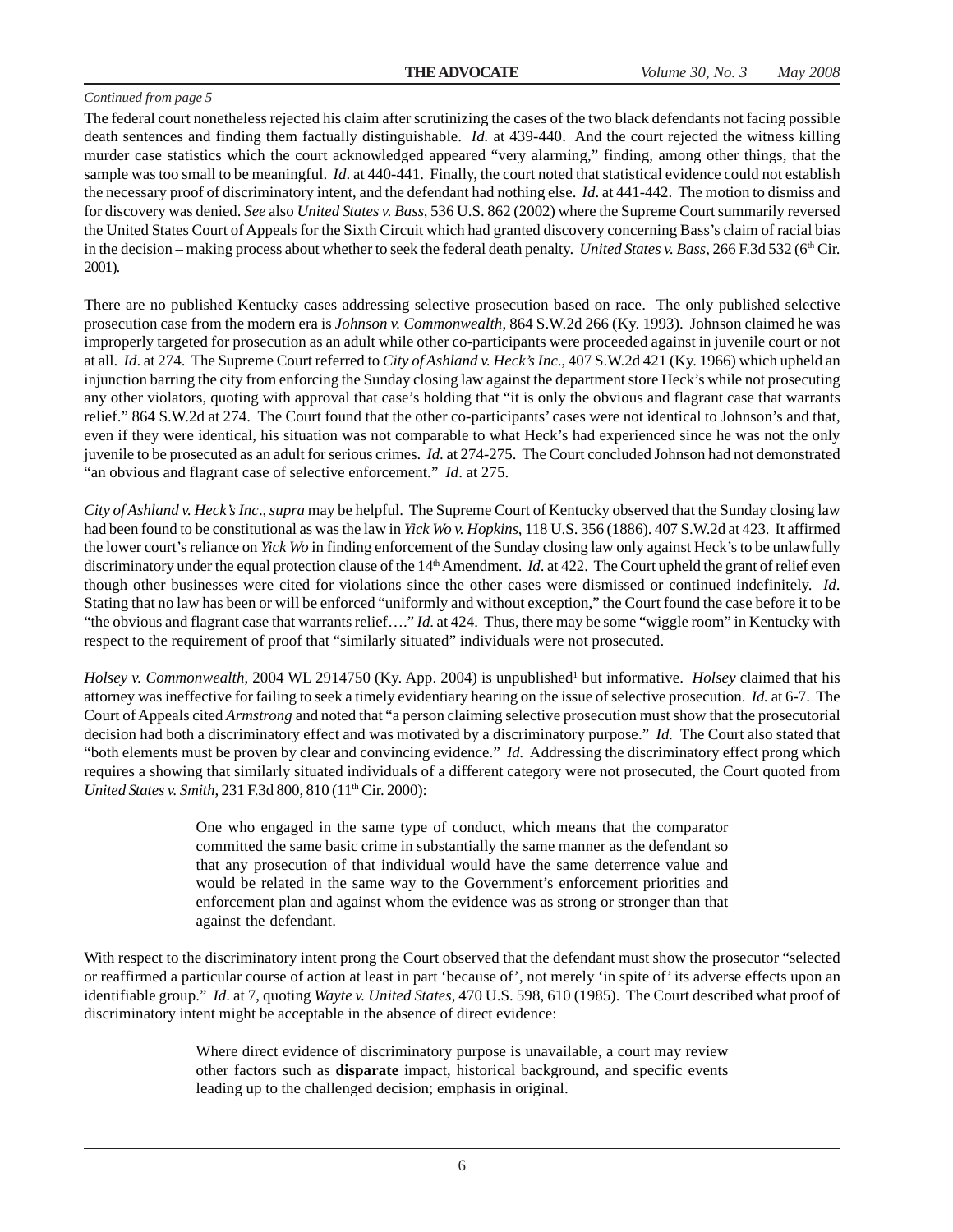The federal court nonetheless rejected his claim after scrutinizing the cases of the two black defendants not facing possible death sentences and finding them factually distinguishable. *Id.* at 439-440. And the court rejected the witness killing murder case statistics which the court acknowledged appeared "very alarming," finding, among other things, that the sample was too small to be meaningful. *Id*. at 440-441. Finally, the court noted that statistical evidence could not establish the necessary proof of discriminatory intent, and the defendant had nothing else. *Id*. at 441-442. The motion to dismiss and for discovery was denied. *See* also *United States v. Bass*, 536 U.S. 862 (2002) where the Supreme Court summarily reversed the United States Court of Appeals for the Sixth Circuit which had granted discovery concerning Bass's claim of racial bias in the decision – making process about whether to seek the federal death penalty. *United States v. Bass*, 266 F.3d 532 (6<sup>th</sup> Cir. 2001).

There are no published Kentucky cases addressing selective prosecution based on race. The only published selective prosecution case from the modern era is *Johnson v. Commonwealth*, 864 S.W.2d 266 (Ky. 1993). Johnson claimed he was improperly targeted for prosecution as an adult while other co-participants were proceeded against in juvenile court or not at all. *Id*. at 274. The Supreme Court referred to *City of Ashland v. Heck's Inc*., 407 S.W.2d 421 (Ky. 1966) which upheld an injunction barring the city from enforcing the Sunday closing law against the department store Heck's while not prosecuting any other violators, quoting with approval that case's holding that "it is only the obvious and flagrant case that warrants relief." 864 S.W.2d at 274. The Court found that the other co-participants' cases were not identical to Johnson's and that, even if they were identical, his situation was not comparable to what Heck's had experienced since he was not the only juvenile to be prosecuted as an adult for serious crimes. *Id*. at 274-275. The Court concluded Johnson had not demonstrated "an obvious and flagrant case of selective enforcement." *Id*. at 275.

*City of Ashland v. Heck's Inc*., *supra* may be helpful. The Supreme Court of Kentucky observed that the Sunday closing law had been found to be constitutional as was the law in *Yick Wo v. Hopkins*, 118 U.S. 356 (1886). 407 S.W.2d at 423. It affirmed the lower court's reliance on *Yick Wo* in finding enforcement of the Sunday closing law only against Heck's to be unlawfully discriminatory under the equal protection clause of the 14<sup>th</sup> Amendment. *Id.* at 422. The Court upheld the grant of relief even though other businesses were cited for violations since the other cases were dismissed or continued indefinitely. *Id*. Stating that no law has been or will be enforced "uniformly and without exception," the Court found the case before it to be "the obvious and flagrant case that warrants relief…." *Id*. at 424. Thus, there may be some "wiggle room" in Kentucky with respect to the requirement of proof that "similarly situated" individuals were not prosecuted.

*Holsey v. Commonwealth*, 2004 WL 2914750 (Ky. App. 2004) is unpublished<sup>1</sup> but informative. *Holsey* claimed that his attorney was ineffective for failing to seek a timely evidentiary hearing on the issue of selective prosecution. *Id.* at 6-7. The Court of Appeals cited *Armstrong* and noted that "a person claiming selective prosecution must show that the prosecutorial decision had both a discriminatory effect and was motivated by a discriminatory purpose." *Id.* The Court also stated that "both elements must be proven by clear and convincing evidence." *Id.* Addressing the discriminatory effect prong which requires a showing that similarly situated individuals of a different category were not prosecuted, the Court quoted from *United States v. Smith, 231 F.3d 800, 810 (11<sup>th</sup> Cir. 2000):* 

> One who engaged in the same type of conduct, which means that the comparator committed the same basic crime in substantially the same manner as the defendant so that any prosecution of that individual would have the same deterrence value and would be related in the same way to the Government's enforcement priorities and enforcement plan and against whom the evidence was as strong or stronger than that against the defendant.

With respect to the discriminatory intent prong the Court observed that the defendant must show the prosecutor "selected or reaffirmed a particular course of action at least in part 'because of', not merely 'in spite of' its adverse effects upon an identifiable group." *Id*. at 7, quoting *Wayte v. United States*, 470 U.S. 598, 610 (1985). The Court described what proof of discriminatory intent might be acceptable in the absence of direct evidence:

> Where direct evidence of discriminatory purpose is unavailable, a court may review other factors such as **disparate** impact, historical background, and specific events leading up to the challenged decision; emphasis in original.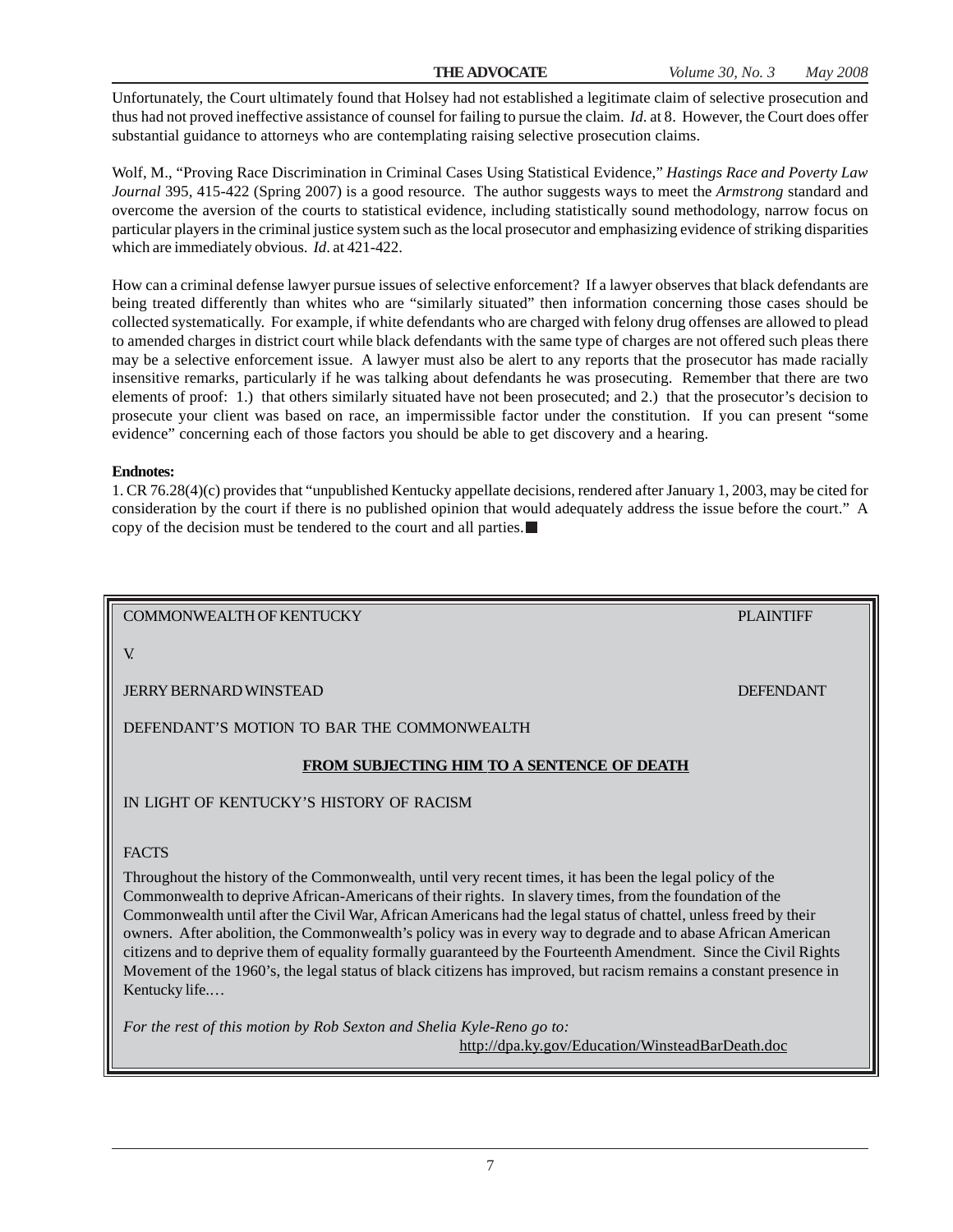Unfortunately, the Court ultimately found that Holsey had not established a legitimate claim of selective prosecution and thus had not proved ineffective assistance of counsel for failing to pursue the claim. *Id*. at 8. However, the Court does offer substantial guidance to attorneys who are contemplating raising selective prosecution claims.

Wolf, M., "Proving Race Discrimination in Criminal Cases Using Statistical Evidence," *Hastings Race and Poverty Law Journal* 395, 415-422 (Spring 2007) is a good resource. The author suggests ways to meet the *Armstrong* standard and overcome the aversion of the courts to statistical evidence, including statistically sound methodology, narrow focus on particular players in the criminal justice system such as the local prosecutor and emphasizing evidence of striking disparities which are immediately obvious. *Id*. at 421-422.

How can a criminal defense lawyer pursue issues of selective enforcement? If a lawyer observes that black defendants are being treated differently than whites who are "similarly situated" then information concerning those cases should be collected systematically. For example, if white defendants who are charged with felony drug offenses are allowed to plead to amended charges in district court while black defendants with the same type of charges are not offered such pleas there may be a selective enforcement issue. A lawyer must also be alert to any reports that the prosecutor has made racially insensitive remarks, particularly if he was talking about defendants he was prosecuting. Remember that there are two elements of proof: 1.) that others similarly situated have not been prosecuted; and 2.) that the prosecutor's decision to prosecute your client was based on race, an impermissible factor under the constitution. If you can present "some evidence" concerning each of those factors you should be able to get discovery and a hearing.

#### **Endnotes:**

1. CR 76.28(4)(c) provides that "unpublished Kentucky appellate decisions, rendered after January 1, 2003, may be cited for consideration by the court if there is no published opinion that would adequately address the issue before the court." A copy of the decision must be tendered to the court and all parties.

COMMONWEALTH OF KENTUCKY PLAINTIFF

V.

JERRY BERNARD WINSTEAD DEFENDANT

DEFENDANT'S MOTION TO BAR THE COMMONWEALTH

#### **FROM SUBJECTING HIM TO A SENTENCE OF DEATH**

IN LIGHT OF KENTUCKY'S HISTORY OF RACISM

#### FACTS

Throughout the history of the Commonwealth, until very recent times, it has been the legal policy of the Commonwealth to deprive African-Americans of their rights. In slavery times, from the foundation of the Commonwealth until after the Civil War, African Americans had the legal status of chattel, unless freed by their owners. After abolition, the Commonwealth's policy was in every way to degrade and to abase African American citizens and to deprive them of equality formally guaranteed by the Fourteenth Amendment. Since the Civil Rights Movement of the 1960's, the legal status of black citizens has improved, but racism remains a constant presence in Kentucky life.…

*For the rest of this motion by Rob Sexton and Shelia Kyle-Reno go to:* http://dpa.ky.gov/Education/WinsteadBarDeath.doc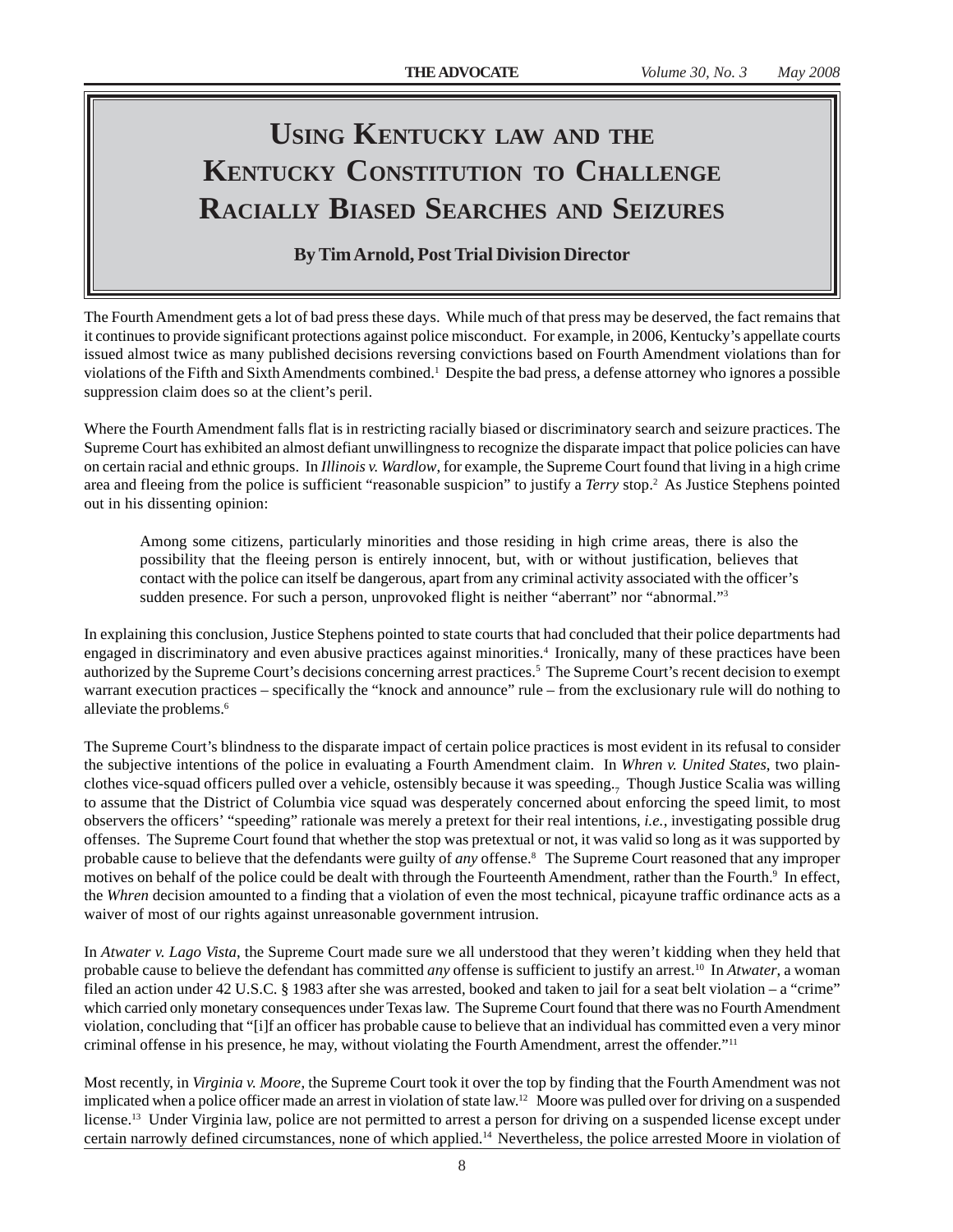## **USING KENTUCKY LAW AND THE KENTUCKY CONSTITUTION TO CHALLENGE RACIALLY BIASED SEARCHES AND SEIZURES**

**By Tim Arnold, Post Trial Division Director**

The Fourth Amendment gets a lot of bad press these days. While much of that press may be deserved, the fact remains that it continues to provide significant protections against police misconduct. For example, in 2006, Kentucky's appellate courts issued almost twice as many published decisions reversing convictions based on Fourth Amendment violations than for violations of the Fifth and Sixth Amendments combined.<sup>1</sup> Despite the bad press, a defense attorney who ignores a possible suppression claim does so at the client's peril.

Where the Fourth Amendment falls flat is in restricting racially biased or discriminatory search and seizure practices. The Supreme Court has exhibited an almost defiant unwillingness to recognize the disparate impact that police policies can have on certain racial and ethnic groups. In *Illinois v. Wardlow*, for example, the Supreme Court found that living in a high crime area and fleeing from the police is sufficient "reasonable suspicion" to justify a *Terry* stop.<sup>2</sup> As Justice Stephens pointed out in his dissenting opinion:

Among some citizens, particularly minorities and those residing in high crime areas, there is also the possibility that the fleeing person is entirely innocent, but, with or without justification, believes that contact with the police can itself be dangerous, apart from any criminal activity associated with the officer's sudden presence. For such a person, unprovoked flight is neither "aberrant" nor "abnormal."<sup>3</sup>

In explaining this conclusion, Justice Stephens pointed to state courts that had concluded that their police departments had engaged in discriminatory and even abusive practices against minorities.4 Ironically, many of these practices have been authorized by the Supreme Court's decisions concerning arrest practices.<sup>5</sup> The Supreme Court's recent decision to exempt warrant execution practices – specifically the "knock and announce" rule – from the exclusionary rule will do nothing to alleviate the problems.<sup>6</sup>

The Supreme Court's blindness to the disparate impact of certain police practices is most evident in its refusal to consider the subjective intentions of the police in evaluating a Fourth Amendment claim. In *Whren v. United States*, two plainclothes vice-squad officers pulled over a vehicle, ostensibly because it was speeding.<sub>7</sub> Though Justice Scalia was willing to assume that the District of Columbia vice squad was desperately concerned about enforcing the speed limit, to most observers the officers' "speeding" rationale was merely a pretext for their real intentions, *i.e.*, investigating possible drug offenses. The Supreme Court found that whether the stop was pretextual or not, it was valid so long as it was supported by probable cause to believe that the defendants were guilty of *any* offense.8 The Supreme Court reasoned that any improper motives on behalf of the police could be dealt with through the Fourteenth Amendment, rather than the Fourth.<sup>9</sup> In effect, the *Whren* decision amounted to a finding that a violation of even the most technical, picayune traffic ordinance acts as a waiver of most of our rights against unreasonable government intrusion.

In *Atwater v. Lago Vista*, the Supreme Court made sure we all understood that they weren't kidding when they held that probable cause to believe the defendant has committed *any* offense is sufficient to justify an arrest.10 In *Atwater*, a woman filed an action under 42 U.S.C. § 1983 after she was arrested, booked and taken to jail for a seat belt violation – a "crime" which carried only monetary consequences under Texas law. The Supreme Court found that there was no Fourth Amendment violation, concluding that "[i]f an officer has probable cause to believe that an individual has committed even a very minor criminal offense in his presence, he may, without violating the Fourth Amendment, arrest the offender."11

Most recently, in *Virginia v. Moore*, the Supreme Court took it over the top by finding that the Fourth Amendment was not implicated when a police officer made an arrest in violation of state law.<sup>12</sup> Moore was pulled over for driving on a suspended license.<sup>13</sup> Under Virginia law, police are not permitted to arrest a person for driving on a suspended license except under certain narrowly defined circumstances, none of which applied.14 Nevertheless, the police arrested Moore in violation of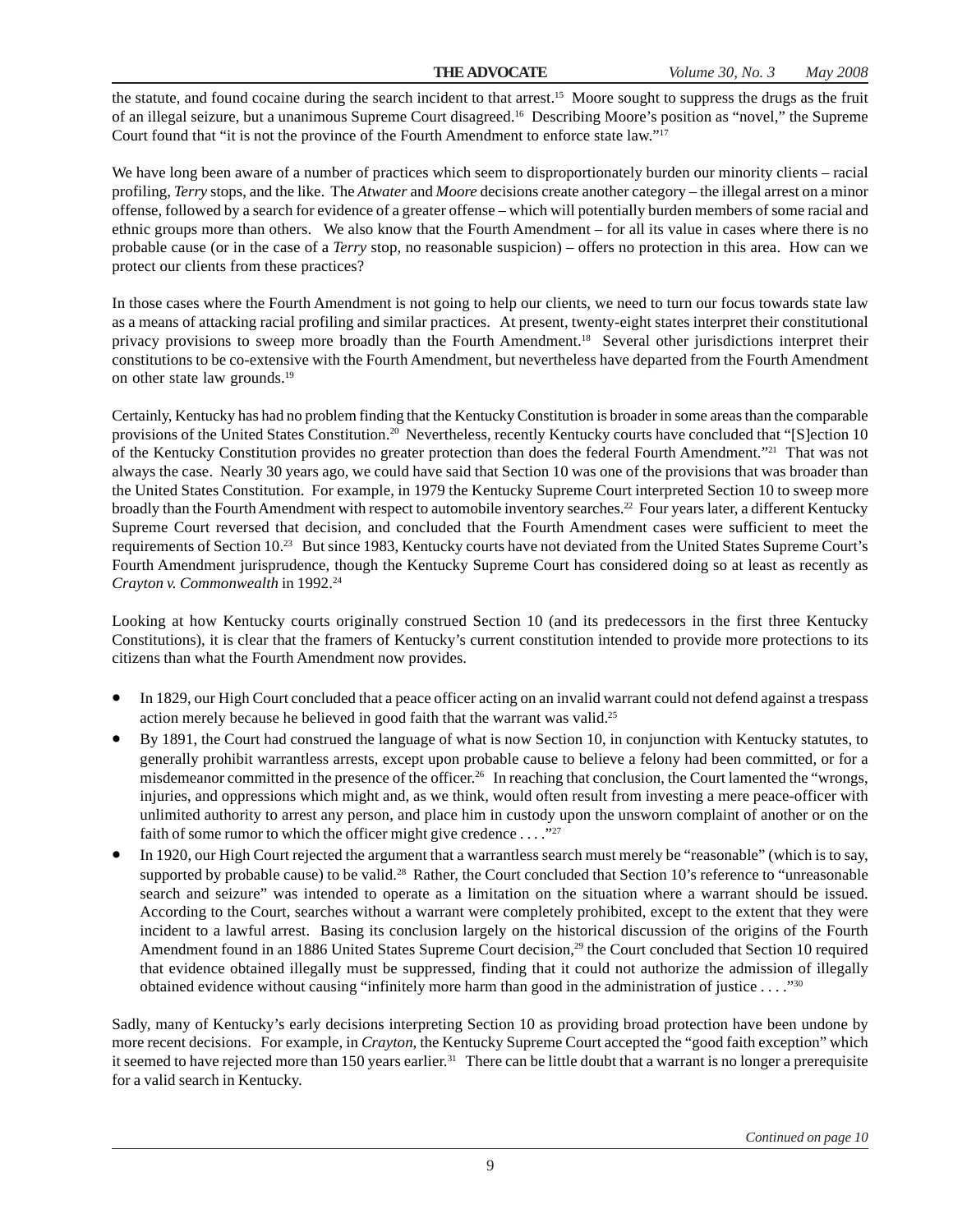the statute, and found cocaine during the search incident to that arrest.<sup>15</sup> Moore sought to suppress the drugs as the fruit of an illegal seizure, but a unanimous Supreme Court disagreed.16 Describing Moore's position as "novel," the Supreme Court found that "it is not the province of the Fourth Amendment to enforce state law."17

We have long been aware of a number of practices which seem to disproportionately burden our minority clients – racial profiling, *Terry* stops, and the like. The *Atwater* and *Moore* decisions create another category – the illegal arrest on a minor offense, followed by a search for evidence of a greater offense – which will potentially burden members of some racial and ethnic groups more than others. We also know that the Fourth Amendment – for all its value in cases where there is no probable cause (or in the case of a *Terry* stop, no reasonable suspicion) – offers no protection in this area. How can we protect our clients from these practices?

In those cases where the Fourth Amendment is not going to help our clients, we need to turn our focus towards state law as a means of attacking racial profiling and similar practices. At present, twenty-eight states interpret their constitutional privacy provisions to sweep more broadly than the Fourth Amendment.18 Several other jurisdictions interpret their constitutions to be co-extensive with the Fourth Amendment, but nevertheless have departed from the Fourth Amendment on other state law grounds.19

Certainly, Kentucky has had no problem finding that the Kentucky Constitution is broader in some areas than the comparable provisions of the United States Constitution.<sup>20</sup> Nevertheless, recently Kentucky courts have concluded that "[S]ection 10 of the Kentucky Constitution provides no greater protection than does the federal Fourth Amendment."21 That was not always the case. Nearly 30 years ago, we could have said that Section 10 was one of the provisions that was broader than the United States Constitution. For example, in 1979 the Kentucky Supreme Court interpreted Section 10 to sweep more broadly than the Fourth Amendment with respect to automobile inventory searches.22 Four years later, a different Kentucky Supreme Court reversed that decision, and concluded that the Fourth Amendment cases were sufficient to meet the requirements of Section 10.23 But since 1983, Kentucky courts have not deviated from the United States Supreme Court's Fourth Amendment jurisprudence, though the Kentucky Supreme Court has considered doing so at least as recently as *Crayton v. Commonwealth* in 1992.24

Looking at how Kentucky courts originally construed Section 10 (and its predecessors in the first three Kentucky Constitutions), it is clear that the framers of Kentucky's current constitution intended to provide more protections to its citizens than what the Fourth Amendment now provides.

- In 1829, our High Court concluded that a peace officer acting on an invalid warrant could not defend against a trespass action merely because he believed in good faith that the warrant was valid.<sup>25</sup>
- By 1891, the Court had construed the language of what is now Section 10, in conjunction with Kentucky statutes, to generally prohibit warrantless arrests, except upon probable cause to believe a felony had been committed, or for a misdemeanor committed in the presence of the officer.26 In reaching that conclusion, the Court lamented the "wrongs, injuries, and oppressions which might and, as we think, would often result from investing a mere peace-officer with unlimited authority to arrest any person, and place him in custody upon the unsworn complaint of another or on the faith of some rumor to which the officer might give credence  $\dots$ ."<sup>27</sup>
- In 1920, our High Court rejected the argument that a warrantless search must merely be "reasonable" (which is to say, supported by probable cause) to be valid.<sup>28</sup> Rather, the Court concluded that Section 10's reference to "unreasonable" search and seizure" was intended to operate as a limitation on the situation where a warrant should be issued. According to the Court, searches without a warrant were completely prohibited, except to the extent that they were incident to a lawful arrest. Basing its conclusion largely on the historical discussion of the origins of the Fourth Amendment found in an 1886 United States Supreme Court decision,<sup>29</sup> the Court concluded that Section 10 required that evidence obtained illegally must be suppressed, finding that it could not authorize the admission of illegally obtained evidence without causing "infinitely more harm than good in the administration of justice . . . ."30

Sadly, many of Kentucky's early decisions interpreting Section 10 as providing broad protection have been undone by more recent decisions. For example, in *Crayton*, the Kentucky Supreme Court accepted the "good faith exception" which it seemed to have rejected more than 150 years earlier.<sup>31</sup> There can be little doubt that a warrant is no longer a prerequisite for a valid search in Kentucky.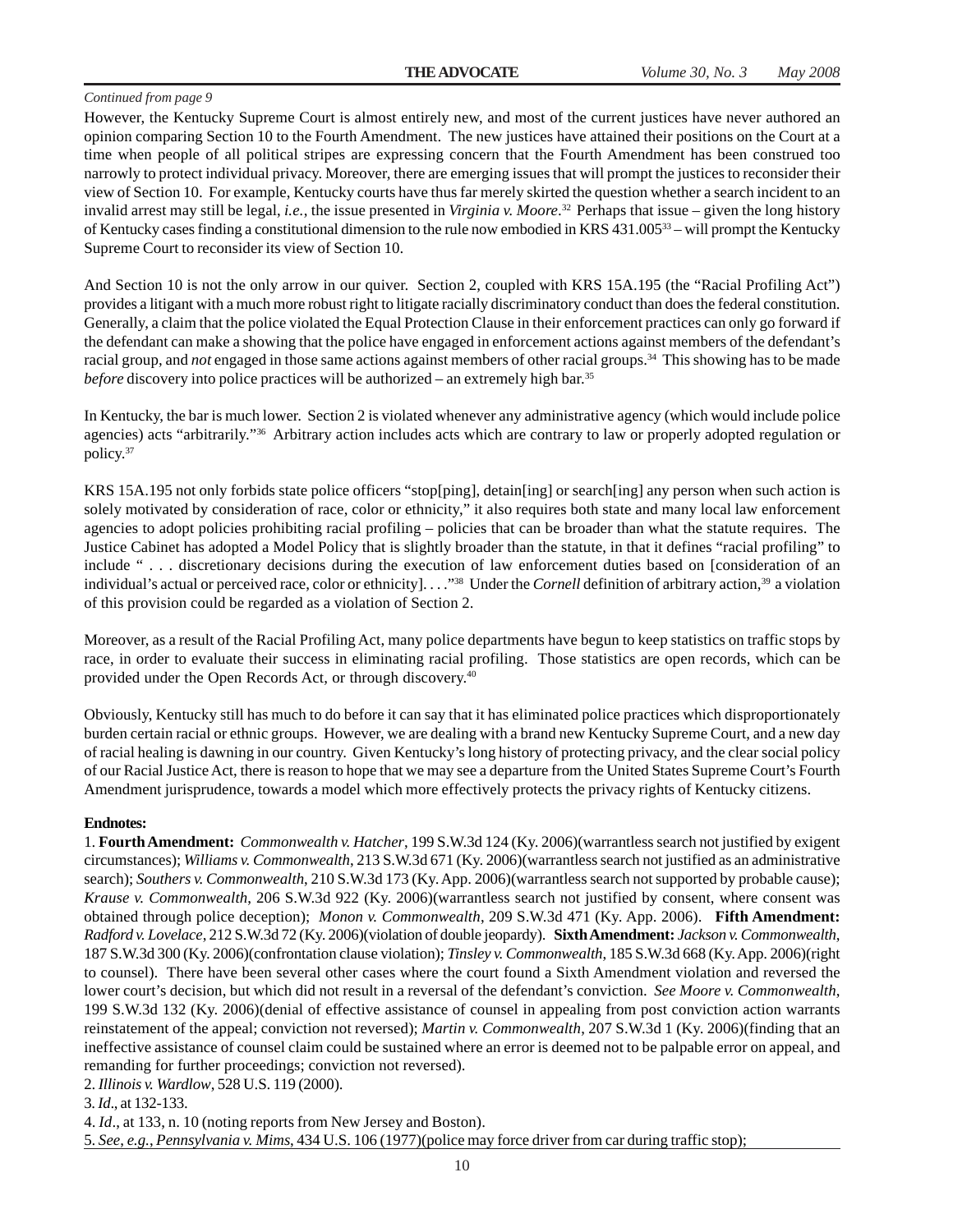However, the Kentucky Supreme Court is almost entirely new, and most of the current justices have never authored an opinion comparing Section 10 to the Fourth Amendment. The new justices have attained their positions on the Court at a time when people of all political stripes are expressing concern that the Fourth Amendment has been construed too narrowly to protect individual privacy. Moreover, there are emerging issues that will prompt the justices to reconsider their view of Section 10. For example, Kentucky courts have thus far merely skirted the question whether a search incident to an invalid arrest may still be legal, *i.e.*, the issue presented in *Virginia v. Moore*. 32 Perhaps that issue – given the long history of Kentucky cases finding a constitutional dimension to the rule now embodied in KRS 431.005 $^{33}$  – will prompt the Kentucky Supreme Court to reconsider its view of Section 10.

And Section 10 is not the only arrow in our quiver. Section 2, coupled with KRS 15A.195 (the "Racial Profiling Act") provides a litigant with a much more robust right to litigate racially discriminatory conduct than does the federal constitution. Generally, a claim that the police violated the Equal Protection Clause in their enforcement practices can only go forward if the defendant can make a showing that the police have engaged in enforcement actions against members of the defendant's racial group, and *not* engaged in those same actions against members of other racial groups.34 This showing has to be made *before* discovery into police practices will be authorized – an extremely high bar.<sup>35</sup>

In Kentucky, the bar is much lower. Section 2 is violated whenever any administrative agency (which would include police agencies) acts "arbitrarily."36 Arbitrary action includes acts which are contrary to law or properly adopted regulation or policy.37

KRS 15A.195 not only forbids state police officers "stop[ping], detain[ing] or search[ing] any person when such action is solely motivated by consideration of race, color or ethnicity," it also requires both state and many local law enforcement agencies to adopt policies prohibiting racial profiling – policies that can be broader than what the statute requires. The Justice Cabinet has adopted a Model Policy that is slightly broader than the statute, in that it defines "racial profiling" to include " . . . discretionary decisions during the execution of law enforcement duties based on [consideration of an individual's actual or perceived race, color or ethnicity]. . . ."38 Under the *Cornell* definition of arbitrary action,39 a violation of this provision could be regarded as a violation of Section 2.

Moreover, as a result of the Racial Profiling Act, many police departments have begun to keep statistics on traffic stops by race, in order to evaluate their success in eliminating racial profiling. Those statistics are open records, which can be provided under the Open Records Act, or through discovery.40

Obviously, Kentucky still has much to do before it can say that it has eliminated police practices which disproportionately burden certain racial or ethnic groups. However, we are dealing with a brand new Kentucky Supreme Court, and a new day of racial healing is dawning in our country. Given Kentucky's long history of protecting privacy, and the clear social policy of our Racial Justice Act, there is reason to hope that we may see a departure from the United States Supreme Court's Fourth Amendment jurisprudence, towards a model which more effectively protects the privacy rights of Kentucky citizens.

#### **Endnotes:**

1. **Fourth Amendment:** *Commonwealth v. Hatcher*, 199 S.W.3d 124 (Ky. 2006)(warrantless search not justified by exigent circumstances); *Williams v. Commonwealth*, 213 S.W.3d 671 (Ky. 2006)(warrantless search not justified as an administrative search); *Southers v. Commonwealth*, 210 S.W.3d 173 (Ky. App. 2006)(warrantless search not supported by probable cause); *Krause v. Commonwealth*, 206 S.W.3d 922 (Ky. 2006)(warrantless search not justified by consent, where consent was obtained through police deception); *Monon v. Commonwealth*, 209 S.W.3d 471 (Ky. App. 2006). **Fifth Amendment:** *Radford v. Lovelace*, 212 S.W.3d 72 (Ky. 2006)(violation of double jeopardy). **Sixth Amendment:** *Jackson v. Commonwealth*, 187 S.W.3d 300 (Ky. 2006)(confrontation clause violation); *Tinsley v. Commonwealth*, 185 S.W.3d 668 (Ky. App. 2006)(right to counsel). There have been several other cases where the court found a Sixth Amendment violation and reversed the lower court's decision, but which did not result in a reversal of the defendant's conviction. *See Moore v. Commonwealth*, 199 S.W.3d 132 (Ky. 2006)(denial of effective assistance of counsel in appealing from post conviction action warrants reinstatement of the appeal; conviction not reversed); *Martin v. Commonwealth*, 207 S.W.3d 1 (Ky. 2006)(finding that an ineffective assistance of counsel claim could be sustained where an error is deemed not to be palpable error on appeal, and remanding for further proceedings; conviction not reversed).

2. *Illinois v. Wardlow*, 528 U.S. 119 (2000).

3. *Id*., at 132-133.

4. *Id*., at 133, n. 10 (noting reports from New Jersey and Boston).

5. *See*, *e.g.*, *Pennsylvania v. Mims*, 434 U.S. 106 (1977)(police may force driver from car during traffic stop);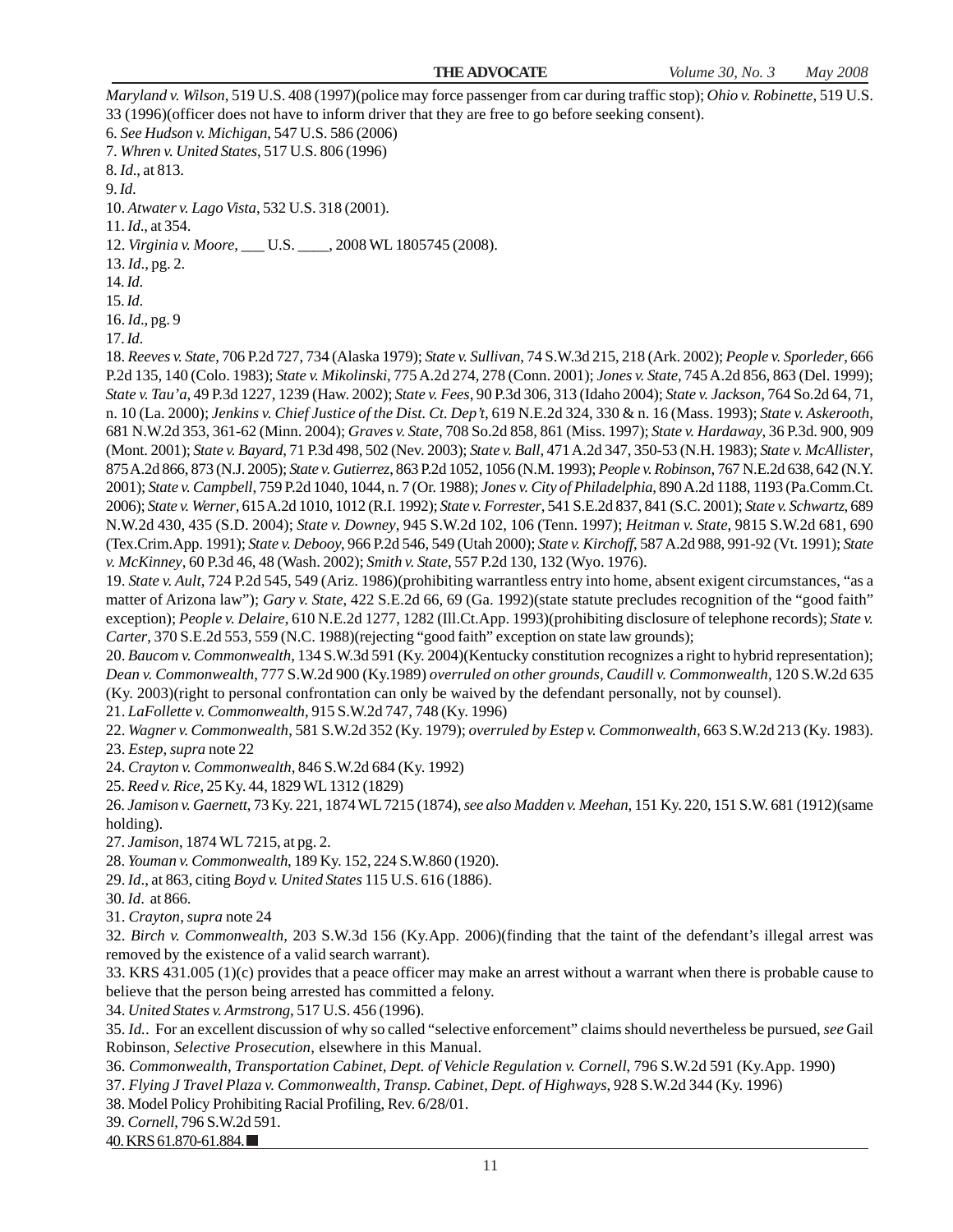*Maryland v. Wilson*, 519 U.S. 408 (1997)(police may force passenger from car during traffic stop); *Ohio v. Robinette*, 519 U.S. 33 (1996)(officer does not have to inform driver that they are free to go before seeking consent).

6. *See Hudson v. Michigan*, 547 U.S. 586 (2006) 7. *Whren v. United States*, 517 U.S. 806 (1996)

8. *Id*., at 813.

9. *Id*.

10. *Atwater v. Lago Vista*, 532 U.S. 318 (2001).

11. *Id*., at 354.

12. *Virginia v. Moore*, \_\_\_ U.S. \_\_\_\_, 2008 WL 1805745 (2008).

13. *Id*., pg. 2.

14. *Id*.

15. *Id*.

16. *Id*., pg. 9

17. *Id*.

18. *Reeves v. State*, 706 P.2d 727, 734 (Alaska 1979); *State v. Sullivan*, 74 S.W.3d 215, 218 (Ark. 2002); *People v. Sporleder*, 666 P.2d 135, 140 (Colo. 1983); *State v. Mikolinski*, 775 A.2d 274, 278 (Conn. 2001); *Jones v. State*, 745 A.2d 856, 863 (Del. 1999); *State v. Tau'a*, 49 P.3d 1227, 1239 (Haw. 2002); *State v. Fees*, 90 P.3d 306, 313 (Idaho 2004); *State v. Jackson*, 764 So.2d 64, 71, n. 10 (La. 2000); *Jenkins v. Chief Justice of the Dist. Ct. Dep't*, 619 N.E.2d 324, 330 & n. 16 (Mass. 1993); *State v. Askerooth*, 681 N.W.2d 353, 361-62 (Minn. 2004); *Graves v. State*, 708 So.2d 858, 861 (Miss. 1997); *State v. Hardaway*, 36 P.3d. 900, 909 (Mont. 2001); *State v. Bayard*, 71 P.3d 498, 502 (Nev. 2003); *State v. Ball*, 471 A.2d 347, 350-53 (N.H. 1983); *State v. McAllister*, 875 A.2d 866, 873 (N.J. 2005); *State v. Gutierrez*, 863 P.2d 1052, 1056 (N.M. 1993); *People v. Robinson*, 767 N.E.2d 638, 642 (N.Y. 2001); *State v. Campbell*, 759 P.2d 1040, 1044, n. 7 (Or. 1988); *Jones v. City of Philadelphia*, 890 A.2d 1188, 1193 (Pa.Comm.Ct. 2006); *State v. Werner*, 615 A.2d 1010, 1012 (R.I. 1992); *State v. Forrester*, 541 S.E.2d 837, 841 (S.C. 2001); *State v. Schwartz*, 689 N.W.2d 430, 435 (S.D. 2004); *State v. Downey*, 945 S.W.2d 102, 106 (Tenn. 1997); *Heitman v. State*, 9815 S.W.2d 681, 690 (Tex.Crim.App. 1991); *State v. Debooy*, 966 P.2d 546, 549 (Utah 2000); *State v. Kirchoff*, 587 A.2d 988, 991-92 (Vt. 1991); *State v. McKinney*, 60 P.3d 46, 48 (Wash. 2002); *Smith v. State*, 557 P.2d 130, 132 (Wyo. 1976).

19. *State v. Ault*, 724 P.2d 545, 549 (Ariz. 1986)(prohibiting warrantless entry into home, absent exigent circumstances, "as a matter of Arizona law"); *Gary v. State*, 422 S.E.2d 66, 69 (Ga. 1992)(state statute precludes recognition of the "good faith" exception); *People v. Delaire*, 610 N.E.2d 1277, 1282 (Ill.Ct.App. 1993)(prohibiting disclosure of telephone records); *State v. Carter*, 370 S.E.2d 553, 559 (N.C. 1988)(rejecting "good faith" exception on state law grounds);

20. *Baucom v. Commonwealth*, 134 S.W.3d 591 (Ky. 2004)(Kentucky constitution recognizes a right to hybrid representation); *Dean v. Commonwealth*, 777 S.W.2d 900 (Ky.1989) *overruled on other grounds, Caudill v. Commonwealth*, 120 S.W.2d 635 (Ky. 2003)(right to personal confrontation can only be waived by the defendant personally, not by counsel).

21. *LaFollette v. Commonwealth*, 915 S.W.2d 747, 748 (Ky. 1996)

22. *Wagner v. Commonwealth*, 581 S.W.2d 352 (Ky. 1979); *overruled by Estep v. Commonwealth*, 663 S.W.2d 213 (Ky. 1983).

23. *Estep*, *supra* note 22

24. *Crayton v. Commonwealth*, 846 S.W.2d 684 (Ky. 1992)

25. *Reed v. Rice*, 25 Ky. 44, 1829 WL 1312 (1829)

26. *Jamison v. Gaernett*, 73 Ky. 221, 1874 WL 7215 (1874), *see also Madden v. Meehan,* 151 Ky. 220, 151 S.W. 681 (1912)(same holding).

27. *Jamison*, 1874 WL 7215, at pg. 2.

28. *Youman v. Commonwealth*, 189 Ky. 152, 224 S.W.860 (1920).

29. *Id*., at 863, citing *Boyd v. United States* 115 U.S. 616 (1886).

30. *Id*. at 866.

31. *Crayton*, *supra* note 24

32. *Birch v. Commonwealth*, 203 S.W.3d 156 (Ky.App. 2006)(finding that the taint of the defendant's illegal arrest was removed by the existence of a valid search warrant).

33. KRS 431.005 (1)(c) provides that a peace officer may make an arrest without a warrant when there is probable cause to believe that the person being arrested has committed a felony.

34. *United States v. Armstrong*, 517 U.S. 456 (1996).

35. *Id.*. For an excellent discussion of why so called "selective enforcement" claims should nevertheless be pursued, *see* Gail Robinson, *Selective Prosecution*, elsewhere in this Manual.

36. *Commonwealth, Transportation Cabinet, Dept. of Vehicle Regulation v. Cornell*, 796 S.W.2d 591 (Ky.App. 1990)

37. *Flying J Travel Plaza v. Commonwealth, Transp. Cabinet, Dept. of Highways*, 928 S.W.2d 344 (Ky. 1996)

38. Model Policy Prohibiting Racial Profiling, Rev. 6/28/01.

39. *Cornell*, 796 S.W.2d 591.

40. KRS 61.870-61.884.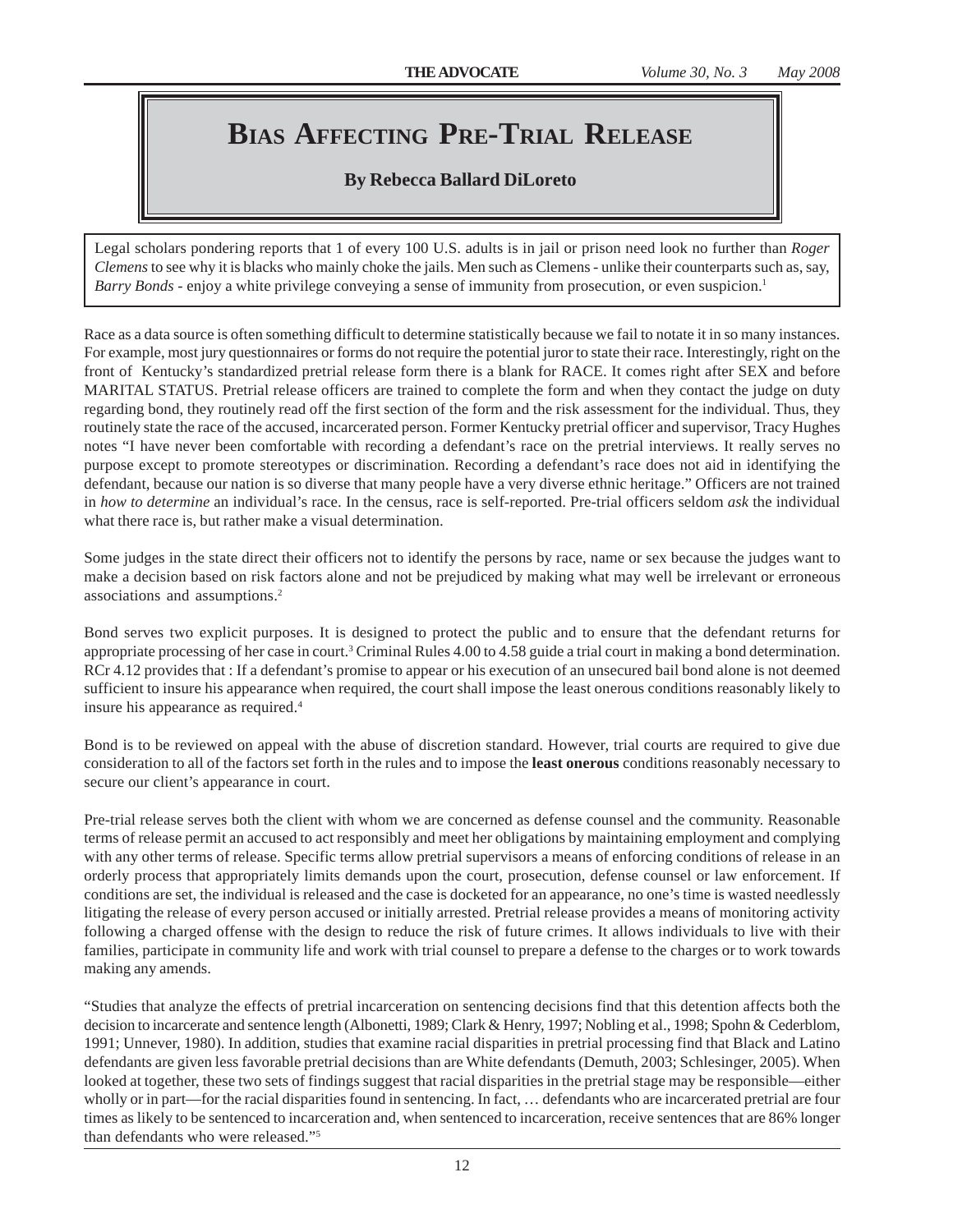## **BIAS AFFECTING PRE-TRIAL RELEASE**

#### **By Rebecca Ballard DiLoreto**

Legal scholars pondering reports that 1 of every 100 U.S. adults is in jail or prison need look no further than *Roger Clemens* to see why it is blacks who mainly choke the jails. Men such as Clemens - unlike their counterparts such as, say, *Barry Bonds* - enjoy a white privilege conveying a sense of immunity from prosecution, or even suspicion.<sup>1</sup>

Race as a data source is often something difficult to determine statistically because we fail to notate it in so many instances. For example, most jury questionnaires or forms do not require the potential juror to state their race. Interestingly, right on the front of Kentucky's standardized pretrial release form there is a blank for RACE. It comes right after SEX and before MARITAL STATUS. Pretrial release officers are trained to complete the form and when they contact the judge on duty regarding bond, they routinely read off the first section of the form and the risk assessment for the individual. Thus, they routinely state the race of the accused, incarcerated person. Former Kentucky pretrial officer and supervisor, Tracy Hughes notes "I have never been comfortable with recording a defendant's race on the pretrial interviews. It really serves no purpose except to promote stereotypes or discrimination. Recording a defendant's race does not aid in identifying the defendant, because our nation is so diverse that many people have a very diverse ethnic heritage." Officers are not trained in *how to determine* an individual's race. In the census, race is self-reported. Pre-trial officers seldom *ask* the individual what there race is, but rather make a visual determination.

Some judges in the state direct their officers not to identify the persons by race, name or sex because the judges want to make a decision based on risk factors alone and not be prejudiced by making what may well be irrelevant or erroneous associations and assumptions.2

Bond serves two explicit purposes. It is designed to protect the public and to ensure that the defendant returns for appropriate processing of her case in court.<sup>3</sup> Criminal Rules 4.00 to 4.58 guide a trial court in making a bond determination. RCr 4.12 provides that : If a defendant's promise to appear or his execution of an unsecured bail bond alone is not deemed sufficient to insure his appearance when required, the court shall impose the least onerous conditions reasonably likely to insure his appearance as required.4

Bond is to be reviewed on appeal with the abuse of discretion standard. However, trial courts are required to give due consideration to all of the factors set forth in the rules and to impose the **least onerous** conditions reasonably necessary to secure our client's appearance in court.

Pre-trial release serves both the client with whom we are concerned as defense counsel and the community. Reasonable terms of release permit an accused to act responsibly and meet her obligations by maintaining employment and complying with any other terms of release. Specific terms allow pretrial supervisors a means of enforcing conditions of release in an orderly process that appropriately limits demands upon the court, prosecution, defense counsel or law enforcement. If conditions are set, the individual is released and the case is docketed for an appearance, no one's time is wasted needlessly litigating the release of every person accused or initially arrested. Pretrial release provides a means of monitoring activity following a charged offense with the design to reduce the risk of future crimes. It allows individuals to live with their families, participate in community life and work with trial counsel to prepare a defense to the charges or to work towards making any amends.

"Studies that analyze the effects of pretrial incarceration on sentencing decisions find that this detention affects both the decision to incarcerate and sentence length (Albonetti, 1989; Clark & Henry, 1997; Nobling et al., 1998; Spohn & Cederblom, 1991; Unnever, 1980). In addition, studies that examine racial disparities in pretrial processing find that Black and Latino defendants are given less favorable pretrial decisions than are White defendants (Demuth, 2003; Schlesinger, 2005). When looked at together, these two sets of findings suggest that racial disparities in the pretrial stage may be responsible—either wholly or in part—for the racial disparities found in sentencing. In fact, … defendants who are incarcerated pretrial are four times as likely to be sentenced to incarceration and, when sentenced to incarceration, receive sentences that are 86% longer than defendants who were released."5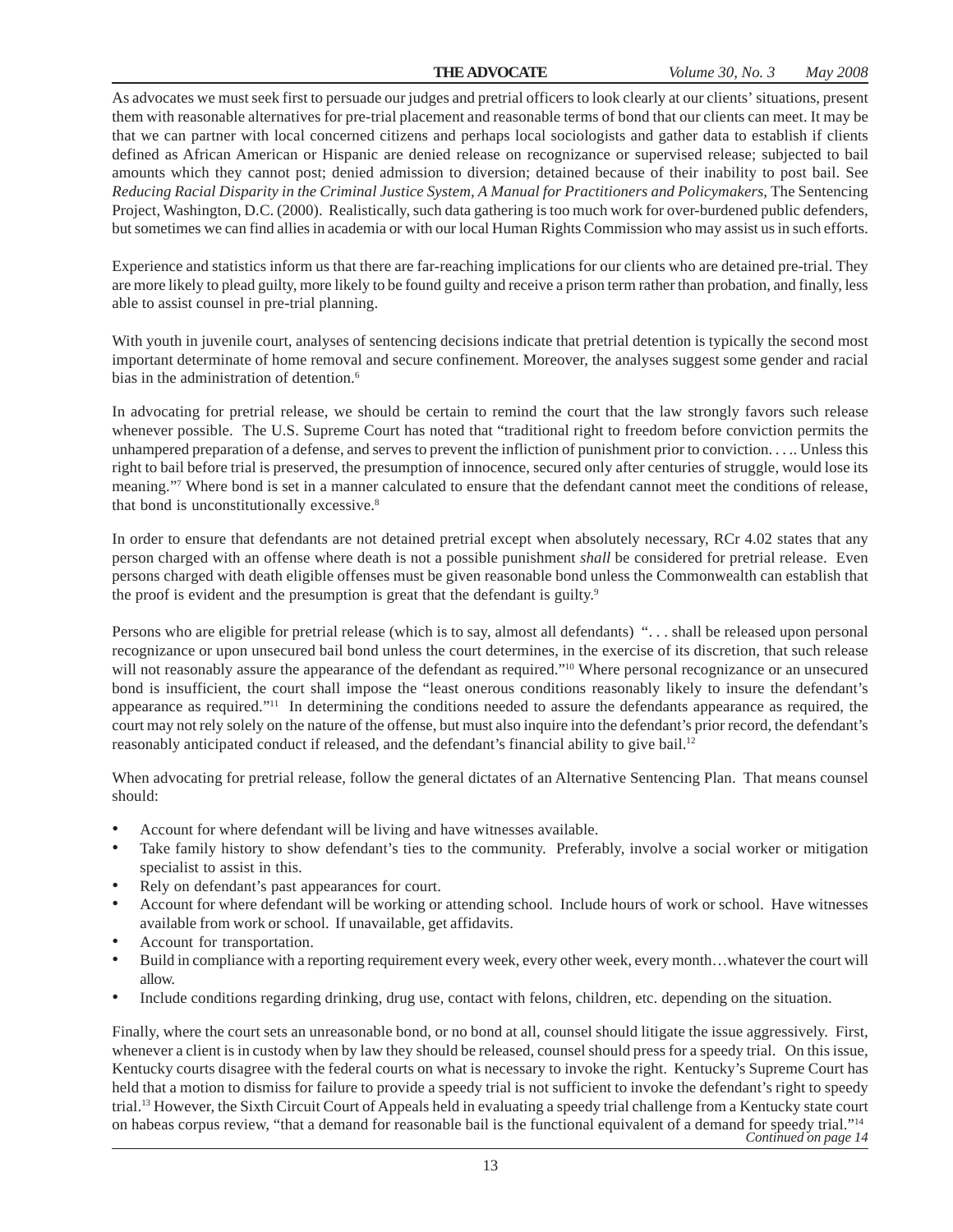As advocates we must seek first to persuade our judges and pretrial officers to look clearly at our clients' situations, present them with reasonable alternatives for pre-trial placement and reasonable terms of bond that our clients can meet. It may be that we can partner with local concerned citizens and perhaps local sociologists and gather data to establish if clients defined as African American or Hispanic are denied release on recognizance or supervised release; subjected to bail amounts which they cannot post; denied admission to diversion; detained because of their inability to post bail. See *Reducing Racial Disparity in the Criminal Justice System, A Manual for Practitioners and Policymakers*, The Sentencing Project, Washington, D.C. (2000). Realistically, such data gathering is too much work for over-burdened public defenders, but sometimes we can find allies in academia or with our local Human Rights Commission who may assist us in such efforts.

Experience and statistics inform us that there are far-reaching implications for our clients who are detained pre-trial. They are more likely to plead guilty, more likely to be found guilty and receive a prison term rather than probation, and finally, less able to assist counsel in pre-trial planning.

With youth in juvenile court, analyses of sentencing decisions indicate that pretrial detention is typically the second most important determinate of home removal and secure confinement. Moreover, the analyses suggest some gender and racial bias in the administration of detention.<sup>6</sup>

In advocating for pretrial release, we should be certain to remind the court that the law strongly favors such release whenever possible. The U.S. Supreme Court has noted that "traditional right to freedom before conviction permits the unhampered preparation of a defense, and serves to prevent the infliction of punishment prior to conviction. . . .. Unless this right to bail before trial is preserved, the presumption of innocence, secured only after centuries of struggle, would lose its meaning."<sup>7</sup> Where bond is set in a manner calculated to ensure that the defendant cannot meet the conditions of release, that bond is unconstitutionally excessive.<sup>8</sup>

In order to ensure that defendants are not detained pretrial except when absolutely necessary, RCr 4.02 states that any person charged with an offense where death is not a possible punishment *shall* be considered for pretrial release. Even persons charged with death eligible offenses must be given reasonable bond unless the Commonwealth can establish that the proof is evident and the presumption is great that the defendant is guilty.<sup>9</sup>

Persons who are eligible for pretrial release (which is to say, almost all defendants) ". . . shall be released upon personal recognizance or upon unsecured bail bond unless the court determines, in the exercise of its discretion, that such release will not reasonably assure the appearance of the defendant as required."<sup>10</sup> Where personal recognizance or an unsecured bond is insufficient, the court shall impose the "least onerous conditions reasonably likely to insure the defendant's appearance as required."11 In determining the conditions needed to assure the defendants appearance as required, the court may not rely solely on the nature of the offense, but must also inquire into the defendant's prior record, the defendant's reasonably anticipated conduct if released, and the defendant's financial ability to give bail.12

When advocating for pretrial release, follow the general dictates of an Alternative Sentencing Plan. That means counsel should:

- Account for where defendant will be living and have witnesses available.
- Take family history to show defendant's ties to the community. Preferably, involve a social worker or mitigation specialist to assist in this.
- Rely on defendant's past appearances for court.
- Account for where defendant will be working or attending school. Include hours of work or school. Have witnesses available from work or school. If unavailable, get affidavits.
- Account for transportation.
- Build in compliance with a reporting requirement every week, every other week, every month…whatever the court will allow.
- Include conditions regarding drinking, drug use, contact with felons, children, etc. depending on the situation.

Finally, where the court sets an unreasonable bond, or no bond at all, counsel should litigate the issue aggressively. First, whenever a client is in custody when by law they should be released, counsel should press for a speedy trial. On this issue, Kentucky courts disagree with the federal courts on what is necessary to invoke the right. Kentucky's Supreme Court has held that a motion to dismiss for failure to provide a speedy trial is not sufficient to invoke the defendant's right to speedy trial.13 However, the Sixth Circuit Court of Appeals held in evaluating a speedy trial challenge from a Kentucky state court on habeas corpus review, "that a demand for reasonable bail is the functional equivalent of a demand for speedy trial."14 *Continued on page 14*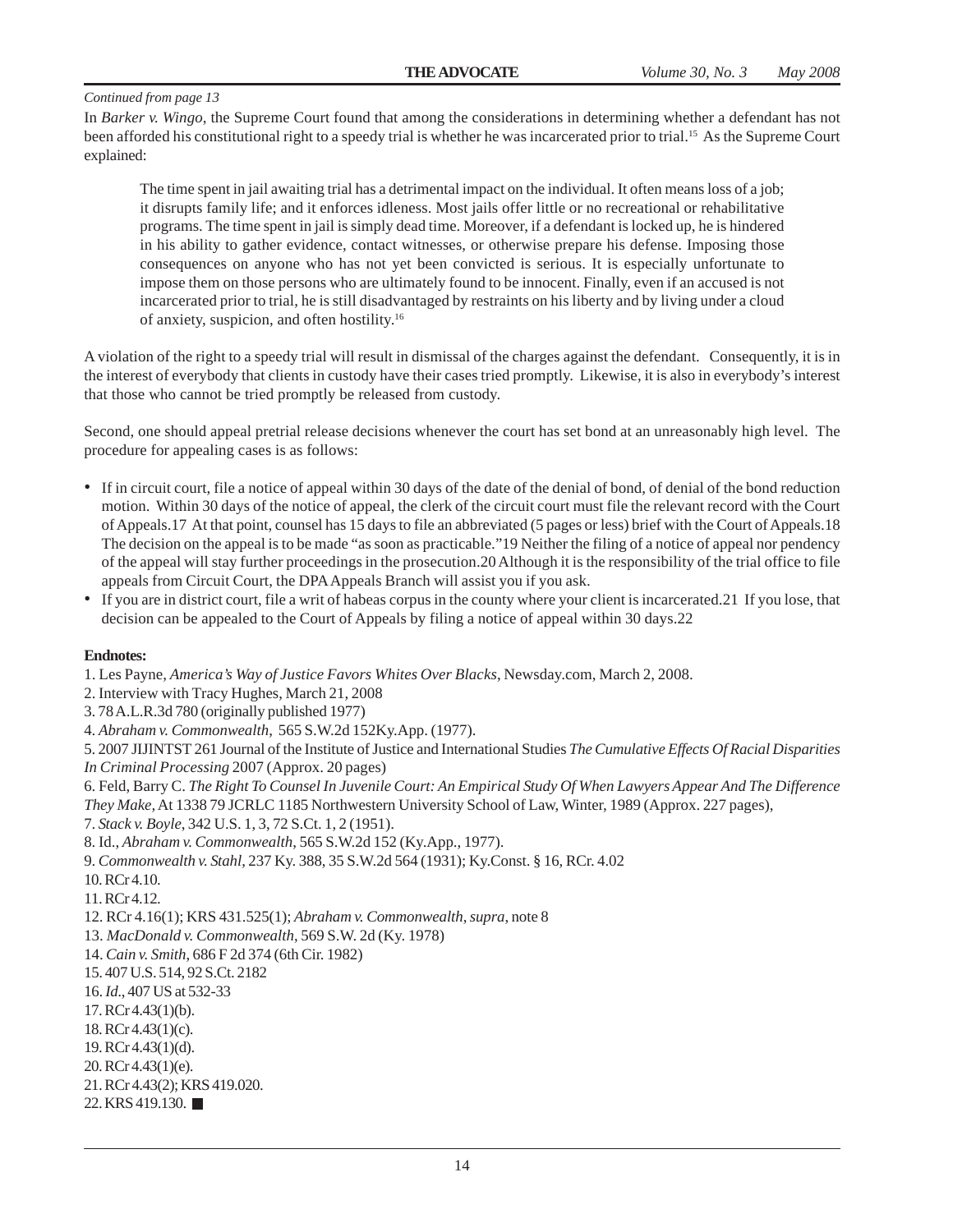In *Barker v. Wingo*, the Supreme Court found that among the considerations in determining whether a defendant has not been afforded his constitutional right to a speedy trial is whether he was incarcerated prior to trial.15 As the Supreme Court explained:

The time spent in jail awaiting trial has a detrimental impact on the individual. It often means loss of a job; it disrupts family life; and it enforces idleness. Most jails offer little or no recreational or rehabilitative programs. The time spent in jail is simply dead time. Moreover, if a defendant is locked up, he is hindered in his ability to gather evidence, contact witnesses, or otherwise prepare his defense. Imposing those consequences on anyone who has not yet been convicted is serious. It is especially unfortunate to impose them on those persons who are ultimately found to be innocent. Finally, even if an accused is not incarcerated prior to trial, he is still disadvantaged by restraints on his liberty and by living under a cloud of anxiety, suspicion, and often hostility.16

A violation of the right to a speedy trial will result in dismissal of the charges against the defendant. Consequently, it is in the interest of everybody that clients in custody have their cases tried promptly. Likewise, it is also in everybody's interest that those who cannot be tried promptly be released from custody.

Second, one should appeal pretrial release decisions whenever the court has set bond at an unreasonably high level. The procedure for appealing cases is as follows:

- If in circuit court, file a notice of appeal within 30 days of the date of the denial of bond, of denial of the bond reduction motion. Within 30 days of the notice of appeal, the clerk of the circuit court must file the relevant record with the Court of Appeals.17 At that point, counsel has 15 days to file an abbreviated (5 pages or less) brief with the Court of Appeals.18 The decision on the appeal is to be made "as soon as practicable."19 Neither the filing of a notice of appeal nor pendency of the appeal will stay further proceedings in the prosecution.20 Although it is the responsibility of the trial office to file appeals from Circuit Court, the DPA Appeals Branch will assist you if you ask.
- If you are in district court, file a writ of habeas corpus in the county where your client is incarcerated.21 If you lose, that decision can be appealed to the Court of Appeals by filing a notice of appeal within 30 days.22

#### **Endnotes:**

1. Les Payne, *America's Way of Justice Favors Whites Over Blacks*, Newsday.com, March 2, 2008.

2. Interview with Tracy Hughes, March 21, 2008

3. 78 A.L.R.3d 780 (originally published 1977)

4. *Abraham v. Commonwealth*, 565 S.W.2d 152Ky.App. (1977).

5. 2007 JIJINTST 261 Journal of the Institute of Justice and International Studies *The Cumulative Effects Of Racial Disparities In Criminal Processing* 2007 (Approx. 20 pages)

6. Feld, Barry C. *The Right To Counsel In Juvenile Court: An Empirical Study Of When Lawyers Appear And The Difference They Make,* At 1338 79 JCRLC 1185 Northwestern University School of Law, Winter, 1989 (Approx. 227 pages),

7. *Stack v. Boyle*, 342 U.S. 1, 3, 72 S.Ct. 1, 2 (1951).

8. Id., *Abraham v. Commonwealth*, 565 S.W.2d 152 (Ky.App., 1977).

- 9. *Commonwealth v. Stahl*, 237 Ky. 388, 35 S.W.2d 564 (1931); Ky.Const. § 16, RCr. 4.02
- 10. RCr 4.10.

11. RCr 4.12.

12. RCr 4.16(1); KRS 431.525(1); *Abraham v. Commonwealth*, *supra*, note 8

13. *MacDonald v. Commonwealth*, 569 S.W. 2d (Ky. 1978)

14. *Cain v. Smith*, 686 F 2d 374 (6th Cir. 1982)

15. 407 U.S. 514, 92 S.Ct. 2182

16. *Id*., 407 US at 532-33

17. RCr 4.43(1)(b).

18. RCr 4.43(1)(c).

19. RCr 4.43(1)(d).

20. RCr 4.43(1)(e).

21. RCr 4.43(2); KRS 419.020.

22. KRS 419.130. ■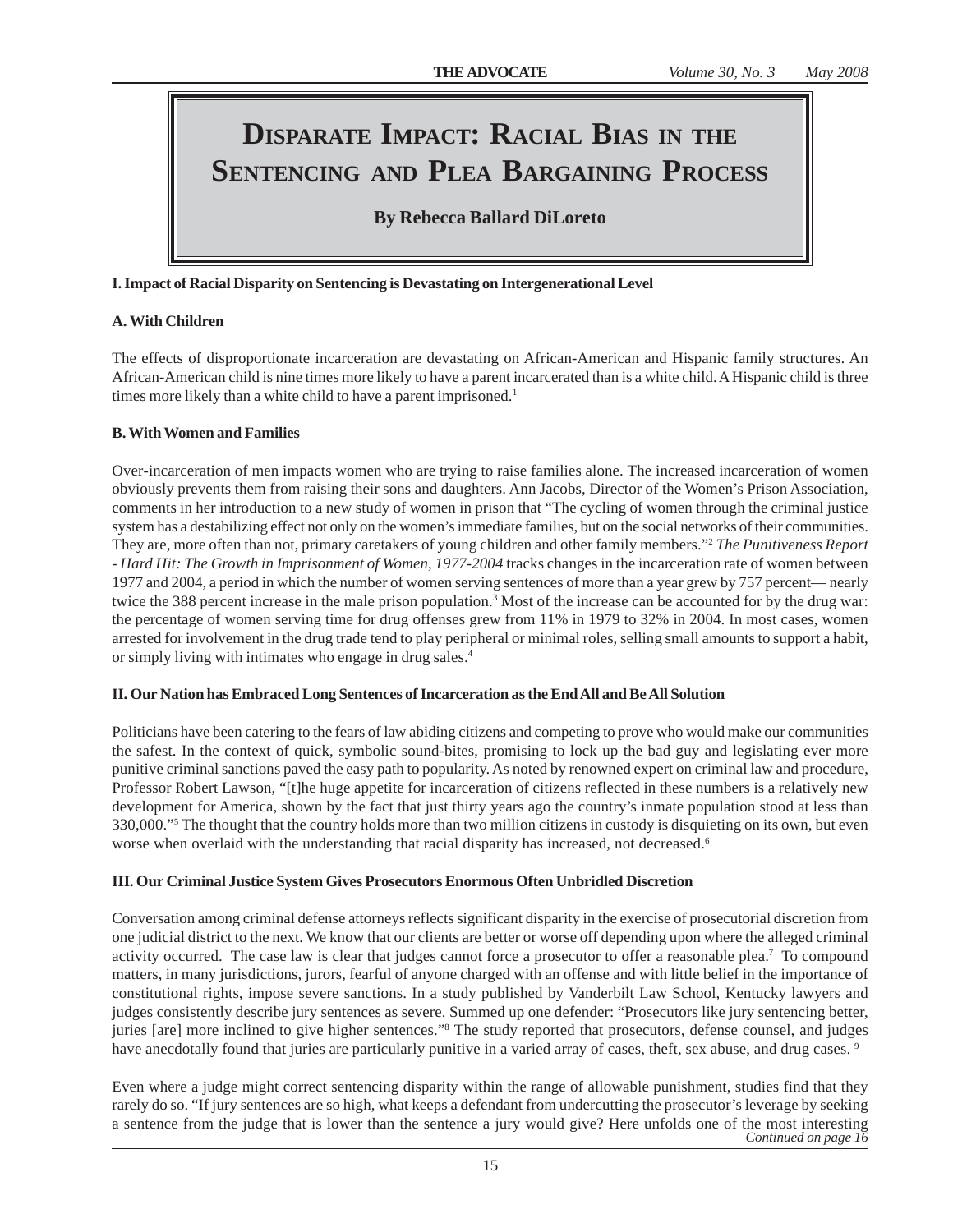### **DISPARATE IMPACT: RACIAL BIAS IN THE SENTENCING AND PLEA BARGAINING PROCESS**

### **By Rebecca Ballard DiLoreto**

#### **I. Impact of Racial Disparity on Sentencing is Devastating on Intergenerational Level**

#### **A. With Children**

The effects of disproportionate incarceration are devastating on African-American and Hispanic family structures. An African-American child is nine times more likely to have a parent incarcerated than is a white child. A Hispanic child is three times more likely than a white child to have a parent imprisoned.<sup>1</sup>

#### **B. With Women and Families**

Over-incarceration of men impacts women who are trying to raise families alone. The increased incarceration of women obviously prevents them from raising their sons and daughters. Ann Jacobs, Director of the Women's Prison Association, comments in her introduction to a new study of women in prison that "The cycling of women through the criminal justice system has a destabilizing effect not only on the women's immediate families, but on the social networks of their communities. They are, more often than not, primary caretakers of young children and other family members."2 *The Punitiveness Report - Hard Hit: The Growth in Imprisonment of Women, 1977-2004* tracks changes in the incarceration rate of women between 1977 and 2004, a period in which the number of women serving sentences of more than a year grew by 757 percent— nearly twice the 388 percent increase in the male prison population.<sup>3</sup> Most of the increase can be accounted for by the drug war: the percentage of women serving time for drug offenses grew from 11% in 1979 to 32% in 2004. In most cases, women arrested for involvement in the drug trade tend to play peripheral or minimal roles, selling small amounts to support a habit, or simply living with intimates who engage in drug sales.4

#### **II. Our Nation has Embraced Long Sentences of Incarceration as the End All and Be All Solution**

Politicians have been catering to the fears of law abiding citizens and competing to prove who would make our communities the safest. In the context of quick, symbolic sound-bites, promising to lock up the bad guy and legislating ever more punitive criminal sanctions paved the easy path to popularity. As noted by renowned expert on criminal law and procedure, Professor Robert Lawson, "[t]he huge appetite for incarceration of citizens reflected in these numbers is a relatively new development for America, shown by the fact that just thirty years ago the country's inmate population stood at less than 330,000."5 The thought that the country holds more than two million citizens in custody is disquieting on its own, but even worse when overlaid with the understanding that racial disparity has increased, not decreased.<sup>6</sup>

#### **III. Our Criminal Justice System Gives Prosecutors Enormous Often Unbridled Discretion**

Conversation among criminal defense attorneys reflects significant disparity in the exercise of prosecutorial discretion from one judicial district to the next. We know that our clients are better or worse off depending upon where the alleged criminal activity occurred. The case law is clear that judges cannot force a prosecutor to offer a reasonable plea.<sup>7</sup> To compound matters, in many jurisdictions, jurors, fearful of anyone charged with an offense and with little belief in the importance of constitutional rights, impose severe sanctions. In a study published by Vanderbilt Law School, Kentucky lawyers and judges consistently describe jury sentences as severe. Summed up one defender: "Prosecutors like jury sentencing better, juries [are] more inclined to give higher sentences."8 The study reported that prosecutors, defense counsel, and judges have anecdotally found that juries are particularly punitive in a varied array of cases, theft, sex abuse, and drug cases. 9

Even where a judge might correct sentencing disparity within the range of allowable punishment, studies find that they rarely do so. "If jury sentences are so high, what keeps a defendant from undercutting the prosecutor's leverage by seeking a sentence from the judge that is lower than the sentence a jury would give? Here unfolds one of the most interesting *Continued on page 16*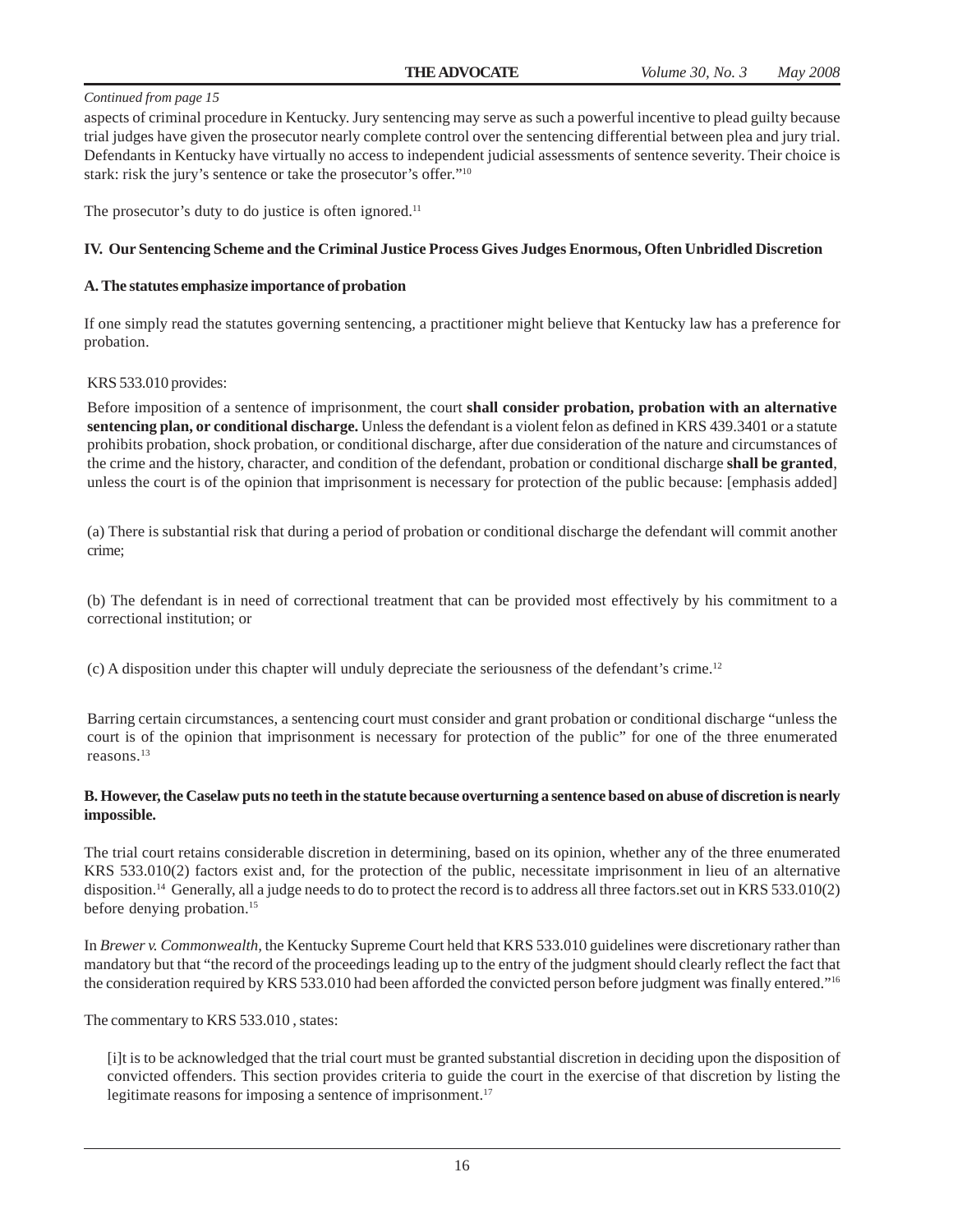aspects of criminal procedure in Kentucky. Jury sentencing may serve as such a powerful incentive to plead guilty because trial judges have given the prosecutor nearly complete control over the sentencing differential between plea and jury trial. Defendants in Kentucky have virtually no access to independent judicial assessments of sentence severity. Their choice is stark: risk the jury's sentence or take the prosecutor's offer."10

The prosecutor's duty to do justice is often ignored.<sup>11</sup>

#### **IV. Our Sentencing Scheme and the Criminal Justice Process Gives Judges Enormous, Often Unbridled Discretion**

#### **A. The statutes emphasize importance of probation**

If one simply read the statutes governing sentencing, a practitioner might believe that Kentucky law has a preference for probation.

#### KRS 533.010 provides:

Before imposition of a sentence of imprisonment, the court **shall consider probation, probation with an alternative sentencing plan, or conditional discharge.** Unless the defendant is a violent felon as defined in KRS 439.3401 or a statute prohibits probation, shock probation, or conditional discharge, after due consideration of the nature and circumstances of the crime and the history, character, and condition of the defendant, probation or conditional discharge **shall be granted**, unless the court is of the opinion that imprisonment is necessary for protection of the public because: [emphasis added]

(a) There is substantial risk that during a period of probation or conditional discharge the defendant will commit another crime;

(b) The defendant is in need of correctional treatment that can be provided most effectively by his commitment to a correctional institution; or

(c) A disposition under this chapter will unduly depreciate the seriousness of the defendant's crime.12

Barring certain circumstances, a sentencing court must consider and grant probation or conditional discharge "unless the court is of the opinion that imprisonment is necessary for protection of the public" for one of the three enumerated reasons.13

#### **B. However, the Caselaw puts no teeth in the statute because overturning a sentence based on abuse of discretion is nearly impossible.**

The trial court retains considerable discretion in determining, based on its opinion, whether any of the three enumerated KRS 533.010(2) factors exist and, for the protection of the public, necessitate imprisonment in lieu of an alternative disposition.<sup>14</sup> Generally, all a judge needs to do to protect the record is to address all three factors.set out in KRS 533.010(2) before denying probation.<sup>15</sup>

In *Brewer v. Commonwealth,* the Kentucky Supreme Court held that KRS 533.010 guidelines were discretionary rather than mandatory but that "the record of the proceedings leading up to the entry of the judgment should clearly reflect the fact that the consideration required by KRS 533.010 had been afforded the convicted person before judgment was finally entered."<sup>16</sup>

The commentary to KRS 533.010 , states:

[i]t is to be acknowledged that the trial court must be granted substantial discretion in deciding upon the disposition of convicted offenders. This section provides criteria to guide the court in the exercise of that discretion by listing the legitimate reasons for imposing a sentence of imprisonment.<sup>17</sup>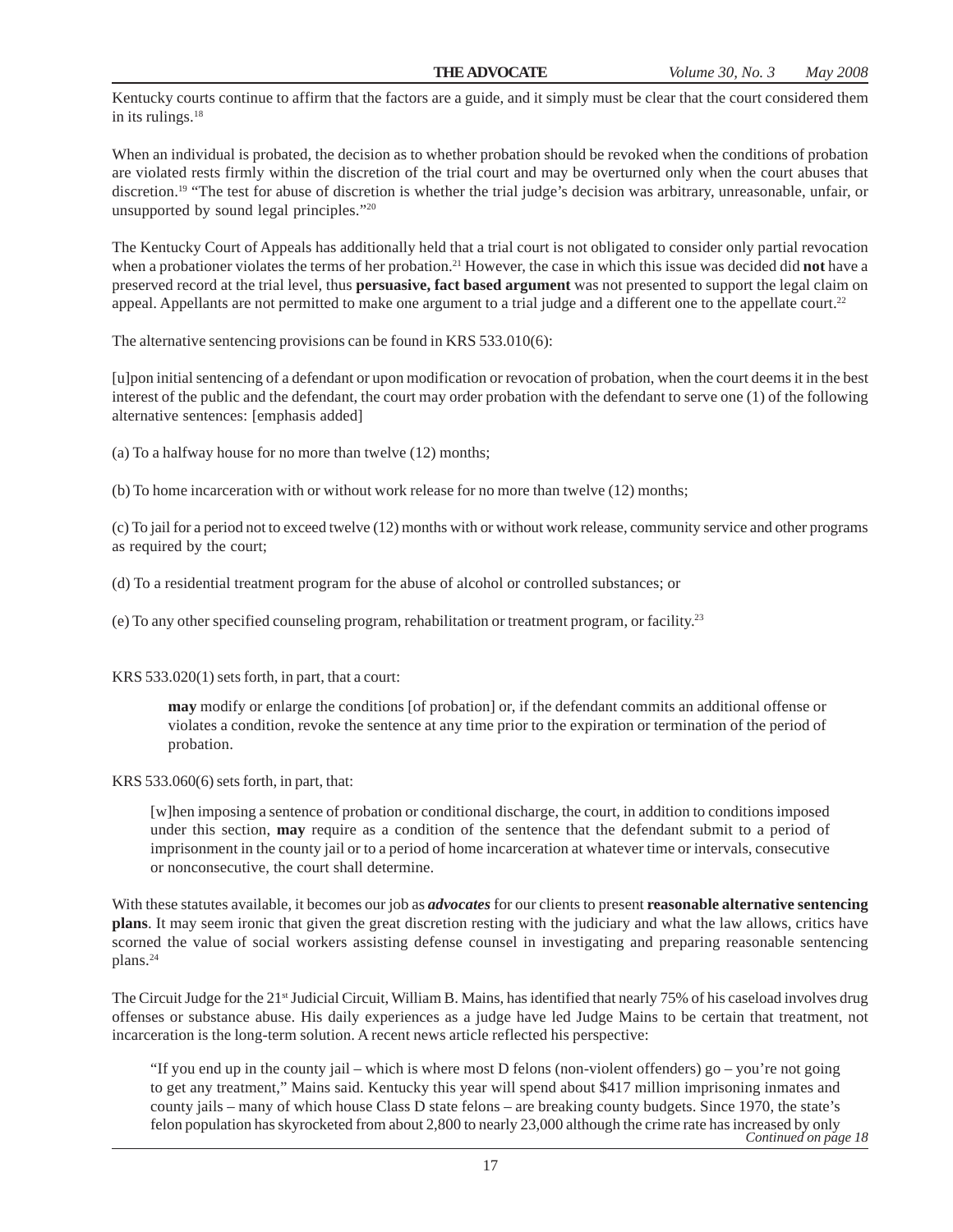Kentucky courts continue to affirm that the factors are a guide, and it simply must be clear that the court considered them in its rulings.<sup>18</sup>

When an individual is probated, the decision as to whether probation should be revoked when the conditions of probation are violated rests firmly within the discretion of the trial court and may be overturned only when the court abuses that discretion.<sup>19</sup> "The test for abuse of discretion is whether the trial judge's decision was arbitrary, unreasonable, unfair, or unsupported by sound legal principles."20

The Kentucky Court of Appeals has additionally held that a trial court is not obligated to consider only partial revocation when a probationer violates the terms of her probation.21 However, the case in which this issue was decided did **not** have a preserved record at the trial level, thus **persuasive, fact based argument** was not presented to support the legal claim on appeal. Appellants are not permitted to make one argument to a trial judge and a different one to the appellate court.<sup>22</sup>

The alternative sentencing provisions can be found in KRS 533.010(6):

[u]pon initial sentencing of a defendant or upon modification or revocation of probation, when the court deems it in the best interest of the public and the defendant, the court may order probation with the defendant to serve one (1) of the following alternative sentences: [emphasis added]

(a) To a halfway house for no more than twelve (12) months;

(b) To home incarceration with or without work release for no more than twelve (12) months;

(c) To jail for a period not to exceed twelve (12) months with or without work release, community service and other programs as required by the court;

(d) To a residential treatment program for the abuse of alcohol or controlled substances; or

(e) To any other specified counseling program, rehabilitation or treatment program, or facility.23

KRS 533.020(1) sets forth, in part, that a court:

**may** modify or enlarge the conditions [of probation] or, if the defendant commits an additional offense or violates a condition, revoke the sentence at any time prior to the expiration or termination of the period of probation.

KRS 533.060(6) sets forth, in part, that:

[w]hen imposing a sentence of probation or conditional discharge, the court, in addition to conditions imposed under this section, **may** require as a condition of the sentence that the defendant submit to a period of imprisonment in the county jail or to a period of home incarceration at whatever time or intervals, consecutive or nonconsecutive, the court shall determine.

With these statutes available, it becomes our job as *advocates* for our clients to present **reasonable alternative sentencing plans**. It may seem ironic that given the great discretion resting with the judiciary and what the law allows, critics have scorned the value of social workers assisting defense counsel in investigating and preparing reasonable sentencing plans.24

The Circuit Judge for the 21<sup>st</sup> Judicial Circuit, William B. Mains, has identified that nearly 75% of his caseload involves drug offenses or substance abuse. His daily experiences as a judge have led Judge Mains to be certain that treatment, not incarceration is the long-term solution. A recent news article reflected his perspective:

"If you end up in the county jail – which is where most D felons (non-violent offenders) go – you're not going to get any treatment," Mains said. Kentucky this year will spend about \$417 million imprisoning inmates and county jails – many of which house Class D state felons – are breaking county budgets. Since 1970, the state's felon population has skyrocketed from about 2,800 to nearly 23,000 although the crime rate has increased by only *Continued on page 18*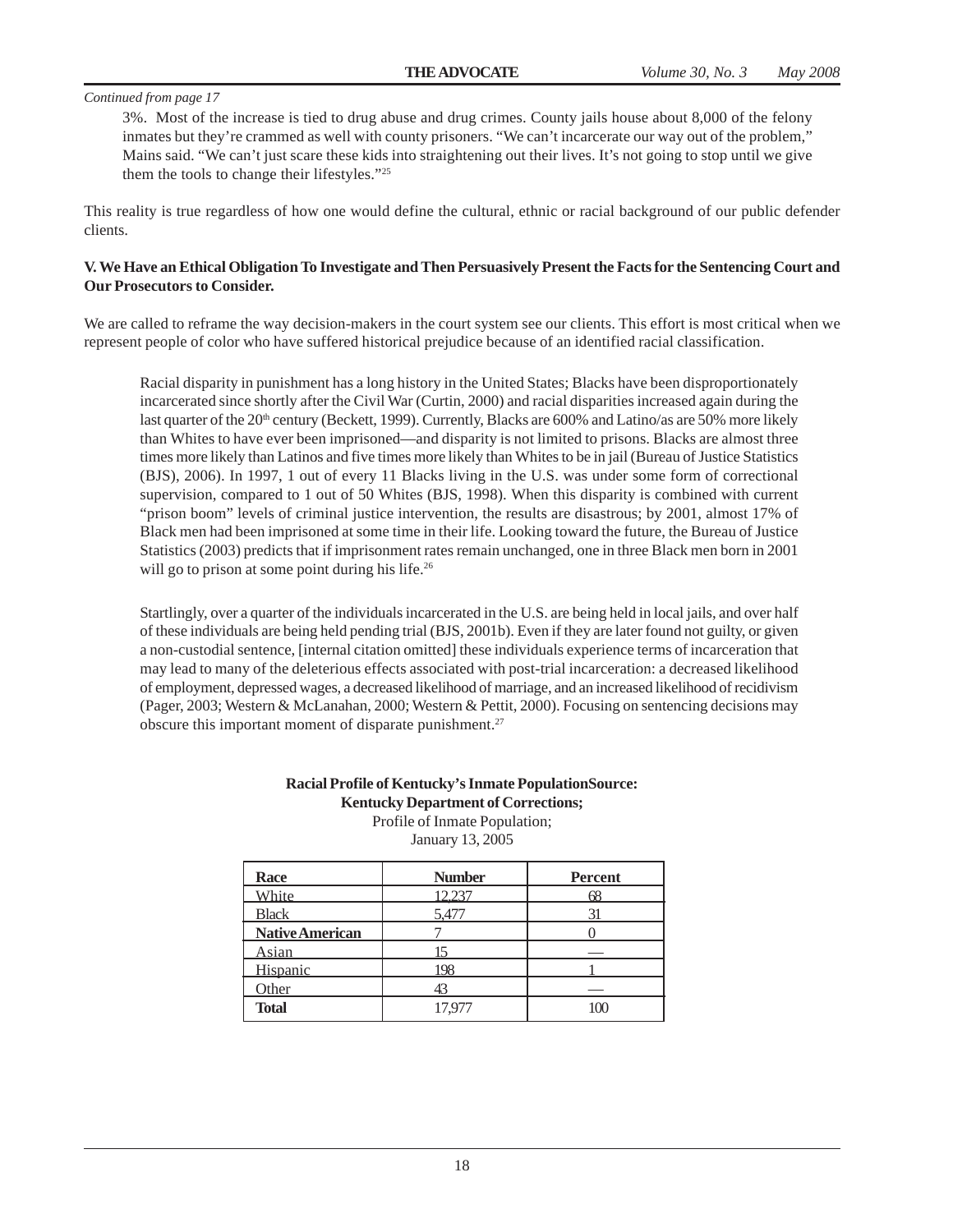3%. Most of the increase is tied to drug abuse and drug crimes. County jails house about 8,000 of the felony inmates but they're crammed as well with county prisoners. "We can't incarcerate our way out of the problem," Mains said. "We can't just scare these kids into straightening out their lives. It's not going to stop until we give them the tools to change their lifestyles."25

This reality is true regardless of how one would define the cultural, ethnic or racial background of our public defender clients.

#### **V. We Have an Ethical Obligation To Investigate and Then Persuasively Present the Facts for the Sentencing Court and Our Prosecutors to Consider.**

We are called to reframe the way decision-makers in the court system see our clients. This effort is most critical when we represent people of color who have suffered historical prejudice because of an identified racial classification.

Racial disparity in punishment has a long history in the United States; Blacks have been disproportionately incarcerated since shortly after the Civil War (Curtin, 2000) and racial disparities increased again during the last quarter of the 20<sup>th</sup> century (Beckett, 1999). Currently, Blacks are 600% and Latino/as are 50% more likely than Whites to have ever been imprisoned—and disparity is not limited to prisons. Blacks are almost three times more likely than Latinos and five times more likely than Whites to be in jail (Bureau of Justice Statistics (BJS), 2006). In 1997, 1 out of every 11 Blacks living in the U.S. was under some form of correctional supervision, compared to 1 out of 50 Whites (BJS, 1998). When this disparity is combined with current "prison boom" levels of criminal justice intervention, the results are disastrous; by 2001, almost 17% of Black men had been imprisoned at some time in their life. Looking toward the future, the Bureau of Justice Statistics (2003) predicts that if imprisonment rates remain unchanged, one in three Black men born in 2001 will go to prison at some point during his life.<sup>26</sup>

Startlingly, over a quarter of the individuals incarcerated in the U.S. are being held in local jails, and over half of these individuals are being held pending trial (BJS, 2001b). Even if they are later found not guilty, or given a non-custodial sentence, [internal citation omitted] these individuals experience terms of incarceration that may lead to many of the deleterious effects associated with post-trial incarceration: a decreased likelihood of employment, depressed wages, a decreased likelihood of marriage, and an increased likelihood of recidivism (Pager, 2003; Western & McLanahan, 2000; Western & Pettit, 2000). Focusing on sentencing decisions may obscure this important moment of disparate punishment.<sup>27</sup>

#### **Racial Profile of Kentucky's Inmate PopulationSource: Kentucky Department of Corrections;**

Profile of Inmate Population; January 13, 2005

| Race                   | <b>Number</b> | <b>Percent</b> |
|------------------------|---------------|----------------|
| White                  | 12.237        | 68             |
| <b>Black</b>           | 5,477         |                |
| <b>Native American</b> |               |                |
| <b>Asian</b>           |               |                |
| Hispanic               | 198           |                |
| Other                  |               |                |
| <b>Total</b>           | 17.977        |                |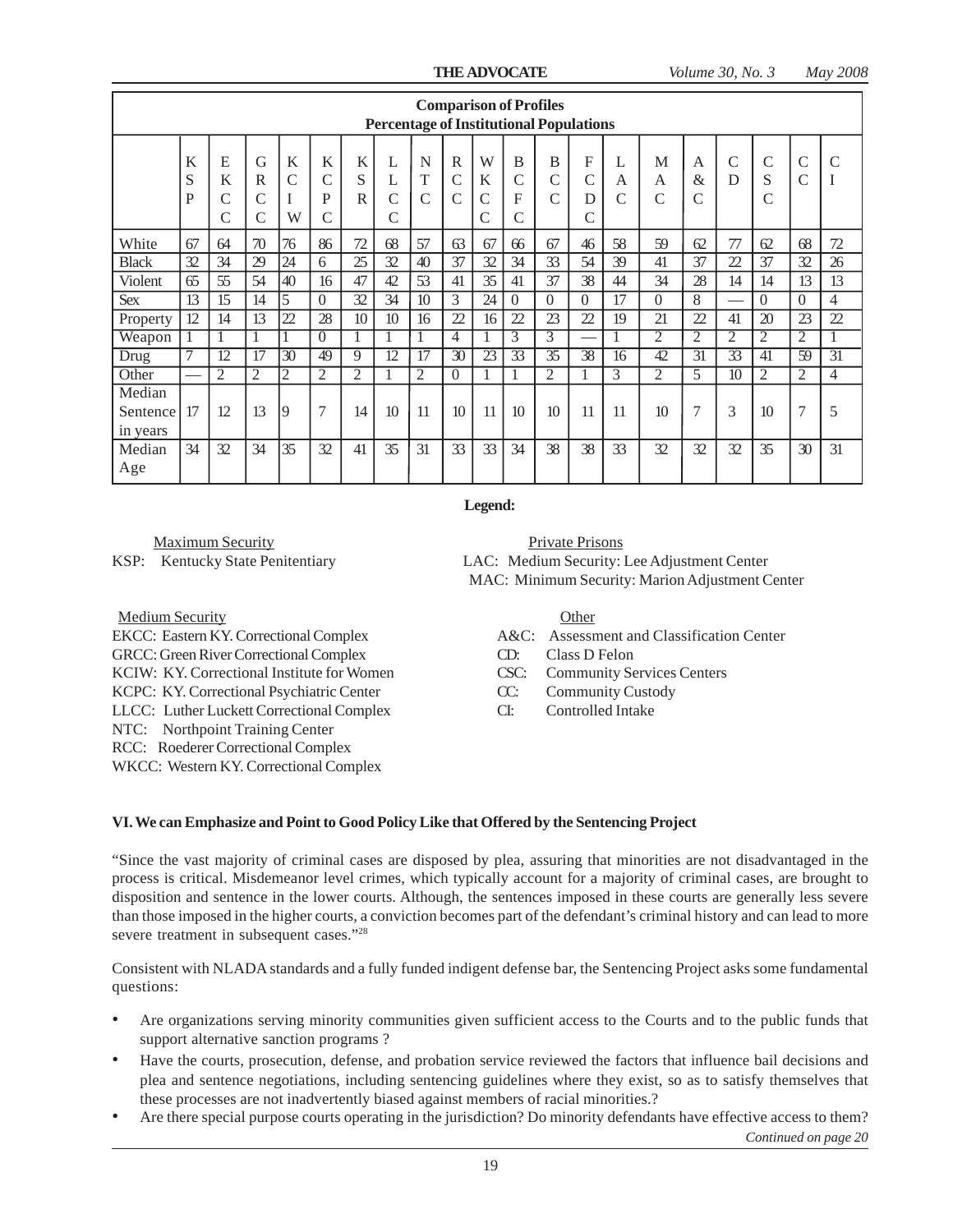|                                  |                 |                  |                                          |                 |                              |                 | <b>Percentage of Institutional Populations</b> |                         |                                                |                                           |                              | <b>Comparison of Profiles</b> |                  |                         |                          |                             |                    |                    |                                |                 |
|----------------------------------|-----------------|------------------|------------------------------------------|-----------------|------------------------------|-----------------|------------------------------------------------|-------------------------|------------------------------------------------|-------------------------------------------|------------------------------|-------------------------------|------------------|-------------------------|--------------------------|-----------------------------|--------------------|--------------------|--------------------------------|-----------------|
|                                  | K<br>S<br>P     | E<br>K<br>C<br>C | G<br>R<br>$\mathcal{C}$<br>$\mathcal{C}$ | K<br>C<br>W     | K<br>$\mathcal{C}$<br>P<br>C | K<br>S<br>R     | L<br>L<br>C<br>Ċ                               | N<br>T<br>$\mathcal{C}$ | $\mathbb{R}$<br>$\mathcal{C}$<br>$\mathcal{C}$ | W<br>K<br>$\overline{C}$<br>$\mathcal{C}$ | B<br>$\mathcal{C}$<br>F<br>Ċ | B<br>С<br>Ċ                   | F<br>C<br>D<br>C | L<br>A<br>$\mathcal{C}$ | М<br>А<br>$\overline{C}$ | A<br>$\&$<br>$\overline{C}$ | $\mathcal{C}$<br>D | $\mathcal{C}$<br>S | $\mathcal{C}$<br>$\mathcal{C}$ | $\overline{C}$  |
| White                            | 67              | 64               | 70                                       | 76              | 86                           | 72              | 68                                             | 57                      | 63                                             | 67                                        | 66                           | 67                            | 46               | 58                      | 59                       | 62                          | 77                 | 62                 | 68                             | 72              |
| <b>Black</b>                     | 32              | 34               | 29                                       | 24              | 6                            | 25              | 32                                             | 40                      | 37                                             | 32                                        | 34                           | 33                            | 54               | 39                      | 41                       | 37                          | 22                 | 37                 | 32                             | 26              |
| Violent                          | 65              | 55               | 54                                       | 40              | 16                           | 47              | 42                                             | 53                      | 41                                             | 35                                        | 41                           | 37                            | 38               | 44                      | 34                       | 28                          | 14                 | 14                 | 13                             | 13              |
| <b>Sex</b>                       | $1\overline{3}$ | 15               | 14                                       | $\overline{5}$  | $\Omega$                     | 32              | 34                                             | 10 <sup>10</sup>        | 3                                              | 24                                        | $\Omega$                     | $\Omega$                      | $\Omega$         | 17                      | $\Omega$                 | 8                           |                    | $\Omega$           | $\Omega$                       | $\overline{4}$  |
| Property                         | 12              | 14               | 13                                       | 22              | 28                           | 10 <sup>2</sup> | 10                                             | 16                      | 22                                             | 16                                        | 22                           | 23                            | 22               | 19                      | 21                       | 22                          | 41                 | 20                 | 23                             | 22              |
| Weapon                           | 1               | 1                | 1                                        |                 | $\Omega$                     | 1               |                                                |                         | $\overline{4}$                                 | 1                                         | 3                            | 3                             | -                |                         | $\bar{2}$                | $\overline{2}$              | $\overline{2}$     | 2                  | 2                              | 1               |
| <b>Drug</b>                      | 7               | 12               | 17                                       | $\overline{30}$ | 49                           | 9               | 12                                             | 17                      | 30                                             | 23                                        | 33                           | 35                            | 38               | 16                      | 42                       | $\overline{31}$             | 33                 | 41                 | 59                             | $\overline{31}$ |
| Other                            |                 | $\overline{2}$   | $\overline{2}$                           | $\overline{2}$  | $\overline{2}$               | $\overline{2}$  |                                                | $\overline{2}$          | $\Omega$                                       |                                           |                              | 2                             |                  | 3                       | $\overline{2}$           | 5                           | 10                 | $\overline{2}$     | $\overline{2}$                 | $\overline{4}$  |
| Median<br>Sentence l<br>in years | 17              | 12               | 13                                       | 9               | $\overline{7}$               | 14              | 10                                             | 11                      | 10                                             | 11                                        | 10                           | 10                            | 11               | 11                      | 10                       | $\overline{7}$              | 3                  | 10                 | $\overline{7}$                 | 5               |
| Median<br>Age                    | 34              | 32               | 34                                       | 35              | 32                           | 41              | 35                                             | 31                      | 33                                             | 33                                        | 34                           | 38                            | 38               | 33                      | 32                       | 32                          | 32                 | 35                 | 30                             | 31              |

**Legend:**

Maximum Security Private Prisons

Medium Security Other

GRCC: Green River Correctional Complex CD: Class D Felon KCIW: KY. Correctional Institute for Women CSC: Community Services Centers KCPC: KY. Correctional Psychiatric Center CC: Community Custody LLCC: Luther Luckett Correctional Complex CI: Controlled Intake NTC: Northpoint Training Center RCC: Roederer Correctional Complex WKCC: Western KY. Correctional Complex

KSP: Kentucky State Penitentiary LAC: Medium Security: Lee Adjustment Center MAC: Minimum Security: Marion Adjustment Center

EKCC: Eastern KY. Correctional Complex A&C: Assessment and Classification Center

- 
- 
- 

#### **VI. We can Emphasize and Point to Good Policy Like that Offered by the Sentencing Project**

"Since the vast majority of criminal cases are disposed by plea, assuring that minorities are not disadvantaged in the process is critical. Misdemeanor level crimes, which typically account for a majority of criminal cases, are brought to disposition and sentence in the lower courts. Although, the sentences imposed in these courts are generally less severe than those imposed in the higher courts, a conviction becomes part of the defendant's criminal history and can lead to more severe treatment in subsequent cases."28

Consistent with NLADA standards and a fully funded indigent defense bar, the Sentencing Project asks some fundamental questions:

- Are organizations serving minority communities given sufficient access to the Courts and to the public funds that support alternative sanction programs ?
- Have the courts, prosecution, defense, and probation service reviewed the factors that influence bail decisions and plea and sentence negotiations, including sentencing guidelines where they exist, so as to satisfy themselves that these processes are not inadvertently biased against members of racial minorities.?
- Are there special purpose courts operating in the jurisdiction? Do minority defendants have effective access to them?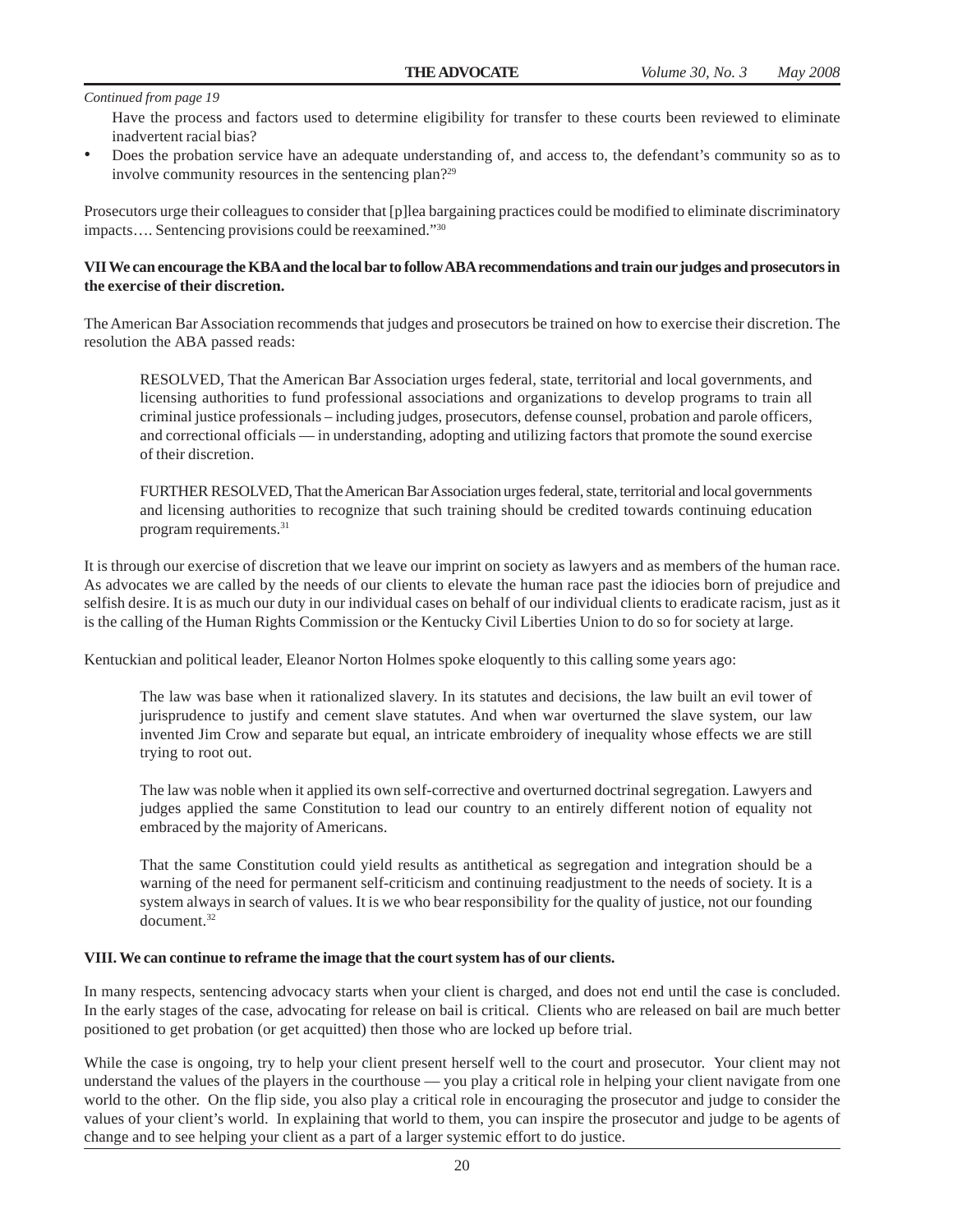Have the process and factors used to determine eligibility for transfer to these courts been reviewed to eliminate inadvertent racial bias?

• Does the probation service have an adequate understanding of, and access to, the defendant's community so as to involve community resources in the sentencing plan?29

Prosecutors urge their colleagues to consider that [p]lea bargaining practices could be modified to eliminate discriminatory impacts…. Sentencing provisions could be reexamined."30

#### **VII We can encourage the KBA and the local bar to follow ABA recommendations and train our judges and prosecutors in the exercise of their discretion.**

The American Bar Association recommends that judges and prosecutors be trained on how to exercise their discretion. The resolution the ABA passed reads:

RESOLVED, That the American Bar Association urges federal, state, territorial and local governments, and licensing authorities to fund professional associations and organizations to develop programs to train all criminal justice professionals – including judges, prosecutors, defense counsel, probation and parole officers, and correctional officials — in understanding, adopting and utilizing factors that promote the sound exercise of their discretion.

FURTHER RESOLVED, That the American Bar Association urges federal, state, territorial and local governments and licensing authorities to recognize that such training should be credited towards continuing education program requirements.31

It is through our exercise of discretion that we leave our imprint on society as lawyers and as members of the human race. As advocates we are called by the needs of our clients to elevate the human race past the idiocies born of prejudice and selfish desire. It is as much our duty in our individual cases on behalf of our individual clients to eradicate racism, just as it is the calling of the Human Rights Commission or the Kentucky Civil Liberties Union to do so for society at large.

Kentuckian and political leader, Eleanor Norton Holmes spoke eloquently to this calling some years ago:

The law was base when it rationalized slavery. In its statutes and decisions, the law built an evil tower of jurisprudence to justify and cement slave statutes. And when war overturned the slave system, our law invented Jim Crow and separate but equal, an intricate embroidery of inequality whose effects we are still trying to root out.

The law was noble when it applied its own self-corrective and overturned doctrinal segregation. Lawyers and judges applied the same Constitution to lead our country to an entirely different notion of equality not embraced by the majority of Americans.

That the same Constitution could yield results as antithetical as segregation and integration should be a warning of the need for permanent self-criticism and continuing readjustment to the needs of society. It is a system always in search of values. It is we who bear responsibility for the quality of justice, not our founding document.32

#### **VIII. We can continue to reframe the image that the court system has of our clients.**

In many respects, sentencing advocacy starts when your client is charged, and does not end until the case is concluded. In the early stages of the case, advocating for release on bail is critical. Clients who are released on bail are much better positioned to get probation (or get acquitted) then those who are locked up before trial.

While the case is ongoing, try to help your client present herself well to the court and prosecutor. Your client may not understand the values of the players in the courthouse — you play a critical role in helping your client navigate from one world to the other. On the flip side, you also play a critical role in encouraging the prosecutor and judge to consider the values of your client's world. In explaining that world to them, you can inspire the prosecutor and judge to be agents of change and to see helping your client as a part of a larger systemic effort to do justice.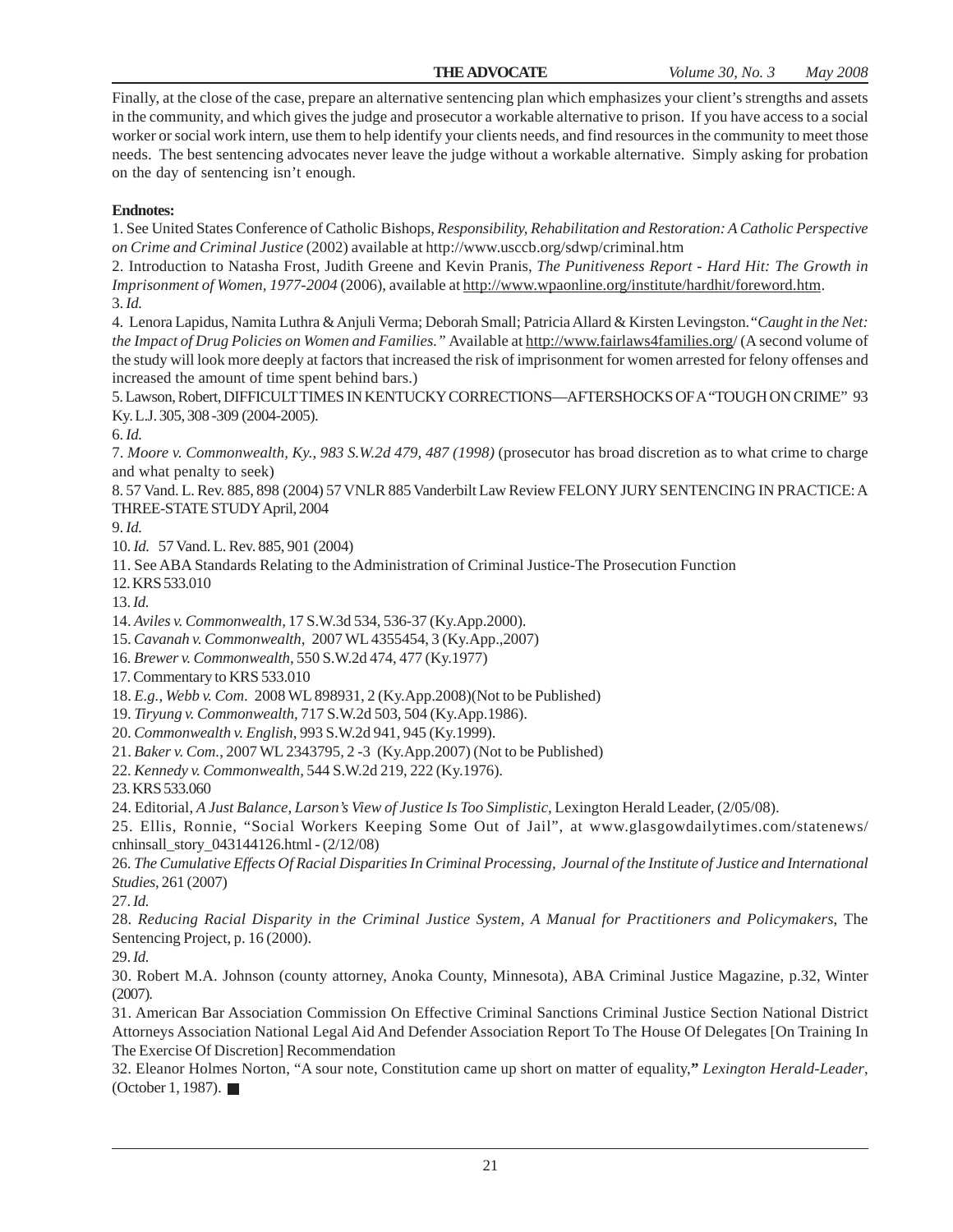Finally, at the close of the case, prepare an alternative sentencing plan which emphasizes your client's strengths and assets in the community, and which gives the judge and prosecutor a workable alternative to prison. If you have access to a social worker or social work intern, use them to help identify your clients needs, and find resources in the community to meet those needs. The best sentencing advocates never leave the judge without a workable alternative. Simply asking for probation on the day of sentencing isn't enough.

#### **Endnotes:**

1. See United States Conference of Catholic Bishops, *Responsibility, Rehabilitation and Restoration: A Catholic Perspective on Crime and Criminal Justice* (2002) available at http://www.usccb.org/sdwp/criminal.htm

2. Introduction to Natasha Frost, Judith Greene and Kevin Pranis, *The Punitiveness Report - Hard Hit: The Growth in Imprisonment of Women, 1977-2004* (2006), available at http://www.wpaonline.org/institute/hardhit/foreword.htm. 3. *Id.*

4. Lenora Lapidus, Namita Luthra & Anjuli Verma; Deborah Small; Patricia Allard & Kirsten Levingston.*"Caught in the Net: the Impact of Drug Policies on Women and Families."* Available at http://www.fairlaws4families.org/ (A second volume of the study will look more deeply at factors that increased the risk of imprisonment for women arrested for felony offenses and increased the amount of time spent behind bars.)

5. Lawson, Robert, DIFFICULT TIMES IN KENTUCKY CORRECTIONS—AFTERSHOCKS OF A "TOUGH ON CRIME" 93 Ky. L.J. 305, 308 -309 (2004-2005).

6. *Id.*

7. *Moore v. Commonwealth, Ky., 983 S.W.2d 479, 487 (1998)* (prosecutor has broad discretion as to what crime to charge and what penalty to seek)

8. 57 Vand. L. Rev. 885, 898 (2004) 57 VNLR 885 Vanderbilt Law Review FELONY JURY SENTENCING IN PRACTICE: A THREE-STATE STUDY April, 2004

9. *Id.*

10. *Id.* 57 Vand. L. Rev. 885, 901 (2004)

11. See ABA Standards Relating to the Administration of Criminal Justice-The Prosecution Function

12. KRS 533.010

13. *Id.*

14. *Aviles v. Commonwealth,* 17 S.W.3d 534, 536-37 (Ky.App.2000).

15. *Cavanah v. Commonwealth*, 2007 WL 4355454, 3 (Ky.App.,2007)

16. *Brewer v. Commonwealth,* 550 S.W.2d 474, 477 (Ky.1977)

17. Commentary to KRS 533.010

18. *E.g., Webb v. Com*. 2008 WL 898931, 2 (Ky.App.2008)(Not to be Published)

19. *Tiryung v. Commonwealth,* 717 S.W.2d 503, 504 (Ky.App.1986).

20. *Commonwealth v. English,* 993 S.W.2d 941, 945 (Ky.1999).

21. *Baker v. Com.*, 2007 WL 2343795, 2 -3 (Ky.App.2007) (Not to be Published)

22. *Kennedy v. Commonwealth,* 544 S.W.2d 219, 222 (Ky.1976).

23. KRS 533.060

24. Editorial, *A Just Balance, Larson's View of Justice Is Too Simplistic*, Lexington Herald Leader, (2/05/08).

25. Ellis, Ronnie, "Social Workers Keeping Some Out of Jail", at www.glasgowdailytimes.com/statenews/ cnhinsall\_story\_043144126.html - (2/12/08)

26. *The Cumulative Effects Of Racial Disparities In Criminal Processing, Journal of the Institute of Justice and International Studies*, 261 (2007)

27. *Id.*

28. *Reducing Racial Disparity in the Criminal Justice System, A Manual for Practitioners and Policymakers*, The Sentencing Project, p. 16 (2000).

29. *Id.*

30. Robert M.A. Johnson (county attorney, Anoka County, Minnesota), ABA Criminal Justice Magazine, p.32, Winter (2007).

31. American Bar Association Commission On Effective Criminal Sanctions Criminal Justice Section National District Attorneys Association National Legal Aid And Defender Association Report To The House Of Delegates [On Training In The Exercise Of Discretion] Recommendation

32. Eleanor Holmes Norton, "A sour note, Constitution came up short on matter of equality,**"** *Lexington Herald-Leader*, (October 1, 1987).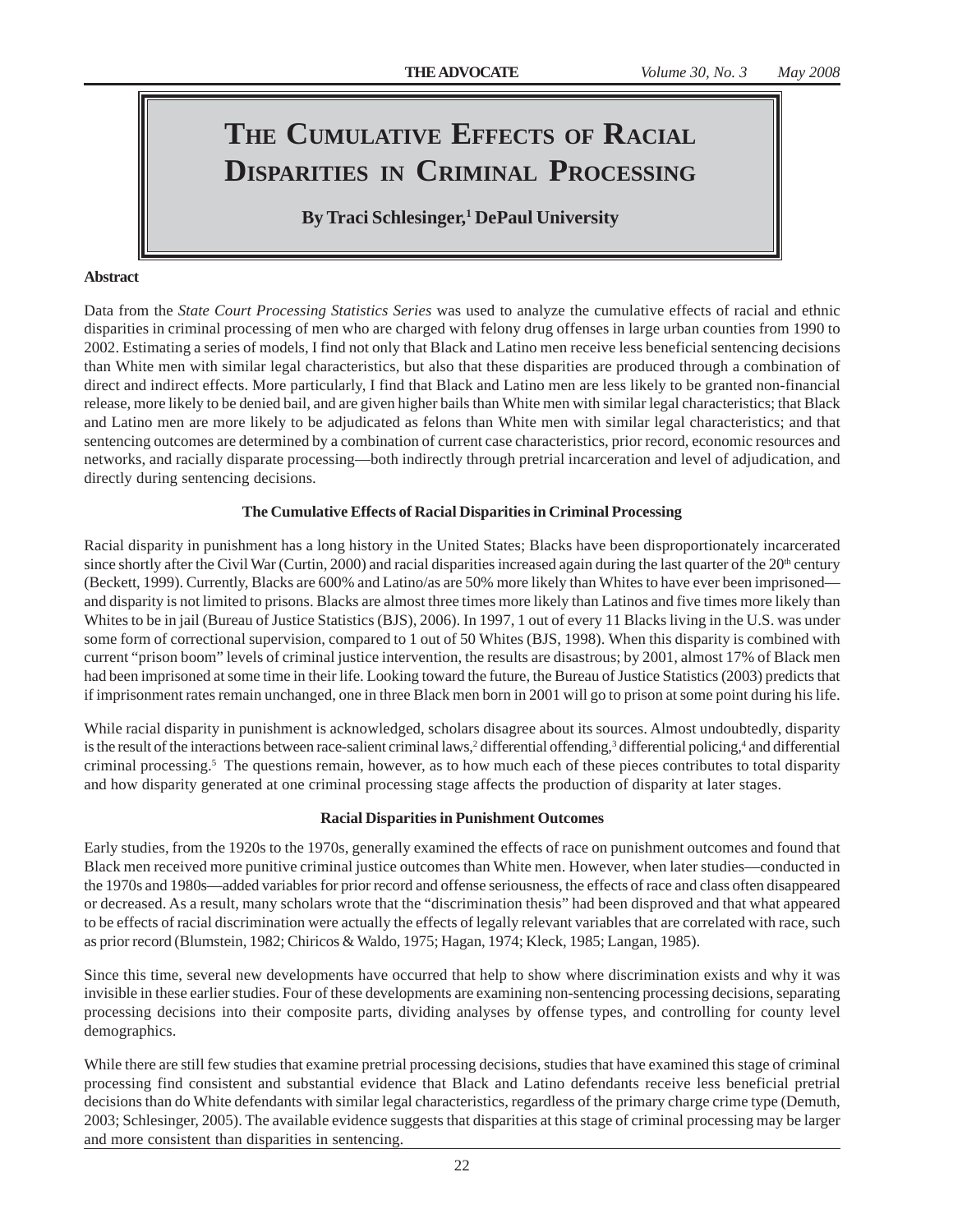### **THE CUMULATIVE EFFECTS OF RACIAL DISPARITIES IN CRIMINAL PROCESSING**

**By Traci Schlesinger,1 DePaul University**

#### **Abstract**

Data from the *State Court Processing Statistics Series* was used to analyze the cumulative effects of racial and ethnic disparities in criminal processing of men who are charged with felony drug offenses in large urban counties from 1990 to 2002. Estimating a series of models, I find not only that Black and Latino men receive less beneficial sentencing decisions than White men with similar legal characteristics, but also that these disparities are produced through a combination of direct and indirect effects. More particularly, I find that Black and Latino men are less likely to be granted non-financial release, more likely to be denied bail, and are given higher bails than White men with similar legal characteristics; that Black and Latino men are more likely to be adjudicated as felons than White men with similar legal characteristics; and that sentencing outcomes are determined by a combination of current case characteristics, prior record, economic resources and networks, and racially disparate processing—both indirectly through pretrial incarceration and level of adjudication, and directly during sentencing decisions.

#### **The Cumulative Effects of Racial Disparities in Criminal Processing**

Racial disparity in punishment has a long history in the United States; Blacks have been disproportionately incarcerated since shortly after the Civil War (Curtin, 2000) and racial disparities increased again during the last quarter of the 20<sup>th</sup> century (Beckett, 1999). Currently, Blacks are 600% and Latino/as are 50% more likely than Whites to have ever been imprisoned and disparity is not limited to prisons. Blacks are almost three times more likely than Latinos and five times more likely than Whites to be in jail (Bureau of Justice Statistics (BJS), 2006). In 1997, 1 out of every 11 Blacks living in the U.S. was under some form of correctional supervision, compared to 1 out of 50 Whites (BJS, 1998). When this disparity is combined with current "prison boom" levels of criminal justice intervention, the results are disastrous; by 2001, almost 17% of Black men had been imprisoned at some time in their life. Looking toward the future, the Bureau of Justice Statistics (2003) predicts that if imprisonment rates remain unchanged, one in three Black men born in 2001 will go to prison at some point during his life.

While racial disparity in punishment is acknowledged, scholars disagree about its sources. Almost undoubtedly, disparity is the result of the interactions between race-salient criminal laws,<sup>2</sup> differential offending,<sup>3</sup> differential policing,<sup>4</sup> and differential criminal processing.<sup>5</sup> The questions remain, however, as to how much each of these pieces contributes to total disparity and how disparity generated at one criminal processing stage affects the production of disparity at later stages.

#### **Racial Disparities in Punishment Outcomes**

Early studies, from the 1920s to the 1970s, generally examined the effects of race on punishment outcomes and found that Black men received more punitive criminal justice outcomes than White men. However, when later studies—conducted in the 1970s and 1980s—added variables for prior record and offense seriousness, the effects of race and class often disappeared or decreased. As a result, many scholars wrote that the "discrimination thesis" had been disproved and that what appeared to be effects of racial discrimination were actually the effects of legally relevant variables that are correlated with race, such as prior record (Blumstein, 1982; Chiricos & Waldo, 1975; Hagan, 1974; Kleck, 1985; Langan, 1985).

Since this time, several new developments have occurred that help to show where discrimination exists and why it was invisible in these earlier studies. Four of these developments are examining non-sentencing processing decisions, separating processing decisions into their composite parts, dividing analyses by offense types, and controlling for county level demographics.

While there are still few studies that examine pretrial processing decisions, studies that have examined this stage of criminal processing find consistent and substantial evidence that Black and Latino defendants receive less beneficial pretrial decisions than do White defendants with similar legal characteristics, regardless of the primary charge crime type (Demuth, 2003; Schlesinger, 2005). The available evidence suggests that disparities at this stage of criminal processing may be larger and more consistent than disparities in sentencing.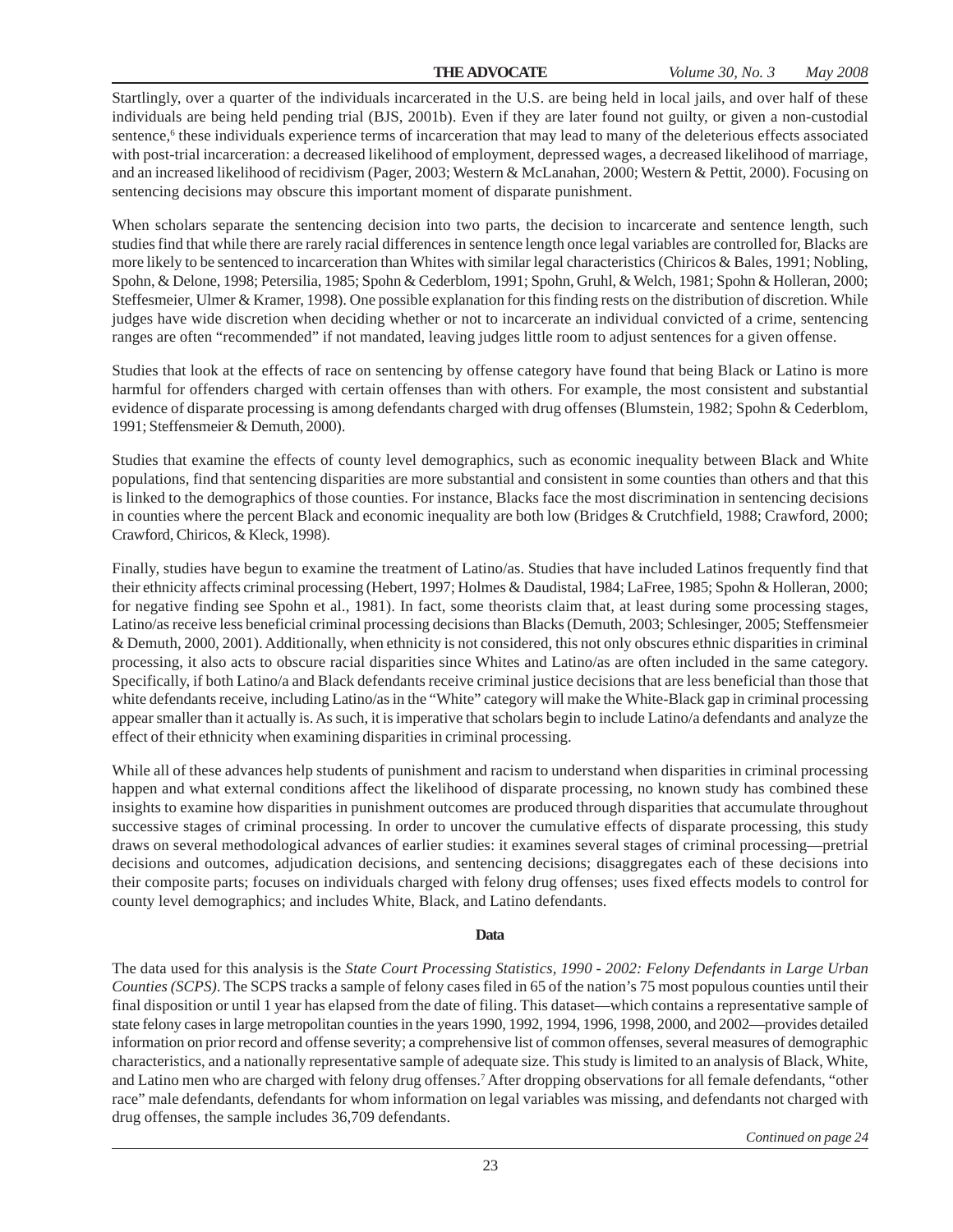Startlingly, over a quarter of the individuals incarcerated in the U.S. are being held in local jails, and over half of these individuals are being held pending trial (BJS, 2001b). Even if they are later found not guilty, or given a non-custodial sentence,<sup>6</sup> these individuals experience terms of incarceration that may lead to many of the deleterious effects associated with post-trial incarceration: a decreased likelihood of employment, depressed wages, a decreased likelihood of marriage, and an increased likelihood of recidivism (Pager, 2003; Western & McLanahan, 2000; Western & Pettit, 2000). Focusing on sentencing decisions may obscure this important moment of disparate punishment.

When scholars separate the sentencing decision into two parts, the decision to incarcerate and sentence length, such studies find that while there are rarely racial differences in sentence length once legal variables are controlled for, Blacks are more likely to be sentenced to incarceration than Whites with similar legal characteristics (Chiricos & Bales, 1991; Nobling, Spohn, & Delone, 1998; Petersilia, 1985; Spohn & Cederblom, 1991; Spohn, Gruhl, & Welch, 1981; Spohn & Holleran, 2000; Steffesmeier, Ulmer & Kramer, 1998). One possible explanation for this finding rests on the distribution of discretion. While judges have wide discretion when deciding whether or not to incarcerate an individual convicted of a crime, sentencing ranges are often "recommended" if not mandated, leaving judges little room to adjust sentences for a given offense.

Studies that look at the effects of race on sentencing by offense category have found that being Black or Latino is more harmful for offenders charged with certain offenses than with others. For example, the most consistent and substantial evidence of disparate processing is among defendants charged with drug offenses (Blumstein, 1982; Spohn & Cederblom, 1991; Steffensmeier & Demuth, 2000).

Studies that examine the effects of county level demographics, such as economic inequality between Black and White populations, find that sentencing disparities are more substantial and consistent in some counties than others and that this is linked to the demographics of those counties. For instance, Blacks face the most discrimination in sentencing decisions in counties where the percent Black and economic inequality are both low (Bridges & Crutchfield, 1988; Crawford, 2000; Crawford, Chiricos, & Kleck, 1998).

Finally, studies have begun to examine the treatment of Latino/as. Studies that have included Latinos frequently find that their ethnicity affects criminal processing (Hebert, 1997; Holmes & Daudistal, 1984; LaFree, 1985; Spohn & Holleran, 2000; for negative finding see Spohn et al., 1981). In fact, some theorists claim that, at least during some processing stages, Latino/as receive less beneficial criminal processing decisions than Blacks (Demuth, 2003; Schlesinger, 2005; Steffensmeier & Demuth, 2000, 2001). Additionally, when ethnicity is not considered, this not only obscures ethnic disparities in criminal processing, it also acts to obscure racial disparities since Whites and Latino/as are often included in the same category. Specifically, if both Latino/a and Black defendants receive criminal justice decisions that are less beneficial than those that white defendants receive, including Latino/as in the "White" category will make the White-Black gap in criminal processing appear smaller than it actually is. As such, it is imperative that scholars begin to include Latino/a defendants and analyze the effect of their ethnicity when examining disparities in criminal processing.

While all of these advances help students of punishment and racism to understand when disparities in criminal processing happen and what external conditions affect the likelihood of disparate processing, no known study has combined these insights to examine how disparities in punishment outcomes are produced through disparities that accumulate throughout successive stages of criminal processing. In order to uncover the cumulative effects of disparate processing, this study draws on several methodological advances of earlier studies: it examines several stages of criminal processing—pretrial decisions and outcomes, adjudication decisions, and sentencing decisions; disaggregates each of these decisions into their composite parts; focuses on individuals charged with felony drug offenses; uses fixed effects models to control for county level demographics; and includes White, Black, and Latino defendants.

#### **Data**

The data used for this analysis is the *State Court Processing Statistics, 1990 - 2002: Felony Defendants in Large Urban Counties (SCPS)*. The SCPS tracks a sample of felony cases filed in 65 of the nation's 75 most populous counties until their final disposition or until 1 year has elapsed from the date of filing. This dataset—which contains a representative sample of state felony cases in large metropolitan counties in the years 1990, 1992, 1994, 1996, 1998, 2000, and 2002—provides detailed information on prior record and offense severity; a comprehensive list of common offenses, several measures of demographic characteristics, and a nationally representative sample of adequate size. This study is limited to an analysis of Black, White, and Latino men who are charged with felony drug offenses.7 After dropping observations for all female defendants, "other race" male defendants, defendants for whom information on legal variables was missing, and defendants not charged with drug offenses, the sample includes 36,709 defendants.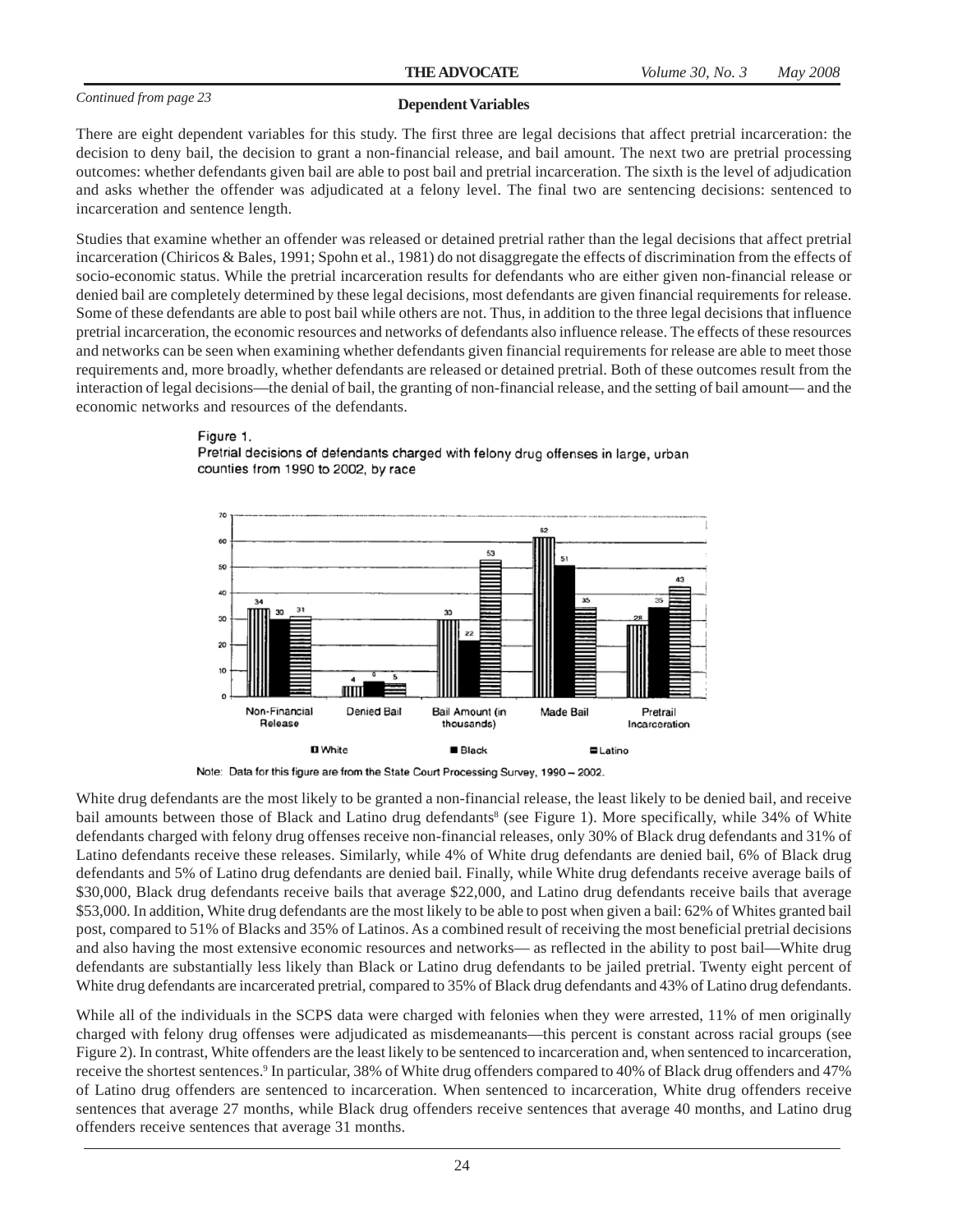#### **Dependent Variables**

There are eight dependent variables for this study. The first three are legal decisions that affect pretrial incarceration: the decision to deny bail, the decision to grant a non-financial release, and bail amount. The next two are pretrial processing outcomes: whether defendants given bail are able to post bail and pretrial incarceration. The sixth is the level of adjudication and asks whether the offender was adjudicated at a felony level. The final two are sentencing decisions: sentenced to incarceration and sentence length.

Studies that examine whether an offender was released or detained pretrial rather than the legal decisions that affect pretrial incarceration (Chiricos & Bales, 1991; Spohn et al., 1981) do not disaggregate the effects of discrimination from the effects of socio-economic status. While the pretrial incarceration results for defendants who are either given non-financial release or denied bail are completely determined by these legal decisions, most defendants are given financial requirements for release. Some of these defendants are able to post bail while others are not. Thus, in addition to the three legal decisions that influence pretrial incarceration, the economic resources and networks of defendants also influence release. The effects of these resources and networks can be seen when examining whether defendants given financial requirements for release are able to meet those requirements and, more broadly, whether defendants are released or detained pretrial. Both of these outcomes result from the interaction of legal decisions—the denial of bail, the granting of non-financial release, and the setting of bail amount— and the economic networks and resources of the defendants.

#### Figure 1.



Pretrial decisions of defendants charged with felony drug offenses in large, urban counties from 1990 to 2002, by race

White drug defendants are the most likely to be granted a non-financial release, the least likely to be denied bail, and receive bail amounts between those of Black and Latino drug defendants<sup>8</sup> (see Figure 1). More specifically, while 34% of White defendants charged with felony drug offenses receive non-financial releases, only 30% of Black drug defendants and 31% of Latino defendants receive these releases. Similarly, while 4% of White drug defendants are denied bail, 6% of Black drug defendants and 5% of Latino drug defendants are denied bail. Finally, while White drug defendants receive average bails of \$30,000, Black drug defendants receive bails that average \$22,000, and Latino drug defendants receive bails that average \$53,000. In addition, White drug defendants are the most likely to be able to post when given a bail: 62% of Whites granted bail post, compared to 51% of Blacks and 35% of Latinos. As a combined result of receiving the most beneficial pretrial decisions and also having the most extensive economic resources and networks— as reflected in the ability to post bail—White drug defendants are substantially less likely than Black or Latino drug defendants to be jailed pretrial. Twenty eight percent of White drug defendants are incarcerated pretrial, compared to 35% of Black drug defendants and 43% of Latino drug defendants.

While all of the individuals in the SCPS data were charged with felonies when they were arrested, 11% of men originally charged with felony drug offenses were adjudicated as misdemeanants—this percent is constant across racial groups (see Figure 2). In contrast, White offenders are the least likely to be sentenced to incarceration and, when sentenced to incarceration, receive the shortest sentences.<sup>9</sup> In particular, 38% of White drug offenders compared to 40% of Black drug offenders and 47% of Latino drug offenders are sentenced to incarceration. When sentenced to incarceration, White drug offenders receive sentences that average 27 months, while Black drug offenders receive sentences that average 40 months, and Latino drug offenders receive sentences that average 31 months.

Note: Data for this figure are from the State Court Processing Survey, 1990 - 2002.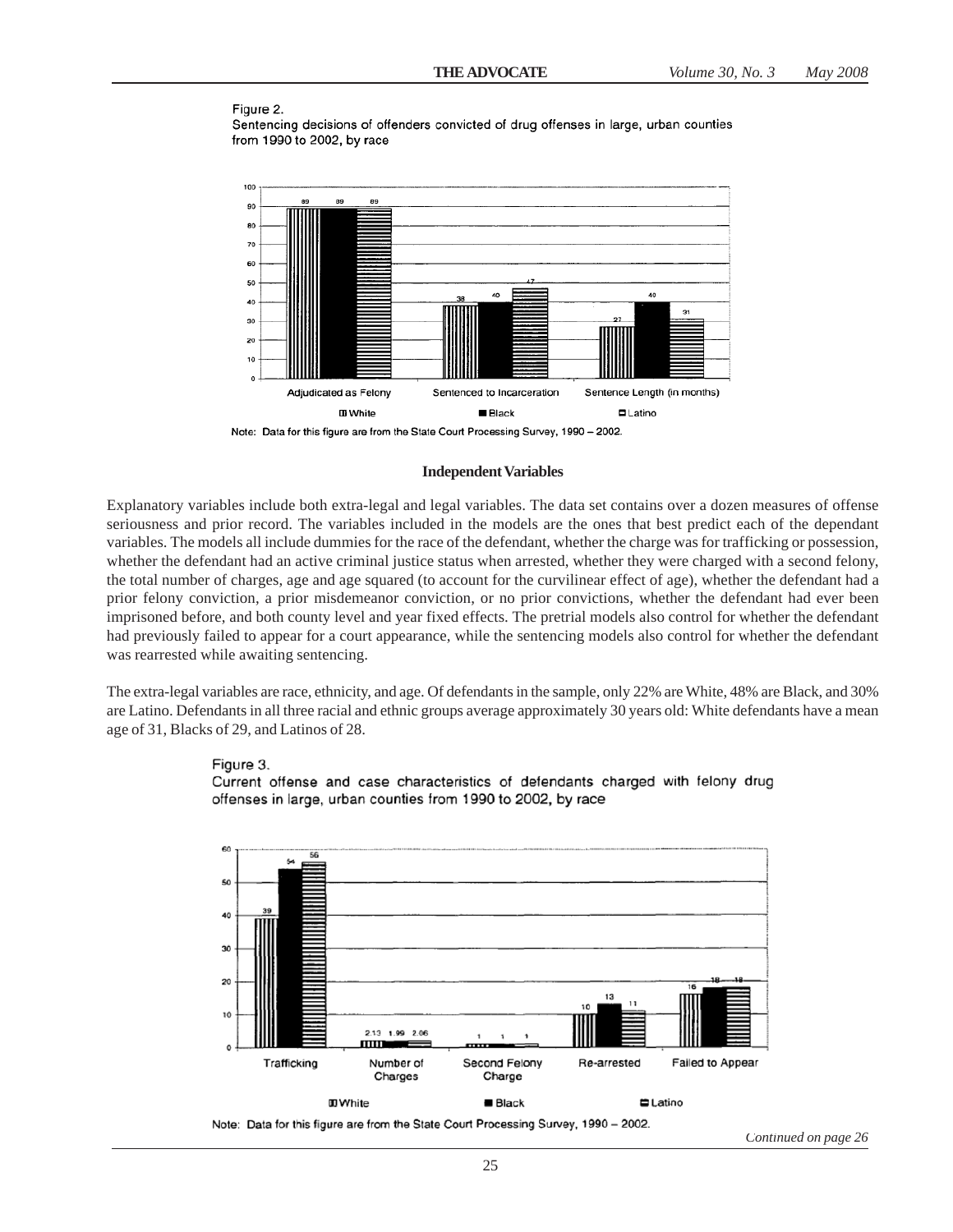#### Figure 2.

Figure 3.

Sentencing decisions of offenders convicted of drug offenses in large, urban counties from 1990 to 2002, by race



Note: Data for this figure are from the State Court Processing Survey, 1990 - 2002.

#### **Independent Variables**

Explanatory variables include both extra-legal and legal variables. The data set contains over a dozen measures of offense seriousness and prior record. The variables included in the models are the ones that best predict each of the dependant variables. The models all include dummies for the race of the defendant, whether the charge was for trafficking or possession, whether the defendant had an active criminal justice status when arrested, whether they were charged with a second felony, the total number of charges, age and age squared (to account for the curvilinear effect of age), whether the defendant had a prior felony conviction, a prior misdemeanor conviction, or no prior convictions, whether the defendant had ever been imprisoned before, and both county level and year fixed effects. The pretrial models also control for whether the defendant had previously failed to appear for a court appearance, while the sentencing models also control for whether the defendant was rearrested while awaiting sentencing.

The extra-legal variables are race, ethnicity, and age. Of defendants in the sample, only 22% are White, 48% are Black, and 30% are Latino. Defendants in all three racial and ethnic groups average approximately 30 years old: White defendants have a mean age of 31, Blacks of 29, and Latinos of 28.

Current offense and case characteristics of defendants charged with felony drug



*Continued on page 26*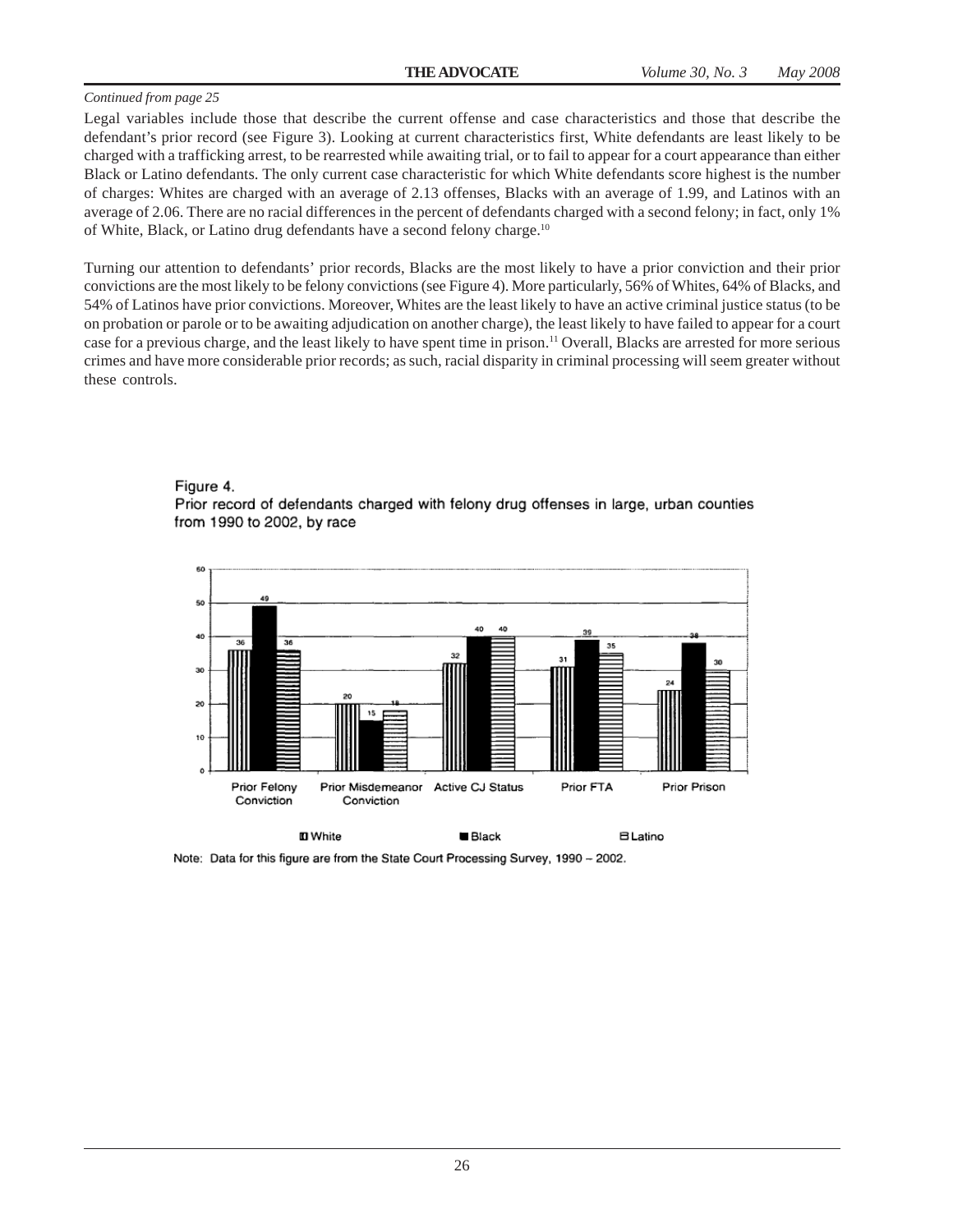Legal variables include those that describe the current offense and case characteristics and those that describe the defendant's prior record (see Figure 3). Looking at current characteristics first, White defendants are least likely to be charged with a trafficking arrest, to be rearrested while awaiting trial, or to fail to appear for a court appearance than either Black or Latino defendants. The only current case characteristic for which White defendants score highest is the number of charges: Whites are charged with an average of 2.13 offenses, Blacks with an average of 1.99, and Latinos with an average of 2.06. There are no racial differences in the percent of defendants charged with a second felony; in fact, only 1% of White, Black, or Latino drug defendants have a second felony charge.<sup>10</sup>

Turning our attention to defendants' prior records, Blacks are the most likely to have a prior conviction and their prior convictions are the most likely to be felony convictions (see Figure 4). More particularly, 56% of Whites, 64% of Blacks, and 54% of Latinos have prior convictions. Moreover, Whites are the least likely to have an active criminal justice status (to be on probation or parole or to be awaiting adjudication on another charge), the least likely to have failed to appear for a court case for a previous charge, and the least likely to have spent time in prison.11 Overall, Blacks are arrested for more serious crimes and have more considerable prior records; as such, racial disparity in criminal processing will seem greater without these controls.

#### Figure 4. Prior record of defendants charged with felony drug offenses in large, urban counties from 1990 to 2002, by race



Note: Data for this figure are from the State Court Processing Survey, 1990 - 2002.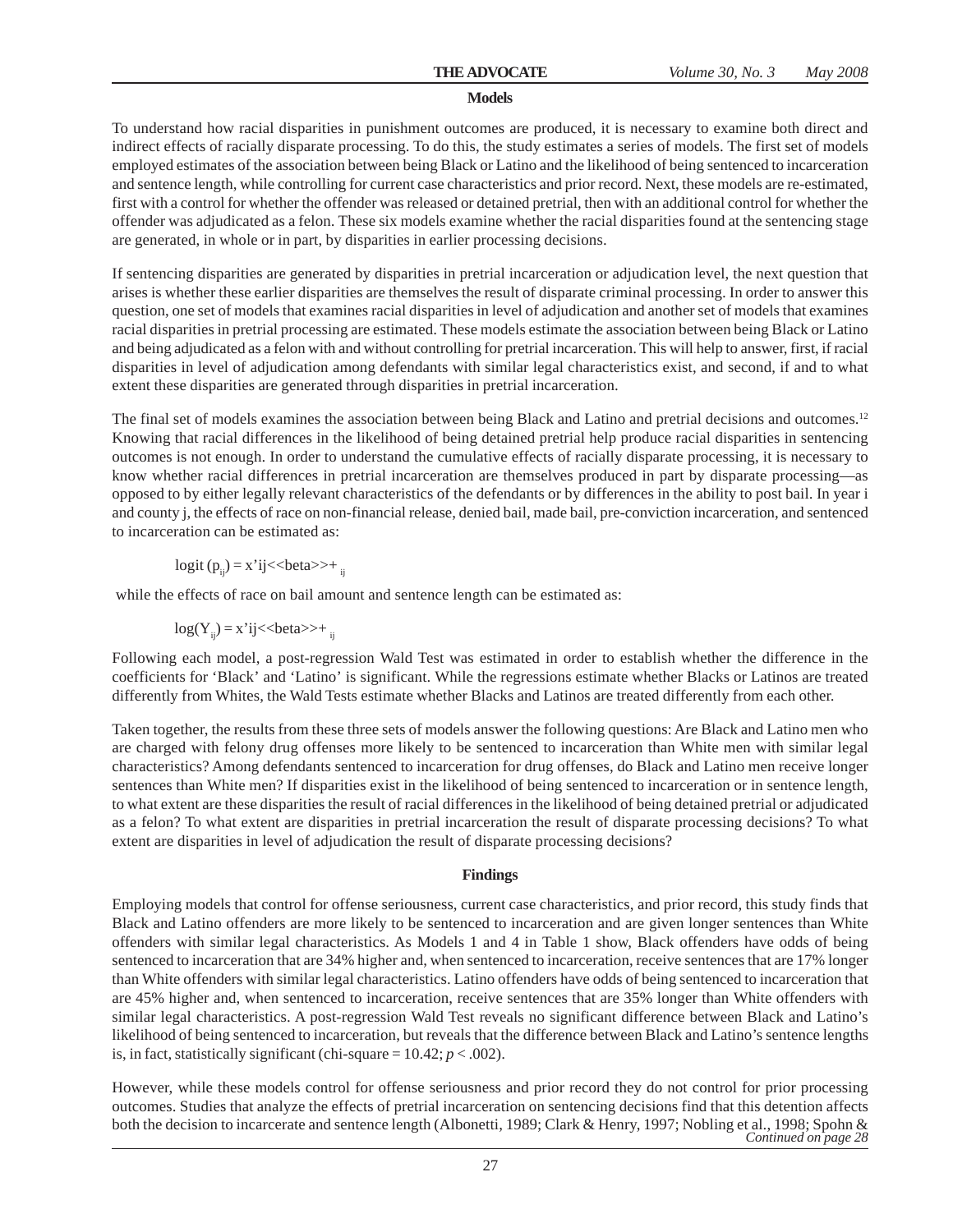#### **Models**

To understand how racial disparities in punishment outcomes are produced, it is necessary to examine both direct and indirect effects of racially disparate processing. To do this, the study estimates a series of models. The first set of models employed estimates of the association between being Black or Latino and the likelihood of being sentenced to incarceration and sentence length, while controlling for current case characteristics and prior record. Next, these models are re-estimated, first with a control for whether the offender was released or detained pretrial, then with an additional control for whether the offender was adjudicated as a felon. These six models examine whether the racial disparities found at the sentencing stage are generated, in whole or in part, by disparities in earlier processing decisions.

If sentencing disparities are generated by disparities in pretrial incarceration or adjudication level, the next question that arises is whether these earlier disparities are themselves the result of disparate criminal processing. In order to answer this question, one set of models that examines racial disparities in level of adjudication and another set of models that examines racial disparities in pretrial processing are estimated. These models estimate the association between being Black or Latino and being adjudicated as a felon with and without controlling for pretrial incarceration. This will help to answer, first, if racial disparities in level of adjudication among defendants with similar legal characteristics exist, and second, if and to what extent these disparities are generated through disparities in pretrial incarceration.

The final set of models examines the association between being Black and Latino and pretrial decisions and outcomes.<sup>12</sup> Knowing that racial differences in the likelihood of being detained pretrial help produce racial disparities in sentencing outcomes is not enough. In order to understand the cumulative effects of racially disparate processing, it is necessary to know whether racial differences in pretrial incarceration are themselves produced in part by disparate processing—as opposed to by either legally relevant characteristics of the defendants or by differences in the ability to post bail. In year i and county j, the effects of race on non-financial release, denied bail, made bail, pre-conviction incarceration, and sentenced to incarceration can be estimated as:

$$
logit (p_{ij}) = x'ij \langle >beta \rangle + \frac{1}{2}
$$

while the effects of race on bail amount and sentence length can be estimated as:

 $log(Y_{ii}) = x'ij \leq 6$ eta $\geq +$ <sub>ii</sub>

Following each model, a post-regression Wald Test was estimated in order to establish whether the difference in the coefficients for 'Black' and 'Latino' is significant. While the regressions estimate whether Blacks or Latinos are treated differently from Whites, the Wald Tests estimate whether Blacks and Latinos are treated differently from each other.

Taken together, the results from these three sets of models answer the following questions: Are Black and Latino men who are charged with felony drug offenses more likely to be sentenced to incarceration than White men with similar legal characteristics? Among defendants sentenced to incarceration for drug offenses, do Black and Latino men receive longer sentences than White men? If disparities exist in the likelihood of being sentenced to incarceration or in sentence length, to what extent are these disparities the result of racial differences in the likelihood of being detained pretrial or adjudicated as a felon? To what extent are disparities in pretrial incarceration the result of disparate processing decisions? To what extent are disparities in level of adjudication the result of disparate processing decisions?

#### **Findings**

Employing models that control for offense seriousness, current case characteristics, and prior record, this study finds that Black and Latino offenders are more likely to be sentenced to incarceration and are given longer sentences than White offenders with similar legal characteristics. As Models 1 and 4 in Table 1 show, Black offenders have odds of being sentenced to incarceration that are 34% higher and, when sentenced to incarceration, receive sentences that are 17% longer than White offenders with similar legal characteristics. Latino offenders have odds of being sentenced to incarceration that are 45% higher and, when sentenced to incarceration, receive sentences that are 35% longer than White offenders with similar legal characteristics. A post-regression Wald Test reveals no significant difference between Black and Latino's likelihood of being sentenced to incarceration, but reveals that the difference between Black and Latino's sentence lengths is, in fact, statistically significant (chi-square  $= 10.42$ ;  $p < .002$ ).

However, while these models control for offense seriousness and prior record they do not control for prior processing outcomes. Studies that analyze the effects of pretrial incarceration on sentencing decisions find that this detention affects both the decision to incarcerate and sentence length (Albonetti, 1989; Clark & Henry, 1997; Nobling et al., 1998; Spohn & *Continued on page 28*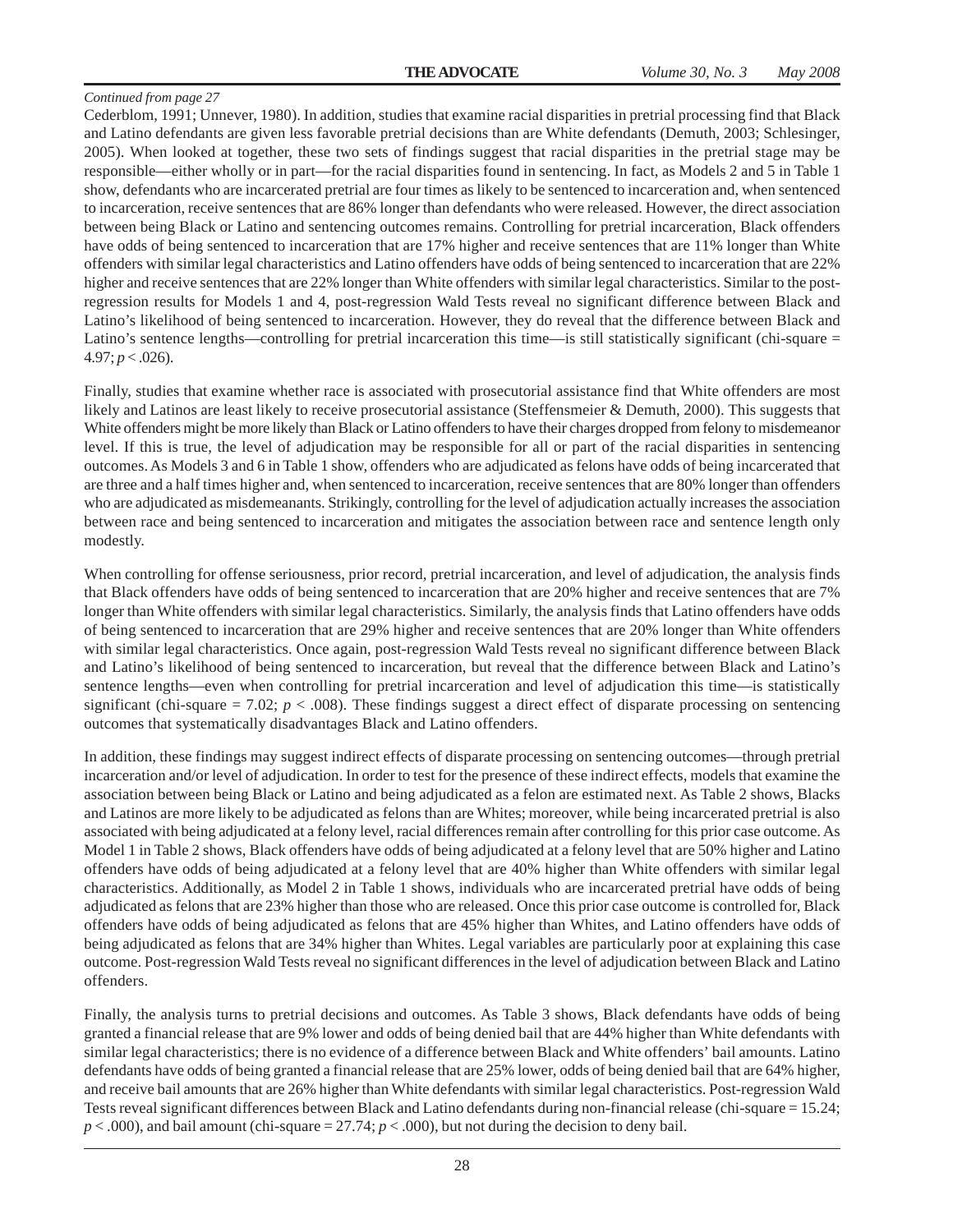Cederblom, 1991; Unnever, 1980). In addition, studies that examine racial disparities in pretrial processing find that Black and Latino defendants are given less favorable pretrial decisions than are White defendants (Demuth, 2003; Schlesinger, 2005). When looked at together, these two sets of findings suggest that racial disparities in the pretrial stage may be responsible—either wholly or in part—for the racial disparities found in sentencing. In fact, as Models 2 and 5 in Table 1 show, defendants who are incarcerated pretrial are four times as likely to be sentenced to incarceration and, when sentenced to incarceration, receive sentences that are 86% longer than defendants who were released. However, the direct association between being Black or Latino and sentencing outcomes remains. Controlling for pretrial incarceration, Black offenders have odds of being sentenced to incarceration that are 17% higher and receive sentences that are 11% longer than White offenders with similar legal characteristics and Latino offenders have odds of being sentenced to incarceration that are 22% higher and receive sentences that are 22% longer than White offenders with similar legal characteristics. Similar to the postregression results for Models 1 and 4, post-regression Wald Tests reveal no significant difference between Black and Latino's likelihood of being sentenced to incarceration. However, they do reveal that the difference between Black and Latino's sentence lengths—controlling for pretrial incarceration this time—is still statistically significant (chi-square =  $4.97; p < .026$ ).

Finally, studies that examine whether race is associated with prosecutorial assistance find that White offenders are most likely and Latinos are least likely to receive prosecutorial assistance (Steffensmeier & Demuth, 2000). This suggests that White offenders might be more likely than Black or Latino offenders to have their charges dropped from felony to misdemeanor level. If this is true, the level of adjudication may be responsible for all or part of the racial disparities in sentencing outcomes. As Models 3 and 6 in Table 1 show, offenders who are adjudicated as felons have odds of being incarcerated that are three and a half times higher and, when sentenced to incarceration, receive sentences that are 80% longer than offenders who are adjudicated as misdemeanants. Strikingly, controlling for the level of adjudication actually increases the association between race and being sentenced to incarceration and mitigates the association between race and sentence length only modestly.

When controlling for offense seriousness, prior record, pretrial incarceration, and level of adjudication, the analysis finds that Black offenders have odds of being sentenced to incarceration that are 20% higher and receive sentences that are 7% longer than White offenders with similar legal characteristics. Similarly, the analysis finds that Latino offenders have odds of being sentenced to incarceration that are 29% higher and receive sentences that are 20% longer than White offenders with similar legal characteristics. Once again, post-regression Wald Tests reveal no significant difference between Black and Latino's likelihood of being sentenced to incarceration, but reveal that the difference between Black and Latino's sentence lengths—even when controlling for pretrial incarceration and level of adjudication this time—is statistically significant (chi-square  $= 7.02$ ;  $p < .008$ ). These findings suggest a direct effect of disparate processing on sentencing outcomes that systematically disadvantages Black and Latino offenders.

In addition, these findings may suggest indirect effects of disparate processing on sentencing outcomes—through pretrial incarceration and/or level of adjudication. In order to test for the presence of these indirect effects, models that examine the association between being Black or Latino and being adjudicated as a felon are estimated next. As Table 2 shows, Blacks and Latinos are more likely to be adjudicated as felons than are Whites; moreover, while being incarcerated pretrial is also associated with being adjudicated at a felony level, racial differences remain after controlling for this prior case outcome. As Model 1 in Table 2 shows, Black offenders have odds of being adjudicated at a felony level that are 50% higher and Latino offenders have odds of being adjudicated at a felony level that are 40% higher than White offenders with similar legal characteristics. Additionally, as Model 2 in Table 1 shows, individuals who are incarcerated pretrial have odds of being adjudicated as felons that are 23% higher than those who are released. Once this prior case outcome is controlled for, Black offenders have odds of being adjudicated as felons that are 45% higher than Whites, and Latino offenders have odds of being adjudicated as felons that are 34% higher than Whites. Legal variables are particularly poor at explaining this case outcome. Post-regression Wald Tests reveal no significant differences in the level of adjudication between Black and Latino offenders.

Finally, the analysis turns to pretrial decisions and outcomes. As Table 3 shows, Black defendants have odds of being granted a financial release that are 9% lower and odds of being denied bail that are 44% higher than White defendants with similar legal characteristics; there is no evidence of a difference between Black and White offenders' bail amounts. Latino defendants have odds of being granted a financial release that are 25% lower, odds of being denied bail that are 64% higher, and receive bail amounts that are 26% higher than White defendants with similar legal characteristics. Post-regression Wald Tests reveal significant differences between Black and Latino defendants during non-financial release (chi-square = 15.24;  $p < .000$ ), and bail amount (chi-square = 27.74;  $p < .000$ ), but not during the decision to deny bail.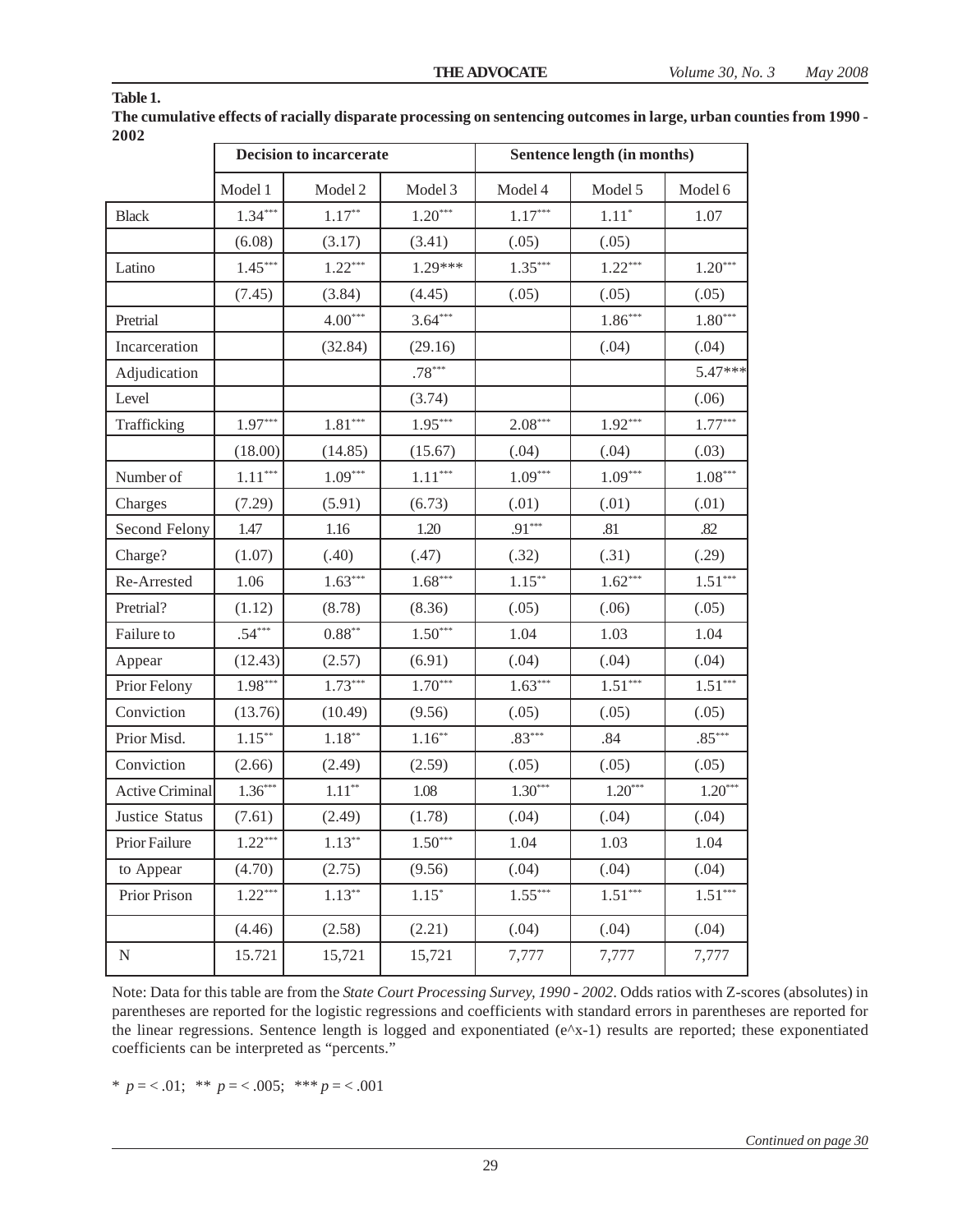|                        |           | Decision to incarcerate | Sentence length (in months) |           |           |                       |
|------------------------|-----------|-------------------------|-----------------------------|-----------|-----------|-----------------------|
|                        | Model 1   | Model 2                 | Model 3                     | Model 4   | Model 5   | Model 6               |
| <b>Black</b>           | $1.34***$ | $1.17**$                | $1.20***$                   | $1.17***$ | $1.11*$   | 1.07                  |
|                        | (6.08)    | (3.17)                  | (3.41)                      | (.05)     | (.05)     |                       |
| Latino                 | $1.45***$ | $1.22***$               | 1.29***                     | $1.35***$ | $1.22***$ | $1.20***$             |
|                        | (7.45)    | (3.84)                  | (4.45)                      | (.05)     | (.05)     | (.05)                 |
| Pretrial               |           | $4.00***$               | $3.64***$                   |           | $1.86***$ | $1.80***$             |
| Incarceration          |           | (32.84)                 | (29.16)                     |           | (.04)     | (.04)                 |
| Adjudication           |           |                         | $.78***$                    |           |           | 5.47***               |
| Level                  |           |                         | (3.74)                      |           |           | (.06)                 |
| Trafficking            | $1.97***$ | $1.81^{\ast\ast\ast}$   | $1.95***$                   | $2.08***$ | $1.92***$ | $1.77***$             |
|                        | (18.00)   | (14.85)                 | (15.67)                     | (.04)     | (.04)     | (.03)                 |
| Number of              | $1.11***$ | $1.09***$               | $1.11***$                   | $1.09***$ | $1.09***$ | $1.08***$             |
| Charges                | (7.29)    | (5.91)                  | (6.73)                      | (.01)     | (.01)     | (.01)                 |
| Second Felony          | 1.47      | 1.16                    | 1.20                        | $.91***$  | .81       | .82                   |
| Charge?                | (1.07)    | (.40)                   | (.47)                       | (.32)     | (.31)     | (.29)                 |
| Re-Arrested            | 1.06      | $1.63***$               | $1.68***$                   | $1.15***$ | $1.62***$ | $1.51***$             |
| Pretrial?              | (1.12)    | (8.78)                  | (8.36)                      | (.05)     | (.06)     | (.05)                 |
| Failure to             | $.54***$  | $0.88^{\ast\ast}$       | $1.50***$                   | 1.04      | 1.03      | 1.04                  |
| Appear                 | (12.43)   | (2.57)                  | (6.91)                      | (.04)     | (.04)     | (.04)                 |
| Prior Felony           | $1.98***$ | $1.73***$               | $1.70***$                   | $1.63***$ | $1.51***$ | $1.51***$             |
| Conviction             | (13.76)   | (10.49)                 | (9.56)                      | (.05)     | (.05)     | (.05)                 |
| Prior Misd.            | $1.15***$ | $1.18***$               | $1.16***$                   | $.83***$  | .84       | $.85***$              |
| Conviction             | (2.66)    | (2.49)                  | (2.59)                      | (.05)     | (.05)     | (.05)                 |
| <b>Active Criminal</b> | $1.36***$ | $1.11**$                | 1.08                        | $1.30***$ | $1.20***$ | $1.20***$             |
| Justice Status         | (7.61)    | (2.49)                  | (1.78)                      | (.04)     | (.04)     | (.04)                 |
| Prior Failure          | $1.22***$ | $1.13***$               | $1.50***$                   | 1.04      | 1.03      | 1.04                  |
| to Appear              | (4.70)    | (2.75)                  | (9.56)                      | (.04)     | (.04)     | (.04)                 |
| Prior Prison           | $1.22***$ | $1.13***$               | $1.15*$                     | $1.55***$ | $1.51***$ | $1.51^{\ast\ast\ast}$ |
|                        | (4.46)    | (2.58)                  | (2.21)                      | (.04)     | (.04)     | (.04)                 |
| N                      | 15.721    | 15,721                  | 15,721                      | 7,777     | 7,777     | 7,777                 |

**The cumulative effects of racially disparate processing on sentencing outcomes in large, urban counties from 1990 - 2002**

Note: Data for this table are from the *State Court Processing Survey, 1990 - 2002*. Odds ratios with Z-scores (absolutes) in parentheses are reported for the logistic regressions and coefficients with standard errors in parentheses are reported for the linear regressions. Sentence length is logged and exponentiated (e^x-1) results are reported; these exponentiated coefficients can be interpreted as "percents."

\*  $p = 0.01$ ; \*\*  $p = 0.005$ ; \*\*\*  $p = 0.001$ 

**Table 1.**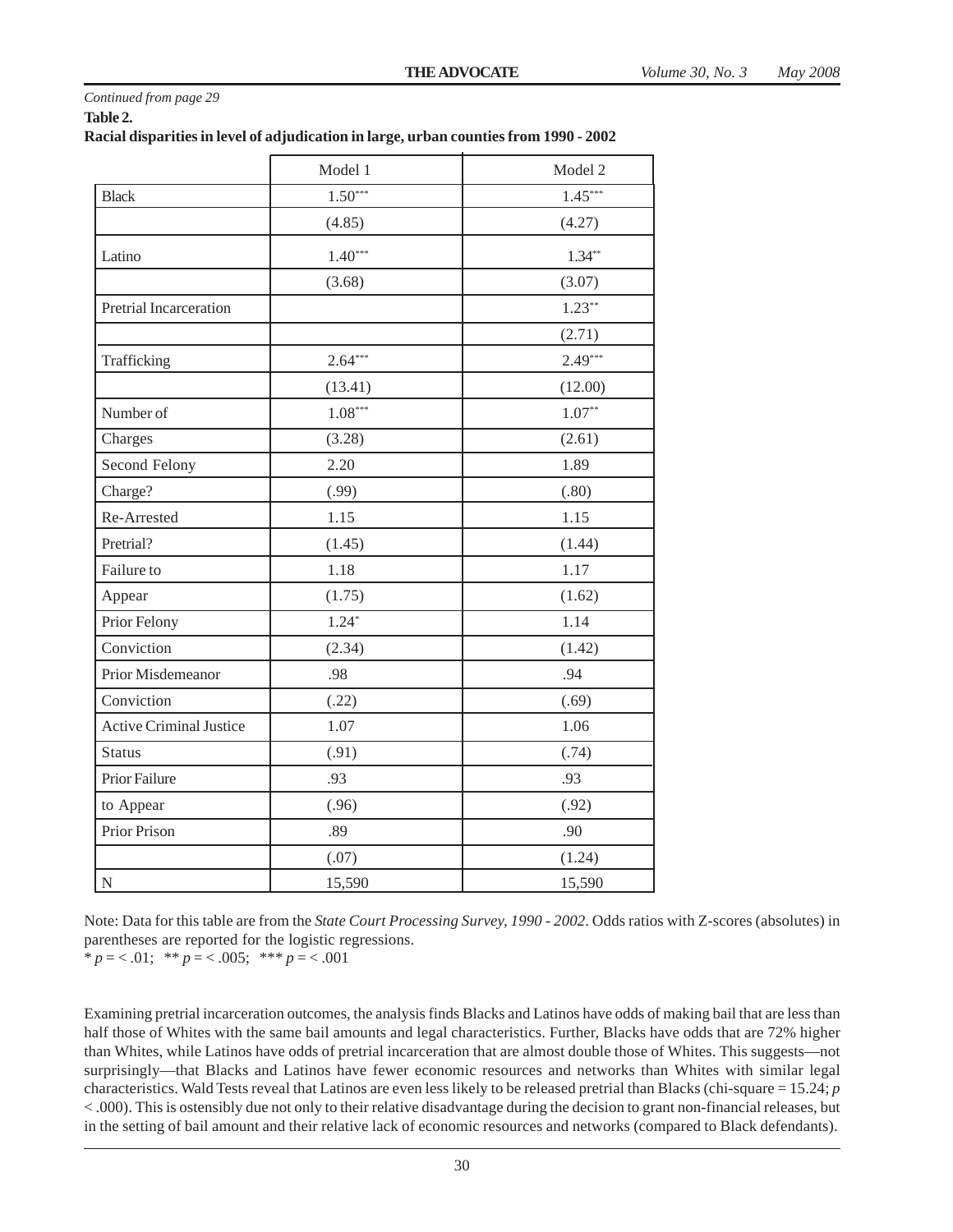| Continued from page 29 |  |
|------------------------|--|
| Table 2.               |  |

#### **Racial disparities in level of adjudication in large, urban counties from 1990 - 2002**

|                                | Model 1   | Model 2   |
|--------------------------------|-----------|-----------|
| <b>Black</b>                   | $1.50***$ | $1.45***$ |
|                                | (4.85)    | (4.27)    |
| Latino                         | $1.40***$ | $1.34**$  |
|                                | (3.68)    | (3.07)    |
| Pretrial Incarceration         |           | $1.23***$ |
|                                |           | (2.71)    |
| Trafficking                    | $2.64***$ | $2.49***$ |
|                                | (13.41)   | (12.00)   |
| Number of                      | $1.08***$ | $1.07**$  |
| Charges                        | (3.28)    | (2.61)    |
| Second Felony                  | 2.20      | 1.89      |
| Charge?                        | (.99)     | (.80)     |
| Re-Arrested                    | 1.15      | 1.15      |
| Pretrial?                      | (1.45)    | (1.44)    |
| Failure to                     | 1.18      | 1.17      |
| Appear                         | (1.75)    | (1.62)    |
| Prior Felony                   | $1.24*$   | 1.14      |
| Conviction                     | (2.34)    | (1.42)    |
| Prior Misdemeanor              | .98       | .94       |
| Conviction                     | (.22)     | (.69)     |
| <b>Active Criminal Justice</b> | 1.07      | 1.06      |
| <b>Status</b>                  | (.91)     | (.74)     |
| Prior Failure                  | .93       | .93       |
| to Appear                      | (.96)     | (.92)     |
| Prior Prison                   | .89       | .90       |
|                                | (.07)     | (1.24)    |
| N                              | 15,590    | 15,590    |

Note: Data for this table are from the *State Court Processing Survey, 1990 - 2002*. Odds ratios with Z-scores (absolutes) in parentheses are reported for the logistic regressions.

\*  $p = 0.01$ ; \*\*  $p = 0.005$ ; \*\*\*  $p = 0.001$ 

Examining pretrial incarceration outcomes, the analysis finds Blacks and Latinos have odds of making bail that are less than half those of Whites with the same bail amounts and legal characteristics. Further, Blacks have odds that are 72% higher than Whites, while Latinos have odds of pretrial incarceration that are almost double those of Whites. This suggests—not surprisingly—that Blacks and Latinos have fewer economic resources and networks than Whites with similar legal characteristics. Wald Tests reveal that Latinos are even less likely to be released pretrial than Blacks (chi-square = 15.24; *p* < .000). This is ostensibly due not only to their relative disadvantage during the decision to grant non-financial releases, but in the setting of bail amount and their relative lack of economic resources and networks (compared to Black defendants).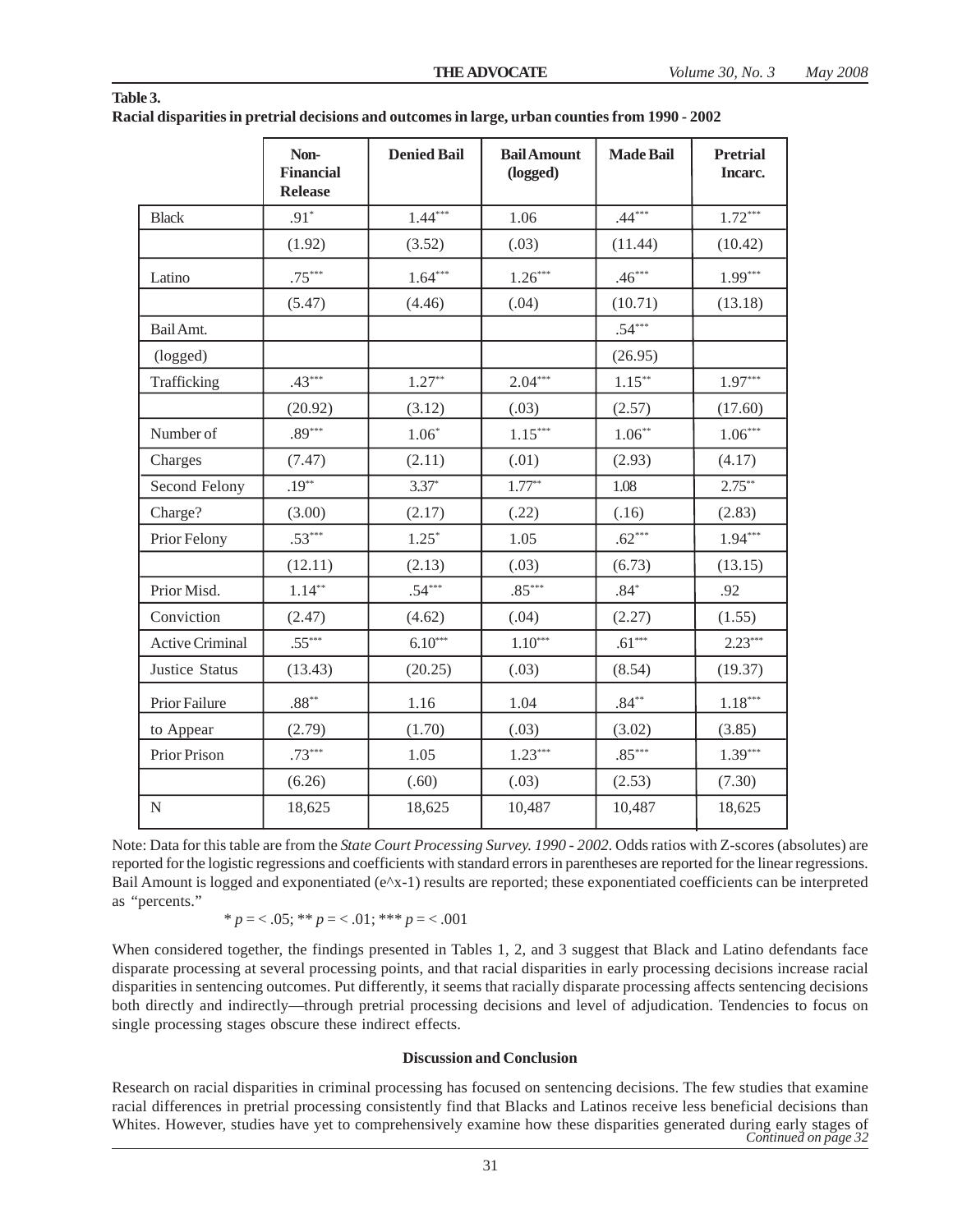|                        | Non-<br><b>Financial</b><br><b>Release</b> | <b>Denied Bail</b> | <b>Bail Amount</b><br>(logged) | <b>Made Bail</b> | <b>Pretrial</b><br>Incarc. |
|------------------------|--------------------------------------------|--------------------|--------------------------------|------------------|----------------------------|
| <b>Black</b>           | $.91*$                                     | $1.44***$          | 1.06                           | $.44***$         | $1.72***$                  |
|                        | (1.92)                                     | (3.52)             | (.03)                          | (11.44)          | (10.42)                    |
| Latino                 | $.75***$                                   | $1.64***$          | $1.26***$                      | $.46***$         | $1.99***$                  |
|                        | (5.47)                                     | (4.46)             | (.04)                          | (10.71)          | (13.18)                    |
| Bail Amt.              |                                            |                    |                                | $.54***$         |                            |
| (logged)               |                                            |                    |                                | (26.95)          |                            |
| Trafficking            | $.43***$                                   | $1.27**$           | $2.04***$                      | $1.15***$        | $1.97***$                  |
|                        | (20.92)                                    | (3.12)             | (.03)                          | (2.57)           | (17.60)                    |
| Number of              | $.89***$                                   | $1.06*$            | $1.15***$                      | $1.06***$        | $1.06***$                  |
| Charges                | (7.47)                                     | (2.11)             | (.01)                          | (2.93)           | (4.17)                     |
| Second Felony          | $.19***$                                   | $3.37*$            | $1.77***$                      | 1.08             | $2.75***$                  |
| Charge?                | (3.00)                                     | (2.17)             | (.22)                          | (.16)            | (2.83)                     |
| Prior Felony           | $.53***$                                   | $1.25*$            | 1.05                           | $.62***$         | $1.94***$                  |
|                        | (12.11)                                    | (2.13)             | (.03)                          | (6.73)           | (13.15)                    |
| Prior Misd.            | $1.14***$                                  | $.54***$           | $.85***$                       | $.84*$           | .92                        |
| Conviction             | (2.47)                                     | (4.62)             | (.04)                          | (2.27)           | (1.55)                     |
| <b>Active Criminal</b> | $.55***$                                   | $6.10***$          | $1.10***$                      | $.61***$         | $2.23***$                  |
| <b>Justice Status</b>  | (13.43)                                    | (20.25)            | (.03)                          | (8.54)           | (19.37)                    |
| Prior Failure          | $.88***$                                   | 1.16               | 1.04                           | $.84***$         | $1.18***$                  |
| to Appear              | (2.79)                                     | (1.70)             | (.03)                          | (3.02)           | (3.85)                     |
| Prior Prison           | $.73***$                                   | 1.05               | $1.23***$                      | $.85***$         | $1.39***$                  |
|                        | (6.26)                                     | (.60)              | (.03)                          | (2.53)           | (7.30)                     |
| ${\bf N}$              | 18,625                                     | 18,625             | 10,487                         | 10,487           | 18,625                     |

| Table 3.                                                                                        |  |
|-------------------------------------------------------------------------------------------------|--|
| Racial disparities in pretrial decisions and outcomes in large, urban counties from 1990 - 2002 |  |

Note: Data for this table are from the *State Court Processing Survey. 1990 - 2002*. Odds ratios with Z-scores (absolutes) are reported for the logistic regressions and coefficients with standard errors in parentheses are reported for the linear regressions. Bail Amount is logged and exponentiated (e^x-1) results are reported; these exponentiated coefficients can be interpreted as "percents."

\*
$$
p = 0.05
$$
; \*\* $p = 0.01$ ; \*\*\* $p = 0.001$ 

When considered together, the findings presented in Tables 1, 2, and 3 suggest that Black and Latino defendants face disparate processing at several processing points, and that racial disparities in early processing decisions increase racial disparities in sentencing outcomes. Put differently, it seems that racially disparate processing affects sentencing decisions both directly and indirectly—through pretrial processing decisions and level of adjudication. Tendencies to focus on single processing stages obscure these indirect effects.

#### **Discussion and Conclusion**

Research on racial disparities in criminal processing has focused on sentencing decisions. The few studies that examine racial differences in pretrial processing consistently find that Blacks and Latinos receive less beneficial decisions than Whites. However, studies have yet to comprehensively examine how these disparities generated during early stages of *Continued on page 32*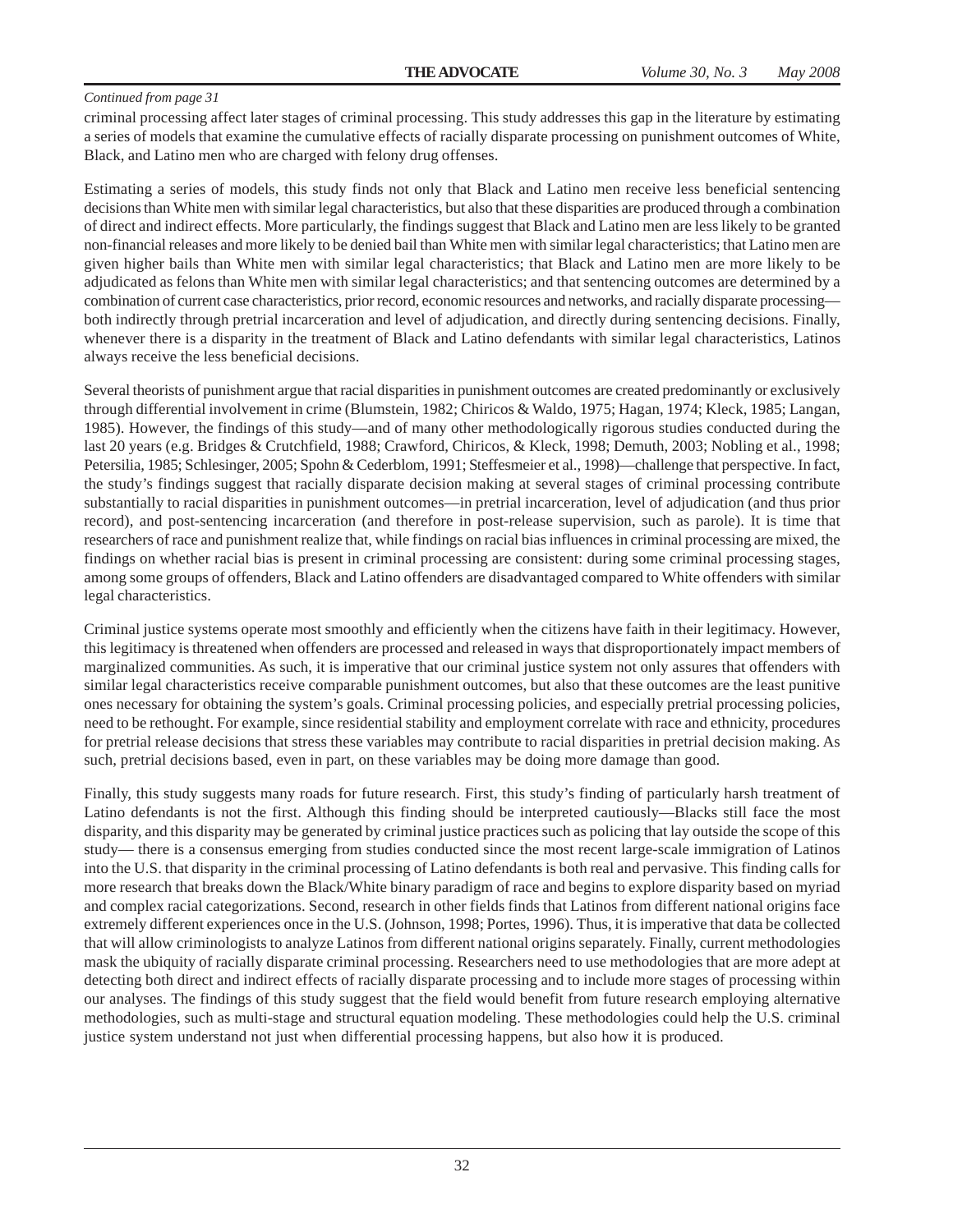criminal processing affect later stages of criminal processing. This study addresses this gap in the literature by estimating a series of models that examine the cumulative effects of racially disparate processing on punishment outcomes of White, Black, and Latino men who are charged with felony drug offenses.

Estimating a series of models, this study finds not only that Black and Latino men receive less beneficial sentencing decisions than White men with similar legal characteristics, but also that these disparities are produced through a combination of direct and indirect effects. More particularly, the findings suggest that Black and Latino men are less likely to be granted non-financial releases and more likely to be denied bail than White men with similar legal characteristics; that Latino men are given higher bails than White men with similar legal characteristics; that Black and Latino men are more likely to be adjudicated as felons than White men with similar legal characteristics; and that sentencing outcomes are determined by a combination of current case characteristics, prior record, economic resources and networks, and racially disparate processing both indirectly through pretrial incarceration and level of adjudication, and directly during sentencing decisions. Finally, whenever there is a disparity in the treatment of Black and Latino defendants with similar legal characteristics, Latinos always receive the less beneficial decisions.

Several theorists of punishment argue that racial disparities in punishment outcomes are created predominantly or exclusively through differential involvement in crime (Blumstein, 1982; Chiricos & Waldo, 1975; Hagan, 1974; Kleck, 1985; Langan, 1985). However, the findings of this study—and of many other methodologically rigorous studies conducted during the last 20 years (e.g. Bridges & Crutchfield, 1988; Crawford, Chiricos, & Kleck, 1998; Demuth, 2003; Nobling et al., 1998; Petersilia, 1985; Schlesinger, 2005; Spohn & Cederblom, 1991; Steffesmeier et al., 1998)—challenge that perspective. In fact, the study's findings suggest that racially disparate decision making at several stages of criminal processing contribute substantially to racial disparities in punishment outcomes—in pretrial incarceration, level of adjudication (and thus prior record), and post-sentencing incarceration (and therefore in post-release supervision, such as parole). It is time that researchers of race and punishment realize that, while findings on racial bias influences in criminal processing are mixed, the findings on whether racial bias is present in criminal processing are consistent: during some criminal processing stages, among some groups of offenders, Black and Latino offenders are disadvantaged compared to White offenders with similar legal characteristics.

Criminal justice systems operate most smoothly and efficiently when the citizens have faith in their legitimacy. However, this legitimacy is threatened when offenders are processed and released in ways that disproportionately impact members of marginalized communities. As such, it is imperative that our criminal justice system not only assures that offenders with similar legal characteristics receive comparable punishment outcomes, but also that these outcomes are the least punitive ones necessary for obtaining the system's goals. Criminal processing policies, and especially pretrial processing policies, need to be rethought. For example, since residential stability and employment correlate with race and ethnicity, procedures for pretrial release decisions that stress these variables may contribute to racial disparities in pretrial decision making. As such, pretrial decisions based, even in part, on these variables may be doing more damage than good.

Finally, this study suggests many roads for future research. First, this study's finding of particularly harsh treatment of Latino defendants is not the first. Although this finding should be interpreted cautiously—Blacks still face the most disparity, and this disparity may be generated by criminal justice practices such as policing that lay outside the scope of this study— there is a consensus emerging from studies conducted since the most recent large-scale immigration of Latinos into the U.S. that disparity in the criminal processing of Latino defendants is both real and pervasive. This finding calls for more research that breaks down the Black/White binary paradigm of race and begins to explore disparity based on myriad and complex racial categorizations. Second, research in other fields finds that Latinos from different national origins face extremely different experiences once in the U.S. (Johnson, 1998; Portes, 1996). Thus, it is imperative that data be collected that will allow criminologists to analyze Latinos from different national origins separately. Finally, current methodologies mask the ubiquity of racially disparate criminal processing. Researchers need to use methodologies that are more adept at detecting both direct and indirect effects of racially disparate processing and to include more stages of processing within our analyses. The findings of this study suggest that the field would benefit from future research employing alternative methodologies, such as multi-stage and structural equation modeling. These methodologies could help the U.S. criminal justice system understand not just when differential processing happens, but also how it is produced.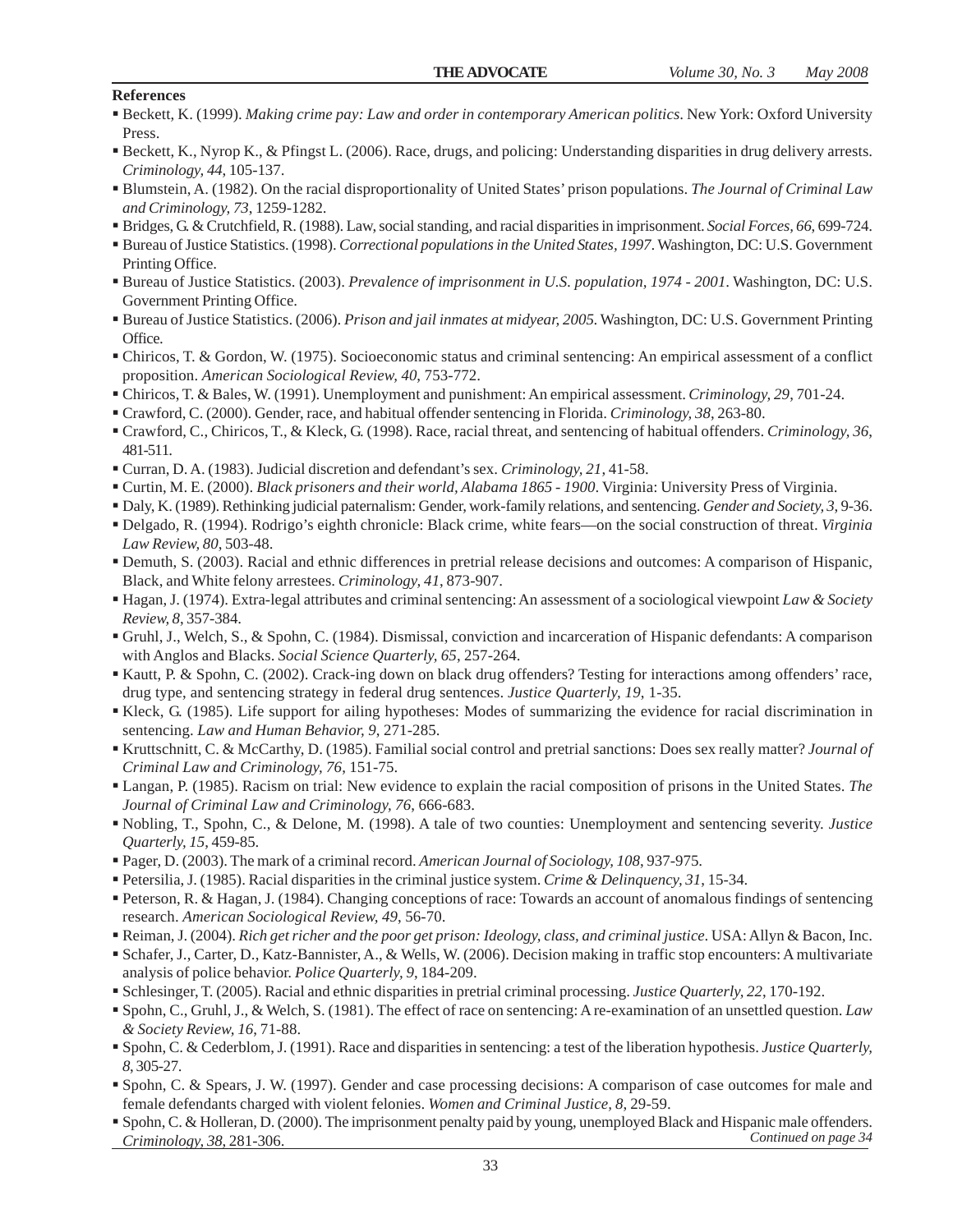#### **References**

- Beckett, K. (1999). *Making crime pay: Law and order in contemporary American politics*. New York: Oxford University Press.
- Beckett, K., Nyrop K., & Pfingst L. (2006). Race, drugs, and policing: Understanding disparities in drug delivery arrests. *Criminology, 44*, 105-137.
- Blumstein, A. (1982). On the racial disproportionality of United States' prison populations. *The Journal of Criminal Law and Criminology, 73*, 1259-1282.
- Bridges, G. & Crutchfield, R. (1988). Law, social standing, and racial disparities in imprisonment. *Social Forces, 66*, 699-724.
- Bureau of Justice Statistics. (1998). *Correctional populations in the United States, 1997*. Washington, DC: U.S. Government Printing Office.
- Bureau of Justice Statistics. (2003). *Prevalence of imprisonment in U.S. population, 1974 2001*. Washington, DC: U.S. Government Printing Office.
- Bureau of Justice Statistics. (2006). *Prison and jail inmates at midyear, 2005*. Washington, DC: U.S. Government Printing Office.
- Chiricos, T. & Gordon, W. (1975). Socioeconomic status and criminal sentencing: An empirical assessment of a conflict proposition. *American Sociological Review, 40*, 753-772.
- Chiricos, T. & Bales, W. (1991). Unemployment and punishment: An empirical assessment. *Criminology, 29*, 701-24.
- Crawford, C. (2000). Gender, race, and habitual offender sentencing in Florida. *Criminology, 38*, 263-80.
- Crawford, C., Chiricos, T., & Kleck, G. (1998). Race, racial threat, and sentencing of habitual offenders. *Criminology, 36*, 481-511.
- Curran, D. A. (1983). Judicial discretion and defendant's sex. *Criminology, 21*, 41-58.
- Curtin, M. E. (2000). *Black prisoners and their world, Alabama 1865 1900*. Virginia: University Press of Virginia.
- Daly, K. (1989). Rethinking judicial paternalism: Gender, work-family relations, and sentencing. *Gender and Society, 3*, 9-36.
- Delgado, R. (1994). Rodrigo's eighth chronicle: Black crime, white fears—on the social construction of threat. *Virginia Law Review, 80*, 503-48.
- Demuth, S. (2003). Racial and ethnic differences in pretrial release decisions and outcomes: A comparison of Hispanic, Black, and White felony arrestees. *Criminology, 41*, 873-907.
- Hagan, J. (1974). Extra-legal attributes and criminal sentencing: An assessment of a sociological viewpoint *Law & Society Review, 8*, 357-384.
- Gruhl, J., Welch, S., & Spohn, C. (1984). Dismissal, conviction and incarceration of Hispanic defendants: A comparison with Anglos and Blacks. *Social Science Quarterly, 65*, 257-264.
- Kautt, P. & Spohn, C. (2002). Crack-ing down on black drug offenders? Testing for interactions among offenders' race, drug type, and sentencing strategy in federal drug sentences. *Justice Quarterly, 19*, 1-35.
- Kleck, G. (1985). Life support for ailing hypotheses: Modes of summarizing the evidence for racial discrimination in sentencing. *Law and Human Behavior, 9*, 271-285.
- Kruttschnitt, C. & McCarthy, D. (1985). Familial social control and pretrial sanctions: Does sex really matter? *Journal of Criminal Law and Criminology, 76*, 151-75.
- Langan, P. (1985). Racism on trial: New evidence to explain the racial composition of prisons in the United States. *The Journal of Criminal Law and Criminology, 76*, 666-683.
- Nobling, T., Spohn, C., & Delone, M. (1998). A tale of two counties: Unemployment and sentencing severity. *Justice Quarterly, 15*, 459-85.
- Pager, D. (2003). The mark of a criminal record. *American Journal of Sociology, 108*, 937-975.
- Petersilia, J. (1985). Racial disparities in the criminal justice system. *Crime & Delinquency, 31*, 15-34.
- Peterson, R. & Hagan, J. (1984). Changing conceptions of race: Towards an account of anomalous findings of sentencing research. *American Sociological Review, 49*, 56-70.
- Reiman, J. (2004). *Rich get richer and the poor get prison: Ideology, class, and criminal justice*. USA: Allyn & Bacon, Inc.
- Schafer, J., Carter, D., Katz-Bannister, A., & Wells, W. (2006). Decision making in traffic stop encounters: A multivariate analysis of police behavior. *Police Quarterly, 9*, 184-209.
- Schlesinger, T. (2005). Racial and ethnic disparities in pretrial criminal processing. *Justice Quarterly, 22*, 170-192.
- Spohn, C., Gruhl, J., & Welch, S. (1981). The effect of race on sentencing: A re-examination of an unsettled question. *Law & Society Review, 16*, 71-88.
- Spohn, C. & Cederblom, J. (1991). Race and disparities in sentencing: a test of the liberation hypothesis. *Justice Quarterly, 8*, 305-27.
- Spohn, C. & Spears, J. W. (1997). Gender and case processing decisions: A comparison of case outcomes for male and female defendants charged with violent felonies. *Women and Criminal Justice, 8*, 29-59.
- Spohn, C. & Holleran, D. (2000). The imprisonment penalty paid by young, unemployed Black and Hispanic male offenders.<br>Criminology 38, 281-306 *Criminology, 38*, 281-306. *Continued on page 34*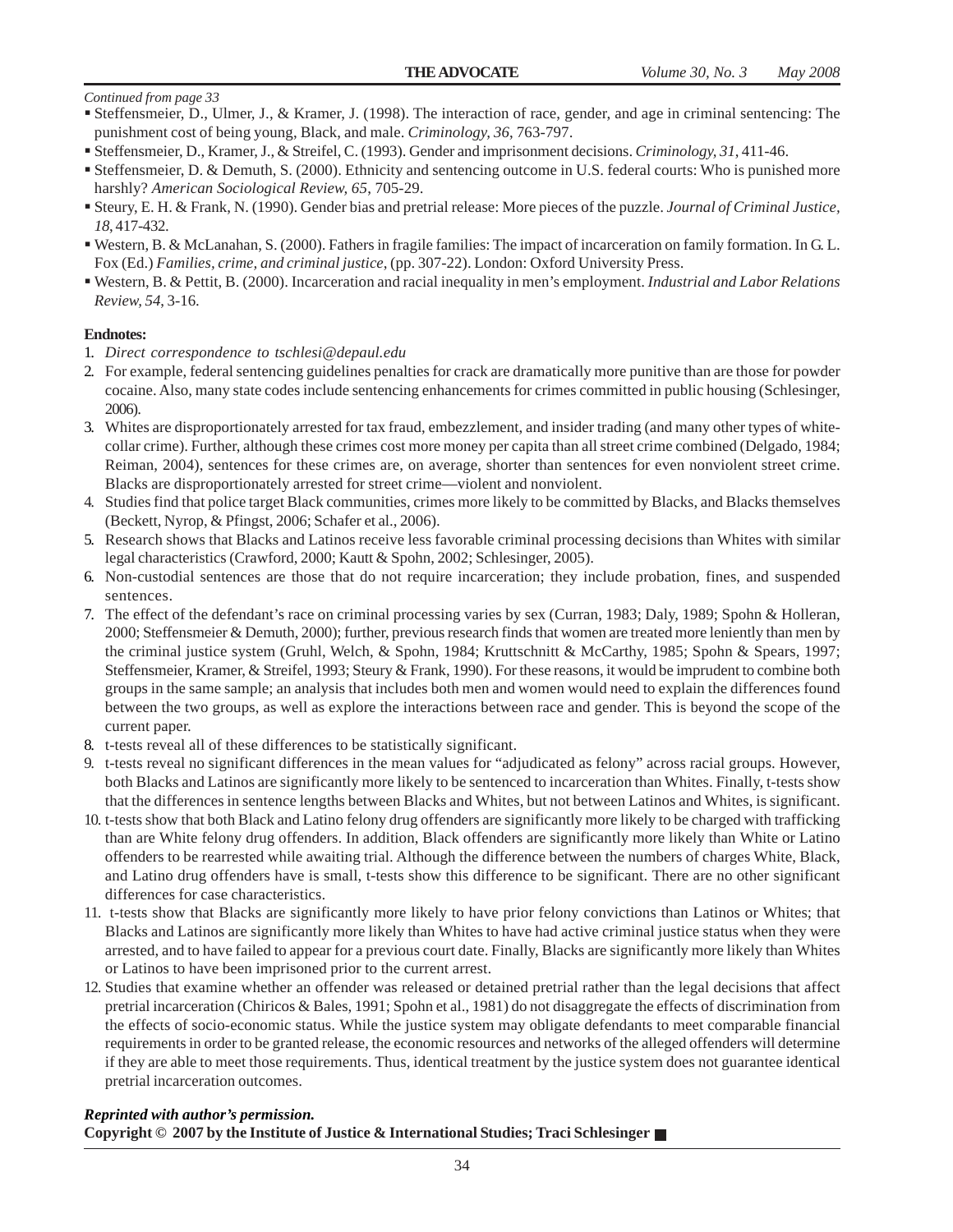- Steffensmeier, D., Ulmer, J., & Kramer, J. (1998). The interaction of race, gender, and age in criminal sentencing: The punishment cost of being young, Black, and male. *Criminology, 36*, 763-797.
- Steffensmeier, D., Kramer, J., & Streifel, C. (1993). Gender and imprisonment decisions. *Criminology, 31*, 411-46.
- Steffensmeier, D. & Demuth, S. (2000). Ethnicity and sentencing outcome in U.S. federal courts: Who is punished more harshly? *American Sociological Review, 65*, 705-29.
- Steury, E. H. & Frank, N. (1990). Gender bias and pretrial release: More pieces of the puzzle. *Journal of Criminal Justice, 18*, 417-432.
- Western, B. & McLanahan, S. (2000). Fathers in fragile families: The impact of incarceration on family formation. In G. L. Fox (Ed.) *Families, crime, and criminal justice*, (pp. 307-22). London: Oxford University Press.
- Western, B. & Pettit, B. (2000). Incarceration and racial inequality in men's employment. *Industrial and Labor Relations Review, 54*, 3-16.

#### **Endnotes:**

- 1. *Direct correspondence to tschlesi@depaul.edu*
- 2. For example, federal sentencing guidelines penalties for crack are dramatically more punitive than are those for powder cocaine. Also, many state codes include sentencing enhancements for crimes committed in public housing (Schlesinger, 2006).
- 3. Whites are disproportionately arrested for tax fraud, embezzlement, and insider trading (and many other types of whitecollar crime). Further, although these crimes cost more money per capita than all street crime combined (Delgado, 1984; Reiman, 2004), sentences for these crimes are, on average, shorter than sentences for even nonviolent street crime. Blacks are disproportionately arrested for street crime—violent and nonviolent.
- 4. Studies find that police target Black communities, crimes more likely to be committed by Blacks, and Blacks themselves (Beckett, Nyrop, & Pfingst, 2006; Schafer et al., 2006).
- 5. Research shows that Blacks and Latinos receive less favorable criminal processing decisions than Whites with similar legal characteristics (Crawford, 2000; Kautt & Spohn, 2002; Schlesinger, 2005).
- 6. Non-custodial sentences are those that do not require incarceration; they include probation, fines, and suspended sentences.
- 7. The effect of the defendant's race on criminal processing varies by sex (Curran, 1983; Daly, 1989; Spohn & Holleran, 2000; Steffensmeier & Demuth, 2000); further, previous research finds that women are treated more leniently than men by the criminal justice system (Gruhl, Welch, & Spohn, 1984; Kruttschnitt & McCarthy, 1985; Spohn & Spears, 1997; Steffensmeier, Kramer, & Streifel, 1993; Steury & Frank, 1990). For these reasons, it would be imprudent to combine both groups in the same sample; an analysis that includes both men and women would need to explain the differences found between the two groups, as well as explore the interactions between race and gender. This is beyond the scope of the current paper.
- 8. t-tests reveal all of these differences to be statistically significant.
- 9. t-tests reveal no significant differences in the mean values for "adjudicated as felony" across racial groups. However, both Blacks and Latinos are significantly more likely to be sentenced to incarceration than Whites. Finally, t-tests show that the differences in sentence lengths between Blacks and Whites, but not between Latinos and Whites, is significant.
- 10. t-tests show that both Black and Latino felony drug offenders are significantly more likely to be charged with trafficking than are White felony drug offenders. In addition, Black offenders are significantly more likely than White or Latino offenders to be rearrested while awaiting trial. Although the difference between the numbers of charges White, Black, and Latino drug offenders have is small, t-tests show this difference to be significant. There are no other significant differences for case characteristics.
- 11. t-tests show that Blacks are significantly more likely to have prior felony convictions than Latinos or Whites; that Blacks and Latinos are significantly more likely than Whites to have had active criminal justice status when they were arrested, and to have failed to appear for a previous court date. Finally, Blacks are significantly more likely than Whites or Latinos to have been imprisoned prior to the current arrest.
- 12. Studies that examine whether an offender was released or detained pretrial rather than the legal decisions that affect pretrial incarceration (Chiricos & Bales, 1991; Spohn et al., 1981) do not disaggregate the effects of discrimination from the effects of socio-economic status. While the justice system may obligate defendants to meet comparable financial requirements in order to be granted release, the economic resources and networks of the alleged offenders will determine if they are able to meet those requirements. Thus, identical treatment by the justice system does not guarantee identical pretrial incarceration outcomes.

#### *Reprinted with author's permission.*

#### **Copyright © 2007 by the Institute of Justice & International Studies; Traci Schlesinger**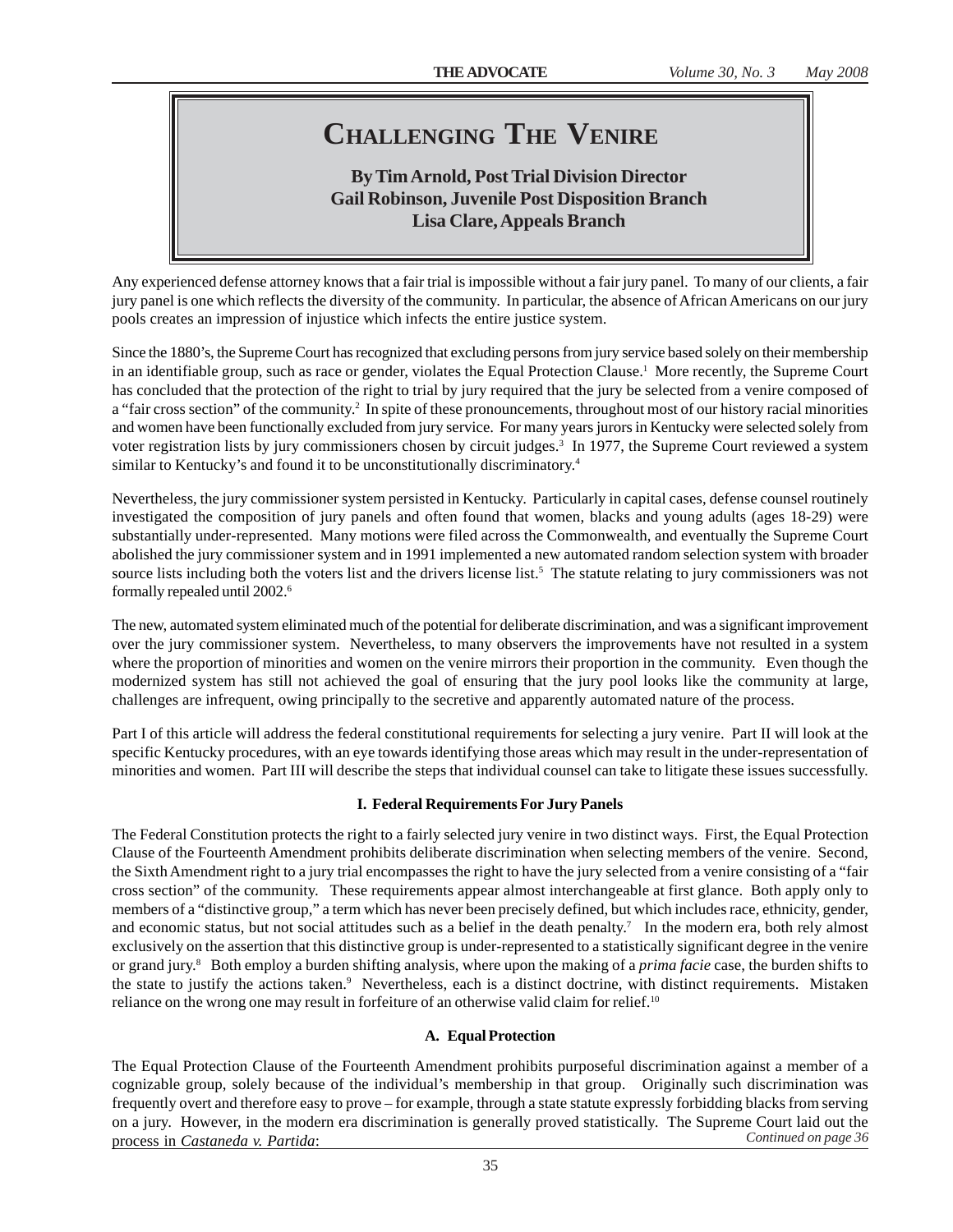### **CHALLENGING THE VENIRE**

### **By Tim Arnold, Post Trial Division Director Gail Robinson, Juvenile Post Disposition Branch Lisa Clare, Appeals Branch**

Any experienced defense attorney knows that a fair trial is impossible without a fair jury panel. To many of our clients, a fair jury panel is one which reflects the diversity of the community. In particular, the absence of African Americans on our jury pools creates an impression of injustice which infects the entire justice system.

Since the 1880's, the Supreme Court has recognized that excluding persons from jury service based solely on their membership in an identifiable group, such as race or gender, violates the Equal Protection Clause.<sup>1</sup> More recently, the Supreme Court has concluded that the protection of the right to trial by jury required that the jury be selected from a venire composed of a "fair cross section" of the community.<sup>2</sup> In spite of these pronouncements, throughout most of our history racial minorities and women have been functionally excluded from jury service. For many years jurors in Kentucky were selected solely from voter registration lists by jury commissioners chosen by circuit judges.<sup>3</sup> In 1977, the Supreme Court reviewed a system similar to Kentucky's and found it to be unconstitutionally discriminatory.4

Nevertheless, the jury commissioner system persisted in Kentucky. Particularly in capital cases, defense counsel routinely investigated the composition of jury panels and often found that women, blacks and young adults (ages 18-29) were substantially under-represented. Many motions were filed across the Commonwealth, and eventually the Supreme Court abolished the jury commissioner system and in 1991 implemented a new automated random selection system with broader source lists including both the voters list and the drivers license list.<sup>5</sup> The statute relating to jury commissioners was not formally repealed until 2002.6

The new, automated system eliminated much of the potential for deliberate discrimination, and was a significant improvement over the jury commissioner system. Nevertheless, to many observers the improvements have not resulted in a system where the proportion of minorities and women on the venire mirrors their proportion in the community. Even though the modernized system has still not achieved the goal of ensuring that the jury pool looks like the community at large, challenges are infrequent, owing principally to the secretive and apparently automated nature of the process.

Part I of this article will address the federal constitutional requirements for selecting a jury venire. Part II will look at the specific Kentucky procedures, with an eye towards identifying those areas which may result in the under-representation of minorities and women. Part III will describe the steps that individual counsel can take to litigate these issues successfully.

#### **I. Federal Requirements For Jury Panels**

The Federal Constitution protects the right to a fairly selected jury venire in two distinct ways. First, the Equal Protection Clause of the Fourteenth Amendment prohibits deliberate discrimination when selecting members of the venire. Second, the Sixth Amendment right to a jury trial encompasses the right to have the jury selected from a venire consisting of a "fair cross section" of the community. These requirements appear almost interchangeable at first glance. Both apply only to members of a "distinctive group," a term which has never been precisely defined, but which includes race, ethnicity, gender, and economic status, but not social attitudes such as a belief in the death penalty.<sup>7</sup> In the modern era, both rely almost exclusively on the assertion that this distinctive group is under-represented to a statistically significant degree in the venire or grand jury.<sup>8</sup> Both employ a burden shifting analysis, where upon the making of a *prima facie* case, the burden shifts to the state to justify the actions taken.<sup>9</sup> Nevertheless, each is a distinct doctrine, with distinct requirements. Mistaken reliance on the wrong one may result in forfeiture of an otherwise valid claim for relief.<sup>10</sup>

#### **A. Equal Protection**

The Equal Protection Clause of the Fourteenth Amendment prohibits purposeful discrimination against a member of a cognizable group, solely because of the individual's membership in that group. Originally such discrimination was frequently overt and therefore easy to prove – for example, through a state statute expressly forbidding blacks from serving on a jury. However, in the modern era discrimination is generally proved statistically. The Supreme Court laid out the process in *Castaneda v. Partida*: *Continued on page 36*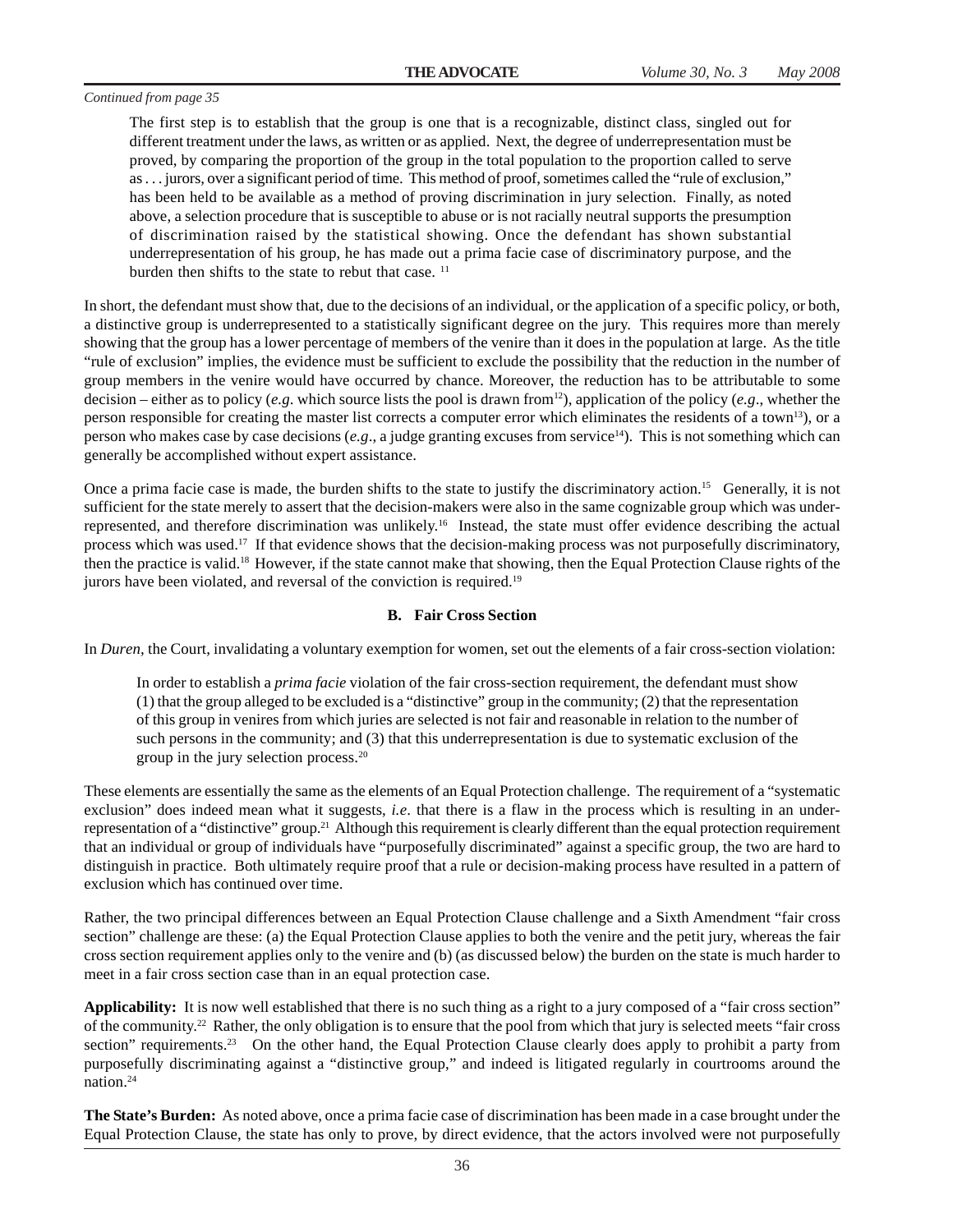The first step is to establish that the group is one that is a recognizable, distinct class, singled out for different treatment under the laws, as written or as applied. Next, the degree of underrepresentation must be proved, by comparing the proportion of the group in the total population to the proportion called to serve as . . . jurors, over a significant period of time. This method of proof, sometimes called the "rule of exclusion," has been held to be available as a method of proving discrimination in jury selection. Finally, as noted above, a selection procedure that is susceptible to abuse or is not racially neutral supports the presumption of discrimination raised by the statistical showing. Once the defendant has shown substantial underrepresentation of his group, he has made out a prima facie case of discriminatory purpose, and the burden then shifts to the state to rebut that case.<sup>11</sup>

In short, the defendant must show that, due to the decisions of an individual, or the application of a specific policy, or both, a distinctive group is underrepresented to a statistically significant degree on the jury. This requires more than merely showing that the group has a lower percentage of members of the venire than it does in the population at large. As the title "rule of exclusion" implies, the evidence must be sufficient to exclude the possibility that the reduction in the number of group members in the venire would have occurred by chance. Moreover, the reduction has to be attributable to some decision – either as to policy (*e.g*. which source lists the pool is drawn from12), application of the policy (*e.g*., whether the person responsible for creating the master list corrects a computer error which eliminates the residents of a town13), or a person who makes case by case decisions (*e.g*., a judge granting excuses from service14). This is not something which can generally be accomplished without expert assistance.

Once a prima facie case is made, the burden shifts to the state to justify the discriminatory action.15 Generally, it is not sufficient for the state merely to assert that the decision-makers were also in the same cognizable group which was underrepresented, and therefore discrimination was unlikely.16 Instead, the state must offer evidence describing the actual process which was used.17 If that evidence shows that the decision-making process was not purposefully discriminatory, then the practice is valid.18 However, if the state cannot make that showing, then the Equal Protection Clause rights of the jurors have been violated, and reversal of the conviction is required.19

#### **B. Fair Cross Section**

In *Duren,* the Court, invalidating a voluntary exemption for women, set out the elements of a fair cross-section violation:

In order to establish a *prima facie* violation of the fair cross-section requirement, the defendant must show (1) that the group alleged to be excluded is a "distinctive" group in the community; (2) that the representation of this group in venires from which juries are selected is not fair and reasonable in relation to the number of such persons in the community; and (3) that this underrepresentation is due to systematic exclusion of the group in the jury selection process.20

These elements are essentially the same as the elements of an Equal Protection challenge. The requirement of a "systematic exclusion" does indeed mean what it suggests, *i.e*. that there is a flaw in the process which is resulting in an underrepresentation of a "distinctive" group.21 Although this requirement is clearly different than the equal protection requirement that an individual or group of individuals have "purposefully discriminated" against a specific group, the two are hard to distinguish in practice. Both ultimately require proof that a rule or decision-making process have resulted in a pattern of exclusion which has continued over time.

Rather, the two principal differences between an Equal Protection Clause challenge and a Sixth Amendment "fair cross section" challenge are these: (a) the Equal Protection Clause applies to both the venire and the petit jury, whereas the fair cross section requirement applies only to the venire and (b) (as discussed below) the burden on the state is much harder to meet in a fair cross section case than in an equal protection case.

**Applicability:** It is now well established that there is no such thing as a right to a jury composed of a "fair cross section" of the community.22 Rather, the only obligation is to ensure that the pool from which that jury is selected meets "fair cross section" requirements.<sup>23</sup> On the other hand, the Equal Protection Clause clearly does apply to prohibit a party from purposefully discriminating against a "distinctive group," and indeed is litigated regularly in courtrooms around the nation.24

**The State's Burden:** As noted above, once a prima facie case of discrimination has been made in a case brought under the Equal Protection Clause, the state has only to prove, by direct evidence, that the actors involved were not purposefully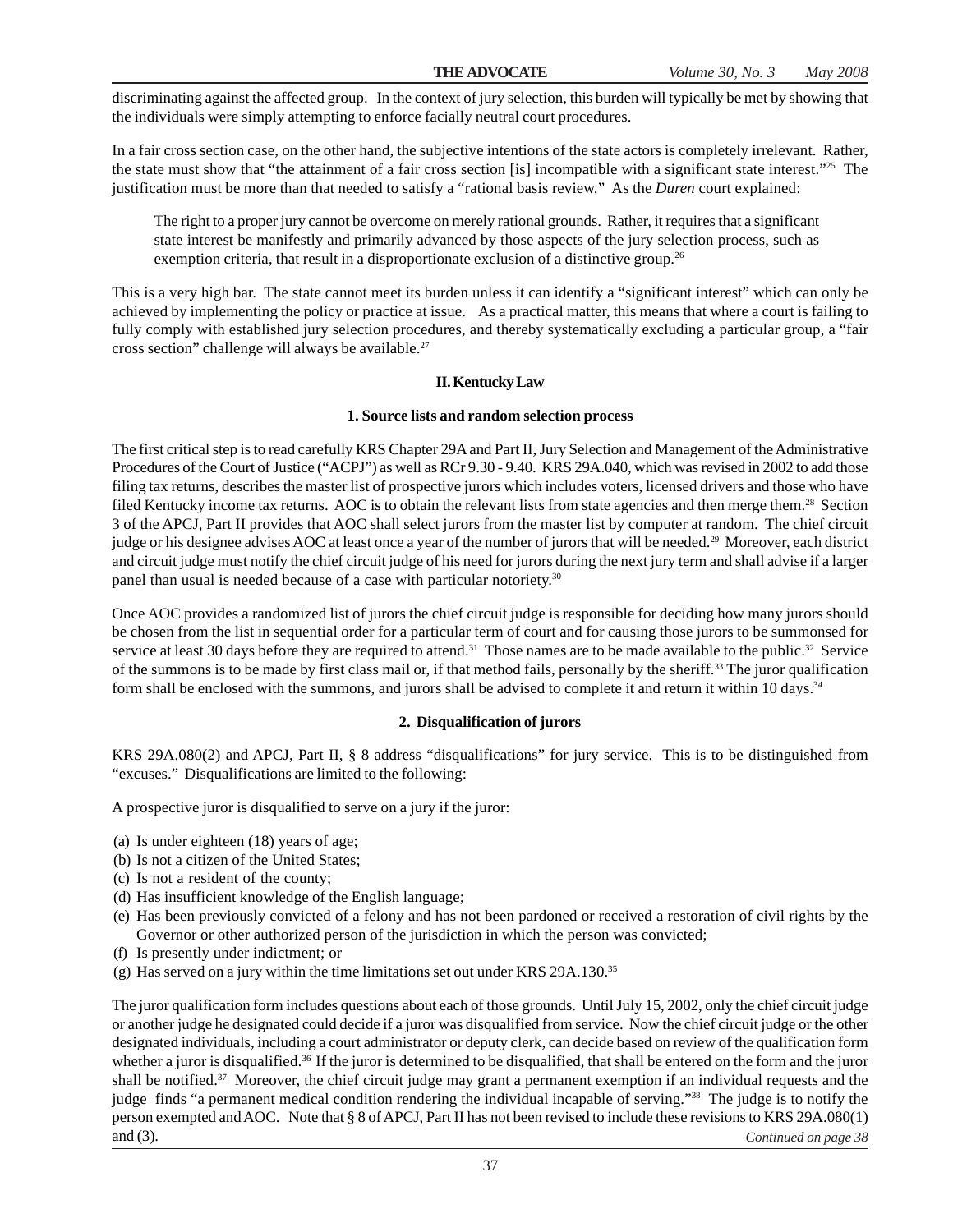discriminating against the affected group. In the context of jury selection, this burden will typically be met by showing that the individuals were simply attempting to enforce facially neutral court procedures.

In a fair cross section case, on the other hand, the subjective intentions of the state actors is completely irrelevant. Rather, the state must show that "the attainment of a fair cross section [is] incompatible with a significant state interest."25 The justification must be more than that needed to satisfy a "rational basis review." As the *Duren* court explained:

The right to a proper jury cannot be overcome on merely rational grounds. Rather, it requires that a significant state interest be manifestly and primarily advanced by those aspects of the jury selection process, such as exemption criteria, that result in a disproportionate exclusion of a distinctive group.<sup>26</sup>

This is a very high bar. The state cannot meet its burden unless it can identify a "significant interest" which can only be achieved by implementing the policy or practice at issue. As a practical matter, this means that where a court is failing to fully comply with established jury selection procedures, and thereby systematically excluding a particular group, a "fair cross section" challenge will always be available.<sup>27</sup>

#### **II. Kentucky Law**

#### **1. Source lists and random selection process**

The first critical step is to read carefully KRS Chapter 29A and Part II, Jury Selection and Management of the Administrative Procedures of the Court of Justice ("ACPJ") as well as RCr 9.30 - 9.40. KRS 29A.040, which was revised in 2002 to add those filing tax returns, describes the master list of prospective jurors which includes voters, licensed drivers and those who have filed Kentucky income tax returns. AOC is to obtain the relevant lists from state agencies and then merge them.28 Section 3 of the APCJ, Part II provides that AOC shall select jurors from the master list by computer at random. The chief circuit judge or his designee advises AOC at least once a year of the number of jurors that will be needed.<sup>29</sup> Moreover, each district and circuit judge must notify the chief circuit judge of his need for jurors during the next jury term and shall advise if a larger panel than usual is needed because of a case with particular notoriety.<sup>30</sup>

Once AOC provides a randomized list of jurors the chief circuit judge is responsible for deciding how many jurors should be chosen from the list in sequential order for a particular term of court and for causing those jurors to be summonsed for service at least 30 days before they are required to attend.<sup>31</sup> Those names are to be made available to the public.<sup>32</sup> Service of the summons is to be made by first class mail or, if that method fails, personally by the sheriff.33 The juror qualification form shall be enclosed with the summons, and jurors shall be advised to complete it and return it within 10 days.34

#### **2. Disqualification of jurors**

KRS 29A.080(2) and APCJ, Part II, § 8 address "disqualifications" for jury service. This is to be distinguished from "excuses." Disqualifications are limited to the following:

A prospective juror is disqualified to serve on a jury if the juror:

- (a) Is under eighteen (18) years of age;
- (b) Is not a citizen of the United States;
- (c) Is not a resident of the county;
- (d) Has insufficient knowledge of the English language;
- (e) Has been previously convicted of a felony and has not been pardoned or received a restoration of civil rights by the Governor or other authorized person of the jurisdiction in which the person was convicted;
- (f) Is presently under indictment; or
- (g) Has served on a jury within the time limitations set out under KRS 29A.130.35

The juror qualification form includes questions about each of those grounds. Until July 15, 2002, only the chief circuit judge or another judge he designated could decide if a juror was disqualified from service. Now the chief circuit judge or the other designated individuals, including a court administrator or deputy clerk, can decide based on review of the qualification form whether a juror is disqualified.<sup>36</sup> If the juror is determined to be disqualified, that shall be entered on the form and the juror shall be notified.<sup>37</sup> Moreover, the chief circuit judge may grant a permanent exemption if an individual requests and the judge finds "a permanent medical condition rendering the individual incapable of serving."<sup>38</sup> The judge is to notify the person exempted and AOC. Note that § 8 of APCJ, Part II has not been revised to include these revisions to KRS 29A.080(1) and (3). *Continued on page 38*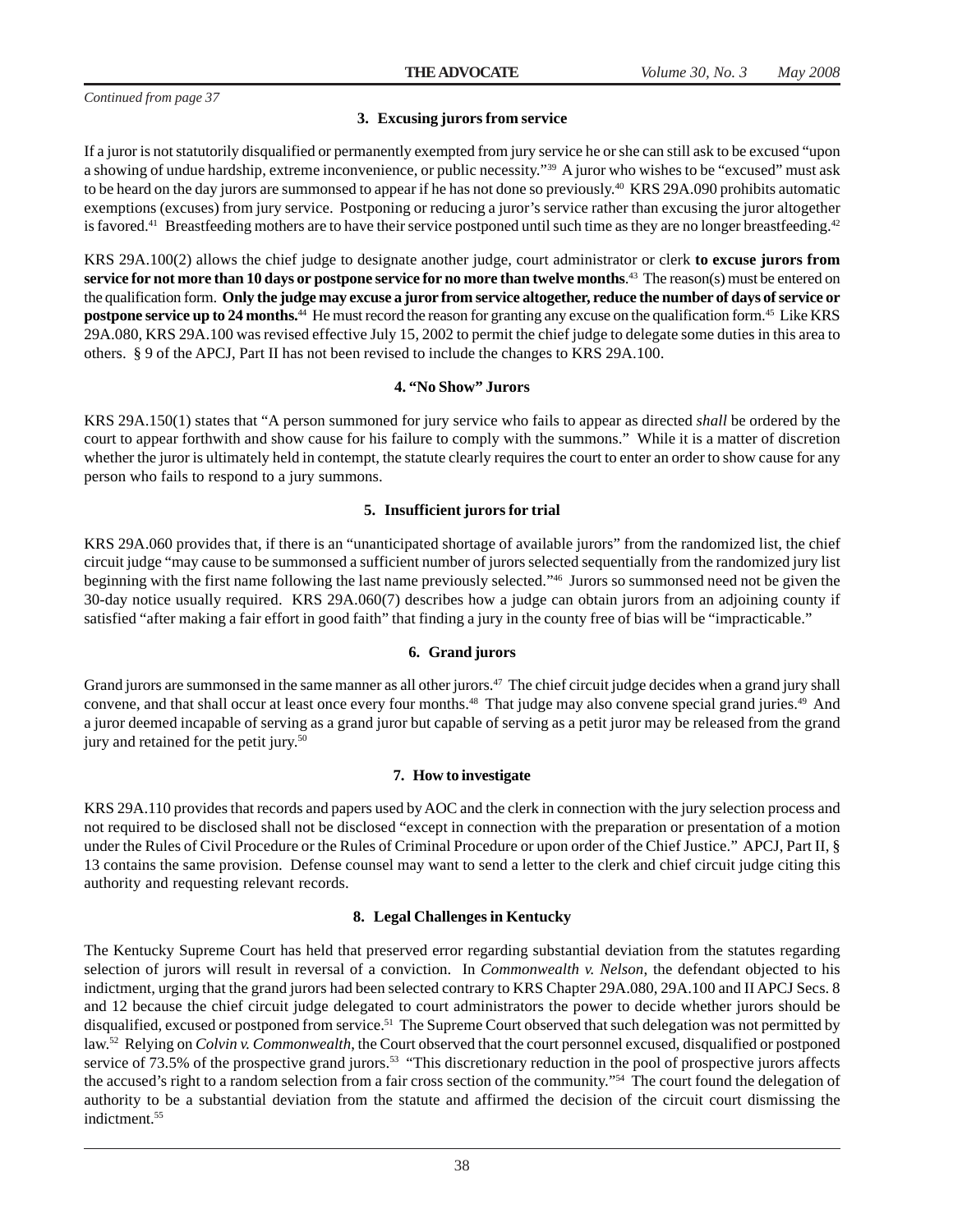#### **3. Excusing jurors from service**

If a juror is not statutorily disqualified or permanently exempted from jury service he or she can still ask to be excused "upon a showing of undue hardship, extreme inconvenience, or public necessity."39 A juror who wishes to be "excused" must ask to be heard on the day jurors are summonsed to appear if he has not done so previously.40 KRS 29A.090 prohibits automatic exemptions (excuses) from jury service. Postponing or reducing a juror's service rather than excusing the juror altogether is favored.<sup>41</sup> Breastfeeding mothers are to have their service postponed until such time as they are no longer breastfeeding.<sup>42</sup>

KRS 29A.100(2) allows the chief judge to designate another judge, court administrator or clerk **to excuse jurors from service for not more than 10 days or postpone service for no more than twelve months**. 43 The reason(s) must be entered on the qualification form. **Only the judge may excuse a juror from service altogether, reduce the number of days of service or postpone service up to 24 months.**44 He must record the reason for granting any excuse on the qualification form.45 Like KRS 29A.080, KRS 29A.100 was revised effective July 15, 2002 to permit the chief judge to delegate some duties in this area to others. § 9 of the APCJ, Part II has not been revised to include the changes to KRS 29A.100.

#### **4. "No Show" Jurors**

KRS 29A.150(1) states that "A person summoned for jury service who fails to appear as directed *shall* be ordered by the court to appear forthwith and show cause for his failure to comply with the summons." While it is a matter of discretion whether the juror is ultimately held in contempt, the statute clearly requires the court to enter an order to show cause for any person who fails to respond to a jury summons.

#### **5. Insufficient jurors for trial**

KRS 29A.060 provides that, if there is an "unanticipated shortage of available jurors" from the randomized list, the chief circuit judge "may cause to be summonsed a sufficient number of jurors selected sequentially from the randomized jury list beginning with the first name following the last name previously selected."46 Jurors so summonsed need not be given the 30-day notice usually required. KRS 29A.060(7) describes how a judge can obtain jurors from an adjoining county if satisfied "after making a fair effort in good faith" that finding a jury in the county free of bias will be "impracticable."

#### **6. Grand jurors**

Grand jurors are summonsed in the same manner as all other jurors.<sup>47</sup> The chief circuit judge decides when a grand jury shall convene, and that shall occur at least once every four months.<sup>48</sup> That judge may also convene special grand juries.<sup>49</sup> And a juror deemed incapable of serving as a grand juror but capable of serving as a petit juror may be released from the grand jury and retained for the petit jury.<sup>50</sup>

#### **7. How to investigate**

KRS 29A.110 provides that records and papers used by AOC and the clerk in connection with the jury selection process and not required to be disclosed shall not be disclosed "except in connection with the preparation or presentation of a motion under the Rules of Civil Procedure or the Rules of Criminal Procedure or upon order of the Chief Justice." APCJ, Part II, § 13 contains the same provision. Defense counsel may want to send a letter to the clerk and chief circuit judge citing this authority and requesting relevant records.

#### **8. Legal Challenges in Kentucky**

The Kentucky Supreme Court has held that preserved error regarding substantial deviation from the statutes regarding selection of jurors will result in reversal of a conviction. In *Commonwealth v. Nelson*, the defendant objected to his indictment, urging that the grand jurors had been selected contrary to KRS Chapter 29A.080, 29A.100 and II APCJ Secs. 8 and 12 because the chief circuit judge delegated to court administrators the power to decide whether jurors should be disqualified, excused or postponed from service.<sup>51</sup> The Supreme Court observed that such delegation was not permitted by law.52 Relying on *Colvin v. Commonwealth*, the Court observed that the court personnel excused, disqualified or postponed service of 73.5% of the prospective grand jurors.<sup>53</sup> "This discretionary reduction in the pool of prospective jurors affects the accused's right to a random selection from a fair cross section of the community."54 The court found the delegation of authority to be a substantial deviation from the statute and affirmed the decision of the circuit court dismissing the indictment.55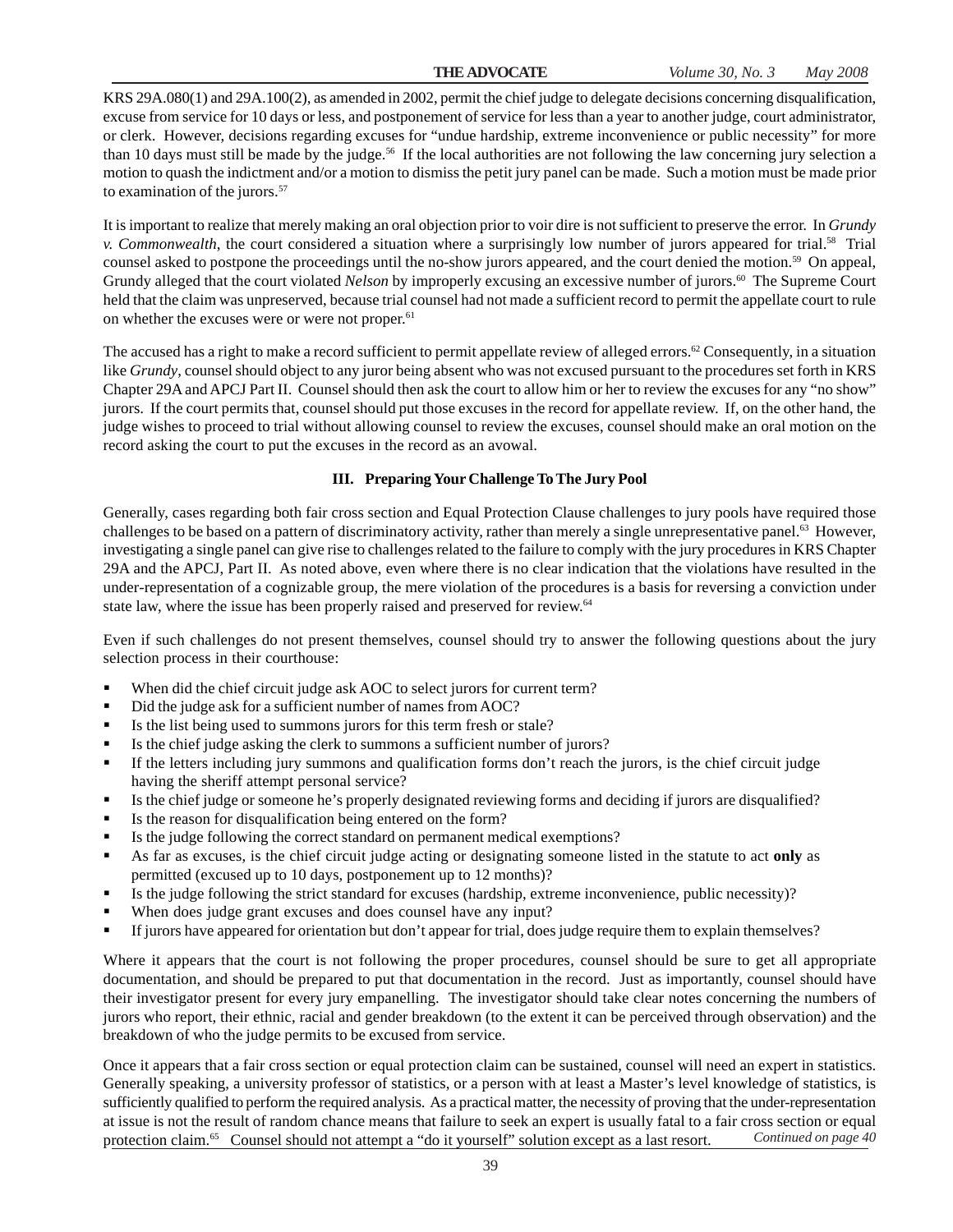KRS 29A.080(1) and 29A.100(2), as amended in 2002, permit the chief judge to delegate decisions concerning disqualification, excuse from service for 10 days or less, and postponement of service for less than a year to another judge, court administrator, or clerk. However, decisions regarding excuses for "undue hardship, extreme inconvenience or public necessity" for more than 10 days must still be made by the judge.<sup>56</sup> If the local authorities are not following the law concerning jury selection a motion to quash the indictment and/or a motion to dismiss the petit jury panel can be made. Such a motion must be made prior to examination of the jurors.<sup>57</sup>

It is important to realize that merely making an oral objection prior to voir dire is not sufficient to preserve the error. In *Grundy v. Commonwealth*, the court considered a situation where a surprisingly low number of jurors appeared for trial.58 Trial counsel asked to postpone the proceedings until the no-show jurors appeared, and the court denied the motion.59 On appeal, Grundy alleged that the court violated *Nelson* by improperly excusing an excessive number of jurors.<sup>60</sup> The Supreme Court held that the claim was unpreserved, because trial counsel had not made a sufficient record to permit the appellate court to rule on whether the excuses were or were not proper.<sup>61</sup>

The accused has a right to make a record sufficient to permit appellate review of alleged errors.<sup>62</sup> Consequently, in a situation like *Grundy*, counsel should object to any juror being absent who was not excused pursuant to the procedures set forth in KRS Chapter 29A and APCJ Part II. Counsel should then ask the court to allow him or her to review the excuses for any "no show" jurors. If the court permits that, counsel should put those excuses in the record for appellate review. If, on the other hand, the judge wishes to proceed to trial without allowing counsel to review the excuses, counsel should make an oral motion on the record asking the court to put the excuses in the record as an avowal.

#### **III. Preparing Your Challenge To The Jury Pool**

Generally, cases regarding both fair cross section and Equal Protection Clause challenges to jury pools have required those challenges to be based on a pattern of discriminatory activity, rather than merely a single unrepresentative panel.<sup>63</sup> However, investigating a single panel can give rise to challenges related to the failure to comply with the jury procedures in KRS Chapter 29A and the APCJ, Part II. As noted above, even where there is no clear indication that the violations have resulted in the under-representation of a cognizable group, the mere violation of the procedures is a basis for reversing a conviction under state law, where the issue has been properly raised and preserved for review.<sup>64</sup>

Even if such challenges do not present themselves, counsel should try to answer the following questions about the jury selection process in their courthouse:

- When did the chief circuit judge ask AOC to select jurors for current term?
- Did the judge ask for a sufficient number of names from AOC?
- Is the list being used to summons jurors for this term fresh or stale?
- Is the chief judge asking the clerk to summons a sufficient number of jurors?
- If the letters including jury summons and qualification forms don't reach the jurors, is the chief circuit judge having the sheriff attempt personal service?
- Is the chief judge or someone he's properly designated reviewing forms and deciding if jurors are disqualified?
- Is the reason for disqualification being entered on the form?
- Is the judge following the correct standard on permanent medical exemptions?
- As far as excuses, is the chief circuit judge acting or designating someone listed in the statute to act **only** as permitted (excused up to 10 days, postponement up to 12 months)?
- Is the judge following the strict standard for excuses (hardship, extreme inconvenience, public necessity)?
- When does judge grant excuses and does counsel have any input?
- If jurors have appeared for orientation but don't appear for trial, does judge require them to explain themselves?

Where it appears that the court is not following the proper procedures, counsel should be sure to get all appropriate documentation, and should be prepared to put that documentation in the record. Just as importantly, counsel should have their investigator present for every jury empanelling. The investigator should take clear notes concerning the numbers of jurors who report, their ethnic, racial and gender breakdown (to the extent it can be perceived through observation) and the breakdown of who the judge permits to be excused from service.

Once it appears that a fair cross section or equal protection claim can be sustained, counsel will need an expert in statistics. Generally speaking, a university professor of statistics, or a person with at least a Master's level knowledge of statistics, is sufficiently qualified to perform the required analysis. As a practical matter, the necessity of proving that the under-representation at issue is not the result of random chance means that failure to seek an expert is usually fatal to a fair cross section or equal protection claim.65 Counsel should not attempt a "do it yourself" solution except as a last resort. *Continued on page 40*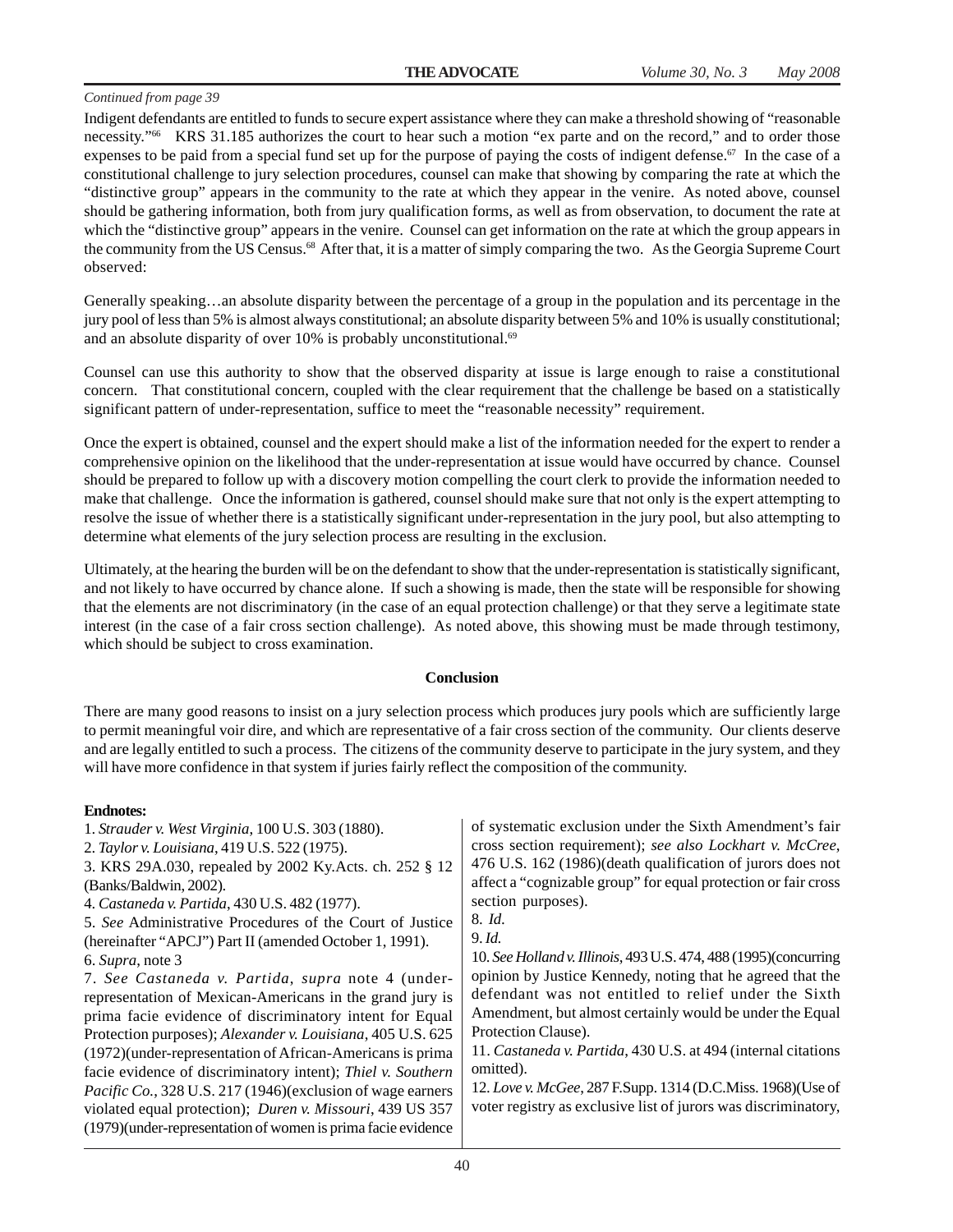Indigent defendants are entitled to funds to secure expert assistance where they can make a threshold showing of "reasonable necessity."66 KRS 31.185 authorizes the court to hear such a motion "ex parte and on the record," and to order those expenses to be paid from a special fund set up for the purpose of paying the costs of indigent defense.<sup>67</sup> In the case of a constitutional challenge to jury selection procedures, counsel can make that showing by comparing the rate at which the "distinctive group" appears in the community to the rate at which they appear in the venire. As noted above, counsel should be gathering information, both from jury qualification forms, as well as from observation, to document the rate at which the "distinctive group" appears in the venire. Counsel can get information on the rate at which the group appears in the community from the US Census.<sup>68</sup> After that, it is a matter of simply comparing the two. As the Georgia Supreme Court observed:

Generally speaking…an absolute disparity between the percentage of a group in the population and its percentage in the jury pool of less than 5% is almost always constitutional; an absolute disparity between 5% and 10% is usually constitutional; and an absolute disparity of over 10% is probably unconstitutional.<sup>69</sup>

Counsel can use this authority to show that the observed disparity at issue is large enough to raise a constitutional concern. That constitutional concern, coupled with the clear requirement that the challenge be based on a statistically significant pattern of under-representation, suffice to meet the "reasonable necessity" requirement.

Once the expert is obtained, counsel and the expert should make a list of the information needed for the expert to render a comprehensive opinion on the likelihood that the under-representation at issue would have occurred by chance. Counsel should be prepared to follow up with a discovery motion compelling the court clerk to provide the information needed to make that challenge. Once the information is gathered, counsel should make sure that not only is the expert attempting to resolve the issue of whether there is a statistically significant under-representation in the jury pool, but also attempting to determine what elements of the jury selection process are resulting in the exclusion.

Ultimately, at the hearing the burden will be on the defendant to show that the under-representation is statistically significant, and not likely to have occurred by chance alone. If such a showing is made, then the state will be responsible for showing that the elements are not discriminatory (in the case of an equal protection challenge) or that they serve a legitimate state interest (in the case of a fair cross section challenge). As noted above, this showing must be made through testimony, which should be subject to cross examination.

#### **Conclusion**

There are many good reasons to insist on a jury selection process which produces jury pools which are sufficiently large to permit meaningful voir dire, and which are representative of a fair cross section of the community. Our clients deserve and are legally entitled to such a process. The citizens of the community deserve to participate in the jury system, and they will have more confidence in that system if juries fairly reflect the composition of the community.

#### **Endnotes:**

| 1. Strauder v. West Virginia, 100 U.S. 303 (1880). |  |  |
|----------------------------------------------------|--|--|
| 2. Taylor v. Louisiana, 419 U.S. 522 (1975).       |  |  |
|                                                    |  |  |

3. KRS 29A.030, repealed by 2002 Ky.Acts. ch. 252 § 12 (Banks/Baldwin, 2002).

- 4. *Castaneda v. Partida*, 430 U.S. 482 (1977).
- 5. *See* Administrative Procedures of the Court of Justice (hereinafter "APCJ") Part II (amended October 1, 1991). 6. *Supra*, note 3

7. *See Castaneda v. Partida*, *supra* note 4 (underrepresentation of Mexican-Americans in the grand jury is prima facie evidence of discriminatory intent for Equal Protection purposes); *Alexander v. Louisiana*, 405 U.S. 625 (1972)(under-representation of African-Americans is prima facie evidence of discriminatory intent); *Thiel v. Southern Pacific Co.*, 328 U.S. 217 (1946)(exclusion of wage earners violated equal protection); *Duren v. Missouri*, 439 US 357 (1979)(under-representation of women is prima facie evidence of systematic exclusion under the Sixth Amendment's fair cross section requirement); *see also Lockhart v. McCree*, 476 U.S. 162 (1986)(death qualification of jurors does not affect a "cognizable group" for equal protection or fair cross section purposes).

9. *Id.*

10. *SeeHolland v. Illinois*, 493 U.S. 474, 488 (1995)(concurring opinion by Justice Kennedy, noting that he agreed that the defendant was not entitled to relief under the Sixth Amendment, but almost certainly would be under the Equal Protection Clause).

11. *Castaneda v. Partida*, 430 U.S. at 494 (internal citations omitted).

12. *Love v. McGee*, 287 F.Supp. 1314 (D.C.Miss. 1968)(Use of voter registry as exclusive list of jurors was discriminatory,

<sup>8.</sup> *Id*.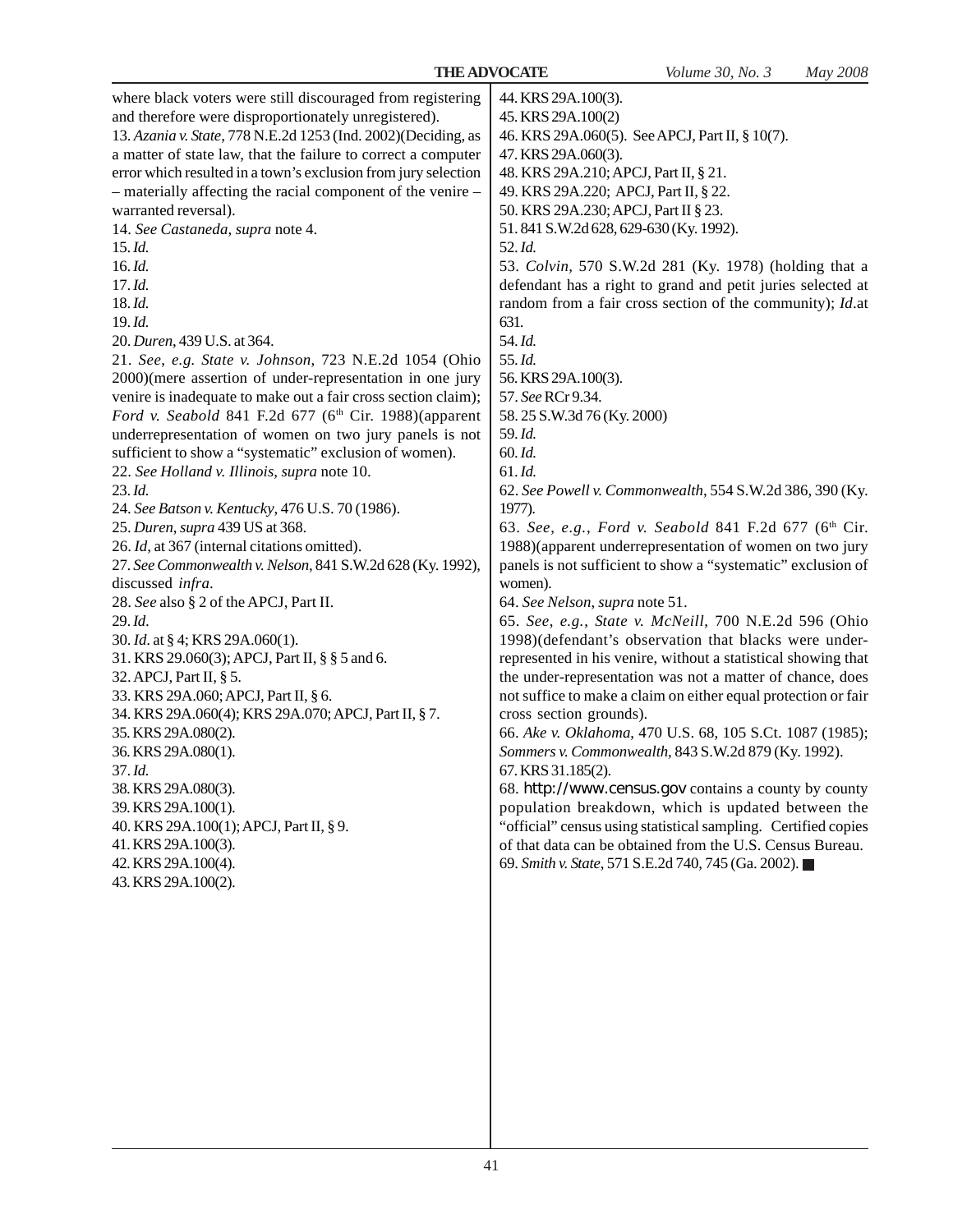| where black voters were still discouraged from registering<br>and therefore were disproportionately unregistered).<br>13. Azania v. State, 778 N.E.2d 1253 (Ind. 2002) (Deciding, as<br>a matter of state law, that the failure to correct a computer<br>error which resulted in a town's exclusion from jury selection<br>- materially affecting the racial component of the venire -<br>warranted reversal).<br>14. See Castaneda, supra note 4.<br>15.1d.<br>$16.$ $Id.$<br>$17.$ $Id.$<br>18.Id.<br>19.Id.<br>20. Duren, 439 U.S. at 364.<br>21. See, e.g. State v. Johnson, 723 N.E.2d 1054 (Ohio<br>2000)(mere assertion of under-representation in one jury<br>venire is inadequate to make out a fair cross section claim);<br>Ford v. Seabold 841 F.2d 677 (6th Cir. 1988)(apparent<br>underrepresentation of women on two jury panels is not<br>sufficient to show a "systematic" exclusion of women).<br>22. See Holland v. Illinois, supra note 10.<br>23.1d.<br>24. See Batson v. Kentucky, 476 U.S. 70 (1986).<br>25. Duren, supra 439 US at 368.<br>26. Id, at 367 (internal citations omitted).<br>27. See Commonwealth v. Nelson, 841 S.W.2d 628 (Ky. 1992),<br>discussed infra.<br>28. See also § 2 of the APCJ, Part II.<br>29.Id.<br>30. <i>Id.</i> at § 4; KRS 29A.060(1).<br>31. KRS 29.060(3); APCJ, Part II, § § 5 and 6.<br>32. APCJ, Part II, § 5.<br>33. KRS 29A.060; APCJ, Part II, § 6.<br>34. KRS 29A.060(4); KRS 29A.070; APCJ, Part II, § 7.<br>35. KRS 29A.080(2).<br>36. KRS 29A.080(1).<br>37. Id.<br>38. KRS 29A.080(3).<br>39. KRS 29A.100(1).<br>40. KRS 29A.100(1); APCJ, Part II, § 9.<br>41. KRS 29A.100(3).<br>42. KRS 29A.100(4).<br>43. KRS 29A.100(2). | 44. KRS 29A.100(3).<br>45. KRS 29A.100(2)<br>46. KRS 29A.060(5). See APCJ, Part II, § 10(7).<br>47. KRS 29A.060(3).<br>48. KRS 29A.210; APCJ, Part II, § 21.<br>49. KRS 29A.220; APCJ, Part II, § 22.<br>50. KRS 29A.230; APCJ, Part II § 23.<br>51.841 S.W.2d 628, 629-630 (Ky. 1992).<br>52.Id.<br>53. Colvin, 570 S.W.2d 281 (Ky. 1978) (holding that a<br>defendant has a right to grand and petit juries selected at<br>random from a fair cross section of the community); $Id$ at<br>631.<br>54.Id.<br>55.Id.<br>56. KRS 29A.100(3).<br>57. See RCr 9.34.<br>58.25 S.W.3d 76 (Ky. 2000)<br>59.Id.<br>60.Id.<br>$61.$ <i>Id.</i><br>62. See Powell v. Commonwealth, 554 S.W.2d 386, 390 (Ky.<br>1977).<br>63. See, e.g., Ford v. Seabold 841 F.2d 677 (6th Cir.<br>1988)(apparent underrepresentation of women on two jury<br>panels is not sufficient to show a "systematic" exclusion of<br>women).<br>64. See Nelson, supra note 51.<br>65. See, e.g., State v. McNeill, 700 N.E.2d 596 (Ohio<br>1998)(defendant's observation that blacks were under-<br>represented in his venire, without a statistical showing that<br>the under-representation was not a matter of chance, does<br>not suffice to make a claim on either equal protection or fair<br>cross section grounds).<br>66. Ake v. Oklahoma, 470 U.S. 68, 105 S.Ct. 1087 (1985);<br>Sommers v. Commonwealth, 843 S.W.2d 879 (Ky. 1992).<br>67. KRS 31.185(2).<br>68. http://www.census.gov contains a county by county<br>population breakdown, which is updated between the<br>"official" census using statistical sampling. Certified copies<br>of that data can be obtained from the U.S. Census Bureau.<br>69. Smith v. State, 571 S.E.2d 740, 745 (Ga. 2002). ■ |
|-----------------------------------------------------------------------------------------------------------------------------------------------------------------------------------------------------------------------------------------------------------------------------------------------------------------------------------------------------------------------------------------------------------------------------------------------------------------------------------------------------------------------------------------------------------------------------------------------------------------------------------------------------------------------------------------------------------------------------------------------------------------------------------------------------------------------------------------------------------------------------------------------------------------------------------------------------------------------------------------------------------------------------------------------------------------------------------------------------------------------------------------------------------------------------------------------------------------------------------------------------------------------------------------------------------------------------------------------------------------------------------------------------------------------------------------------------------------------------------------------------------------------------------------------------------------------------------------------------------------------------------------------------------------------------------------------------|--------------------------------------------------------------------------------------------------------------------------------------------------------------------------------------------------------------------------------------------------------------------------------------------------------------------------------------------------------------------------------------------------------------------------------------------------------------------------------------------------------------------------------------------------------------------------------------------------------------------------------------------------------------------------------------------------------------------------------------------------------------------------------------------------------------------------------------------------------------------------------------------------------------------------------------------------------------------------------------------------------------------------------------------------------------------------------------------------------------------------------------------------------------------------------------------------------------------------------------------------------------------------------------------------------------------------------------------------------------------------------------------------------------------------------------------------------------------------------------------------------------------------------------------------------------------------------------------------------------------------------------------------------------------------------------------------------------------------------------------|
|                                                                                                                                                                                                                                                                                                                                                                                                                                                                                                                                                                                                                                                                                                                                                                                                                                                                                                                                                                                                                                                                                                                                                                                                                                                                                                                                                                                                                                                                                                                                                                                                                                                                                                     |                                                                                                                                                                                                                                                                                                                                                                                                                                                                                                                                                                                                                                                                                                                                                                                                                                                                                                                                                                                                                                                                                                                                                                                                                                                                                                                                                                                                                                                                                                                                                                                                                                                                                                                                            |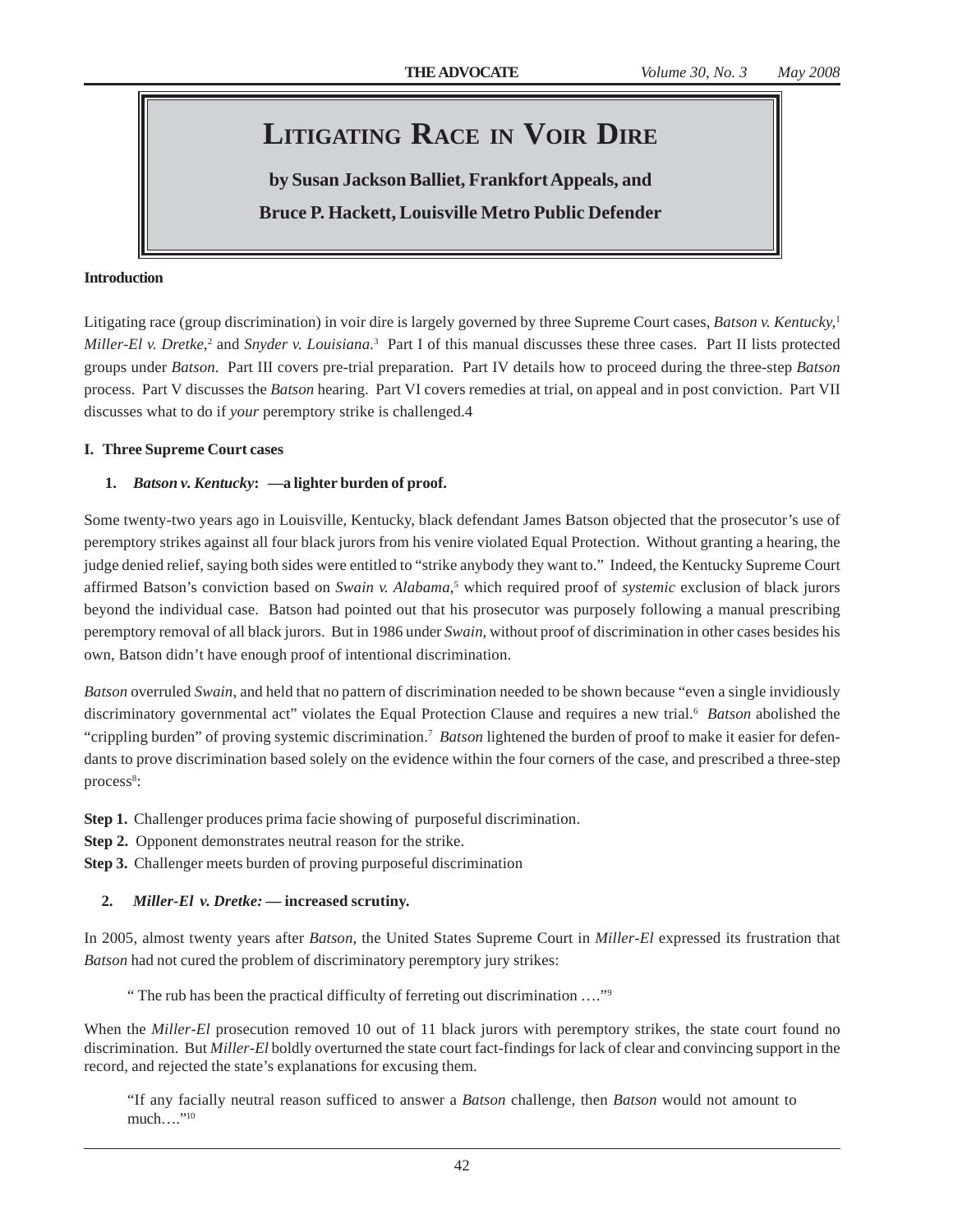# **LITIGATING RACE IN VOIR DIRE**

**by Susan Jackson Balliet, Frankfort Appeals, and Bruce P. Hackett, Louisville Metro Public Defender**

#### **Introduction**

Litigating race (group discrimination) in voir dire is largely governed by three Supreme Court cases, *Batson v. Kentucky,*<sup>1</sup> *Miller-El v. Dretke*,<sup>2</sup> and *Snyder v. Louisiana*.<sup>3</sup> Part I of this manual discusses these three cases. Part II lists protected groups under *Batson*. Part III covers pre-trial preparation. Part IV details how to proceed during the three-step *Batson* process. Part V discusses the *Batson* hearing. Part VI covers remedies at trial, on appeal and in post conviction. Part VII discusses what to do if *your* peremptory strike is challenged.4

#### **I. Three Supreme Court cases**

### **1.** *Batson v. Kentucky***:** *—***a lighter burden of proof.**

Some twenty-two years ago in Louisville, Kentucky, black defendant James Batson objected that the prosecutor's use of peremptory strikes against all four black jurors from his venire violated Equal Protection. Without granting a hearing, the judge denied relief, saying both sides were entitled to "strike anybody they want to." Indeed, the Kentucky Supreme Court affirmed Batson's conviction based on *Swain v. Alabama*, <sup>5</sup> which required proof of *systemic* exclusion of black jurors beyond the individual case. Batson had pointed out that his prosecutor was purposely following a manual prescribing peremptory removal of all black jurors. But in 1986 under *Swain*, without proof of discrimination in other cases besides his own, Batson didn't have enough proof of intentional discrimination.

*Batson* overruled *Swain*, and held that no pattern of discrimination needed to be shown because "even a single invidiously discriminatory governmental act" violates the Equal Protection Clause and requires a new trial.<sup>6</sup> Batson abolished the "crippling burden" of proving systemic discrimination.7 *Batson* lightened the burden of proof to make it easier for defendants to prove discrimination based solely on the evidence within the four corners of the case*,* and prescribed a three-step process<sup>8</sup>:

**Step 1.** Challenger produces prima facie showing of purposeful discrimination.

**Step 2.** Opponent demonstrates neutral reason for the strike.

**Step 3.** Challenger meets burden of proving purposeful discrimination

### **2.** *Miller-El v. Dretke: —* **increased scrutiny.**

In 2005, almost twenty years after *Batson*, the United States Supreme Court in *Miller-El* expressed its frustration that *Batson* had not cured the problem of discriminatory peremptory jury strikes:

" The rub has been the practical difficulty of ferreting out discrimination …."9

When the *Miller-El* prosecution removed 10 out of 11 black jurors with peremptory strikes, the state court found no discrimination. But *Miller-El* boldly overturned the state court fact-findings for lack of clear and convincing support in the record, and rejected the state's explanations for excusing them.

"If any facially neutral reason sufficed to answer a *Batson* challenge, then *Batson* would not amount to much…."10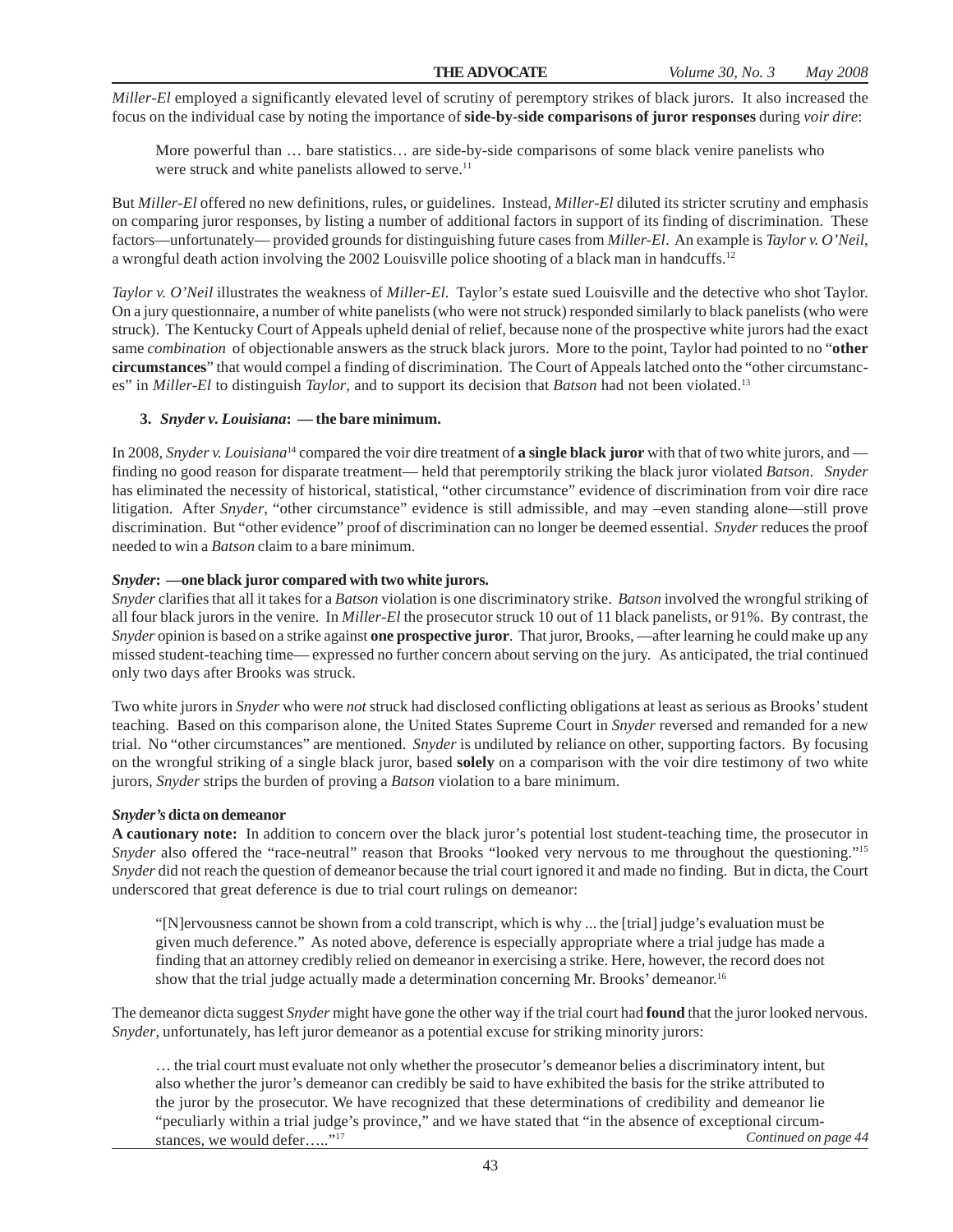*Miller-El* employed a significantly elevated level of scrutiny of peremptory strikes of black jurors. It also increased the focus on the individual case by noting the importance of **side-by-side comparisons of juror responses** during *voir dire*:

More powerful than … bare statistics… are side-by-side comparisons of some black venire panelists who were struck and white panelists allowed to serve.<sup>11</sup>

But *Miller-El* offered no new definitions, rules, or guidelines. Instead, *Miller-El* diluted its stricter scrutiny and emphasis on comparing juror responses, by listing a number of additional factors in support of its finding of discrimination. These factors—unfortunately— provided grounds for distinguishing future cases from *Miller-El*. An example is *Taylor v. O'Neil*, a wrongful death action involving the 2002 Louisville police shooting of a black man in handcuffs.12

*Taylor v. O'Neil* illustrates the weakness of *Miller-El*. Taylor's estate sued Louisville and the detective who shot Taylor. On a jury questionnaire, a number of white panelists (who were not struck) responded similarly to black panelists (who were struck). The Kentucky Court of Appeals upheld denial of relief, because none of the prospective white jurors had the exact same *combination* of objectionable answers as the struck black jurors. More to the point, Taylor had pointed to no "**other circumstances**" that would compel a finding of discrimination. The Court of Appeals latched onto the "other circumstances" in *Miller-El* to distinguish *Taylor*, and to support its decision that *Batson* had not been violated.13

#### **3.** *Snyder v. Louisiana***: — the bare minimum.**

In 2008, *Snyder v. Louisiana*<sup>14</sup> compared the voir dire treatment of **a single black juror** with that of two white jurors, and finding no good reason for disparate treatment— held that peremptorily striking the black juror violated *Batson*. *Snyder* has eliminated the necessity of historical, statistical, "other circumstance" evidence of discrimination from voir dire race litigation. After *Snyder*, "other circumstance" evidence is still admissible, and may –even standing alone—still prove discrimination. But "other evidence" proof of discrimination can no longer be deemed essential. *Snyder* reduces the proof needed to win a *Batson* claim to a bare minimum.

#### *Snyder***: —one black juror compared with two white jurors.**

*Snyder* clarifies that all it takes for a *Batson* violation is one discriminatory strike. *Batson* involved the wrongful striking of all four black jurors in the venire. In *Miller-El* the prosecutor struck 10 out of 11 black panelists, or 91%. By contrast, the *Snyder* opinion is based on a strike against **one prospective juror**. That juror, Brooks, —after learning he could make up any missed student-teaching time— expressed no further concern about serving on the jury. As anticipated, the trial continued only two days after Brooks was struck.

Two white jurors in *Snyder* who were *not* struck had disclosed conflicting obligations at least as serious as Brooks' student teaching. Based on this comparison alone, the United States Supreme Court in *Snyder* reversed and remanded for a new trial. No "other circumstances" are mentioned. *Snyder* is undiluted by reliance on other, supporting factors. By focusing on the wrongful striking of a single black juror, based **solely** on a comparison with the voir dire testimony of two white jurors, *Snyder* strips the burden of proving a *Batson* violation to a bare minimum.

#### *Snyder's* **dicta on demeanor**

**A cautionary note:** In addition to concern over the black juror's potential lost student-teaching time, the prosecutor in *Snyder* also offered the "race-neutral" reason that Brooks "looked very nervous to me throughout the questioning."<sup>15</sup> *Snyder* did not reach the question of demeanor because the trial court ignored it and made no finding. But in dicta, the Court underscored that great deference is due to trial court rulings on demeanor:

"[N]ervousness cannot be shown from a cold transcript, which is why ... the [trial] judge's evaluation must be given much deference." As noted above, deference is especially appropriate where a trial judge has made a finding that an attorney credibly relied on demeanor in exercising a strike. Here, however, the record does not show that the trial judge actually made a determination concerning Mr. Brooks' demeanor.<sup>16</sup>

The demeanor dicta suggest *Snyder* might have gone the other way if the trial court had **found** that the juror looked nervous. *Snyder*, unfortunately, has left juror demeanor as a potential excuse for striking minority jurors:

… the trial court must evaluate not only whether the prosecutor's demeanor belies a discriminatory intent, but also whether the juror's demeanor can credibly be said to have exhibited the basis for the strike attributed to the juror by the prosecutor. We have recognized that these determinations of credibility and demeanor lie "peculiarly within a trial judge's province," and we have stated that "in the absence of exceptional circumstances, we would defer….."17 *Continued on page 44*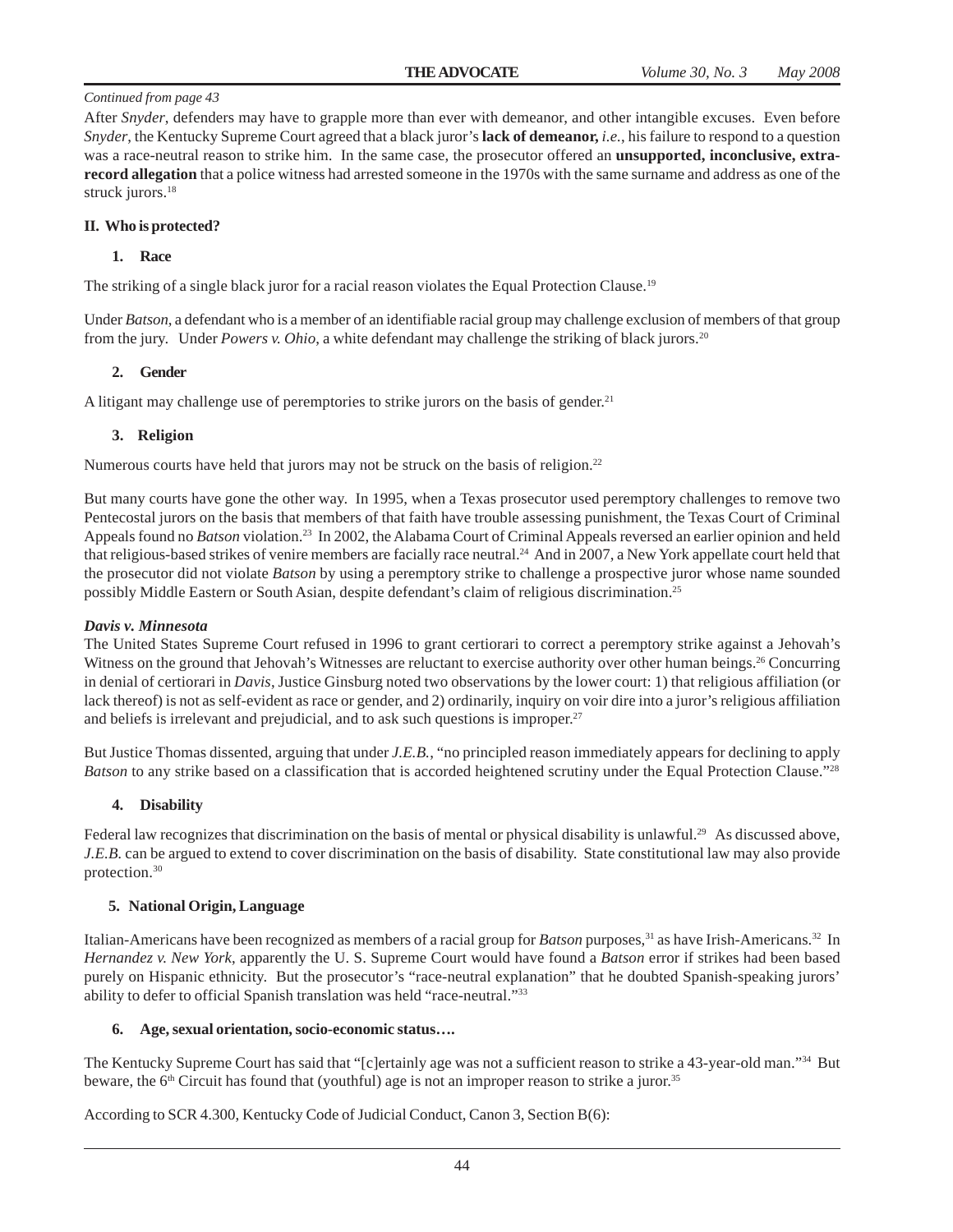After *Snyder*, defenders may have to grapple more than ever with demeanor, and other intangible excuses. Even before *Snyder*, the Kentucky Supreme Court agreed that a black juror's **lack of demeanor,** *i.e.*, his failure to respond to a question was a race-neutral reason to strike him. In the same case, the prosecutor offered an **unsupported, inconclusive, extrarecord allegation** that a police witness had arrested someone in the 1970s with the same surname and address as one of the struck jurors.<sup>18</sup>

#### **II. Who is protected?**

#### **1. Race**

The striking of a single black juror for a racial reason violates the Equal Protection Clause.19

Under *Batson*, a defendant who is a member of an identifiable racial group may challenge exclusion of members of that group from the jury. Under *Powers v. Ohio*, a white defendant may challenge the striking of black jurors.20

#### **2. Gender**

A litigant may challenge use of peremptories to strike jurors on the basis of gender.<sup>21</sup>

#### **3. Religion**

Numerous courts have held that jurors may not be struck on the basis of religion.<sup>22</sup>

But many courts have gone the other way. In 1995, when a Texas prosecutor used peremptory challenges to remove two Pentecostal jurors on the basis that members of that faith have trouble assessing punishment, the Texas Court of Criminal Appeals found no *Batson* violation.23 In 2002, the Alabama Court of Criminal Appeals reversed an earlier opinion and held that religious-based strikes of venire members are facially race neutral.24 And in 2007, a New York appellate court held that the prosecutor did not violate *Batson* by using a peremptory strike to challenge a prospective juror whose name sounded possibly Middle Eastern or South Asian, despite defendant's claim of religious discrimination.25

#### *Davis v. Minnesota*

The United States Supreme Court refused in 1996 to grant certiorari to correct a peremptory strike against a Jehovah's Witness on the ground that Jehovah's Witnesses are reluctant to exercise authority over other human beings.<sup>26</sup> Concurring in denial of certiorari in *Davis*, Justice Ginsburg noted two observations by the lower court: 1) that religious affiliation (or lack thereof) is not as self-evident as race or gender, and 2) ordinarily, inquiry on voir dire into a juror's religious affiliation and beliefs is irrelevant and prejudicial, and to ask such questions is improper.<sup>27</sup>

But Justice Thomas dissented, arguing that under *J.E.B.*, "no principled reason immediately appears for declining to apply *Batson* to any strike based on a classification that is accorded heightened scrutiny under the Equal Protection Clause."<sup>28</sup>

### **4. Disability**

Federal law recognizes that discrimination on the basis of mental or physical disability is unlawful.<sup>29</sup> As discussed above, *J.E.B.* can be argued to extend to cover discrimination on the basis of disability. State constitutional law may also provide protection.30

#### **5. National Origin, Language**

Italian-Americans have been recognized as members of a racial group for *Batson* purposes,31 as have Irish-Americans.32 In *Hernandez v. New York*, apparently the U. S. Supreme Court would have found a *Batson* error if strikes had been based purely on Hispanic ethnicity. But the prosecutor's "race-neutral explanation" that he doubted Spanish-speaking jurors' ability to defer to official Spanish translation was held "race-neutral."33

#### **6. Age, sexual orientation, socio-economic status….**

The Kentucky Supreme Court has said that "[c]ertainly age was not a sufficient reason to strike a 43-year-old man."34 But beware, the 6<sup>th</sup> Circuit has found that (youthful) age is not an improper reason to strike a juror.<sup>35</sup>

According to SCR 4.300, Kentucky Code of Judicial Conduct, Canon 3, Section B(6):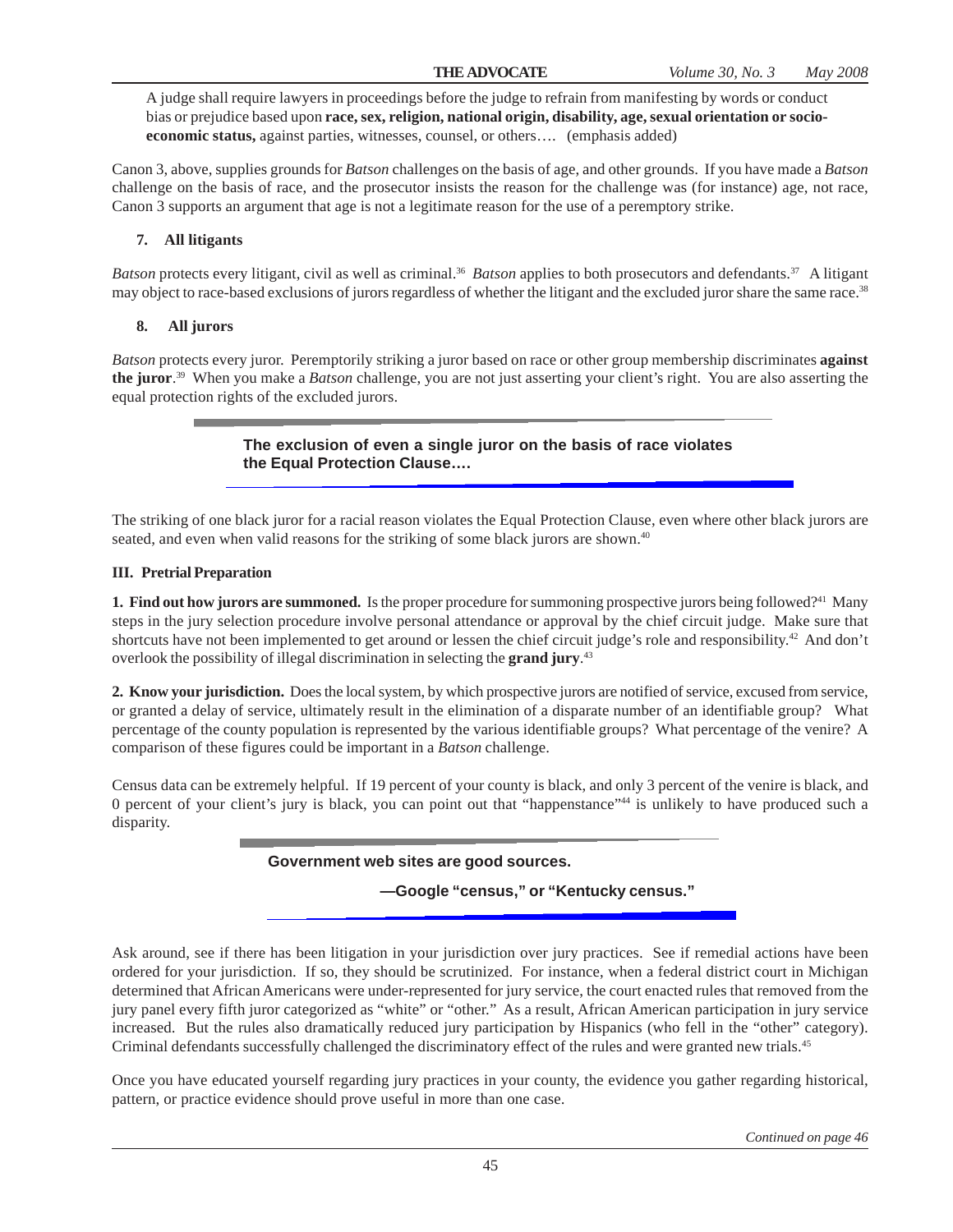A judge shall require lawyers in proceedings before the judge to refrain from manifesting by words or conduct bias or prejudice based upon **race, sex, religion, national origin, disability, age, sexual orientation or socioeconomic status,** against parties, witnesses, counsel, or others…. (emphasis added)

Canon 3, above, supplies grounds for *Batson* challenges on the basis of age, and other grounds. If you have made a *Batson* challenge on the basis of race, and the prosecutor insists the reason for the challenge was (for instance) age, not race, Canon 3 supports an argument that age is not a legitimate reason for the use of a peremptory strike.

# **7. All litigants**

*Batson* protects every litigant, civil as well as criminal.<sup>36</sup> *Batson* applies to both prosecutors and defendants.<sup>37</sup> A litigant may object to race-based exclusions of jurors regardless of whether the litigant and the excluded juror share the same race.<sup>38</sup>

### **8. All jurors**

*Batson* protects every juror. Peremptorily striking a juror based on race or other group membership discriminates **against the juror**. 39 When you make a *Batson* challenge, you are not just asserting your client's right. You are also asserting the equal protection rights of the excluded jurors.

## **The exclusion of even a single juror on the basis of race violates the Equal Protection Clause….**

The striking of one black juror for a racial reason violates the Equal Protection Clause, even where other black jurors are seated, and even when valid reasons for the striking of some black jurors are shown.<sup>40</sup>

#### **III. Pretrial Preparation**

**1. Find out how jurors are summoned.** Is the proper procedure for summoning prospective jurors being followed?<sup>41</sup> Many steps in the jury selection procedure involve personal attendance or approval by the chief circuit judge. Make sure that shortcuts have not been implemented to get around or lessen the chief circuit judge's role and responsibility.<sup>42</sup> And don't overlook the possibility of illegal discrimination in selecting the **grand jury**. 43

**2. Know your jurisdiction.** Does the local system, by which prospective jurors are notified of service, excused from service, or granted a delay of service, ultimately result in the elimination of a disparate number of an identifiable group? What percentage of the county population is represented by the various identifiable groups? What percentage of the venire? A comparison of these figures could be important in a *Batson* challenge.

Census data can be extremely helpful. If 19 percent of your county is black, and only 3 percent of the venire is black, and 0 percent of your client's jury is black, you can point out that "happenstance"44 is unlikely to have produced such a disparity.

### **Government web sites are good sources.**

**—Google "census," or "Kentucky census."**

Ask around, see if there has been litigation in your jurisdiction over jury practices. See if remedial actions have been ordered for your jurisdiction. If so, they should be scrutinized. For instance, when a federal district court in Michigan determined that African Americans were under-represented for jury service, the court enacted rules that removed from the jury panel every fifth juror categorized as "white" or "other." As a result, African American participation in jury service increased. But the rules also dramatically reduced jury participation by Hispanics (who fell in the "other" category). Criminal defendants successfully challenged the discriminatory effect of the rules and were granted new trials.<sup>45</sup>

Once you have educated yourself regarding jury practices in your county, the evidence you gather regarding historical, pattern, or practice evidence should prove useful in more than one case.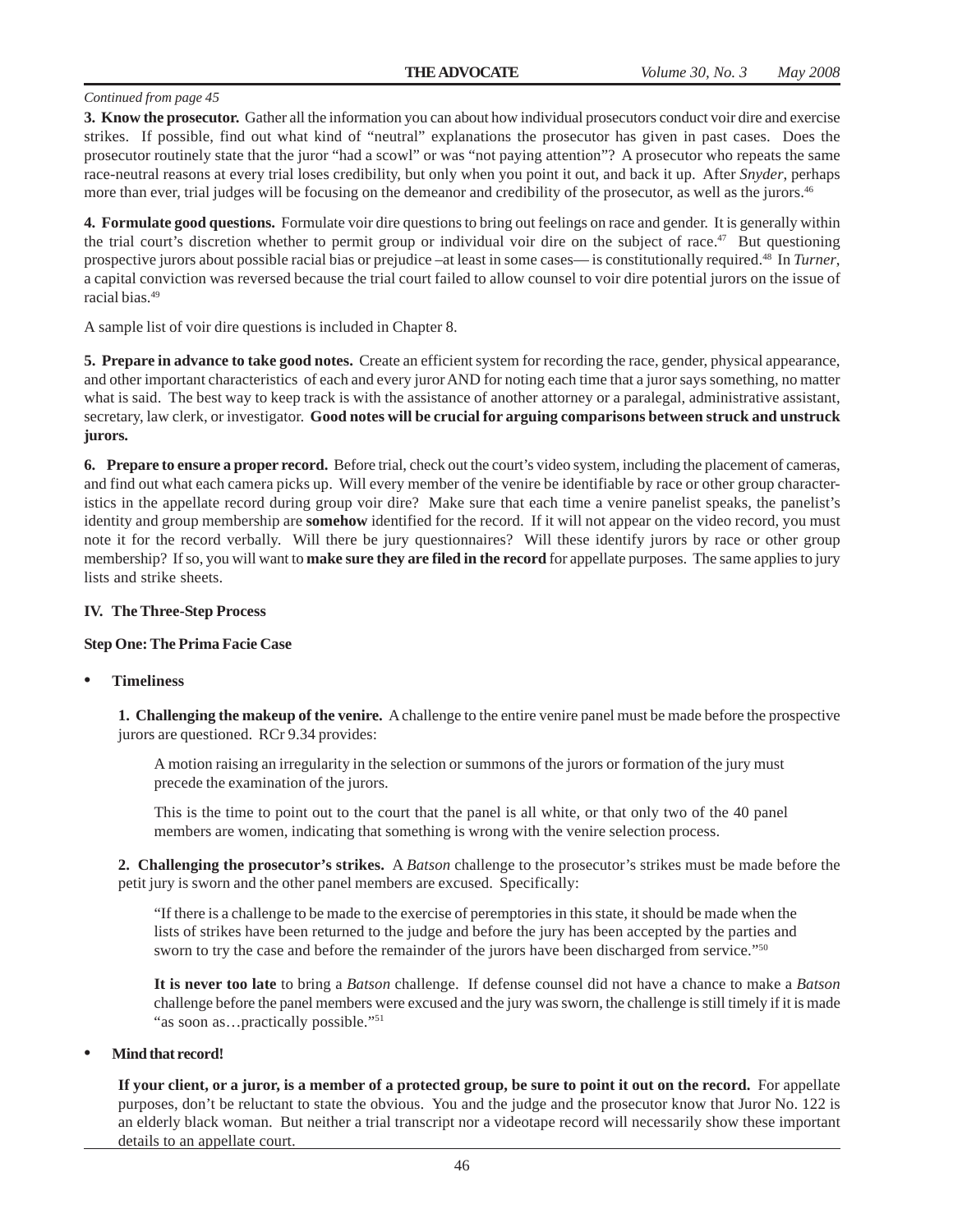**3. Know the prosecutor.** Gather all the information you can about how individual prosecutors conduct voir dire and exercise strikes. If possible, find out what kind of "neutral" explanations the prosecutor has given in past cases. Does the prosecutor routinely state that the juror "had a scowl" or was "not paying attention"? A prosecutor who repeats the same race-neutral reasons at every trial loses credibility, but only when you point it out, and back it up. After *Snyder*, perhaps more than ever, trial judges will be focusing on the demeanor and credibility of the prosecutor, as well as the jurors.<sup>46</sup>

**4. Formulate good questions.** Formulate voir dire questions to bring out feelings on race and gender. It is generally within the trial court's discretion whether to permit group or individual voir dire on the subject of race.<sup>47</sup> But questioning prospective jurors about possible racial bias or prejudice –at least in some cases— is constitutionally required.48 In *Turner*, a capital conviction was reversed because the trial court failed to allow counsel to voir dire potential jurors on the issue of racial bias.49

A sample list of voir dire questions is included in Chapter 8.

**5. Prepare in advance to take good notes.** Create an efficient system for recording the race, gender, physical appearance, and other important characteristics of each and every juror AND for noting each time that a juror says something, no matter what is said. The best way to keep track is with the assistance of another attorney or a paralegal, administrative assistant, secretary, law clerk, or investigator. **Good notes will be crucial for arguing comparisons between struck and unstruck jurors.**

**6. Prepare to ensure a proper record.** Before trial, check out the court's video system, including the placement of cameras, and find out what each camera picks up. Will every member of the venire be identifiable by race or other group characteristics in the appellate record during group voir dire? Make sure that each time a venire panelist speaks, the panelist's identity and group membership are **somehow** identified for the record. If it will not appear on the video record, you must note it for the record verbally. Will there be jury questionnaires? Will these identify jurors by race or other group membership? If so, you will want to **make sure they are filed in the record** for appellate purposes. The same applies to jury lists and strike sheets.

#### **IV. The Three-Step Process**

#### **Step One: The Prima Facie Case**

#### **• Timeliness**

**1. Challenging the makeup of the venire.** A challenge to the entire venire panel must be made before the prospective jurors are questioned. RCr 9.34 provides:

A motion raising an irregularity in the selection or summons of the jurors or formation of the jury must precede the examination of the jurors.

This is the time to point out to the court that the panel is all white, or that only two of the 40 panel members are women, indicating that something is wrong with the venire selection process.

**2. Challenging the prosecutor's strikes.** A *Batson* challenge to the prosecutor's strikes must be made before the petit jury is sworn and the other panel members are excused. Specifically:

"If there is a challenge to be made to the exercise of peremptories in this state, it should be made when the lists of strikes have been returned to the judge and before the jury has been accepted by the parties and sworn to try the case and before the remainder of the jurors have been discharged from service."<sup>50</sup>

**It is never too late** to bring a *Batson* challenge. If defense counsel did not have a chance to make a *Batson* challenge before the panel members were excused and the jury was sworn, the challenge is still timely if it is made "as soon as...practically possible."<sup>51</sup>

#### **• Mind that record!**

**If your client, or a juror, is a member of a protected group, be sure to point it out on the record.** For appellate purposes, don't be reluctant to state the obvious. You and the judge and the prosecutor know that Juror No. 122 is an elderly black woman. But neither a trial transcript nor a videotape record will necessarily show these important details to an appellate court.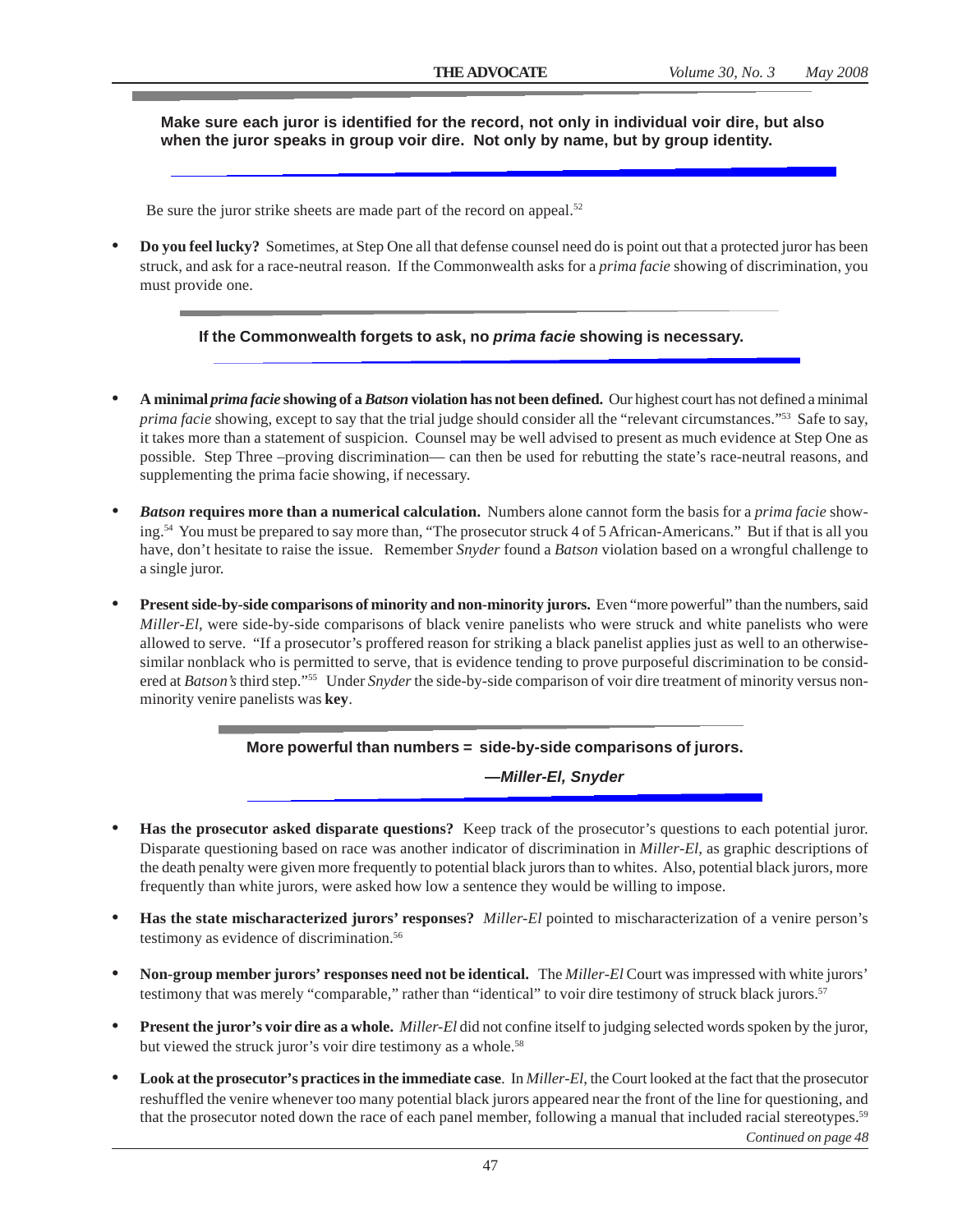#### **Make sure each juror is identified for the record, not only in individual voir dire, but also when the juror speaks in group voir dire. Not only by name, but by group identity.**

Be sure the juror strike sheets are made part of the record on appeal.<sup>52</sup>

**• Do you feel lucky?** Sometimes, at Step One all that defense counsel need do is point out that a protected juror has been struck, and ask for a race-neutral reason. If the Commonwealth asks for a *prima facie* showing of discrimination, you must provide one.

#### **If the Commonwealth forgets to ask, no** *prima facie* **showing is necessary.**

- **• A minimal** *prima facie* **showing of a** *Batson* **violation has not been defined.** Our highest court has not defined a minimal *prima facie* showing, except to say that the trial judge should consider all the "relevant circumstances."53 Safe to say, it takes more than a statement of suspicion. Counsel may be well advised to present as much evidence at Step One as possible. Step Three –proving discrimination— can then be used for rebutting the state's race-neutral reasons, and supplementing the prima facie showing, if necessary.
- *• Batson* **requires more than a numerical calculation.** Numbers alone cannot form the basis for a *prima facie* showing.<sup>54</sup> You must be prepared to say more than, "The prosecutor struck 4 of 5 African-Americans." But if that is all you have, don't hesitate to raise the issue. Remember *Snyder* found a *Batson* violation based on a wrongful challenge to a single juror.
- **• Present side-by-side comparisons of minority and non-minority jurors.** Even "more powerful" than the numbers, said *Miller-El*, were side-by-side comparisons of black venire panelists who were struck and white panelists who were allowed to serve. "If a prosecutor's proffered reason for striking a black panelist applies just as well to an otherwisesimilar nonblack who is permitted to serve, that is evidence tending to prove purposeful discrimination to be considered at *Batson's* third step."55 Under *Snyder* the side-by-side comparison of voir dire treatment of minority versus nonminority venire panelists was **key**.

#### **More powerful than numbers = side-by-side comparisons of jurors.**

**—***Miller-El, Snyder*

- **• Has the prosecutor asked disparate questions?** Keep track of the prosecutor's questions to each potential juror. Disparate questioning based on race was another indicator of discrimination in *Miller-El*, as graphic descriptions of the death penalty were given more frequently to potential black jurors than to whites. Also, potential black jurors, more frequently than white jurors, were asked how low a sentence they would be willing to impose.
- **• Has the state mischaracterized jurors' responses?** *Miller-El* pointed to mischaracterization of a venire person's testimony as evidence of discrimination.<sup>56</sup>
- **• Non-group member jurors' responses need not be identical.** The *Miller-El* Court was impressed with white jurors' testimony that was merely "comparable," rather than "identical" to voir dire testimony of struck black jurors.<sup>57</sup>
- **• Present the juror's voir dire as a whole.** *Miller-El* did not confine itself to judging selected words spoken by the juror, but viewed the struck juror's voir dire testimony as a whole.<sup>58</sup>
- **• Look at the prosecutor's practices in the immediate case**. In *Miller-El*, the Court looked at the fact that the prosecutor reshuffled the venire whenever too many potential black jurors appeared near the front of the line for questioning, and that the prosecutor noted down the race of each panel member, following a manual that included racial stereotypes.59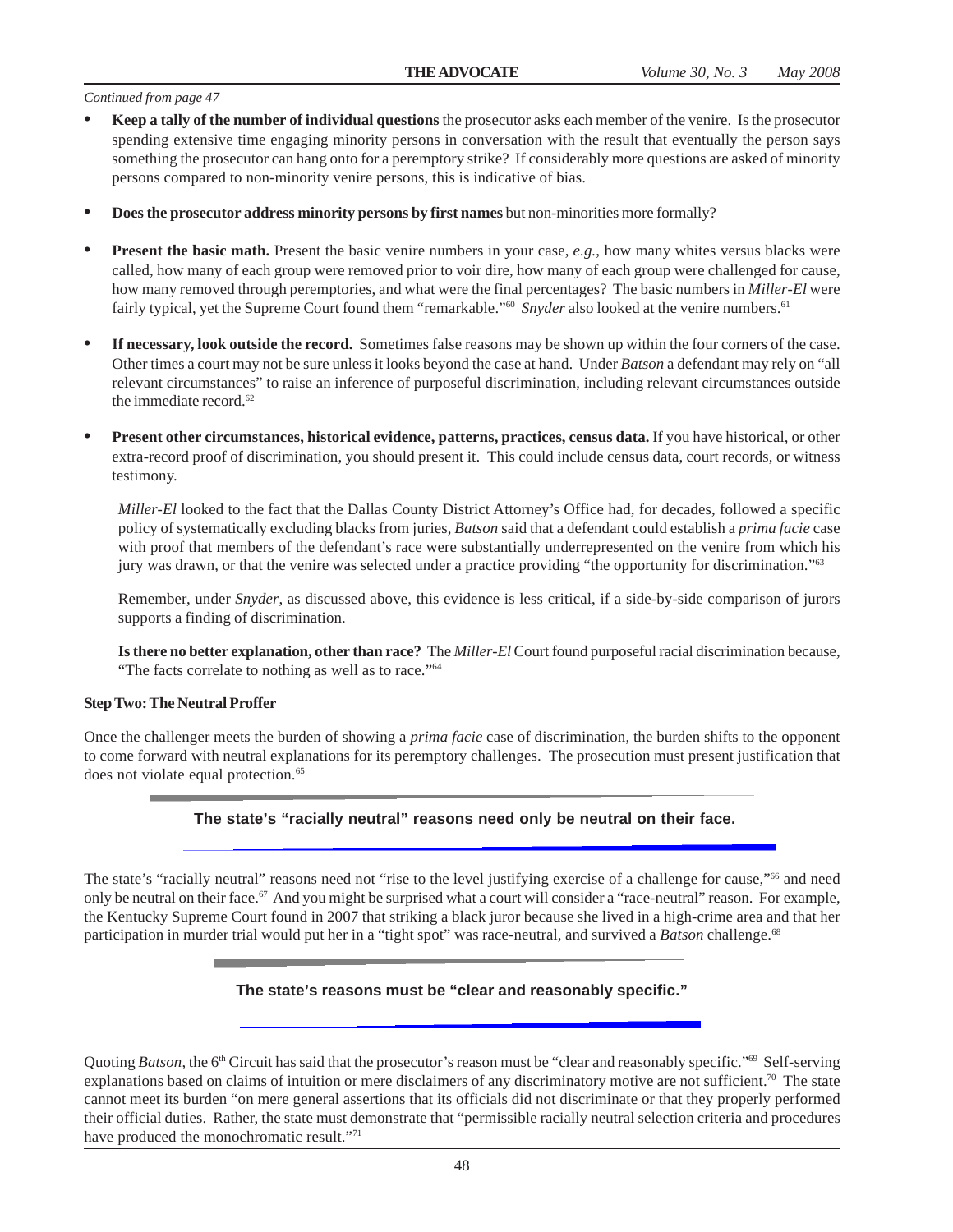- **• Keep a tally of the number of individual questions** the prosecutor asks each member of the venire. Is the prosecutor spending extensive time engaging minority persons in conversation with the result that eventually the person says something the prosecutor can hang onto for a peremptory strike? If considerably more questions are asked of minority persons compared to non-minority venire persons, this is indicative of bias.
- **• Does the prosecutor address minority persons by first names** but non-minorities more formally?
- **Present the basic math.** Present the basic venire numbers in your case, *e.g.*, how many whites versus blacks were called, how many of each group were removed prior to voir dire, how many of each group were challenged for cause, how many removed through peremptories, and what were the final percentages? The basic numbers in *Miller-El* were fairly typical, yet the Supreme Court found them "remarkable."<sup>60</sup> Snyder also looked at the venire numbers.<sup>61</sup>
- **• If necessary, look outside the record.** Sometimes false reasons may be shown up within the four corners of the case. Other times a court may not be sure unless it looks beyond the case at hand. Under *Batson* a defendant may rely on "all relevant circumstances" to raise an inference of purposeful discrimination, including relevant circumstances outside the immediate record.<sup>62</sup>
- **• Present other circumstances, historical evidence, patterns, practices, census data.** If you have historical, or other extra-record proof of discrimination, you should present it. This could include census data, court records, or witness testimony.

*Miller-El* looked to the fact that the Dallas County District Attorney's Office had, for decades, followed a specific policy of systematically excluding blacks from juries, *Batson* said that a defendant could establish a *prima facie* case with proof that members of the defendant's race were substantially underrepresented on the venire from which his jury was drawn, or that the venire was selected under a practice providing "the opportunity for discrimination."63

Remember, under *Snyder*, as discussed above, this evidence is less critical, if a side-by-side comparison of jurors supports a finding of discrimination.

**Is there no better explanation, other than race?** The *Miller-El* Court found purposeful racial discrimination because, "The facts correlate to nothing as well as to race."<sup>64</sup>

#### **Step Two: The Neutral Proffer**

Once the challenger meets the burden of showing a *prima facie* case of discrimination, the burden shifts to the opponent to come forward with neutral explanations for its peremptory challenges. The prosecution must present justification that does not violate equal protection.<sup>65</sup>

#### **The state's "racially neutral" reasons need only be neutral on their face.**

The state's "racially neutral" reasons need not "rise to the level justifying exercise of a challenge for cause,"<sup>66</sup> and need only be neutral on their face.<sup>67</sup> And you might be surprised what a court will consider a "race-neutral" reason. For example, the Kentucky Supreme Court found in 2007 that striking a black juror because she lived in a high-crime area and that her participation in murder trial would put her in a "tight spot" was race-neutral, and survived a *Batson* challenge.<sup>68</sup>

#### **The state's reasons must be "clear and reasonably specific."**

Quoting *Batson*, the 6<sup>th</sup> Circuit has said that the prosecutor's reason must be "clear and reasonably specific."<sup>69</sup> Self-serving explanations based on claims of intuition or mere disclaimers of any discriminatory motive are not sufficient.<sup>70</sup> The state cannot meet its burden "on mere general assertions that its officials did not discriminate or that they properly performed their official duties. Rather, the state must demonstrate that "permissible racially neutral selection criteria and procedures have produced the monochromatic result."<sup>71</sup>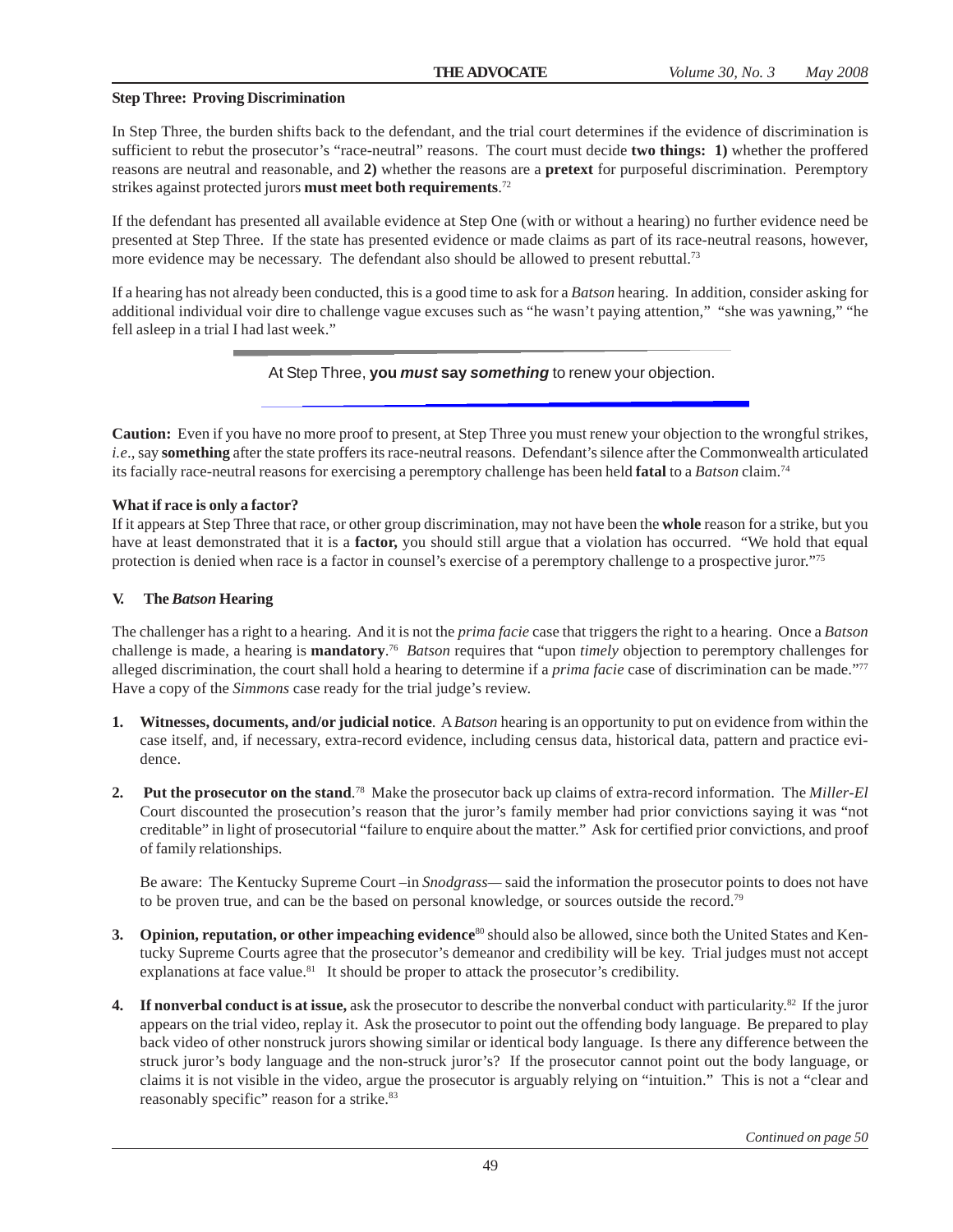#### **Step Three: Proving Discrimination**

In Step Three, the burden shifts back to the defendant, and the trial court determines if the evidence of discrimination is sufficient to rebut the prosecutor's "race-neutral" reasons. The court must decide **two things: 1)** whether the proffered reasons are neutral and reasonable, and **2)** whether the reasons are a **pretext** for purposeful discrimination. Peremptory strikes against protected jurors **must meet both requirements**. 72

If the defendant has presented all available evidence at Step One (with or without a hearing) no further evidence need be presented at Step Three. If the state has presented evidence or made claims as part of its race-neutral reasons, however, more evidence may be necessary. The defendant also should be allowed to present rebuttal.<sup>73</sup>

If a hearing has not already been conducted, this is a good time to ask for a *Batson* hearing. In addition, consider asking for additional individual voir dire to challenge vague excuses such as "he wasn't paying attention," "she was yawning," "he fell asleep in a trial I had last week."

At Step Three, **you** *must* **say** *something* to renew your objection.

**Caution:** Even if you have no more proof to present, at Step Three you must renew your objection to the wrongful strikes, *i.e*., say **something** after the state proffers its race-neutral reasons. Defendant's silence after the Commonwealth articulated its facially race-neutral reasons for exercising a peremptory challenge has been held **fatal** to a *Batson* claim.74

#### **What if race is only a factor?**

If it appears at Step Three that race, or other group discrimination, may not have been the **whole** reason for a strike, but you have at least demonstrated that it is a **factor,** you should still argue that a violation has occurred. "We hold that equal protection is denied when race is a factor in counsel's exercise of a peremptory challenge to a prospective juror."75

#### **V. The** *Batson* **Hearing**

The challenger has a right to a hearing. And it is not the *prima facie* case that triggers the right to a hearing. Once a *Batson* challenge is made, a hearing is **mandatory**. 76 *Batson* requires that "upon *timely* objection to peremptory challenges for alleged discrimination, the court shall hold a hearing to determine if a *prima facie* case of discrimination can be made."77 Have a copy of the *Simmons* case ready for the trial judge's review.

- **1. Witnesses, documents, and/or judicial notice**. A *Batson* hearing is an opportunity to put on evidence from within the case itself, and, if necessary, extra-record evidence, including census data, historical data, pattern and practice evidence.
- **2. Put the prosecutor on the stand**. 78 Make the prosecutor back up claims of extra-record information.The *Miller-El* Court discounted the prosecution's reason that the juror's family member had prior convictions saying it was "not creditable" in light of prosecutorial "failure to enquire about the matter." Ask for certified prior convictions, and proof of family relationships.

Be aware: The Kentucky Supreme Court –in *Snodgrass—* said the information the prosecutor points to does not have to be proven true, and can be the based on personal knowledge, or sources outside the record.79

- **3.** Opinion, reputation, or other impeaching evidence<sup>80</sup> should also be allowed, since both the United States and Kentucky Supreme Courts agree that the prosecutor's demeanor and credibility will be key. Trial judges must not accept explanations at face value. $81$  It should be proper to attack the prosecutor's credibility.
- **4. If nonverbal conduct is at issue,** ask the prosecutor to describe the nonverbal conduct with particularity.82 If the juror appears on the trial video, replay it. Ask the prosecutor to point out the offending body language. Be prepared to play back video of other nonstruck jurors showing similar or identical body language. Is there any difference between the struck juror's body language and the non-struck juror's? If the prosecutor cannot point out the body language, or claims it is not visible in the video, argue the prosecutor is arguably relying on "intuition." This is not a "clear and reasonably specific" reason for a strike.<sup>83</sup>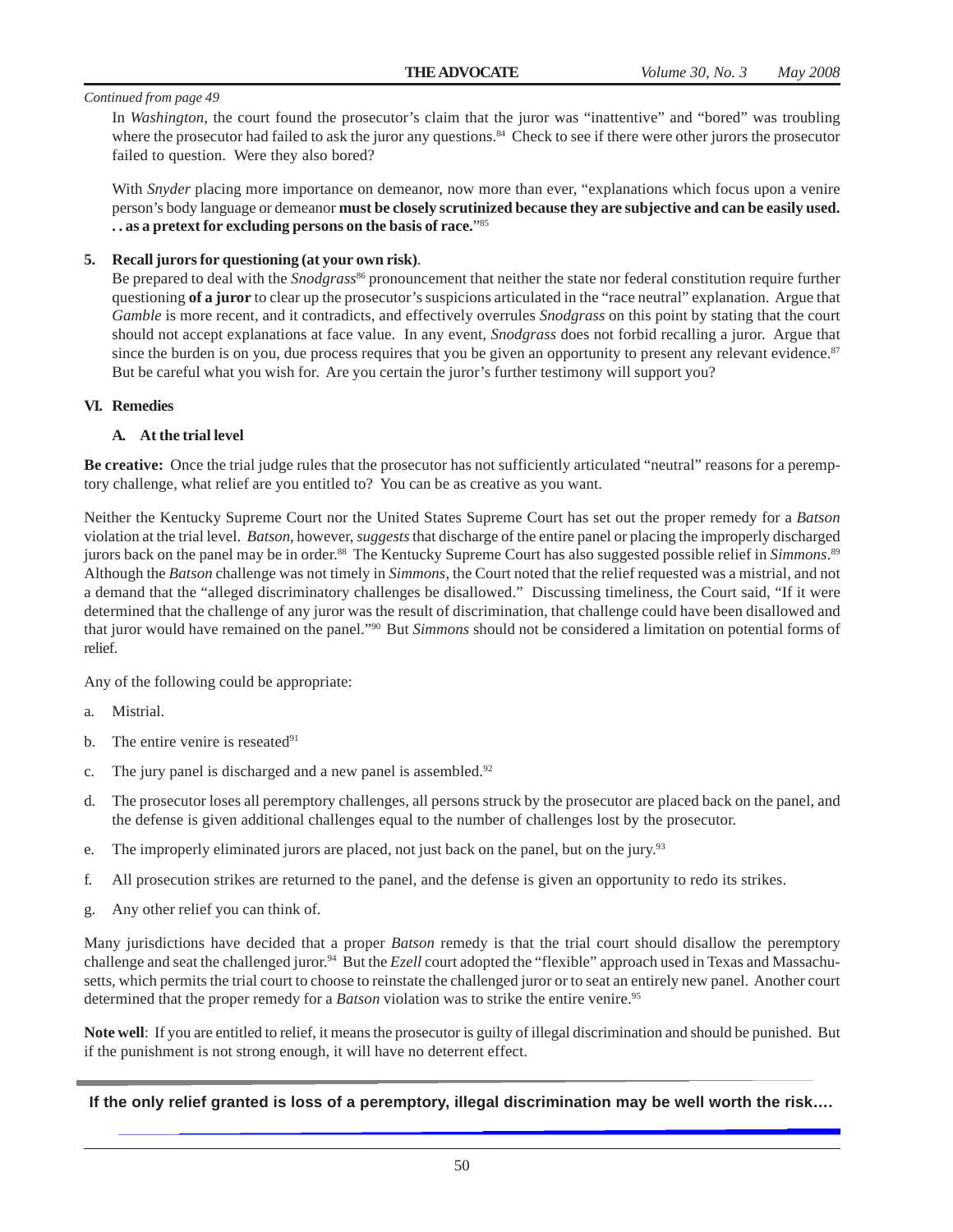In *Washington*, the court found the prosecutor's claim that the juror was "inattentive" and "bored" was troubling where the prosecutor had failed to ask the juror any questions.<sup>84</sup> Check to see if there were other jurors the prosecutor failed to question. Were they also bored?

With *Snyder* placing more importance on demeanor, now more than ever, "explanations which focus upon a venire person's body language or demeanor **must be closely scrutinized because they are subjective and can be easily used. . . as a pretext for excluding persons on the basis of race.**"85

#### **5. Recall jurors for questioning (at your own risk)**.

Be prepared to deal with the *Snodgrass*<sup>86</sup> pronouncement that neither the state nor federal constitution require further questioning **of a juror** to clear up the prosecutor's suspicions articulated in the "race neutral" explanation. Argue that *Gamble* is more recent, and it contradicts, and effectively overrules *Snodgrass* on this point by stating that the court should not accept explanations at face value. In any event, *Snodgrass* does not forbid recalling a juror. Argue that since the burden is on you, due process requires that you be given an opportunity to present any relevant evidence. $87$ But be careful what you wish for. Are you certain the juror's further testimony will support you?

#### **VI. Remedies**

#### **A. At the trial level**

**Be creative:** Once the trial judge rules that the prosecutor has not sufficiently articulated "neutral" reasons for a peremptory challenge, what relief are you entitled to? You can be as creative as you want.

Neither the Kentucky Supreme Court nor the United States Supreme Court has set out the proper remedy for a *Batson* violation at the trial level. *Batson*, however, *suggests* that discharge of the entire panel or placing the improperly discharged jurors back on the panel may be in order.88 The Kentucky Supreme Court has also suggested possible relief in *Simmons*. 89 Although the *Batson* challenge was not timely in *Simmons*, the Court noted that the relief requested was a mistrial, and not a demand that the "alleged discriminatory challenges be disallowed." Discussing timeliness, the Court said, "If it were determined that the challenge of any juror was the result of discrimination, that challenge could have been disallowed and that juror would have remained on the panel."90 But *Simmons* should not be considered a limitation on potential forms of relief.

Any of the following could be appropriate:

- a. Mistrial.
- b. The entire venire is reseated $91$
- c. The jury panel is discharged and a new panel is assembled. $92$
- d. The prosecutor loses all peremptory challenges, all persons struck by the prosecutor are placed back on the panel, and the defense is given additional challenges equal to the number of challenges lost by the prosecutor.
- e. The improperly eliminated jurors are placed, not just back on the panel, but on the jury.<sup>93</sup>
- f. All prosecution strikes are returned to the panel, and the defense is given an opportunity to redo its strikes.
- g. Any other relief you can think of.

Many jurisdictions have decided that a proper *Batson* remedy is that the trial court should disallow the peremptory challenge and seat the challenged juror.<sup>94</sup> But the *Ezell* court adopted the "flexible" approach used in Texas and Massachusetts, which permits the trial court to choose to reinstate the challenged juror or to seat an entirely new panel. Another court determined that the proper remedy for a *Batson* violation was to strike the entire venire.<sup>95</sup>

**Note well**: If you are entitled to relief, it means the prosecutor is guilty of illegal discrimination and should be punished. But if the punishment is not strong enough, it will have no deterrent effect.

**If the only relief granted is loss of a peremptory, illegal discrimination may be well worth the risk….**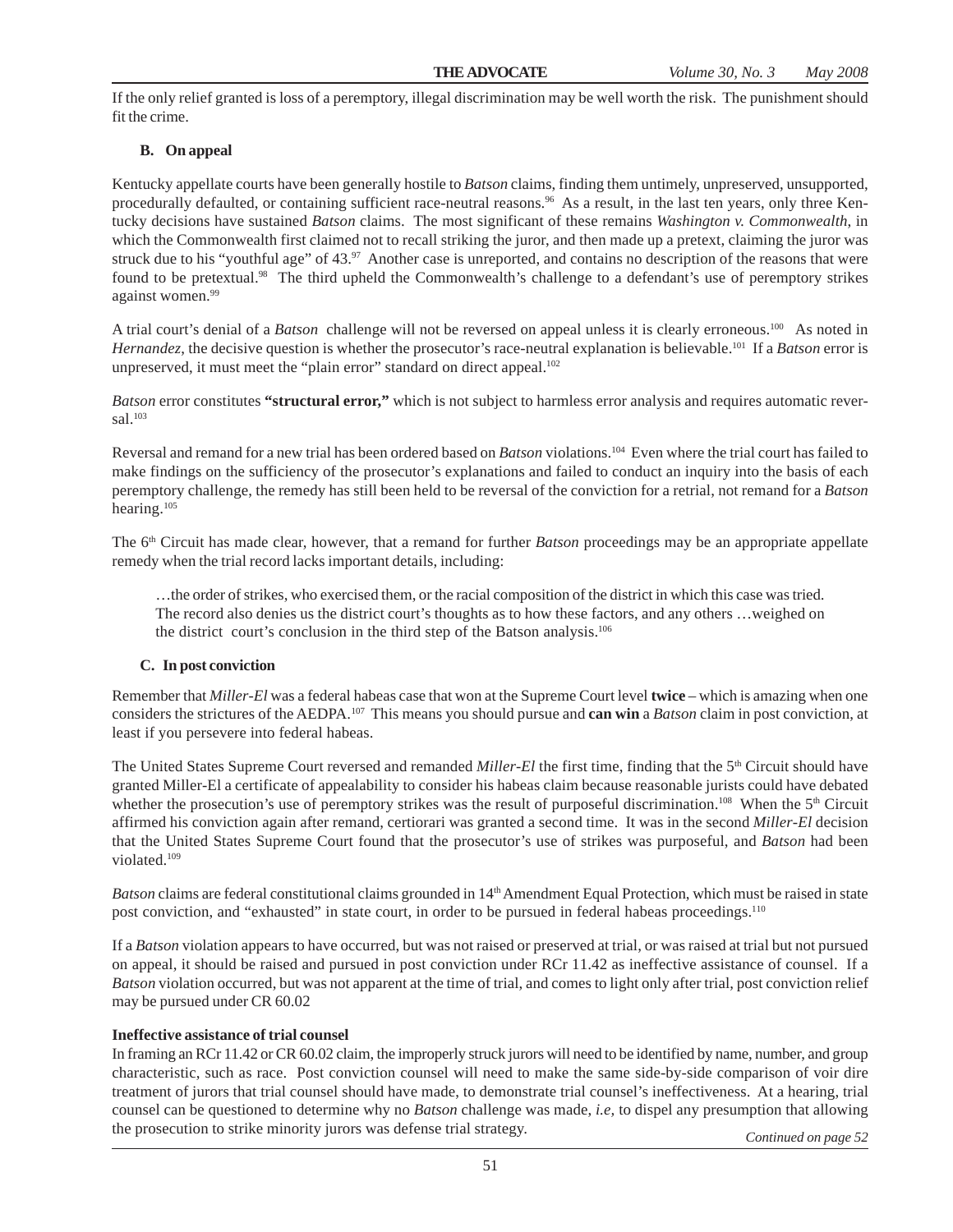If the only relief granted is loss of a peremptory, illegal discrimination may be well worth the risk. The punishment should fit the crime.

# **B. On appeal**

Kentucky appellate courts have been generally hostile to *Batson* claims, finding them untimely, unpreserved, unsupported, procedurally defaulted, or containing sufficient race-neutral reasons.96 As a result, in the last ten years, only three Kentucky decisions have sustained *Batson* claims. The most significant of these remains *Washington v. Commonwealth*, in which the Commonwealth first claimed not to recall striking the juror, and then made up a pretext, claiming the juror was struck due to his "youthful age" of 43.97 Another case is unreported, and contains no description of the reasons that were found to be pretextual.98 The third upheld the Commonwealth's challenge to a defendant's use of peremptory strikes against women.<sup>99</sup>

A trial court's denial of a *Batson* challenge will not be reversed on appeal unless it is clearly erroneous.<sup>100</sup> As noted in *Hernandez*, the decisive question is whether the prosecutor's race-neutral explanation is believable.101 If a *Batson* error is unpreserved, it must meet the "plain error" standard on direct appeal.<sup>102</sup>

*Batson* error constitutes **"structural error,"** which is not subject to harmless error analysis and requires automatic reversal.<sup>103</sup>

Reversal and remand for a new trial has been ordered based on *Batson* violations.104 Even where the trial court has failed to make findings on the sufficiency of the prosecutor's explanations and failed to conduct an inquiry into the basis of each peremptory challenge, the remedy has still been held to be reversal of the conviction for a retrial, not remand for a *Batson* hearing.105

The 6<sup>th</sup> Circuit has made clear, however, that a remand for further *Batson* proceedings may be an appropriate appellate remedy when the trial record lacks important details, including:

…the order of strikes, who exercised them, or the racial composition of the district in which this case was tried. The record also denies us the district court's thoughts as to how these factors, and any others …weighed on the district court's conclusion in the third step of the Batson analysis.106

### **C. In post conviction**

Remember that *Miller-El* was a federal habeas case that won at the Supreme Court level **twice** – which is amazing when one considers the strictures of the AEDPA.107 This means you should pursue and **can win** a *Batson* claim in post conviction, at least if you persevere into federal habeas.

The United States Supreme Court reversed and remanded *Miller-El* the first time, finding that the 5<sup>th</sup> Circuit should have granted Miller-El a certificate of appealability to consider his habeas claim because reasonable jurists could have debated whether the prosecution's use of peremptory strikes was the result of purposeful discrimination.<sup>108</sup> When the 5<sup>th</sup> Circuit affirmed his conviction again after remand, certiorari was granted a second time. It was in the second *Miller-El* decision that the United States Supreme Court found that the prosecutor's use of strikes was purposeful, and *Batson* had been violated<sup>109</sup>

*Batson* claims are federal constitutional claims grounded in 14<sup>th</sup> Amendment Equal Protection, which must be raised in state post conviction, and "exhausted" in state court, in order to be pursued in federal habeas proceedings.110

If a *Batson* violation appears to have occurred, but was not raised or preserved at trial, or was raised at trial but not pursued on appeal, it should be raised and pursued in post conviction under RCr 11.42 as ineffective assistance of counsel. If a *Batson* violation occurred, but was not apparent at the time of trial, and comes to light only after trial, post conviction relief may be pursued under CR 60.02

### **Ineffective assistance of trial counsel**

In framing an RCr 11.42 or CR 60.02 claim, the improperly struck jurors will need to be identified by name, number, and group characteristic, such as race. Post conviction counsel will need to make the same side-by-side comparison of voir dire treatment of jurors that trial counsel should have made, to demonstrate trial counsel's ineffectiveness. At a hearing, trial counsel can be questioned to determine why no *Batson* challenge was made, *i.e,* to dispel any presumption that allowing the prosecution to strike minority jurors was defense trial strategy. *Continued on page 52*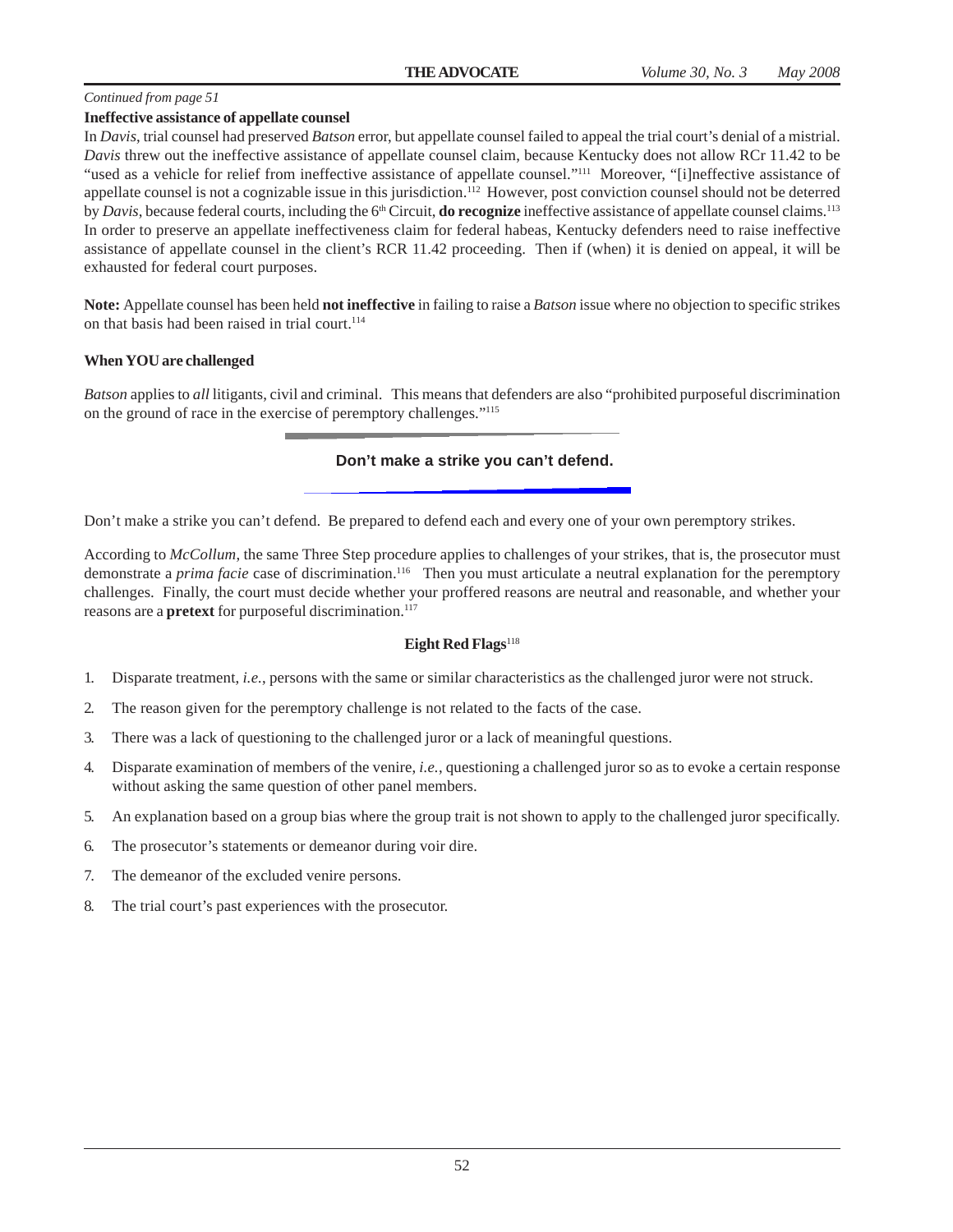#### **Ineffective assistance of appellate counsel**

In *Davis*, trial counsel had preserved *Batson* error, but appellate counsel failed to appeal the trial court's denial of a mistrial. *Davis* threw out the ineffective assistance of appellate counsel claim, because Kentucky does not allow RCr 11.42 to be "used as a vehicle for relief from ineffective assistance of appellate counsel."<sup>111</sup> Moreover, "[i]neffective assistance of appellate counsel is not a cognizable issue in this jurisdiction.<sup>112</sup> However, post conviction counsel should not be deterred by *Davis*, because federal courts, including the 6<sup>th</sup> Circuit, **do recognize** ineffective assistance of appellate counsel claims.<sup>113</sup> In order to preserve an appellate ineffectiveness claim for federal habeas, Kentucky defenders need to raise ineffective assistance of appellate counsel in the client's RCR 11.42 proceeding. Then if (when) it is denied on appeal, it will be exhausted for federal court purposes.

**Note:** Appellate counsel has been held **not ineffective** in failing to raise a *Batson* issue where no objection to specific strikes on that basis had been raised in trial court.<sup>114</sup>

#### **When YOU are challenged**

*Batson* applies to *all* litigants, civil and criminal. This means that defenders are also "prohibited purposeful discrimination on the ground of race in the exercise of peremptory challenges."115

### **Don't make a strike you can't defend.**

Don't make a strike you can't defend. Be prepared to defend each and every one of your own peremptory strikes.

According to *McCollum*, the same Three Step procedure applies to challenges of your strikes, that is, the prosecutor must demonstrate a *prima facie* case of discrimination.<sup>116</sup> Then you must articulate a neutral explanation for the peremptory challenges. Finally, the court must decide whether your proffered reasons are neutral and reasonable, and whether your reasons are a **pretext** for purposeful discrimination.<sup>117</sup>

#### **Eight Red Flags**<sup>118</sup>

- 1. Disparate treatment, *i.e.*, persons with the same or similar characteristics as the challenged juror were not struck.
- 2. The reason given for the peremptory challenge is not related to the facts of the case.
- 3. There was a lack of questioning to the challenged juror or a lack of meaningful questions.
- 4. Disparate examination of members of the venire, *i.e.*, questioning a challenged juror so as to evoke a certain response without asking the same question of other panel members.
- 5. An explanation based on a group bias where the group trait is not shown to apply to the challenged juror specifically.
- 6. The prosecutor's statements or demeanor during voir dire.
- 7. The demeanor of the excluded venire persons.
- 8. The trial court's past experiences with the prosecutor.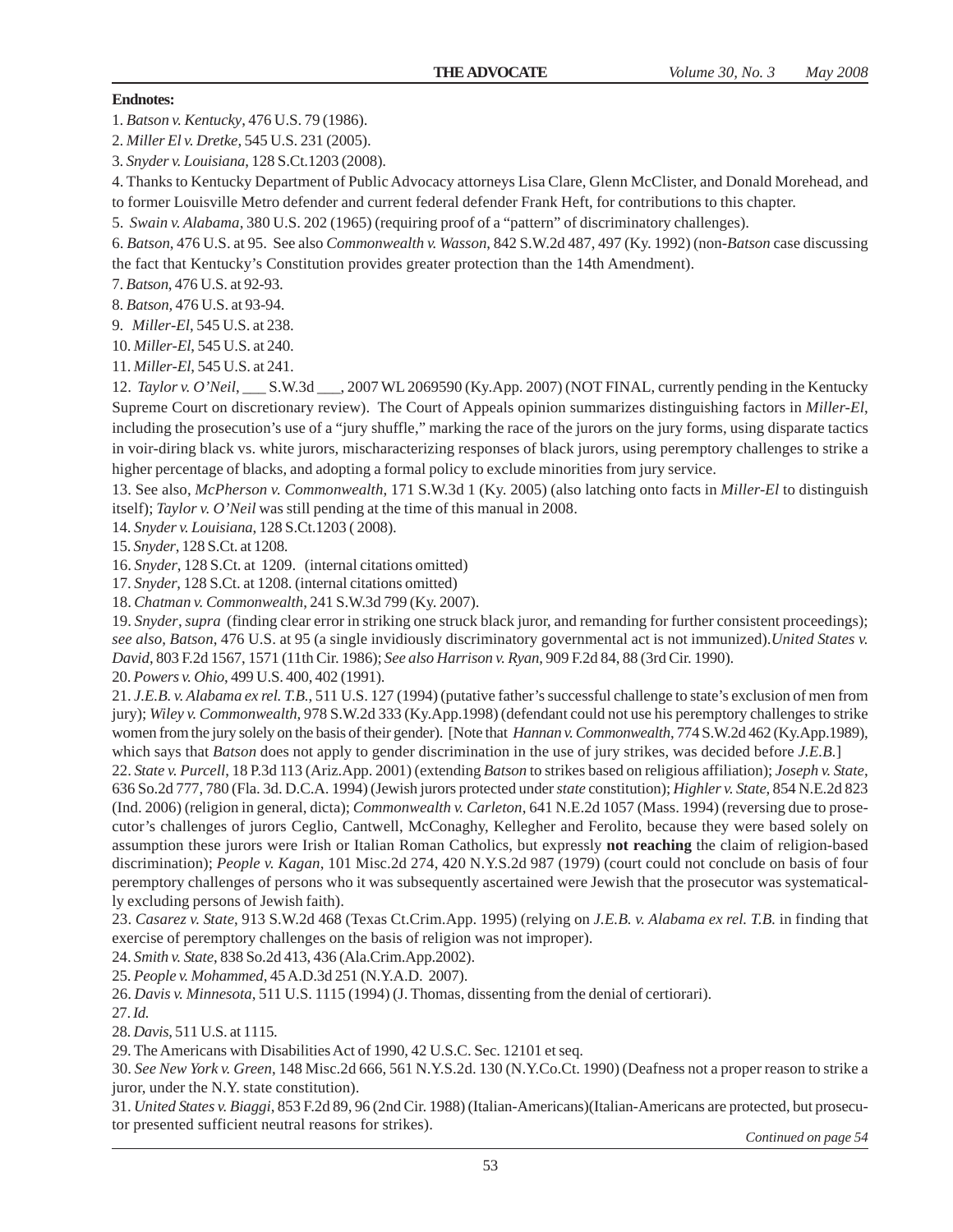### **Endnotes:**

1. *Batson v. Kentucky*, 476 U.S. 79 (1986).

2. *Miller El v. Dretke*, 545 U.S. 231 (2005).

3. *Snyder v. Louisiana*, 128 S.Ct.1203 (2008).

4. Thanks to Kentucky Department of Public Advocacy attorneys Lisa Clare, Glenn McClister, and Donald Morehead, and

to former Louisville Metro defender and current federal defender Frank Heft, for contributions to this chapter.

5. *Swain v. Alabama*, 380 U.S. 202 (1965) (requiring proof of a "pattern" of discriminatory challenges).

6. *Batson*, 476 U.S. at 95. See also *Commonwealth v. Wasson*, 842 S.W.2d 487, 497 (Ky. 1992) (non-*Batson* case discussing the fact that Kentucky's Constitution provides greater protection than the 14th Amendment).

7. *Batson*, 476 U.S. at 92-93.

8. *Batson,* 476 U.S. at 93-94.

9. *Miller-El*, 545 U.S. at 238.

10. *Miller-El*, 545 U.S. at 240.

11. *Miller-El*, 545 U.S. at 241.

12. *Taylor v. O'Neil*, \_\_\_ S.W.3d \_\_\_, 2007 WL 2069590 (Ky.App. 2007) (NOT FINAL, currently pending in the Kentucky Supreme Court on discretionary review). The Court of Appeals opinion summarizes distinguishing factors in *Miller-El*, including the prosecution's use of a "jury shuffle," marking the race of the jurors on the jury forms, using disparate tactics in voir-diring black vs. white jurors, mischaracterizing responses of black jurors, using peremptory challenges to strike a higher percentage of blacks, and adopting a formal policy to exclude minorities from jury service.

13. See also, *McPherson v. Commonwealth*, 171 S.W.3d 1 (Ky. 2005) (also latching onto facts in *Miller-El* to distinguish itself); *Taylor v. O'Neil* was still pending at the time of this manual in 2008.

14. *Snyder v. Louisiana*, 128 S.Ct.1203 ( 2008).

15. *Snyder*, 128 S.Ct. at 1208.

16. *Snyder*, 128 S.Ct. at 1209. (internal citations omitted)

17. *Snyder*, 128 S.Ct. at 1208. (internal citations omitted)

18. *Chatman v. Commonwealth*, 241 S.W.3d 799 (Ky. 2007).

19. *Snyder*, *supra* (finding clear error in striking one struck black juror, and remanding for further consistent proceedings); *see also*, *Batson*, 476 U.S. at 95 (a single invidiously discriminatory governmental act is not immunized).*United States v. David*, 803 F.2d 1567, 1571 (11th Cir. 1986); *See also Harrison v. Ryan*, 909 F.2d 84, 88 (3rd Cir. 1990).

20. *Powers v. Ohio*, 499 U.S. 400, 402 (1991).

21. *J.E.B. v. Alabama ex rel. T.B.*, 511 U.S. 127 (1994) (putative father's successful challenge to state's exclusion of men from jury); *Wiley v. Commonwealth,* 978 S.W.2d 333 (Ky.App.1998) (defendant could not use his peremptory challenges to strike women from the jury solely on the basis of their gender). [Note that *Hannan v. Commonwealth*, 774 S.W.2d 462 (Ky.App.1989), which says that *Batson* does not apply to gender discrimination in the use of jury strikes, was decided before *J.E.B.*]

22. *State v. Purcell*, 18 P.3d 113 (Ariz.App. 2001) (extending *Batson* to strikes based on religious affiliation); *Joseph v. State*, 636 So.2d 777, 780 (Fla. 3d. D.C.A. 1994) (Jewish jurors protected under *state* constitution); *Highler v. State*, 854 N.E.2d 823 (Ind. 2006) (religion in general, dicta); *Commonwealth v. Carleton*, 641 N.E.2d 1057 (Mass. 1994) (reversing due to prosecutor's challenges of jurors Ceglio, Cantwell, McConaghy, Kellegher and Ferolito, because they were based solely on assumption these jurors were Irish or Italian Roman Catholics, but expressly **not reaching** the claim of religion-based discrimination); *People v. Kagan*, 101 Misc.2d 274, 420 N.Y.S.2d 987 (1979) (court could not conclude on basis of four peremptory challenges of persons who it was subsequently ascertained were Jewish that the prosecutor was systematically excluding persons of Jewish faith).

23. *Casarez v. State*, 913 S.W.2d 468 (Texas Ct.Crim.App. 1995) (relying on *J.E.B. v. Alabama ex rel. T.B.* in finding that exercise of peremptory challenges on the basis of religion was not improper).

24. *Smith v. State*, 838 So.2d 413, 436 (Ala.Crim.App.2002).

25. *People v. Mohammed*, 45 A.D.3d 251 (N.Y.A.D. 2007).

26. *Davis v. Minnesota*, 511 U.S. 1115 (1994) (J. Thomas, dissenting from the denial of certiorari).

27. *Id.*

28. *Davis*, 511 U.S. at 1115.

29. The Americans with Disabilities Act of 1990, 42 U.S.C. Sec. 12101 et seq.

30. *See New York v. Green*, 148 Misc.2d 666, 561 N.Y.S.2d. 130 (N.Y.Co.Ct. 1990) (Deafness not a proper reason to strike a juror, under the N.Y. state constitution).

31. *United States v. Biaggi*, 853 F.2d 89, 96 (2nd Cir. 1988) (Italian-Americans)(Italian-Americans are protected, but prosecutor presented sufficient neutral reasons for strikes). *Continued on page 54*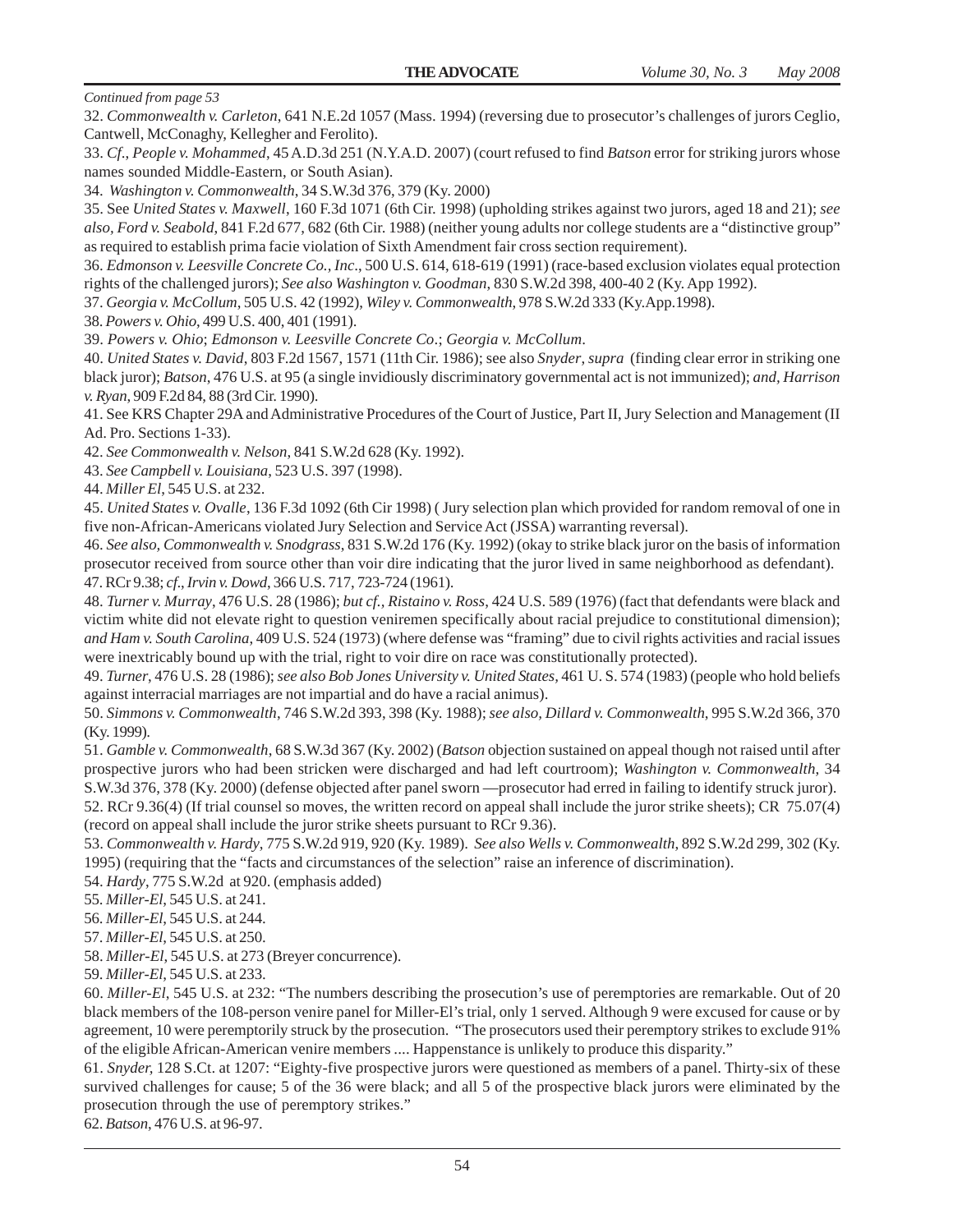32. *Commonwealth v. Carleton*, 641 N.E.2d 1057 (Mass. 1994) (reversing due to prosecutor's challenges of jurors Ceglio, Cantwell, McConaghy, Kellegher and Ferolito).

33. *Cf*., *People v. Mohammed*, 45 A.D.3d 251 (N.Y.A.D. 2007) (court refused to find *Batson* error for striking jurors whose names sounded Middle-Eastern, or South Asian).

34. *Washington v. Commonwealth*, 34 S.W.3d 376, 379 (Ky. 2000)

35. See *United States v. Maxwell*, 160 F.3d 1071 (6th Cir. 1998) (upholding strikes against two jurors, aged 18 and 21); *see also, Ford v. Seabold*, 841 F.2d 677, 682 (6th Cir. 1988) (neither young adults nor college students are a "distinctive group" as required to establish prima facie violation of Sixth Amendment fair cross section requirement).

36. *Edmonson v. Leesville Concrete Co., Inc*., 500 U.S. 614, 618-619 (1991) (race-based exclusion violates equal protection rights of the challenged jurors); *See also Washington v. Goodman*, 830 S.W.2d 398, 400-40 2 (Ky. App 1992).

37. *Georgia v. McCollum*, 505 U.S. 42 (1992), *Wiley v. Commonwealth*, 978 S.W.2d 333 (Ky.App.1998).

38. *Powers v. Ohio*, 499 U.S. 400, 401 (1991).

39. *Powers v. Ohio*; *Edmonson v. Leesville Concrete Co*.; *Georgia v. McCollum*.

40. *United States v. David*, 803 F.2d 1567, 1571 (11th Cir. 1986); see also *Snyder*, *supra* (finding clear error in striking one black juror); *Batson*, 476 U.S. at 95 (a single invidiously discriminatory governmental act is not immunized); *and, Harrison v. Ryan*, 909 F.2d 84, 88 (3rd Cir. 1990).

41. See KRS Chapter 29A and Administrative Procedures of the Court of Justice, Part II, Jury Selection and Management (II Ad. Pro. Sections 1-33).

42. *See Commonwealth v. Nelson*, 841 S.W.2d 628 (Ky. 1992).

43. *See Campbell v. Louisiana*, 523 U.S. 397 (1998).

44. *Miller El*, 545 U.S. at 232.

45. *United States v. Ovalle*, 136 F.3d 1092 (6th Cir 1998) ( Jury selection plan which provided for random removal of one in five non-African-Americans violated Jury Selection and Service Act (JSSA) warranting reversal).

46. *See also, Commonwealth v. Snodgrass*, 831 S.W.2d 176 (Ky. 1992) (okay to strike black juror on the basis of information prosecutor received from source other than voir dire indicating that the juror lived in same neighborhood as defendant). 47. RCr 9.38; *cf*., *Irvin v. Dowd*, 366 U.S. 717, 723-724 (1961).

48. *Turner v. Murray*, 476 U.S. 28 (1986); *but cf., Ristaino v. Ross*, 424 U.S. 589 (1976) (fact that defendants were black and victim white did not elevate right to question veniremen specifically about racial prejudice to constitutional dimension); *and Ham v. South Carolina*, 409 U.S. 524 (1973) (where defense was "framing" due to civil rights activities and racial issues were inextricably bound up with the trial, right to voir dire on race was constitutionally protected).

49. *Turner*, 476 U.S. 28 (1986); *see also Bob Jones University v. United States,* 461 U. S. 574 (1983) (people who hold beliefs against interracial marriages are not impartial and do have a racial animus).

50. *Simmons v. Commonwealth*, 746 S.W.2d 393, 398 (Ky. 1988); *see also, Dillard v. Commonwealth*, 995 S.W.2d 366, 370 (Ky. 1999).

51. *Gamble v. Commonwealth*, 68 S.W.3d 367 (Ky. 2002) (*Batson* objection sustained on appeal though not raised until after prospective jurors who had been stricken were discharged and had left courtroom); *Washington v. Commonwealth*, 34 S.W.3d 376, 378 (Ky. 2000) (defense objected after panel sworn —prosecutor had erred in failing to identify struck juror).

52. RCr 9.36(4) (If trial counsel so moves, the written record on appeal shall include the juror strike sheets); CR 75.07(4) (record on appeal shall include the juror strike sheets pursuant to RCr 9.36).

53. *Commonwealth v. Hardy*, 775 S.W.2d 919, 920 (Ky. 1989). *See also Wells v. Commonwealth*, 892 S.W.2d 299, 302 (Ky. 1995) (requiring that the "facts and circumstances of the selection" raise an inference of discrimination).

54. *Hardy*, 775 S.W.2d at 920. (emphasis added)

55. *Miller-El*, 545 U.S. at 241.

56. *Miller-El*, 545 U.S. at 244.

57. *Miller-El*, 545 U.S. at 250.

58. *Miller-El*, 545 U.S. at 273 (Breyer concurrence).

59. *Miller-El*, 545 U.S. at 233.

60. *Miller-El*, 545 U.S. at 232: "The numbers describing the prosecution's use of peremptories are remarkable. Out of 20 black members of the 108-person venire panel for Miller-El's trial, only 1 served. Although 9 were excused for cause or by agreement, 10 were peremptorily struck by the prosecution. "The prosecutors used their peremptory strikes to exclude 91% of the eligible African-American venire members .... Happenstance is unlikely to produce this disparity."

61. *Snyder,* 128 S.Ct. at 1207: "Eighty-five prospective jurors were questioned as members of a panel. Thirty-six of these survived challenges for cause; 5 of the 36 were black; and all 5 of the prospective black jurors were eliminated by the prosecution through the use of peremptory strikes."

62. *Batson*, 476 U.S. at 96-97.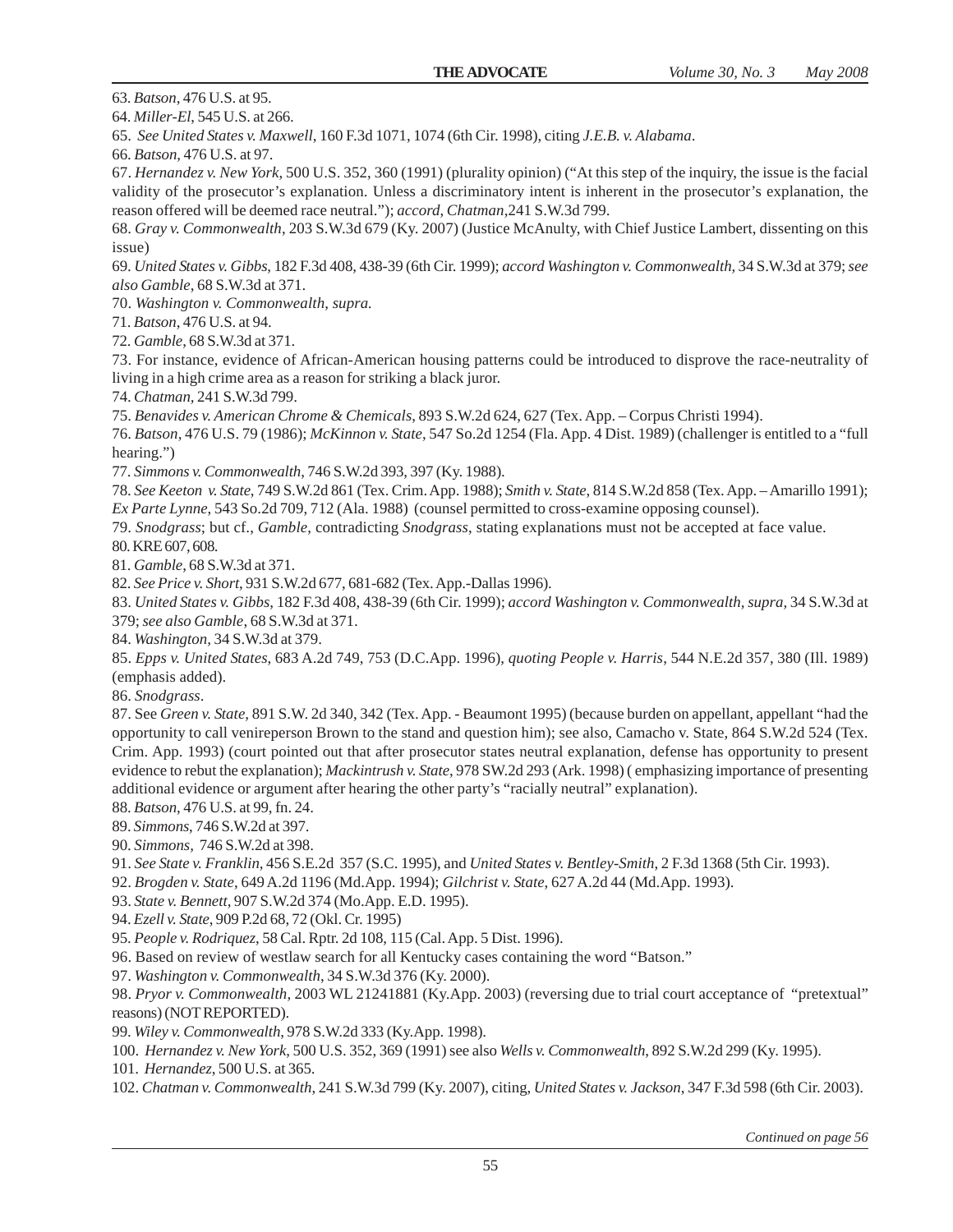63. *Batson*, 476 U.S. at 95.

64. *Miller-El*, 545 U.S. at 266.

65. *See United States v. Maxwell*, 160 F.3d 1071, 1074 (6th Cir. 1998), citing *J.E.B. v. Alabama*.

66. *Batson,* 476 U.S. at 97.

67. *Hernandez v. New York*, 500 U.S. 352, 360 (1991) (plurality opinion) ("At this step of the inquiry, the issue is the facial validity of the prosecutor's explanation. Unless a discriminatory intent is inherent in the prosecutor's explanation, the reason offered will be deemed race neutral."); *accord*, *Chatman*,241 S.W.3d 799.

68. *Gray v. Commonwealth*, 203 S.W.3d 679 (Ky. 2007) (Justice McAnulty, with Chief Justice Lambert, dissenting on this issue)

69. *United States v. Gibbs*, 182 F.3d 408, 438-39 (6th Cir. 1999); *accord Washington v. Commonwealth,* 34 S.W.3d at 379; *see also Gamble*, 68 S.W.3d at 371.

70. *Washington v. Commonwealth*, *supra.*

71. *Batson*, 476 U.S. at 94.

72. *Gamble*, 68 S.W.3d at 371.

73. For instance, evidence of African-American housing patterns could be introduced to disprove the race-neutrality of living in a high crime area as a reason for striking a black juror.

74. *Chatman,* 241 S.W.3d 799.

75. *Benavides v. American Chrome & Chemicals*, 893 S.W.2d 624, 627 (Tex. App. – Corpus Christi 1994).

76. *Batson*, 476 U.S. 79 (1986); *McKinnon v. State*, 547 So.2d 1254 (Fla. App. 4 Dist. 1989) (challenger is entitled to a "full hearing.")

77. *Simmons v. Commonwealth*, 746 S.W.2d 393, 397 (Ky. 1988).

78. *See Keeton v. State*, 749 S.W.2d 861 (Tex. Crim. App. 1988); *Smith v. State*, 814 S.W.2d 858 (Tex. App. – Amarillo 1991); *Ex Parte Lynne*, 543 So.2d 709, 712 (Ala. 1988) (counsel permitted to cross-examine opposing counsel).

79. *Snodgrass*; but cf., *Gamble*, contradicting *Snodgrass*, stating explanations must not be accepted at face value.

80. KRE 607, 608.

81. *Gamble*, 68 S.W.3d at 371.

82. *See Price v. Short*, 931 S.W.2d 677, 681-682 (Tex. App.-Dallas 1996).

83. *United States v. Gibbs*, 182 F.3d 408, 438-39 (6th Cir. 1999); *accord Washington v. Commonwealth, supra,* 34 S.W.3d at 379; *see also Gamble*, 68 S.W.3d at 371.

84. *Washington,* 34 S.W.3d at 379.

85. *Epps v. United States*, 683 A.2d 749, 753 (D.C.App. 1996), *quoting People v. Harris*, 544 N.E.2d 357, 380 (Ill. 1989) (emphasis added).

86. *Snodgrass*.

87. See *Green v. State*, 891 S.W. 2d 340, 342 (Tex. App. - Beaumont 1995) (because burden on appellant, appellant "had the opportunity to call venireperson Brown to the stand and question him); see also, Camacho v. State, 864 S.W.2d 524 (Tex. Crim. App. 1993) (court pointed out that after prosecutor states neutral explanation, defense has opportunity to present evidence to rebut the explanation); *Mackintrush v. State*, 978 SW.2d 293 (Ark. 1998) ( emphasizing importance of presenting additional evidence or argument after hearing the other party's "racially neutral" explanation).

88. *Batson*, 476 U.S. at 99, fn. 24.

89. *Simmons*, 746 S.W.2d at 397.

90. *Simmons,* 746 S.W.2d at 398.

91. *See State v. Franklin*, 456 S.E.2d 357 (S.C. 1995), and *United States v. Bentley-Smith*, 2 F.3d 1368 (5th Cir. 1993).

92. *Brogden v. State*, 649 A.2d 1196 (Md.App. 1994); *Gilchrist v. State*, 627 A.2d 44 (Md.App. 1993).

93. *State v. Bennett*, 907 S.W.2d 374 (Mo.App. E.D. 1995).

94. *Ezell v. State*, 909 P.2d 68, 72 (Okl. Cr. 1995)

95. *People v. Rodriquez*, 58 Cal. Rptr. 2d 108, 115 (Cal. App. 5 Dist. 1996).

96. Based on review of westlaw search for all Kentucky cases containing the word "Batson."

97. *Washington v. Commonwealth*, 34 S.W.3d 376 (Ky. 2000).

98. *Pryor v. Commonwealth*, 2003 WL 21241881 (Ky.App. 2003) (reversing due to trial court acceptance of "pretextual" reasons) (NOT REPORTED).

99. *Wiley v. Commonwealth*, 978 S.W.2d 333 (Ky.App. 1998).

100. *Hernandez v. New York*, 500 U.S. 352, 369 (1991) see also *Wells v. Commonwealth*, 892 S.W.2d 299 (Ky. 1995).

101. *Hernandez*, 500 U.S. at 365.

102. *Chatman v. Commonwealth*, 241 S.W.3d 799 (Ky. 2007), citing, *United States v. Jackson*, 347 F.3d 598 (6th Cir. 2003).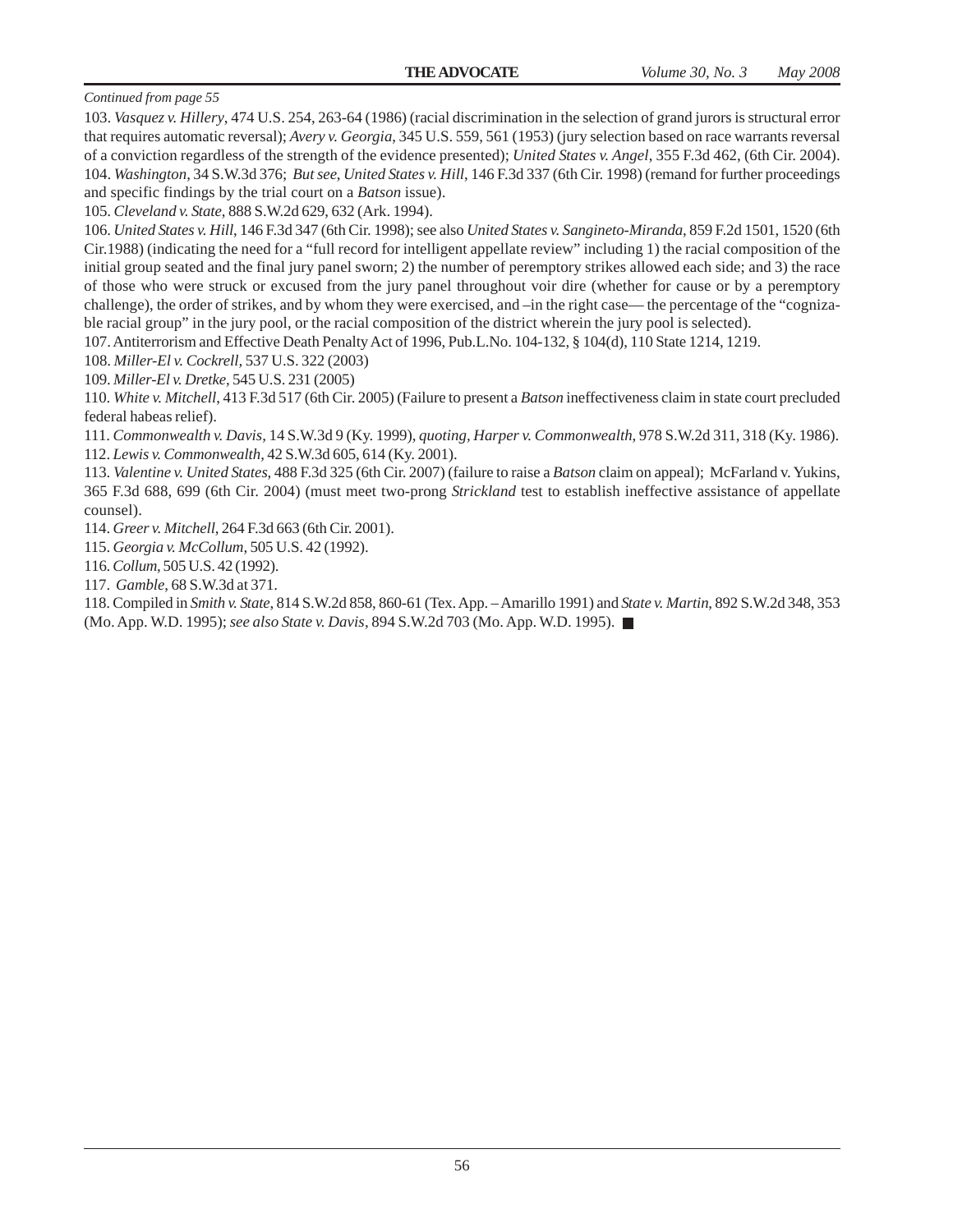103. *Vasquez v. Hillery*, 474 U.S. 254, 263-64 (1986) (racial discrimination in the selection of grand jurors is structural error that requires automatic reversal); *Avery v. Georgia*, 345 U.S. 559, 561 (1953) (jury selection based on race warrants reversal of a conviction regardless of the strength of the evidence presented); *United States v. Angel*, 355 F.3d 462, (6th Cir. 2004). 104. *Washington*, 34 S.W.3d 376; *But see*, *United States v. Hill*, 146 F.3d 337 (6th Cir. 1998) (remand for further proceedings and specific findings by the trial court on a *Batson* issue).

105. *Cleveland v. State*, 888 S.W.2d 629, 632 (Ark. 1994).

106. *United States v. Hill*, 146 F.3d 347 (6th Cir. 1998); see also *United States v. Sangineto-Miranda*, 859 F.2d 1501, 1520 (6th Cir.1988) (indicating the need for a "full record for intelligent appellate review" including 1) the racial composition of the initial group seated and the final jury panel sworn; 2) the number of peremptory strikes allowed each side; and 3) the race of those who were struck or excused from the jury panel throughout voir dire (whether for cause or by a peremptory challenge), the order of strikes, and by whom they were exercised, and –in the right case— the percentage of the "cognizable racial group" in the jury pool, or the racial composition of the district wherein the jury pool is selected).

107. Antiterrorism and Effective Death Penalty Act of 1996, Pub.L.No. 104-132, § 104(d), 110 State 1214, 1219.

108. *Miller-El v. Cockrell,* 537 U.S. 322 (2003)

109. *Miller-El v. Dretke*, 545 U.S. 231 (2005)

110. *White v. Mitchell*, 413 F.3d 517 (6th Cir. 2005) (Failure to present a *Batson* ineffectiveness claim in state court precluded federal habeas relief).

111. *Commonwealth v. Davis*, 14 S.W.3d 9 (Ky. 1999), *quoting, Harper v. Commonwealth*, 978 S.W.2d 311, 318 (Ky. 1986). 112. *Lewis v. Commonwealth*, 42 S.W.3d 605, 614 (Ky. 2001).

113. *Valentine v. United States*, 488 F.3d 325 (6th Cir. 2007) (failure to raise a *Batson* claim on appeal); McFarland v. Yukins, 365 F.3d 688, 699 (6th Cir. 2004) (must meet two-prong *Strickland* test to establish ineffective assistance of appellate counsel).

114. *Greer v. Mitchell*, 264 F.3d 663 (6th Cir. 2001).

115. *Georgia v. McCollum*, 505 U.S. 42 (1992).

116. *Collum*, 505 U.S. 42 (1992).

117. *Gamble*, 68 S.W.3d at 371.

118. Compiled in *Smith v. State*, 814 S.W.2d 858, 860-61 (Tex. App. – Amarillo 1991) and *State v. Martin*, 892 S.W.2d 348, 353 (Mo. App. W.D. 1995); *see also State v. Davis*, 894 S.W.2d 703 (Mo. App. W.D. 1995).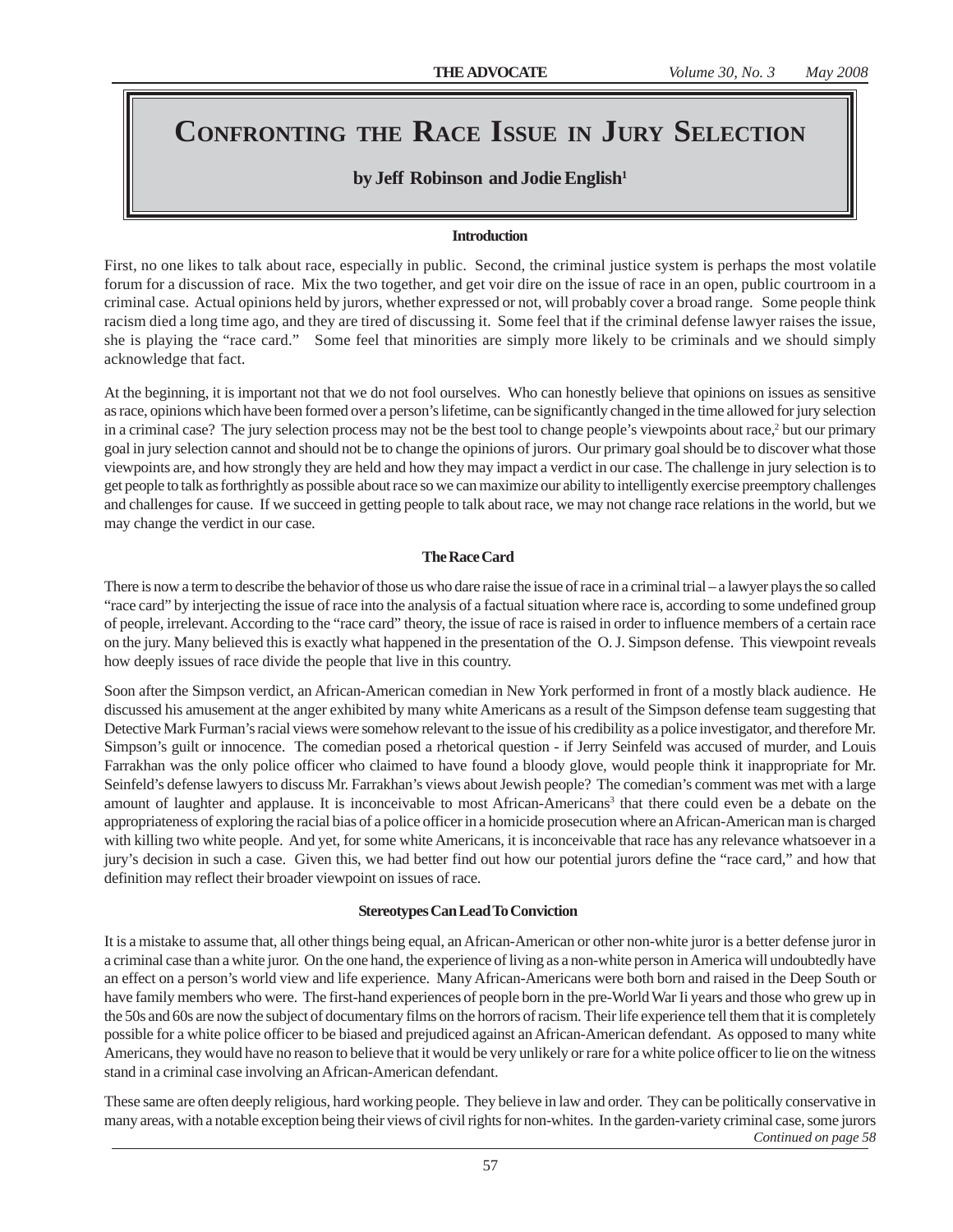# **CONFRONTING THE RACE ISSUE IN JURY SELECTION**

# by Jeff Robinson and Jodie English<sup>1</sup>

#### **Introduction**

First, no one likes to talk about race, especially in public. Second, the criminal justice system is perhaps the most volatile forum for a discussion of race. Mix the two together, and get voir dire on the issue of race in an open, public courtroom in a criminal case. Actual opinions held by jurors, whether expressed or not, will probably cover a broad range. Some people think racism died a long time ago, and they are tired of discussing it. Some feel that if the criminal defense lawyer raises the issue, she is playing the "race card." Some feel that minorities are simply more likely to be criminals and we should simply acknowledge that fact.

At the beginning, it is important not that we do not fool ourselves. Who can honestly believe that opinions on issues as sensitive as race, opinions which have been formed over a person's lifetime, can be significantly changed in the time allowed for jury selection in a criminal case? The jury selection process may not be the best tool to change people's viewpoints about race,<sup>2</sup> but our primary goal in jury selection cannot and should not be to change the opinions of jurors. Our primary goal should be to discover what those viewpoints are, and how strongly they are held and how they may impact a verdict in our case. The challenge in jury selection is to get people to talk as forthrightly as possible about race so we can maximize our ability to intelligently exercise preemptory challenges and challenges for cause. If we succeed in getting people to talk about race, we may not change race relations in the world, but we may change the verdict in our case.

### **The Race Card**

There is now a term to describe the behavior of those us who dare raise the issue of race in a criminal trial – a lawyer plays the so called "race card" by interjecting the issue of race into the analysis of a factual situation where race is, according to some undefined group of people, irrelevant. According to the "race card" theory, the issue of race is raised in order to influence members of a certain race on the jury. Many believed this is exactly what happened in the presentation of the O. J. Simpson defense. This viewpoint reveals how deeply issues of race divide the people that live in this country.

Soon after the Simpson verdict, an African-American comedian in New York performed in front of a mostly black audience. He discussed his amusement at the anger exhibited by many white Americans as a result of the Simpson defense team suggesting that Detective Mark Furman's racial views were somehow relevant to the issue of his credibility as a police investigator, and therefore Mr. Simpson's guilt or innocence. The comedian posed a rhetorical question - if Jerry Seinfeld was accused of murder, and Louis Farrakhan was the only police officer who claimed to have found a bloody glove, would people think it inappropriate for Mr. Seinfeld's defense lawyers to discuss Mr. Farrakhan's views about Jewish people? The comedian's comment was met with a large amount of laughter and applause. It is inconceivable to most African-Americans<sup>3</sup> that there could even be a debate on the appropriateness of exploring the racial bias of a police officer in a homicide prosecution where an African-American man is charged with killing two white people. And yet, for some white Americans, it is inconceivable that race has any relevance whatsoever in a jury's decision in such a case. Given this, we had better find out how our potential jurors define the "race card," and how that definition may reflect their broader viewpoint on issues of race.

### **Stereotypes Can Lead To Conviction**

It is a mistake to assume that, all other things being equal, an African-American or other non-white juror is a better defense juror in a criminal case than a white juror. On the one hand, the experience of living as a non-white person in America will undoubtedly have an effect on a person's world view and life experience. Many African-Americans were both born and raised in the Deep South or have family members who were. The first-hand experiences of people born in the pre-World War Ii years and those who grew up in the 50s and 60s are now the subject of documentary films on the horrors of racism. Their life experience tell them that it is completely possible for a white police officer to be biased and prejudiced against an African-American defendant. As opposed to many white Americans, they would have no reason to believe that it would be very unlikely or rare for a white police officer to lie on the witness stand in a criminal case involving an African-American defendant.

These same are often deeply religious, hard working people. They believe in law and order. They can be politically conservative in many areas, with a notable exception being their views of civil rights for non-whites. In the garden-variety criminal case, some jurors *Continued on page 58*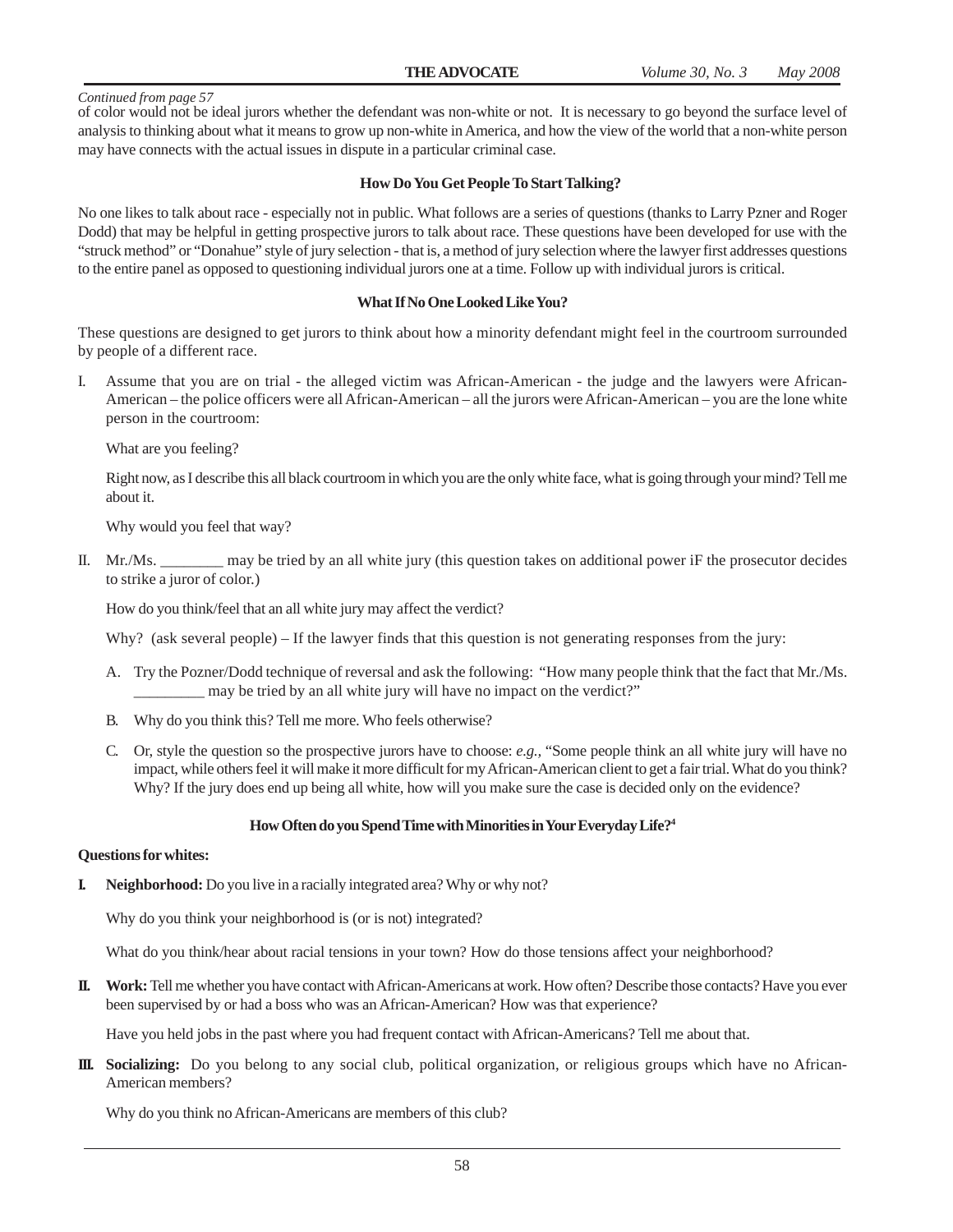of color would not be ideal jurors whether the defendant was non-white or not. It is necessary to go beyond the surface level of analysis to thinking about what it means to grow up non-white in America, and how the view of the world that a non-white person may have connects with the actual issues in dispute in a particular criminal case.

#### **How Do You Get People To Start Talking?**

No one likes to talk about race - especially not in public. What follows are a series of questions (thanks to Larry Pzner and Roger Dodd) that may be helpful in getting prospective jurors to talk about race. These questions have been developed for use with the "struck method" or "Donahue" style of jury selection - that is, a method of jury selection where the lawyer first addresses questions to the entire panel as opposed to questioning individual jurors one at a time. Follow up with individual jurors is critical.

#### **What If No One Looked Like You?**

These questions are designed to get jurors to think about how a minority defendant might feel in the courtroom surrounded by people of a different race.

I. Assume that you are on trial - the alleged victim was African-American - the judge and the lawyers were African-American – the police officers were all African-American – all the jurors were African-American – you are the lone white person in the courtroom:

What are you feeling?

Right now, as I describe this all black courtroom in which you are the only white face, what is going through your mind? Tell me about it.

Why would you feel that way?

II. Mr./Ms. \_\_\_\_\_\_\_\_ may be tried by an all white jury (this question takes on additional power iF the prosecutor decides to strike a juror of color.)

How do you think/feel that an all white jury may affect the verdict?

Why? (ask several people) – If the lawyer finds that this question is not generating responses from the jury:

- A. Try the Pozner/Dodd technique of reversal and ask the following: "How many people think that the fact that Mr./Ms. \_\_\_\_\_\_\_\_\_ may be tried by an all white jury will have no impact on the verdict?"
- B. Why do you think this? Tell me more. Who feels otherwise?
- C. Or, style the question so the prospective jurors have to choose: *e.g.,* "Some people think an all white jury will have no impact, while others feel it will make it more difficult for my African-American client to get a fair trial. What do you think? Why? If the jury does end up being all white, how will you make sure the case is decided only on the evidence?

#### **How Often do you Spend Time with Minorities in Your Everyday Life?4**

#### **Questions for whites:**

**I. Neighborhood:** Do you live in a racially integrated area? Why or why not?

Why do you think your neighborhood is (or is not) integrated?

What do you think/hear about racial tensions in your town? How do those tensions affect your neighborhood?

**II. Work:** Tell me whether you have contact with African-Americans at work. How often? Describe those contacts? Have you ever been supervised by or had a boss who was an African-American? How was that experience?

Have you held jobs in the past where you had frequent contact with African-Americans? Tell me about that.

**III. Socializing:** Do you belong to any social club, political organization, or religious groups which have no African-American members?

Why do you think no African-Americans are members of this club?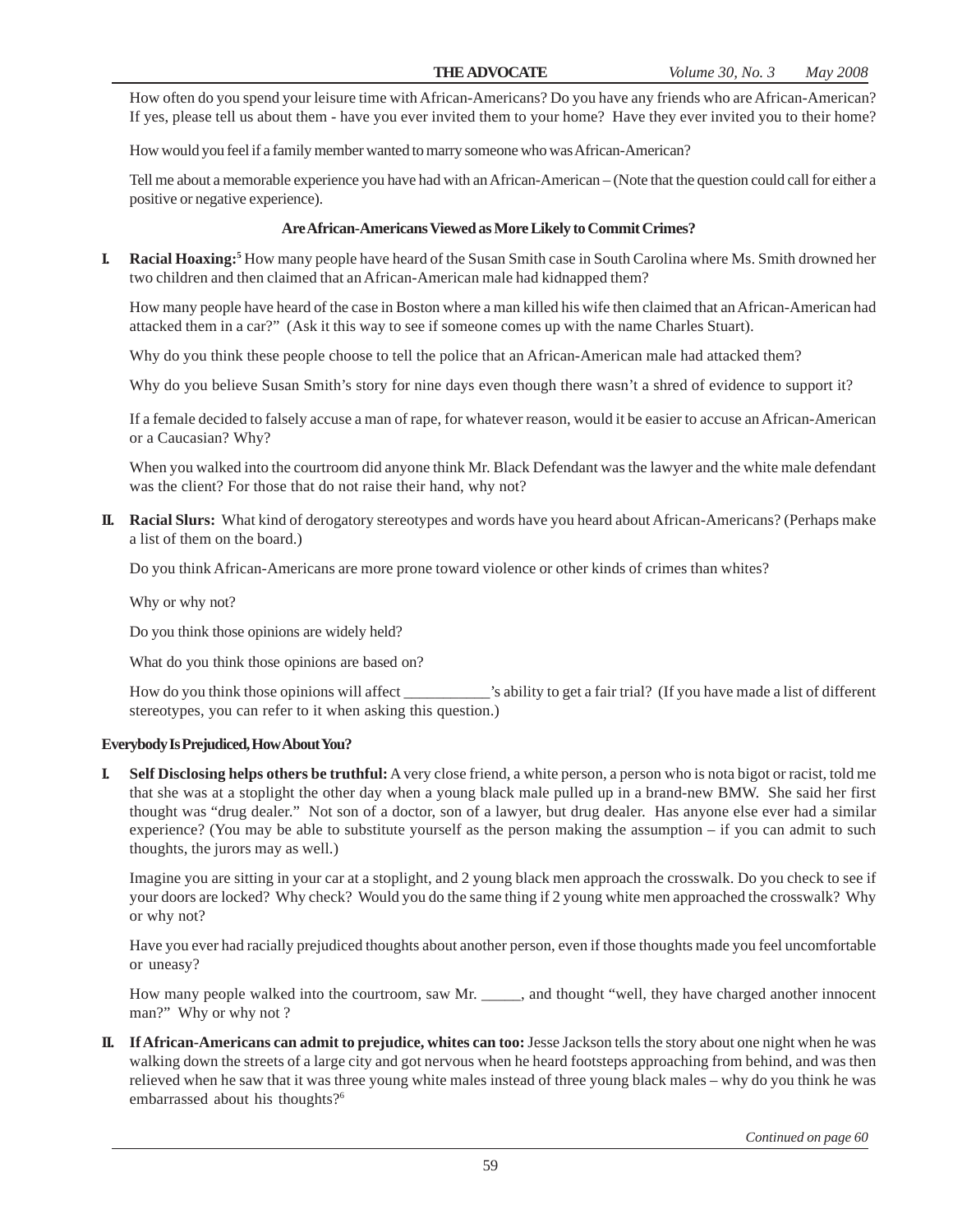How often do you spend your leisure time with African-Americans? Do you have any friends who are African-American? If yes, please tell us about them - have you ever invited them to your home? Have they ever invited you to their home?

How would you feel if a family member wanted to marry someone who was African-American?

Tell me about a memorable experience you have had with an African-American – (Note that the question could call for either a positive or negative experience).

#### **Are African-Americans Viewed as More Likely to Commit Crimes?**

**I.** Racial Hoaxing:<sup>5</sup> How many people have heard of the Susan Smith case in South Carolina where Ms. Smith drowned her two children and then claimed that an African-American male had kidnapped them?

How many people have heard of the case in Boston where a man killed his wife then claimed that an African-American had attacked them in a car?" (Ask it this way to see if someone comes up with the name Charles Stuart).

Why do you think these people choose to tell the police that an African-American male had attacked them?

Why do you believe Susan Smith's story for nine days even though there wasn't a shred of evidence to support it?

If a female decided to falsely accuse a man of rape, for whatever reason, would it be easier to accuse an African-American or a Caucasian? Why?

When you walked into the courtroom did anyone think Mr. Black Defendant was the lawyer and the white male defendant was the client? For those that do not raise their hand, why not?

**II. Racial Slurs:** What kind of derogatory stereotypes and words have you heard about African-Americans? (Perhaps make a list of them on the board.)

Do you think African-Americans are more prone toward violence or other kinds of crimes than whites?

Why or why not?

Do you think those opinions are widely held?

What do you think those opinions are based on?

How do you think those opinions will affect \_\_\_\_\_\_\_\_\_\_\_\_'s ability to get a fair trial? (If you have made a list of different stereotypes, you can refer to it when asking this question.)

#### **Everybody Is Prejudiced, How About You?**

**I. Self Disclosing helps others be truthful:** A very close friend, a white person, a person who is nota bigot or racist, told me that she was at a stoplight the other day when a young black male pulled up in a brand-new BMW. She said her first thought was "drug dealer." Not son of a doctor, son of a lawyer, but drug dealer. Has anyone else ever had a similar experience? (You may be able to substitute yourself as the person making the assumption – if you can admit to such thoughts, the jurors may as well.)

Imagine you are sitting in your car at a stoplight, and 2 young black men approach the crosswalk. Do you check to see if your doors are locked? Why check? Would you do the same thing if 2 young white men approached the crosswalk? Why or why not?

Have you ever had racially prejudiced thoughts about another person, even if those thoughts made you feel uncomfortable or uneasy?

How many people walked into the courtroom, saw Mr. \_\_\_\_\_, and thought "well, they have charged another innocent man?" Why or why not ?

**II. If African-Americans can admit to prejudice, whites can too:** Jesse Jackson tells the story about one night when he was walking down the streets of a large city and got nervous when he heard footsteps approaching from behind, and was then relieved when he saw that it was three young white males instead of three young black males – why do you think he was embarrassed about his thoughts?<sup>6</sup>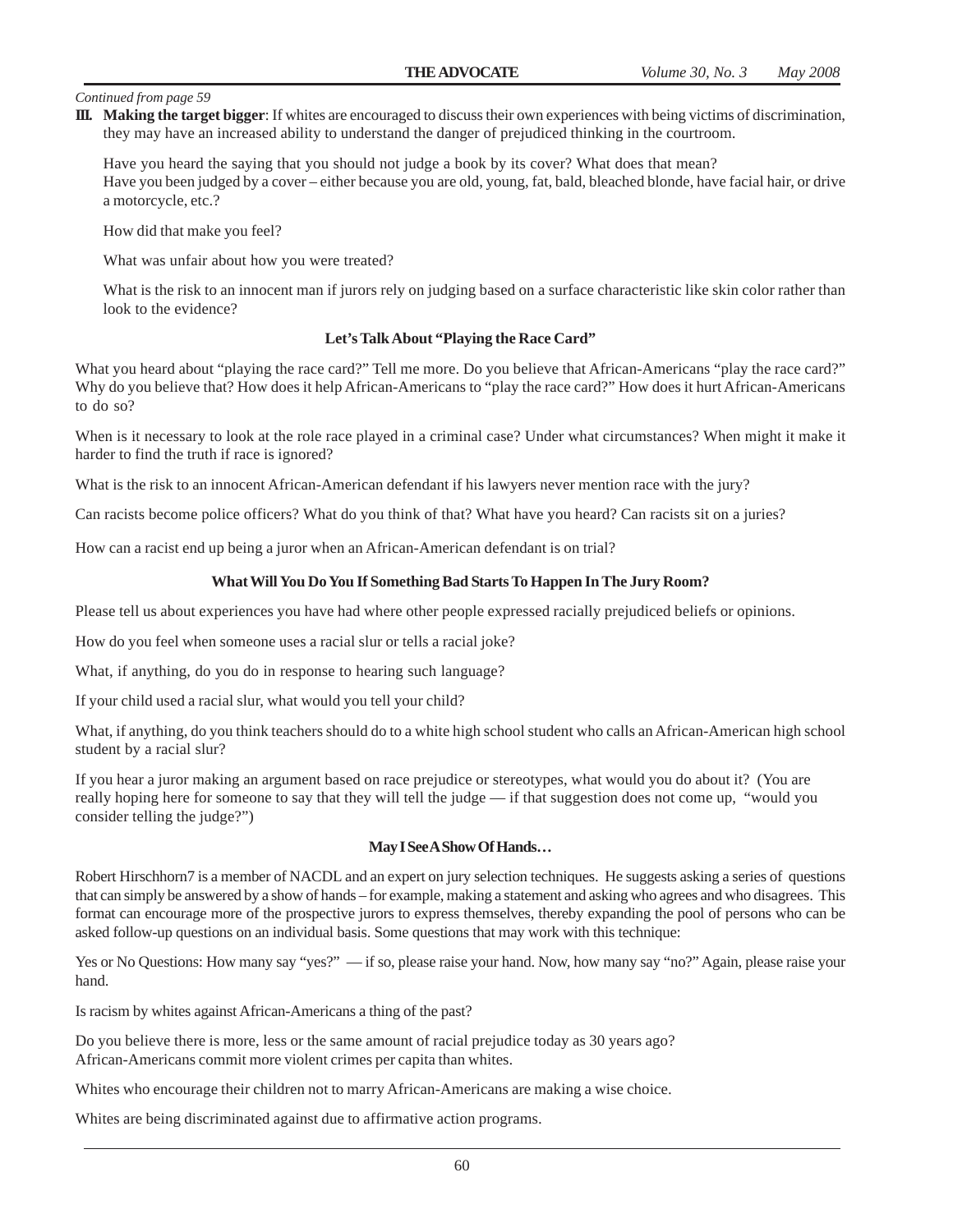**III. Making the target bigger**: If whites are encouraged to discuss their own experiences with being victims of discrimination, they may have an increased ability to understand the danger of prejudiced thinking in the courtroom.

Have you heard the saying that you should not judge a book by its cover? What does that mean? Have you been judged by a cover – either because you are old, young, fat, bald, bleached blonde, have facial hair, or drive a motorcycle, etc.?

How did that make you feel?

What was unfair about how you were treated?

What is the risk to an innocent man if jurors rely on judging based on a surface characteristic like skin color rather than look to the evidence?

#### **Let's Talk About "Playing the Race Card"**

What you heard about "playing the race card?" Tell me more. Do you believe that African-Americans "play the race card?" Why do you believe that? How does it help African-Americans to "play the race card?" How does it hurt African-Americans to do so?

When is it necessary to look at the role race played in a criminal case? Under what circumstances? When might it make it harder to find the truth if race is ignored?

What is the risk to an innocent African-American defendant if his lawyers never mention race with the jury?

Can racists become police officers? What do you think of that? What have you heard? Can racists sit on a juries?

How can a racist end up being a juror when an African-American defendant is on trial?

#### **What Will You Do You If Something Bad Starts To Happen In The Jury Room?**

Please tell us about experiences you have had where other people expressed racially prejudiced beliefs or opinions.

How do you feel when someone uses a racial slur or tells a racial joke?

What, if anything, do you do in response to hearing such language?

If your child used a racial slur, what would you tell your child?

What, if anything, do you think teachers should do to a white high school student who calls an African-American high school student by a racial slur?

If you hear a juror making an argument based on race prejudice or stereotypes, what would you do about it? (You are really hoping here for someone to say that they will tell the judge — if that suggestion does not come up, "would you consider telling the judge?")

#### **May I See A Show Of Hands…**

Robert Hirschhorn7 is a member of NACDL and an expert on jury selection techniques. He suggests asking a series of questions that can simply be answered by a show of hands – for example, making a statement and asking who agrees and who disagrees. This format can encourage more of the prospective jurors to express themselves, thereby expanding the pool of persons who can be asked follow-up questions on an individual basis. Some questions that may work with this technique:

Yes or No Questions: How many say "yes?" — if so, please raise your hand. Now, how many say "no?" Again, please raise your hand.

Is racism by whites against African-Americans a thing of the past?

Do you believe there is more, less or the same amount of racial prejudice today as 30 years ago? African-Americans commit more violent crimes per capita than whites.

Whites who encourage their children not to marry African-Americans are making a wise choice.

Whites are being discriminated against due to affirmative action programs.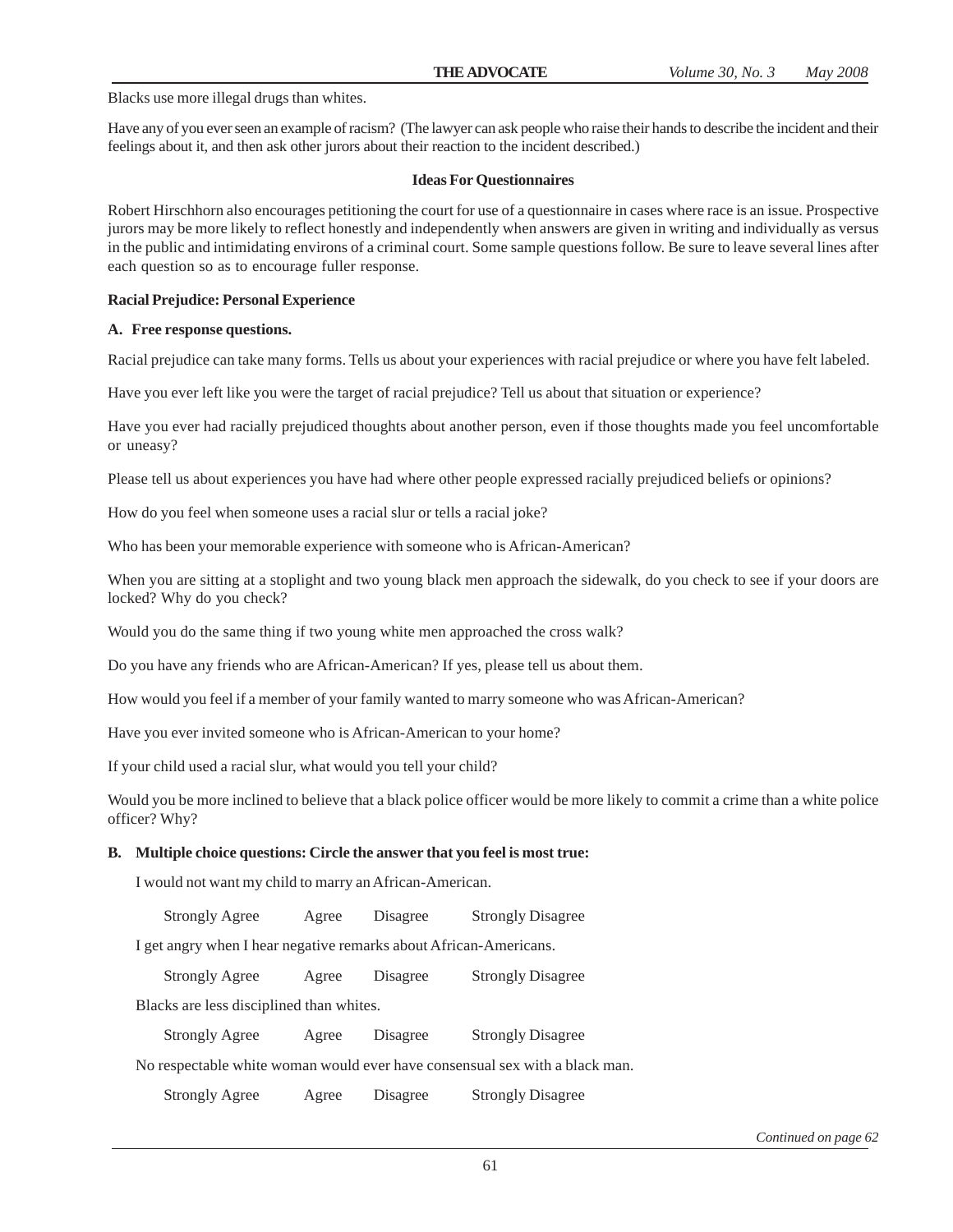Blacks use more illegal drugs than whites.

Have any of you ever seen an example of racism? (The lawyer can ask people who raise their hands to describe the incident and their feelings about it, and then ask other jurors about their reaction to the incident described.)

#### **Ideas For Questionnaires**

Robert Hirschhorn also encourages petitioning the court for use of a questionnaire in cases where race is an issue. Prospective jurors may be more likely to reflect honestly and independently when answers are given in writing and individually as versus in the public and intimidating environs of a criminal court. Some sample questions follow. Be sure to leave several lines after each question so as to encourage fuller response.

#### **Racial Prejudice: Personal Experience**

#### **A. Free response questions.**

Racial prejudice can take many forms. Tells us about your experiences with racial prejudice or where you have felt labeled.

Have you ever left like you were the target of racial prejudice? Tell us about that situation or experience?

Have you ever had racially prejudiced thoughts about another person, even if those thoughts made you feel uncomfortable or uneasy?

Please tell us about experiences you have had where other people expressed racially prejudiced beliefs or opinions?

How do you feel when someone uses a racial slur or tells a racial joke?

Who has been your memorable experience with someone who is African-American?

When you are sitting at a stoplight and two young black men approach the sidewalk, do you check to see if your doors are locked? Why do you check?

Would you do the same thing if two young white men approached the cross walk?

Do you have any friends who are African-American? If yes, please tell us about them.

How would you feel if a member of your family wanted to marry someone who was African-American?

Have you ever invited someone who is African-American to your home?

If your child used a racial slur, what would you tell your child?

Would you be more inclined to believe that a black police officer would be more likely to commit a crime than a white police officer? Why?

#### **B. Multiple choice questions: Circle the answer that you feel is most true:**

I would not want my child to marry an African-American.

Strongly Agree Agree Disagree Strongly Disagree

I get angry when I hear negative remarks about African-Americans.

Strongly Agree Agree Disagree Strongly Disagree

Blacks are less disciplined than whites.

| <b>Strongly Agree</b> | Agree | Disagree | <b>Strongly Disagree</b> |
|-----------------------|-------|----------|--------------------------|
|                       |       |          |                          |

No respectable white woman would ever have consensual sex with a black man.

Strongly Agree Agree Disagree Strongly Disagree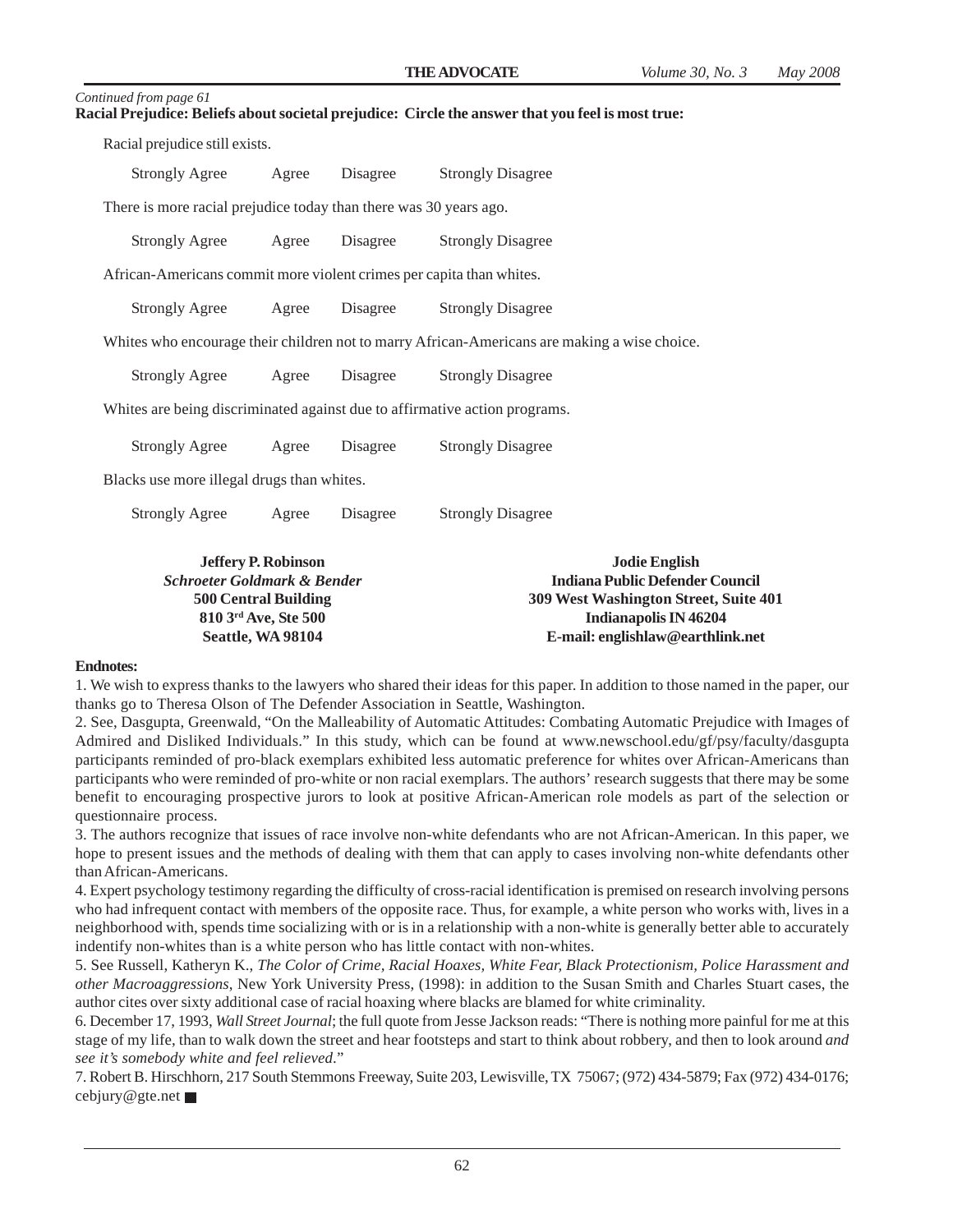| Continued from page 61                                                                            |  |
|---------------------------------------------------------------------------------------------------|--|
| Racial Prejudice: Beliefs about societal prejudice: Circle the answer that you feel is most true: |  |

Racial prejudice still exists.

| Strongly Agree | Agree | Disagree | <b>Strongly Disagree</b> |
|----------------|-------|----------|--------------------------|

There is more racial prejudice today than there was 30 years ago.

| Strongly Agree | Agree | Disagree | <b>Strongly Disagree</b> |
|----------------|-------|----------|--------------------------|
|                |       |          |                          |

African-Americans commit more violent crimes per capita than whites.

| <b>Strongly Agree</b> | Agree | Disagree | <b>Strongly Disagree</b> |
|-----------------------|-------|----------|--------------------------|
|                       |       |          |                          |

Whites who encourage their children not to marry African-Americans are making a wise choice.

Strongly Agree Agree Disagree Strongly Disagree

Whites are being discriminated against due to affirmative action programs.

Strongly Agree Agree Disagree Strongly Disagree

Blacks use more illegal drugs than whites.

Strongly Agree Agree Disagree Strongly Disagree

| <b>Jeffery P. Robinson</b>            | <b>Jodie English</b>                   |
|---------------------------------------|----------------------------------------|
| Schroeter Goldmark & Bender           | <b>Indiana Public Defender Council</b> |
| <b>500 Central Building</b>           | 309 West Washington Street, Suite 401  |
| $810 \,$ 3 <sup>rd</sup> Ave, Ste 500 | Indianapolis IN 46204                  |
| Seattle, WA 98104                     | E-mail: englishlaw@earthlink.net       |

#### **Endnotes:**

1. We wish to express thanks to the lawyers who shared their ideas for this paper. In addition to those named in the paper, our thanks go to Theresa Olson of The Defender Association in Seattle, Washington.

2. See, Dasgupta, Greenwald, "On the Malleability of Automatic Attitudes: Combating Automatic Prejudice with Images of Admired and Disliked Individuals." In this study, which can be found at www.newschool.edu/gf/psy/faculty/dasgupta participants reminded of pro-black exemplars exhibited less automatic preference for whites over African-Americans than participants who were reminded of pro-white or non racial exemplars. The authors' research suggests that there may be some benefit to encouraging prospective jurors to look at positive African-American role models as part of the selection or questionnaire process.

3. The authors recognize that issues of race involve non-white defendants who are not African-American. In this paper, we hope to present issues and the methods of dealing with them that can apply to cases involving non-white defendants other than African-Americans.

4. Expert psychology testimony regarding the difficulty of cross-racial identification is premised on research involving persons who had infrequent contact with members of the opposite race. Thus, for example, a white person who works with, lives in a neighborhood with, spends time socializing with or is in a relationship with a non-white is generally better able to accurately indentify non-whites than is a white person who has little contact with non-whites.

5. See Russell, Katheryn K., *The Color of Crime, Racial Hoaxes, White Fear, Black Protectionism, Police Harassment and other Macroaggressions*, New York University Press, (1998): in addition to the Susan Smith and Charles Stuart cases, the author cites over sixty additional case of racial hoaxing where blacks are blamed for white criminality.

6. December 17, 1993, *Wall Street Journal*; the full quote from Jesse Jackson reads: "There is nothing more painful for me at this stage of my life, than to walk down the street and hear footsteps and start to think about robbery, and then to look around *and see it's somebody white and feel relieved*."

7. Robert B. Hirschhorn, 217 South Stemmons Freeway, Suite 203, Lewisville, TX 75067; (972) 434-5879; Fax (972) 434-0176; cebjury@gte.net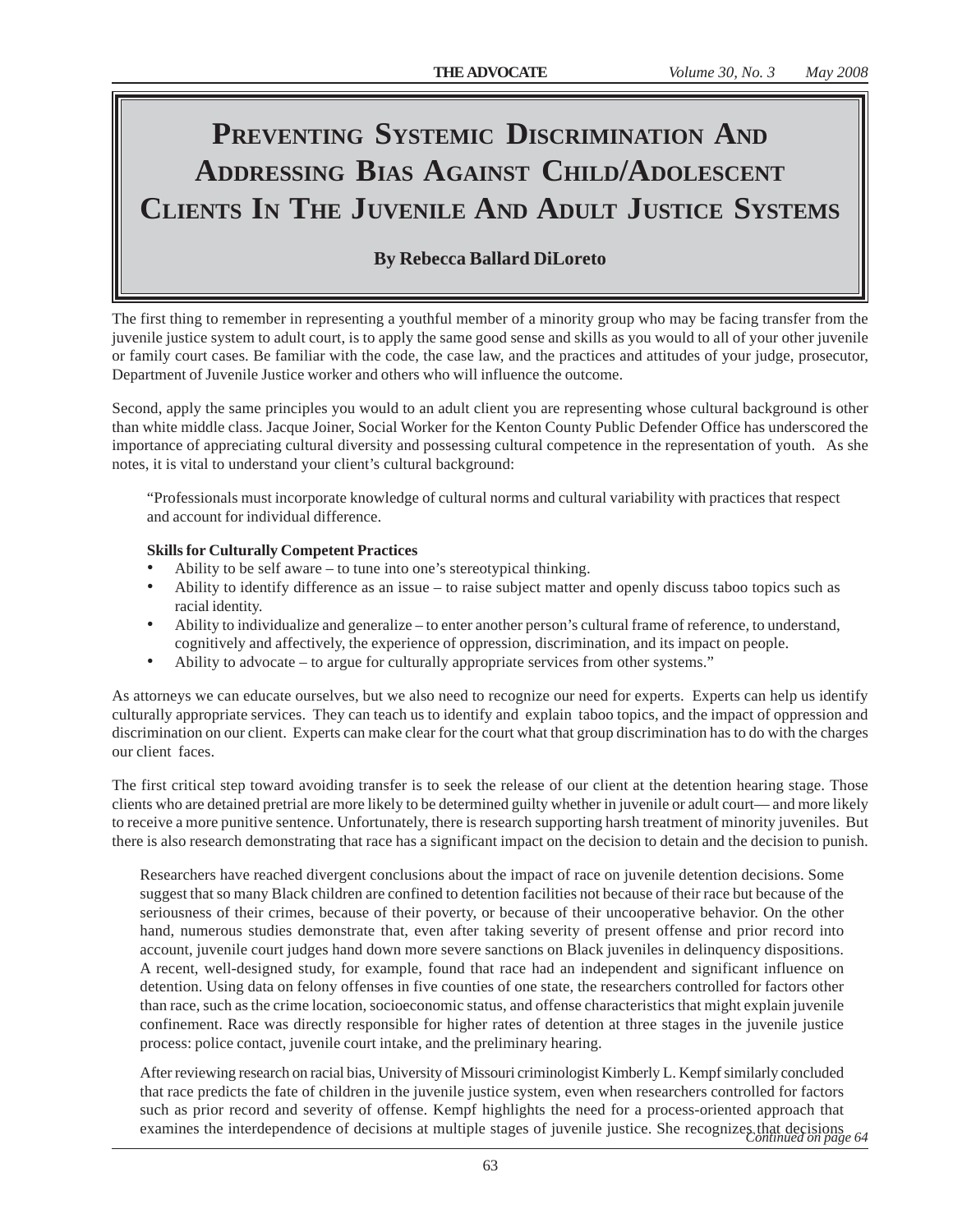# PREVENTING SYSTEMIC DISCRIMINATION AND **ADDRESSING BIAS AGAINST CHILD/ADOLESCENT CLIENTS IN THE JUVENILE AND ADULT JUSTICE SYSTEMS**

# **By Rebecca Ballard DiLoreto**

The first thing to remember in representing a youthful member of a minority group who may be facing transfer from the juvenile justice system to adult court, is to apply the same good sense and skills as you would to all of your other juvenile or family court cases. Be familiar with the code, the case law, and the practices and attitudes of your judge, prosecutor, Department of Juvenile Justice worker and others who will influence the outcome.

Second, apply the same principles you would to an adult client you are representing whose cultural background is other than white middle class. Jacque Joiner, Social Worker for the Kenton County Public Defender Office has underscored the importance of appreciating cultural diversity and possessing cultural competence in the representation of youth. As she notes, it is vital to understand your client's cultural background:

"Professionals must incorporate knowledge of cultural norms and cultural variability with practices that respect and account for individual difference.

#### **Skills for Culturally Competent Practices**

- Ability to be self aware to tune into one's stereotypical thinking.
- Ability to identify difference as an issue to raise subject matter and openly discuss taboo topics such as racial identity.
- Ability to individualize and generalize to enter another person's cultural frame of reference, to understand, cognitively and affectively, the experience of oppression, discrimination, and its impact on people.
- Ability to advocate to argue for culturally appropriate services from other systems."

As attorneys we can educate ourselves, but we also need to recognize our need for experts. Experts can help us identify culturally appropriate services. They can teach us to identify and explain taboo topics, and the impact of oppression and discrimination on our client. Experts can make clear for the court what that group discrimination has to do with the charges our client faces.

The first critical step toward avoiding transfer is to seek the release of our client at the detention hearing stage. Those clients who are detained pretrial are more likely to be determined guilty whether in juvenile or adult court— and more likely to receive a more punitive sentence. Unfortunately, there is research supporting harsh treatment of minority juveniles. But there is also research demonstrating that race has a significant impact on the decision to detain and the decision to punish.

Researchers have reached divergent conclusions about the impact of race on juvenile detention decisions. Some suggest that so many Black children are confined to detention facilities not because of their race but because of the seriousness of their crimes, because of their poverty, or because of their uncooperative behavior. On the other hand, numerous studies demonstrate that, even after taking severity of present offense and prior record into account, juvenile court judges hand down more severe sanctions on Black juveniles in delinquency dispositions. A recent, well-designed study, for example, found that race had an independent and significant influence on detention. Using data on felony offenses in five counties of one state, the researchers controlled for factors other than race, such as the crime location, socioeconomic status, and offense characteristics that might explain juvenile confinement. Race was directly responsible for higher rates of detention at three stages in the juvenile justice process: police contact, juvenile court intake, and the preliminary hearing.

After reviewing research on racial bias, University of Missouri criminologist Kimberly L. Kempf similarly concluded that race predicts the fate of children in the juvenile justice system, even when researchers controlled for factors such as prior record and severity of offense. Kempf highlights the need for a process-oriented approach that examines the interdependence of decisions at multiple stages of juvenile justice. She recognizes that decisions *Continued on page 64*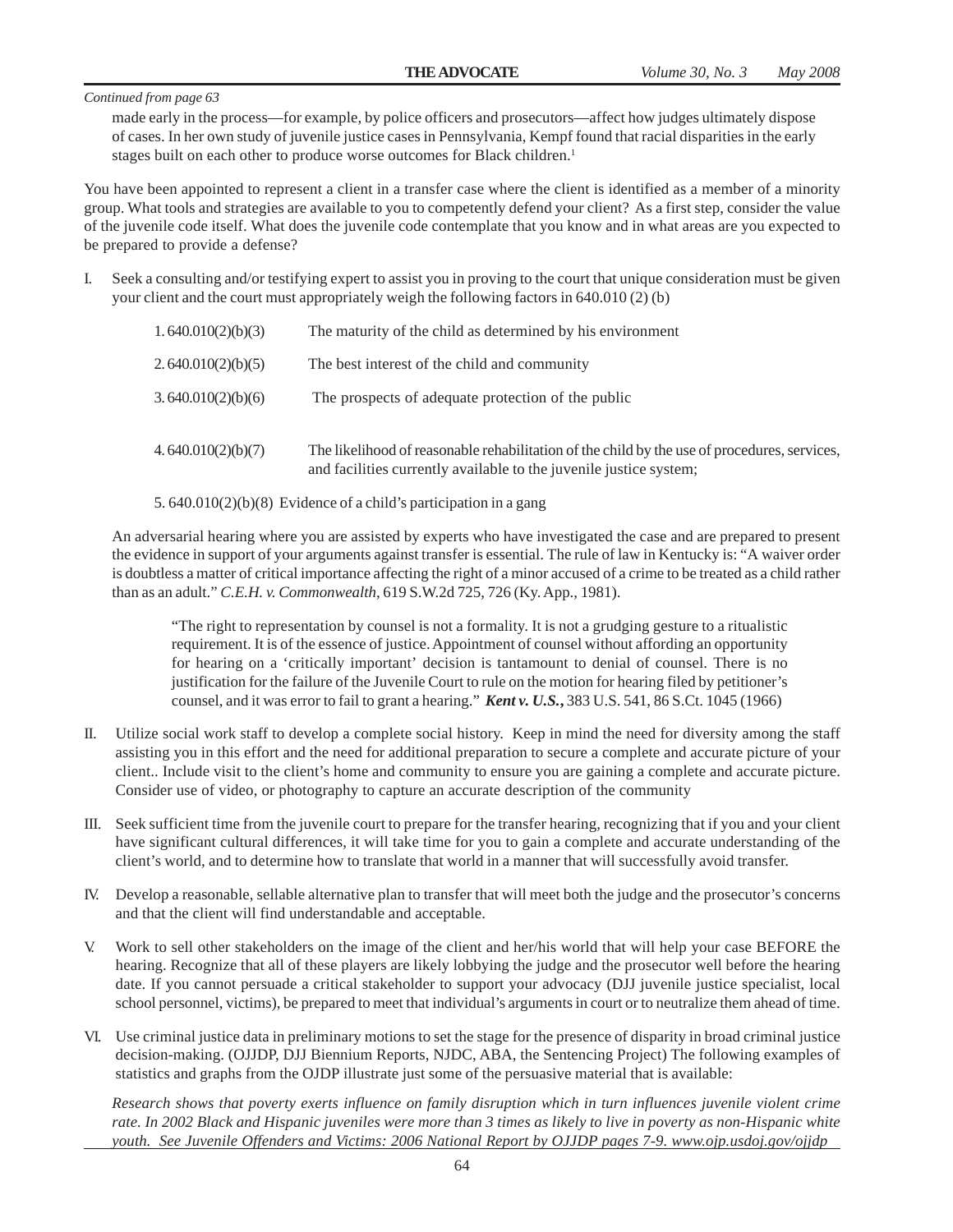made early in the process—for example, by police officers and prosecutors—affect how judges ultimately dispose of cases. In her own study of juvenile justice cases in Pennsylvania, Kempf found that racial disparities in the early stages built on each other to produce worse outcomes for Black children.<sup>1</sup>

You have been appointed to represent a client in a transfer case where the client is identified as a member of a minority group. What tools and strategies are available to you to competently defend your client? As a first step, consider the value of the juvenile code itself. What does the juvenile code contemplate that you know and in what areas are you expected to be prepared to provide a defense?

I. Seek a consulting and/or testifying expert to assist you in proving to the court that unique consideration must be given your client and the court must appropriately weigh the following factors in 640.010 (2) (b)

| 1.640.010(2)(b)(3) | The maturity of the child as determined by his environment                                                                                                         |
|--------------------|--------------------------------------------------------------------------------------------------------------------------------------------------------------------|
| 2.640.010(2)(b)(5) | The best interest of the child and community                                                                                                                       |
| 3.640.010(2)(b)(6) | The prospects of adequate protection of the public                                                                                                                 |
| 4.640.010(2)(b)(7) | The likelihood of reasonable rehabilitation of the child by the use of procedures, services,<br>and facilities currently available to the juvenile justice system; |

5. 640.010(2)(b)(8) Evidence of a child's participation in a gang

An adversarial hearing where you are assisted by experts who have investigated the case and are prepared to present the evidence in support of your arguments against transfer is essential. The rule of law in Kentucky is: "A waiver order is doubtless a matter of critical importance affecting the right of a minor accused of a crime to be treated as a child rather than as an adult." *C.E.H. v. Commonwealth*, 619 S.W.2d 725, 726 (Ky. App., 1981).

"The right to representation by counsel is not a formality. It is not a grudging gesture to a ritualistic requirement. It is of the essence of justice. Appointment of counsel without affording an opportunity for hearing on a 'critically important' decision is tantamount to denial of counsel. There is no justification for the failure of the Juvenile Court to rule on the motion for hearing filed by petitioner's counsel, and it was error to fail to grant a hearing." *Kent v. U.S.***,** 383 U.S. 541, 86 S.Ct. 1045 (1966)

- Utilize social work staff to develop a complete social history. Keep in mind the need for diversity among the staff assisting you in this effort and the need for additional preparation to secure a complete and accurate picture of your client.. Include visit to the client's home and community to ensure you are gaining a complete and accurate picture. Consider use of video, or photography to capture an accurate description of the community
- III. Seek sufficient time from the juvenile court to prepare for the transfer hearing, recognizing that if you and your client have significant cultural differences, it will take time for you to gain a complete and accurate understanding of the client's world, and to determine how to translate that world in a manner that will successfully avoid transfer.
- IV. Develop a reasonable, sellable alternative plan to transfer that will meet both the judge and the prosecutor's concerns and that the client will find understandable and acceptable.
- V. Work to sell other stakeholders on the image of the client and her/his world that will help your case BEFORE the hearing. Recognize that all of these players are likely lobbying the judge and the prosecutor well before the hearing date. If you cannot persuade a critical stakeholder to support your advocacy (DJJ juvenile justice specialist, local school personnel, victims), be prepared to meet that individual's arguments in court or to neutralize them ahead of time.
- VI. Use criminal justice data in preliminary motions to set the stage for the presence of disparity in broad criminal justice decision-making. (OJJDP, DJJ Biennium Reports, NJDC, ABA, the Sentencing Project) The following examples of statistics and graphs from the OJDP illustrate just some of the persuasive material that is available:

*Research shows that poverty exerts influence on family disruption which in turn influences juvenile violent crime rate. In 2002 Black and Hispanic juveniles were more than 3 times as likely to live in poverty as non-Hispanic white youth. See Juvenile Offenders and Victims: 2006 National Report by OJJDP pages 7-9. www.ojp.usdoj.gov/ojjdp*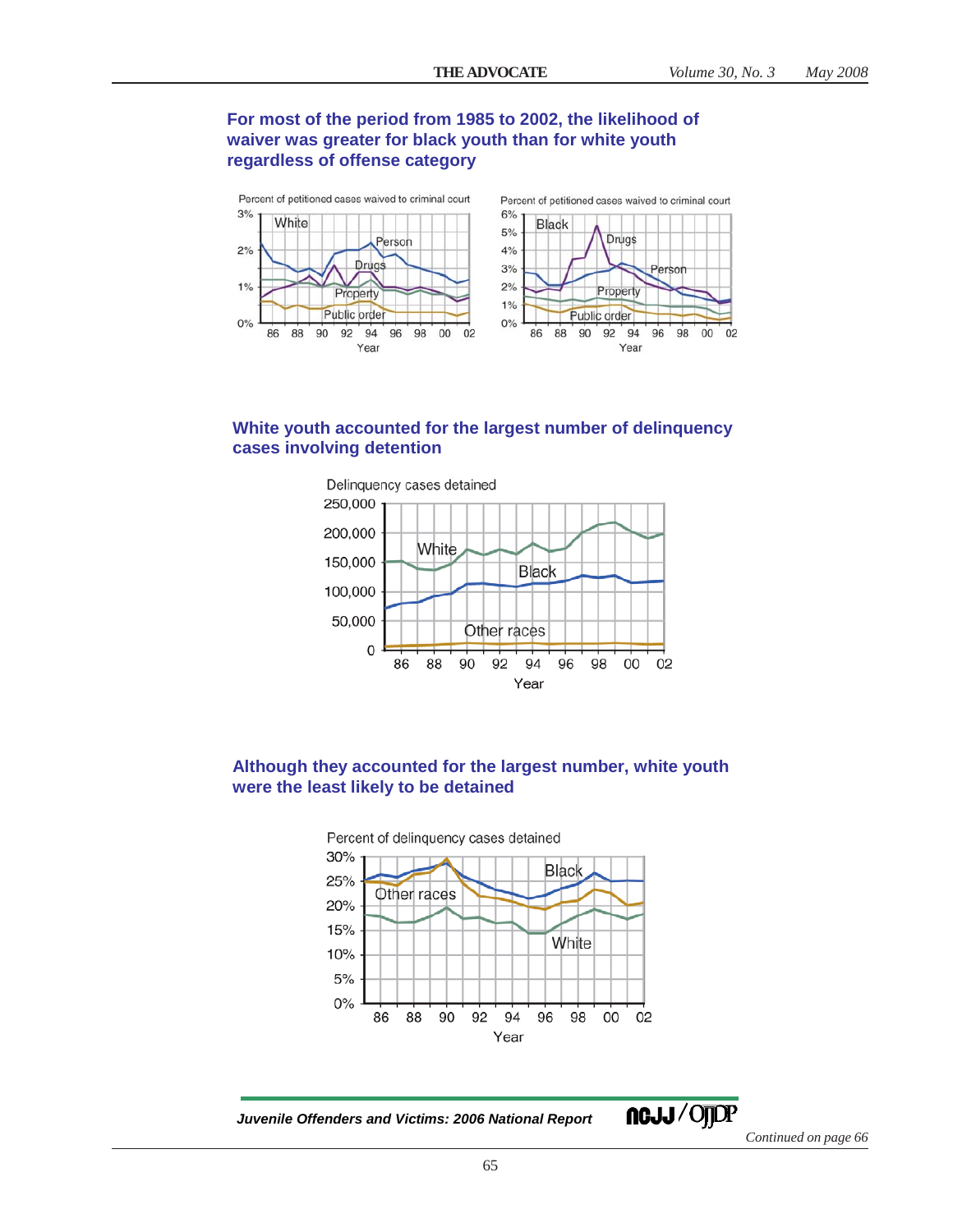# **For most of the period from 1985 to 2002, the likelihood of waiver was greater for black youth than for white youth regardless of offense category**



# **White youth accounted for the largest number of delinquency cases involving detention**



# **Although they accounted for the largest number, white youth were the least likely to be detained**



*Juvenile Offenders and Victims: 2006 National Report*

ncJJ/OJDP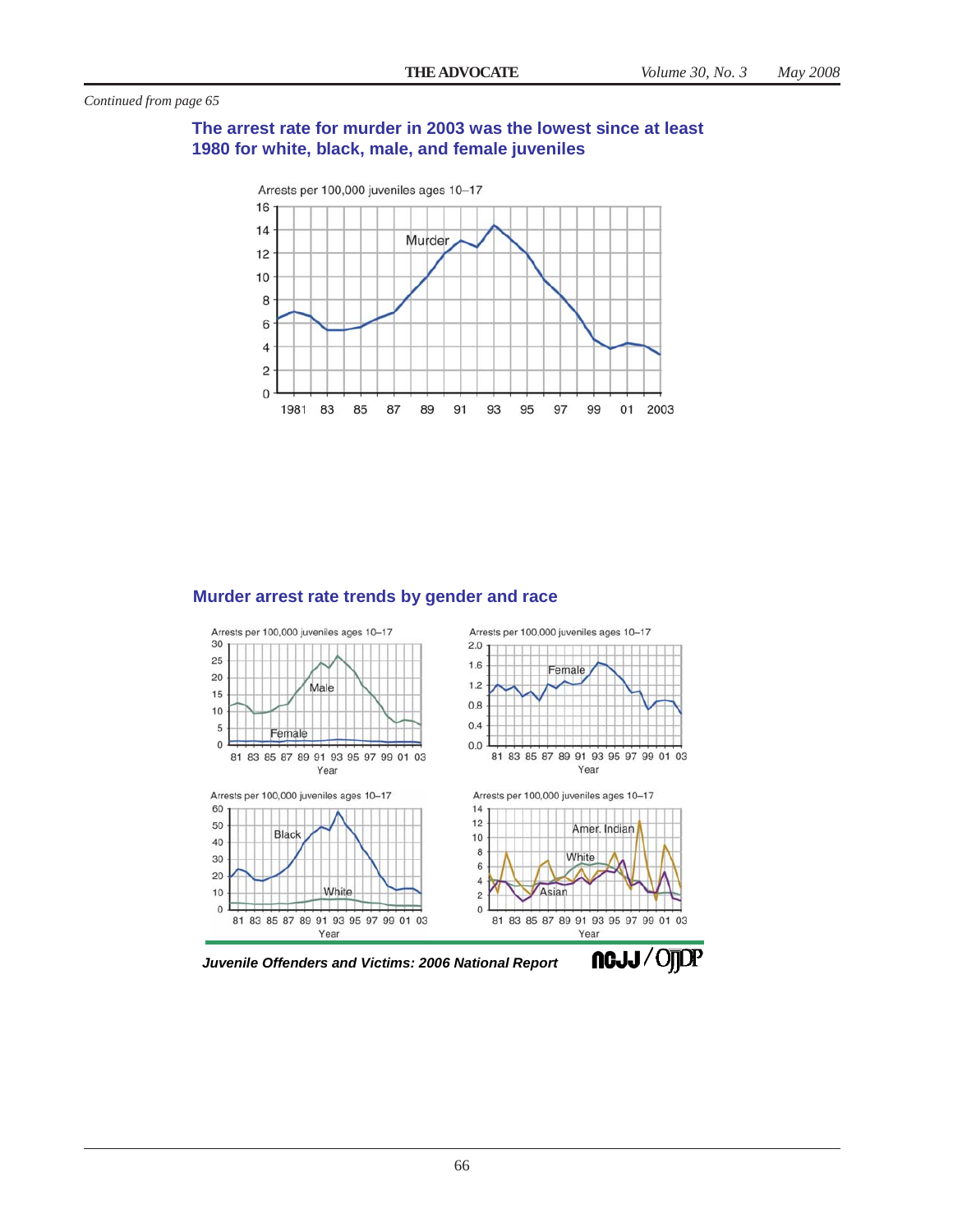# **The arrest rate for murder in 2003 was the lowest since at least 1980 for white, black, male, and female juveniles**



# **Murder arrest rate trends by gender and race**



*Juvenile Offenders and Victims: 2006 National Report*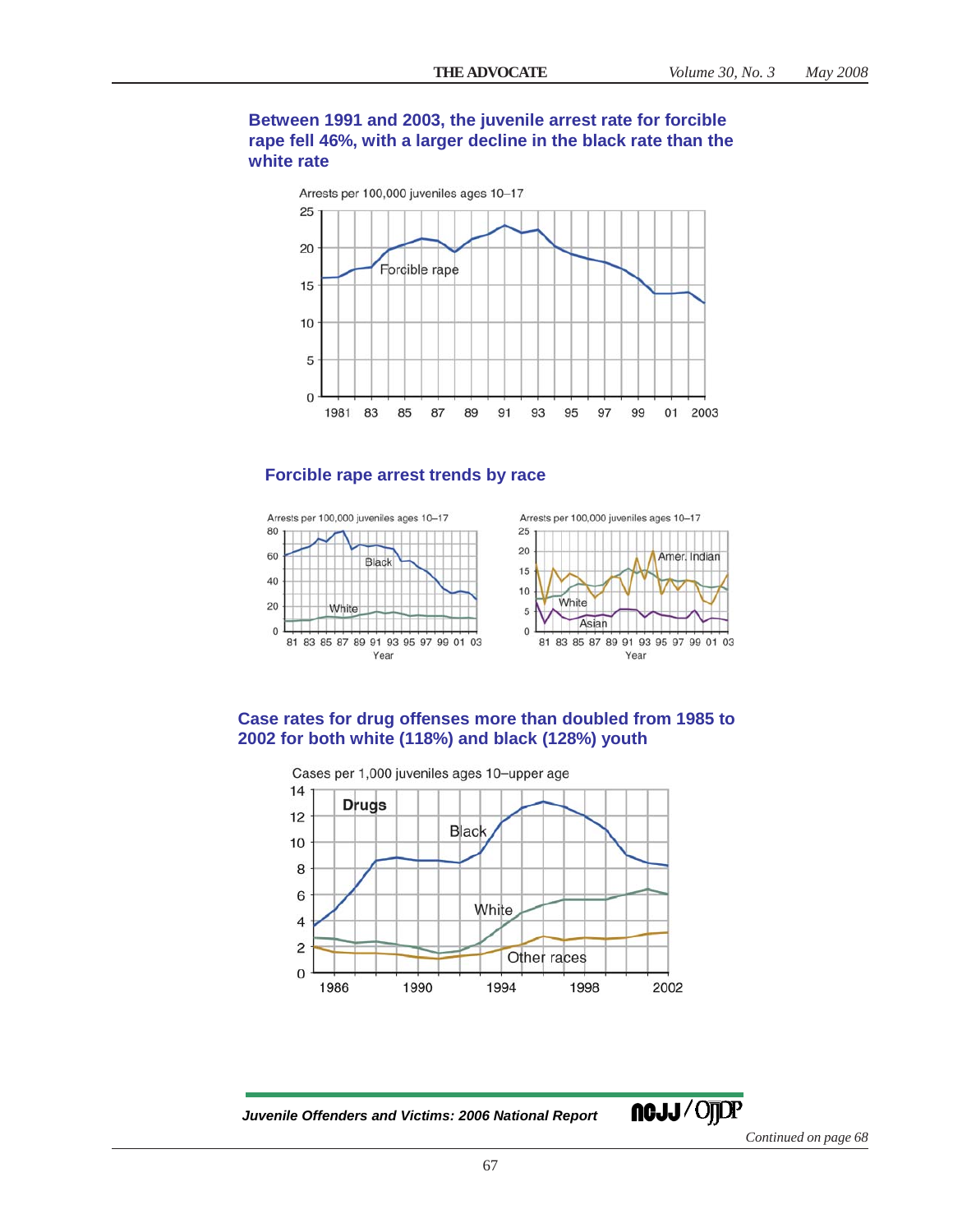# **Between 1991 and 2003, the juvenile arrest rate for forcible rape fell 46%, with a larger decline in the black rate than the white rate**





# **Forcible rape arrest trends by race**



## **Case rates for drug offenses more than doubled from 1985 to 2002 for both white (118%) and black (128%) youth**



*Juvenile Offenders and Victims: 2006 National Report*

**ngjj/Ojjdp**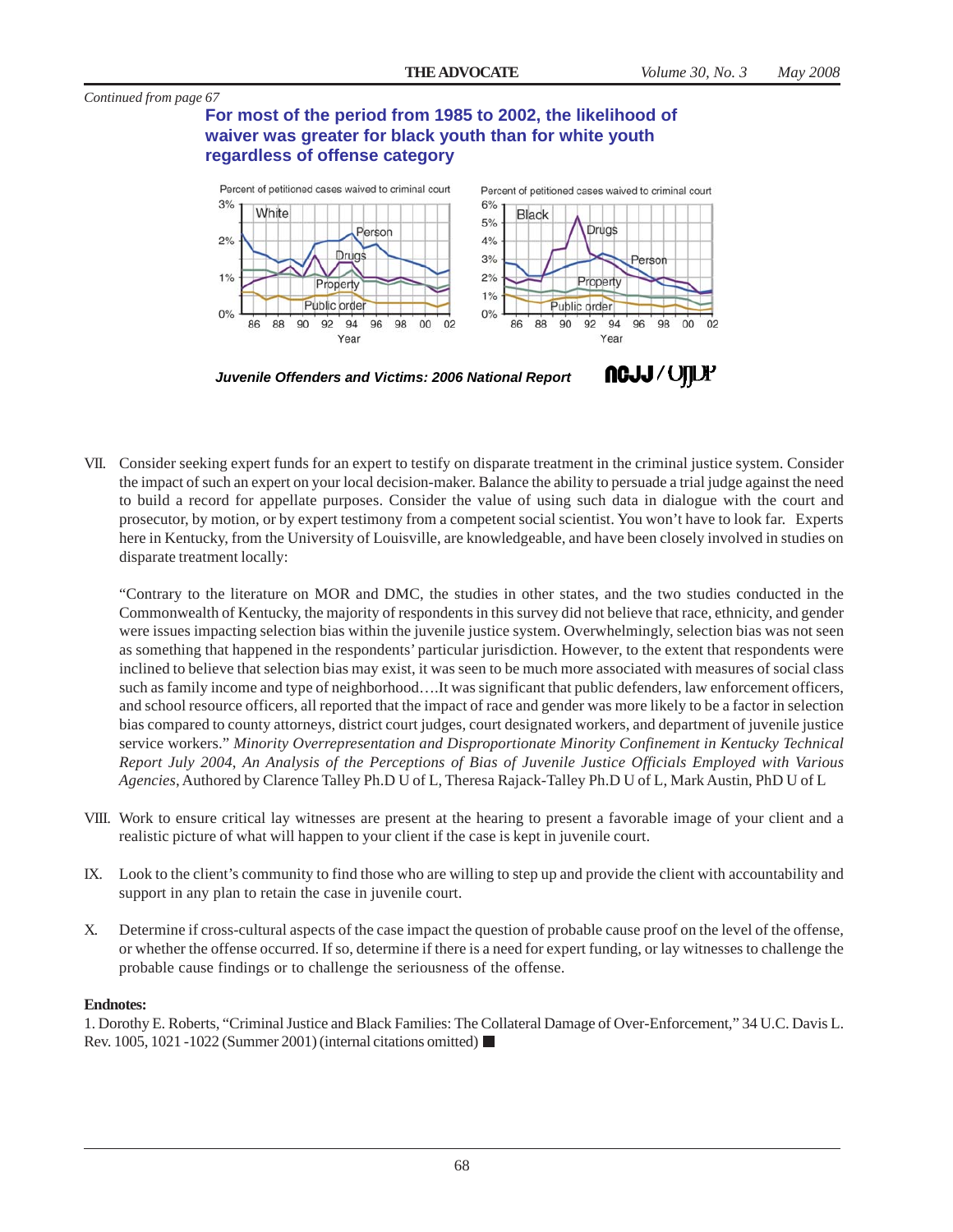# **For most of the period from 1985 to 2002, the likelihood of waiver was greater for black youth than for white youth regardless of offense category**



VII. Consider seeking expert funds for an expert to testify on disparate treatment in the criminal justice system. Consider the impact of such an expert on your local decision-maker. Balance the ability to persuade a trial judge against the need to build a record for appellate purposes. Consider the value of using such data in dialogue with the court and prosecutor, by motion, or by expert testimony from a competent social scientist. You won't have to look far. Experts here in Kentucky, from the University of Louisville, are knowledgeable, and have been closely involved in studies on disparate treatment locally:

"Contrary to the literature on MOR and DMC, the studies in other states, and the two studies conducted in the Commonwealth of Kentucky, the majority of respondents in this survey did not believe that race, ethnicity, and gender were issues impacting selection bias within the juvenile justice system. Overwhelmingly, selection bias was not seen as something that happened in the respondents' particular jurisdiction. However, to the extent that respondents were inclined to believe that selection bias may exist, it was seen to be much more associated with measures of social class such as family income and type of neighborhood….It was significant that public defenders, law enforcement officers, and school resource officers, all reported that the impact of race and gender was more likely to be a factor in selection bias compared to county attorneys, district court judges, court designated workers, and department of juvenile justice service workers." *Minority Overrepresentation and Disproportionate Minority Confinement in Kentucky Technical Report July 2004*, *An Analysis of the Perceptions of Bias of Juvenile Justice Officials Employed with Various Agencies*, Authored by Clarence Talley Ph.D U of L, Theresa Rajack-Talley Ph.D U of L, Mark Austin, PhD U of L

- VIII. Work to ensure critical lay witnesses are present at the hearing to present a favorable image of your client and a realistic picture of what will happen to your client if the case is kept in juvenile court.
- IX. Look to the client's community to find those who are willing to step up and provide the client with accountability and support in any plan to retain the case in juvenile court.
- X. Determine if cross-cultural aspects of the case impact the question of probable cause proof on the level of the offense, or whether the offense occurred. If so, determine if there is a need for expert funding, or lay witnesses to challenge the probable cause findings or to challenge the seriousness of the offense.

#### **Endnotes:**

1. Dorothy E. Roberts, "Criminal Justice and Black Families: The Collateral Damage of Over-Enforcement," 34 U.C. Davis L. Rev. 1005, 1021 -1022 (Summer 2001) (internal citations omitted)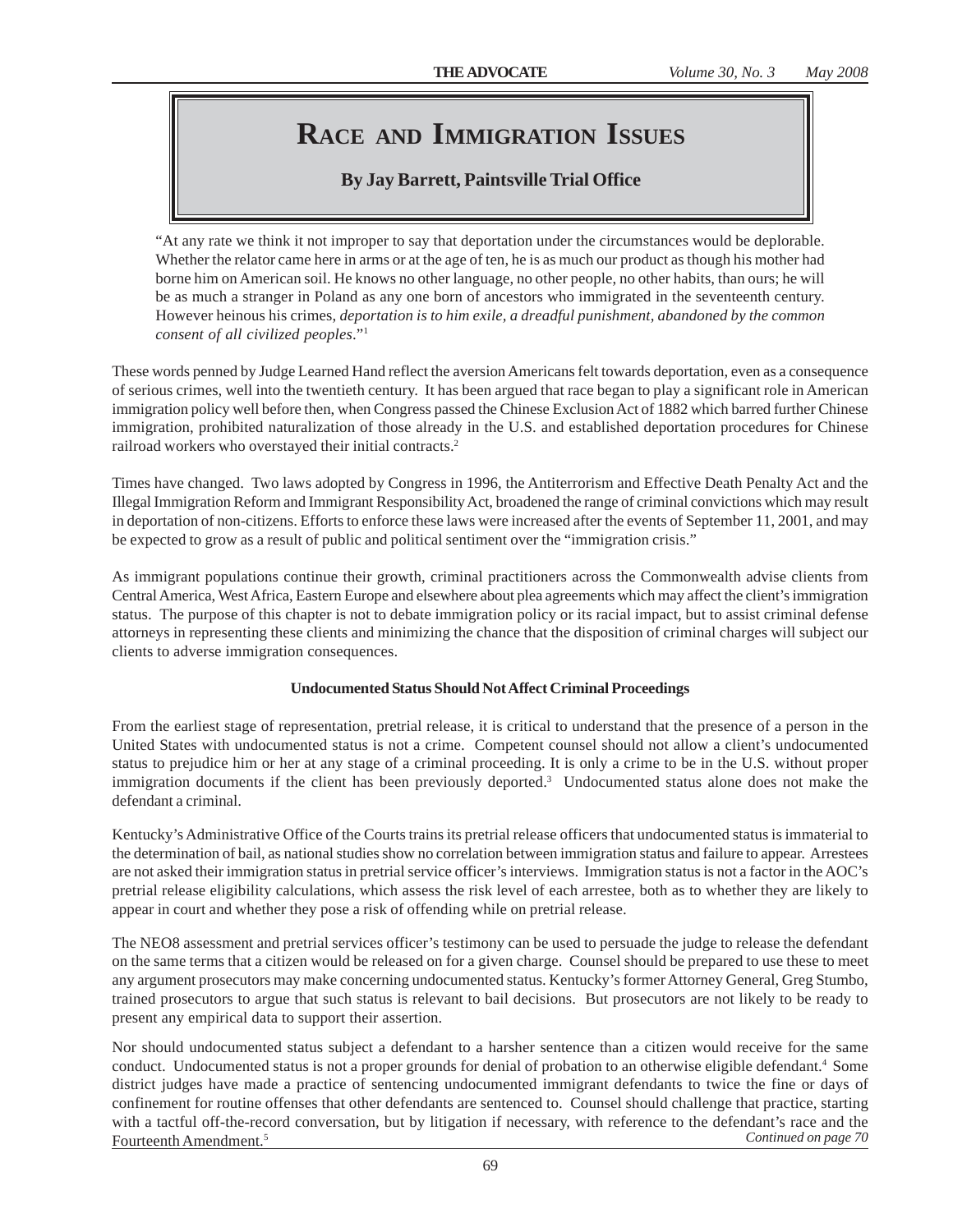# **RACE AND IMMIGRATION ISSUES**

# **By Jay Barrett, Paintsville Trial Office**

"At any rate we think it not improper to say that deportation under the circumstances would be deplorable. Whether the relator came here in arms or at the age of ten, he is as much our product as though his mother had borne him on American soil. He knows no other language, no other people, no other habits, than ours; he will be as much a stranger in Poland as any one born of ancestors who immigrated in the seventeenth century. However heinous his crimes, *deportation is to him exile, a dreadful punishment, abandoned by the common consent of all civilized peoples*."1

These words penned by Judge Learned Hand reflect the aversion Americans felt towards deportation, even as a consequence of serious crimes, well into the twentieth century. It has been argued that race began to play a significant role in American immigration policy well before then, when Congress passed the Chinese Exclusion Act of 1882 which barred further Chinese immigration, prohibited naturalization of those already in the U.S. and established deportation procedures for Chinese railroad workers who overstayed their initial contracts.2

Times have changed. Two laws adopted by Congress in 1996, the Antiterrorism and Effective Death Penalty Act and the Illegal Immigration Reform and Immigrant Responsibility Act, broadened the range of criminal convictions which may result in deportation of non-citizens. Efforts to enforce these laws were increased after the events of September 11, 2001, and may be expected to grow as a result of public and political sentiment over the "immigration crisis."

As immigrant populations continue their growth, criminal practitioners across the Commonwealth advise clients from Central America, West Africa, Eastern Europe and elsewhere about plea agreements which may affect the client's immigration status. The purpose of this chapter is not to debate immigration policy or its racial impact, but to assist criminal defense attorneys in representing these clients and minimizing the chance that the disposition of criminal charges will subject our clients to adverse immigration consequences.

### **Undocumented Status Should Not Affect Criminal Proceedings**

From the earliest stage of representation, pretrial release, it is critical to understand that the presence of a person in the United States with undocumented status is not a crime. Competent counsel should not allow a client's undocumented status to prejudice him or her at any stage of a criminal proceeding. It is only a crime to be in the U.S. without proper immigration documents if the client has been previously deported.<sup>3</sup> Undocumented status alone does not make the defendant a criminal.

Kentucky's Administrative Office of the Courts trains its pretrial release officers that undocumented status is immaterial to the determination of bail, as national studies show no correlation between immigration status and failure to appear. Arrestees are not asked their immigration status in pretrial service officer's interviews. Immigration status is not a factor in the AOC's pretrial release eligibility calculations, which assess the risk level of each arrestee, both as to whether they are likely to appear in court and whether they pose a risk of offending while on pretrial release.

The NEO8 assessment and pretrial services officer's testimony can be used to persuade the judge to release the defendant on the same terms that a citizen would be released on for a given charge. Counsel should be prepared to use these to meet any argument prosecutors may make concerning undocumented status. Kentucky's former Attorney General, Greg Stumbo, trained prosecutors to argue that such status is relevant to bail decisions. But prosecutors are not likely to be ready to present any empirical data to support their assertion.

Nor should undocumented status subject a defendant to a harsher sentence than a citizen would receive for the same conduct. Undocumented status is not a proper grounds for denial of probation to an otherwise eligible defendant.<sup>4</sup> Some district judges have made a practice of sentencing undocumented immigrant defendants to twice the fine or days of confinement for routine offenses that other defendants are sentenced to. Counsel should challenge that practice, starting with a tactful off-the-record conversation, but by litigation if necessary, with reference to the defendant's race and the Fourteenth Amendment.5 *Continued on page 70*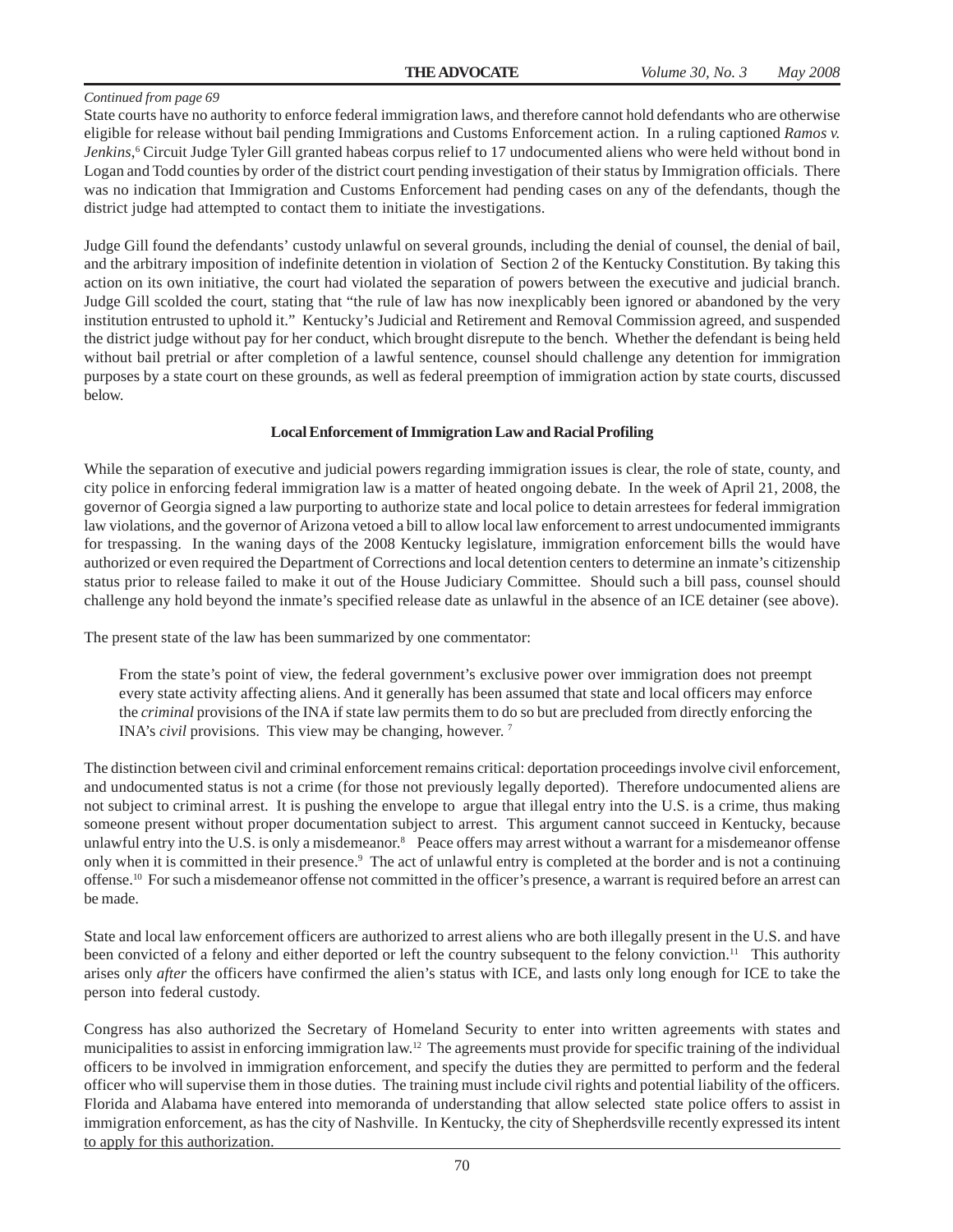State courts have no authority to enforce federal immigration laws, and therefore cannot hold defendants who are otherwise eligible for release without bail pending Immigrations and Customs Enforcement action. In a ruling captioned *Ramos v. Jenkins*, 6 Circuit Judge Tyler Gill granted habeas corpus relief to 17 undocumented aliens who were held without bond in Logan and Todd counties by order of the district court pending investigation of their status by Immigration officials. There was no indication that Immigration and Customs Enforcement had pending cases on any of the defendants, though the district judge had attempted to contact them to initiate the investigations.

Judge Gill found the defendants' custody unlawful on several grounds, including the denial of counsel, the denial of bail, and the arbitrary imposition of indefinite detention in violation of Section 2 of the Kentucky Constitution. By taking this action on its own initiative, the court had violated the separation of powers between the executive and judicial branch. Judge Gill scolded the court, stating that "the rule of law has now inexplicably been ignored or abandoned by the very institution entrusted to uphold it." Kentucky's Judicial and Retirement and Removal Commission agreed, and suspended the district judge without pay for her conduct, which brought disrepute to the bench. Whether the defendant is being held without bail pretrial or after completion of a lawful sentence, counsel should challenge any detention for immigration purposes by a state court on these grounds, as well as federal preemption of immigration action by state courts, discussed below.

#### **Local Enforcement of Immigration Law and Racial Profiling**

While the separation of executive and judicial powers regarding immigration issues is clear, the role of state, county, and city police in enforcing federal immigration law is a matter of heated ongoing debate. In the week of April 21, 2008, the governor of Georgia signed a law purporting to authorize state and local police to detain arrestees for federal immigration law violations, and the governor of Arizona vetoed a bill to allow local law enforcement to arrest undocumented immigrants for trespassing. In the waning days of the 2008 Kentucky legislature, immigration enforcement bills the would have authorized or even required the Department of Corrections and local detention centers to determine an inmate's citizenship status prior to release failed to make it out of the House Judiciary Committee. Should such a bill pass, counsel should challenge any hold beyond the inmate's specified release date as unlawful in the absence of an ICE detainer (see above).

The present state of the law has been summarized by one commentator:

From the state's point of view, the federal government's exclusive power over immigration does not preempt every state activity affecting aliens. And it generally has been assumed that state and local officers may enforce the *criminal* provisions of the INA if state law permits them to do so but are precluded from directly enforcing the INA's *civil* provisions. This view may be changing, however. 7

The distinction between civil and criminal enforcement remains critical: deportation proceedings involve civil enforcement, and undocumented status is not a crime (for those not previously legally deported). Therefore undocumented aliens are not subject to criminal arrest. It is pushing the envelope to argue that illegal entry into the U.S. is a crime, thus making someone present without proper documentation subject to arrest. This argument cannot succeed in Kentucky, because unlawful entry into the U.S. is only a misdemeanor.<sup>8</sup> Peace offers may arrest without a warrant for a misdemeanor offense only when it is committed in their presence.<sup>9</sup> The act of unlawful entry is completed at the border and is not a continuing offense.10 For such a misdemeanor offense not committed in the officer's presence, a warrant is required before an arrest can be made.

State and local law enforcement officers are authorized to arrest aliens who are both illegally present in the U.S. and have been convicted of a felony and either deported or left the country subsequent to the felony conviction.<sup>11</sup> This authority arises only *after* the officers have confirmed the alien's status with ICE, and lasts only long enough for ICE to take the person into federal custody.

Congress has also authorized the Secretary of Homeland Security to enter into written agreements with states and municipalities to assist in enforcing immigration law.12 The agreements must provide for specific training of the individual officers to be involved in immigration enforcement, and specify the duties they are permitted to perform and the federal officer who will supervise them in those duties. The training must include civil rights and potential liability of the officers. Florida and Alabama have entered into memoranda of understanding that allow selected state police offers to assist in immigration enforcement, as has the city of Nashville. In Kentucky, the city of Shepherdsville recently expressed its intent to apply for this authorization.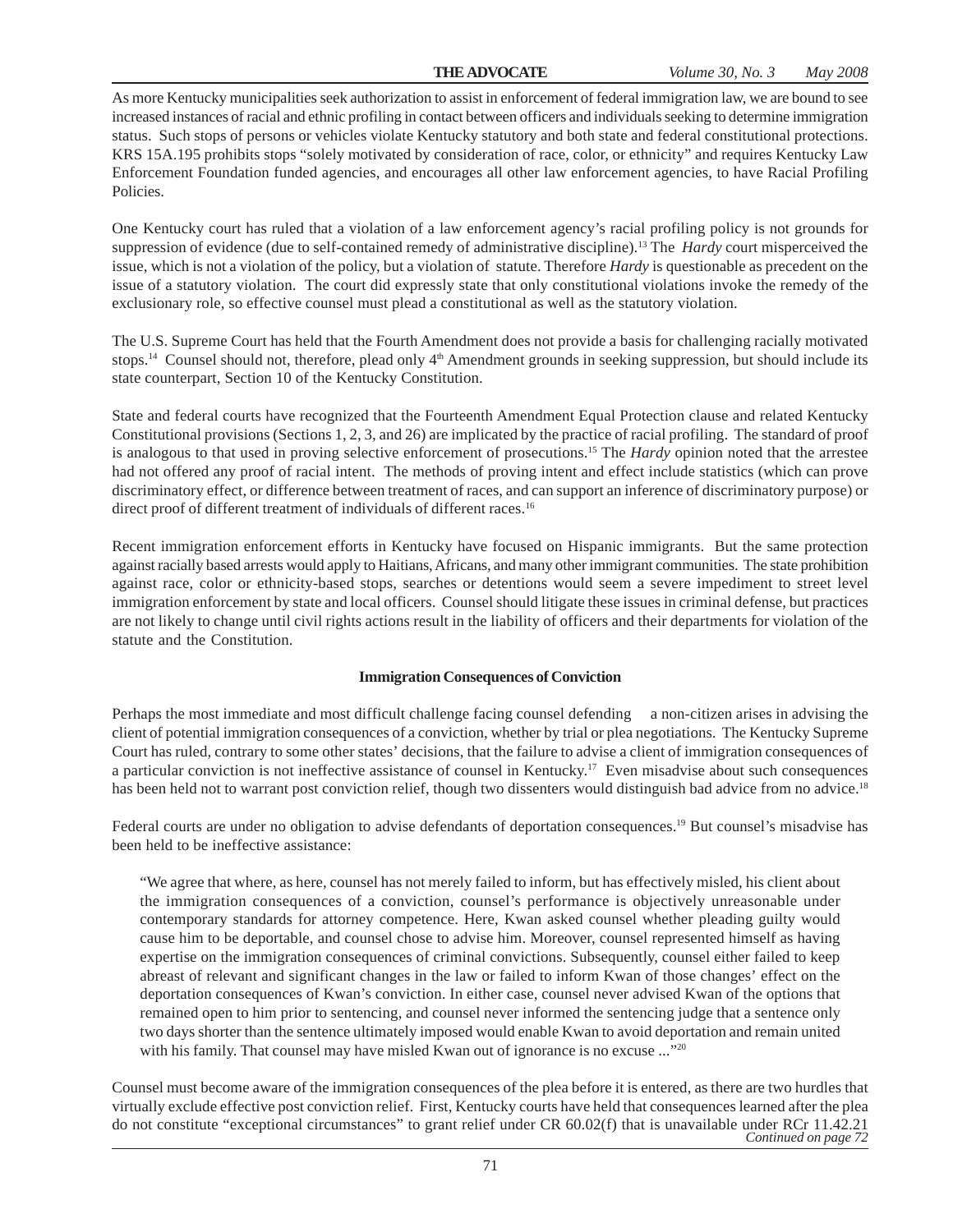As more Kentucky municipalities seek authorization to assist in enforcement of federal immigration law, we are bound to see increased instances of racial and ethnic profiling in contact between officers and individuals seeking to determine immigration status. Such stops of persons or vehicles violate Kentucky statutory and both state and federal constitutional protections. KRS 15A.195 prohibits stops "solely motivated by consideration of race, color, or ethnicity" and requires Kentucky Law Enforcement Foundation funded agencies, and encourages all other law enforcement agencies, to have Racial Profiling Policies.

One Kentucky court has ruled that a violation of a law enforcement agency's racial profiling policy is not grounds for suppression of evidence (due to self-contained remedy of administrative discipline).13 The *Hardy* court misperceived the issue, which is not a violation of the policy, but a violation of statute. Therefore *Hardy* is questionable as precedent on the issue of a statutory violation. The court did expressly state that only constitutional violations invoke the remedy of the exclusionary role, so effective counsel must plead a constitutional as well as the statutory violation.

The U.S. Supreme Court has held that the Fourth Amendment does not provide a basis for challenging racially motivated stops.<sup>14</sup> Counsel should not, therefore, plead only 4<sup>th</sup> Amendment grounds in seeking suppression, but should include its state counterpart, Section 10 of the Kentucky Constitution.

State and federal courts have recognized that the Fourteenth Amendment Equal Protection clause and related Kentucky Constitutional provisions (Sections 1, 2, 3, and 26) are implicated by the practice of racial profiling. The standard of proof is analogous to that used in proving selective enforcement of prosecutions.15 The *Hardy* opinion noted that the arrestee had not offered any proof of racial intent. The methods of proving intent and effect include statistics (which can prove discriminatory effect, or difference between treatment of races, and can support an inference of discriminatory purpose) or direct proof of different treatment of individuals of different races.<sup>16</sup>

Recent immigration enforcement efforts in Kentucky have focused on Hispanic immigrants. But the same protection against racially based arrests would apply to Haitians, Africans, and many other immigrant communities. The state prohibition against race, color or ethnicity-based stops, searches or detentions would seem a severe impediment to street level immigration enforcement by state and local officers. Counsel should litigate these issues in criminal defense, but practices are not likely to change until civil rights actions result in the liability of officers and their departments for violation of the statute and the Constitution.

#### **Immigration Consequences of Conviction**

Perhaps the most immediate and most difficult challenge facing counsel defending a non-citizen arises in advising the client of potential immigration consequences of a conviction, whether by trial or plea negotiations. The Kentucky Supreme Court has ruled, contrary to some other states' decisions, that the failure to advise a client of immigration consequences of a particular conviction is not ineffective assistance of counsel in Kentucky.17 Even misadvise about such consequences has been held not to warrant post conviction relief, though two dissenters would distinguish bad advice from no advice.<sup>18</sup>

Federal courts are under no obligation to advise defendants of deportation consequences.<sup>19</sup> But counsel's misadvise has been held to be ineffective assistance:

"We agree that where, as here, counsel has not merely failed to inform, but has effectively misled, his client about the immigration consequences of a conviction, counsel's performance is objectively unreasonable under contemporary standards for attorney competence. Here, Kwan asked counsel whether pleading guilty would cause him to be deportable, and counsel chose to advise him. Moreover, counsel represented himself as having expertise on the immigration consequences of criminal convictions. Subsequently, counsel either failed to keep abreast of relevant and significant changes in the law or failed to inform Kwan of those changes' effect on the deportation consequences of Kwan's conviction. In either case, counsel never advised Kwan of the options that remained open to him prior to sentencing, and counsel never informed the sentencing judge that a sentence only two days shorter than the sentence ultimately imposed would enable Kwan to avoid deportation and remain united with his family. That counsel may have misled Kwan out of ignorance is no excuse ..."<sup>20</sup>

Counsel must become aware of the immigration consequences of the plea before it is entered, as there are two hurdles that virtually exclude effective post conviction relief. First, Kentucky courts have held that consequences learned after the plea do not constitute "exceptional circumstances" to grant relief under CR 60.02(f) that is unavailable under RCr 11.42.21 *Continued on page 72*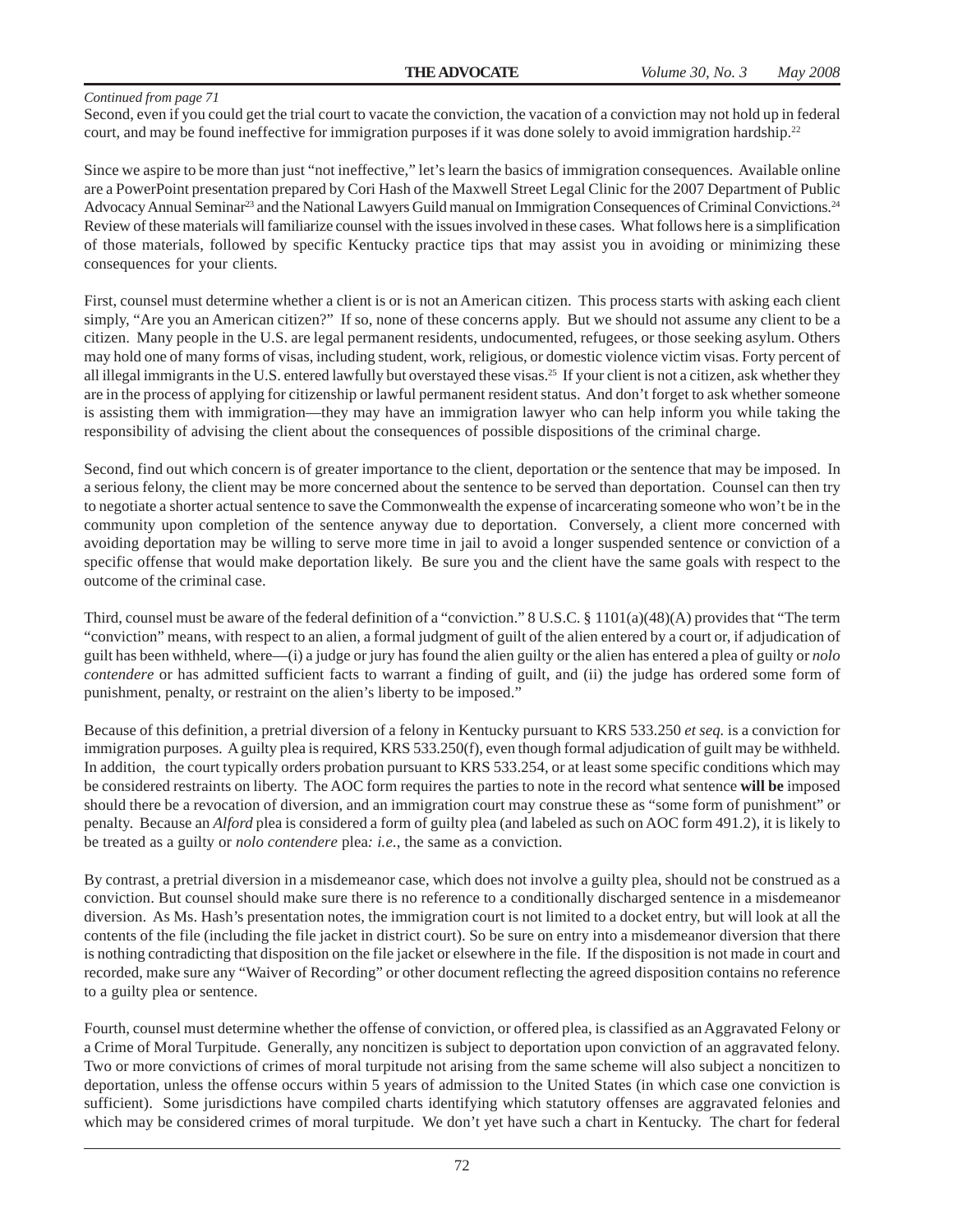Second, even if you could get the trial court to vacate the conviction, the vacation of a conviction may not hold up in federal court, and may be found ineffective for immigration purposes if it was done solely to avoid immigration hardship.<sup>22</sup>

Since we aspire to be more than just "not ineffective," let's learn the basics of immigration consequences. Available online are a PowerPoint presentation prepared by Cori Hash of the Maxwell Street Legal Clinic for the 2007 Department of Public Advocacy Annual Seminar<sup>23</sup> and the National Lawyers Guild manual on Immigration Consequences of Criminal Convictions.<sup>24</sup> Review of these materials will familiarize counsel with the issues involved in these cases. What follows here is a simplification of those materials, followed by specific Kentucky practice tips that may assist you in avoiding or minimizing these consequences for your clients.

First, counsel must determine whether a client is or is not an American citizen. This process starts with asking each client simply, "Are you an American citizen?" If so, none of these concerns apply. But we should not assume any client to be a citizen. Many people in the U.S. are legal permanent residents, undocumented, refugees, or those seeking asylum. Others may hold one of many forms of visas, including student, work, religious, or domestic violence victim visas. Forty percent of all illegal immigrants in the U.S. entered lawfully but overstayed these visas.<sup>25</sup> If your client is not a citizen, ask whether they are in the process of applying for citizenship or lawful permanent resident status. And don't forget to ask whether someone is assisting them with immigration—they may have an immigration lawyer who can help inform you while taking the responsibility of advising the client about the consequences of possible dispositions of the criminal charge.

Second, find out which concern is of greater importance to the client, deportation or the sentence that may be imposed. In a serious felony, the client may be more concerned about the sentence to be served than deportation. Counsel can then try to negotiate a shorter actual sentence to save the Commonwealth the expense of incarcerating someone who won't be in the community upon completion of the sentence anyway due to deportation. Conversely, a client more concerned with avoiding deportation may be willing to serve more time in jail to avoid a longer suspended sentence or conviction of a specific offense that would make deportation likely. Be sure you and the client have the same goals with respect to the outcome of the criminal case.

Third, counsel must be aware of the federal definition of a "conviction." 8 U.S.C. § 1101(a)(48)(A) provides that "The term "conviction" means, with respect to an alien, a formal judgment of guilt of the alien entered by a court or, if adjudication of guilt has been withheld, where—(i) a judge or jury has found the alien guilty or the alien has entered a plea of guilty or *nolo contendere* or has admitted sufficient facts to warrant a finding of guilt, and (ii) the judge has ordered some form of punishment, penalty, or restraint on the alien's liberty to be imposed."

Because of this definition, a pretrial diversion of a felony in Kentucky pursuant to KRS 533.250 *et seq.* is a conviction for immigration purposes. A guilty plea is required, KRS 533.250(f), even though formal adjudication of guilt may be withheld. In addition, the court typically orders probation pursuant to KRS 533.254, or at least some specific conditions which may be considered restraints on liberty. The AOC form requires the parties to note in the record what sentence **will be** imposed should there be a revocation of diversion, and an immigration court may construe these as "some form of punishment" or penalty. Because an *Alford* plea is considered a form of guilty plea (and labeled as such on AOC form 491.2), it is likely to be treated as a guilty or *nolo contendere* plea*: i.e*., the same as a conviction.

By contrast, a pretrial diversion in a misdemeanor case, which does not involve a guilty plea, should not be construed as a conviction. But counsel should make sure there is no reference to a conditionally discharged sentence in a misdemeanor diversion. As Ms. Hash's presentation notes, the immigration court is not limited to a docket entry, but will look at all the contents of the file (including the file jacket in district court). So be sure on entry into a misdemeanor diversion that there is nothing contradicting that disposition on the file jacket or elsewhere in the file. If the disposition is not made in court and recorded, make sure any "Waiver of Recording" or other document reflecting the agreed disposition contains no reference to a guilty plea or sentence.

Fourth, counsel must determine whether the offense of conviction, or offered plea, is classified as an Aggravated Felony or a Crime of Moral Turpitude. Generally, any noncitizen is subject to deportation upon conviction of an aggravated felony. Two or more convictions of crimes of moral turpitude not arising from the same scheme will also subject a noncitizen to deportation, unless the offense occurs within 5 years of admission to the United States (in which case one conviction is sufficient). Some jurisdictions have compiled charts identifying which statutory offenses are aggravated felonies and which may be considered crimes of moral turpitude. We don't yet have such a chart in Kentucky. The chart for federal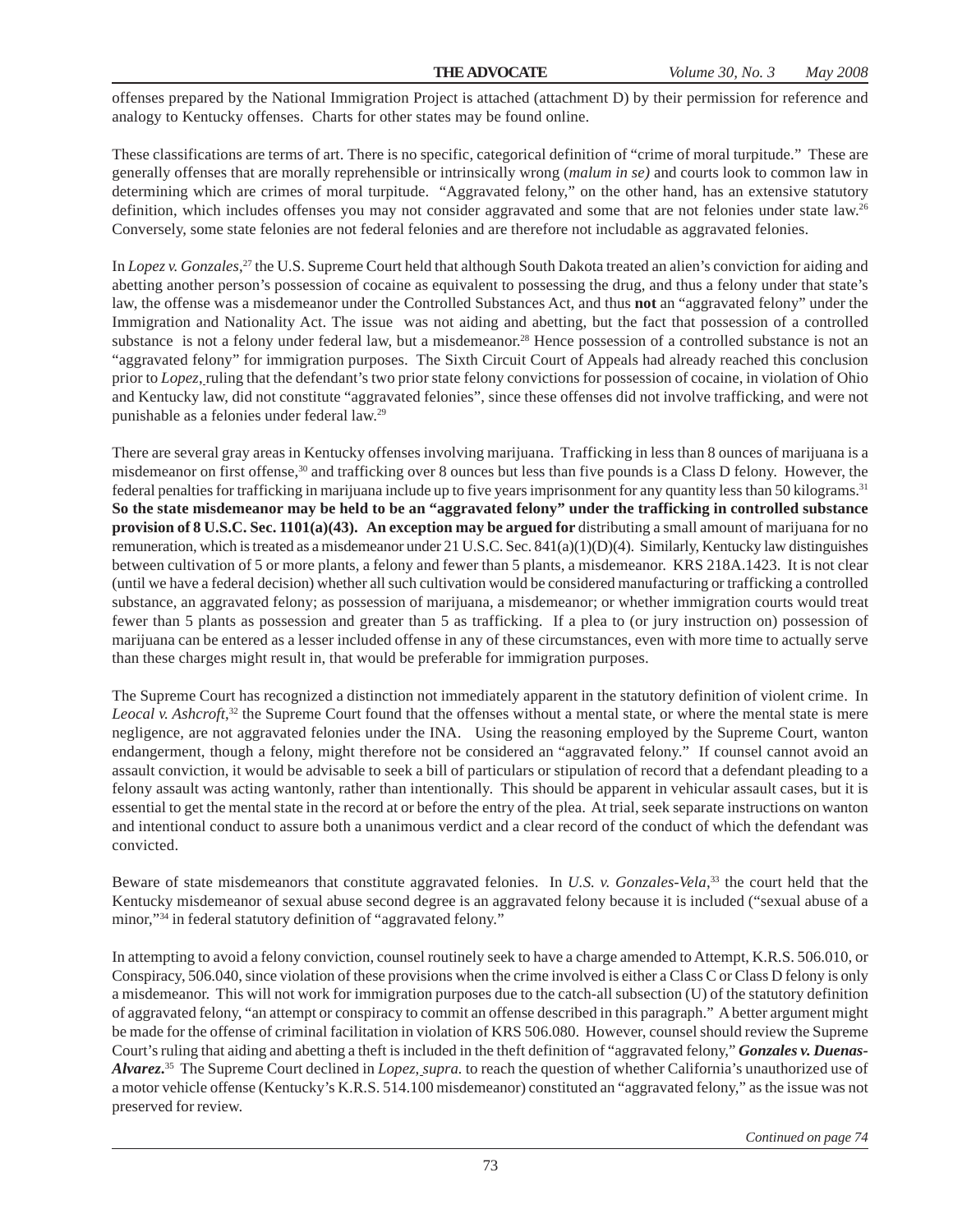offenses prepared by the National Immigration Project is attached (attachment D) by their permission for reference and analogy to Kentucky offenses. Charts for other states may be found online.

These classifications are terms of art. There is no specific, categorical definition of "crime of moral turpitude." These are generally offenses that are morally reprehensible or intrinsically wrong (*malum in se)* and courts look to common law in determining which are crimes of moral turpitude. "Aggravated felony," on the other hand, has an extensive statutory definition, which includes offenses you may not consider aggravated and some that are not felonies under state law.<sup>26</sup> Conversely, some state felonies are not federal felonies and are therefore not includable as aggravated felonies.

In *Lopez v. Gonzales*, 27 the U.S. Supreme Court held that although South Dakota treated an alien's conviction for aiding and abetting another person's possession of cocaine as equivalent to possessing the drug, and thus a felony under that state's law, the offense was a misdemeanor under the Controlled Substances Act, and thus **not** an "aggravated felony" under the Immigration and Nationality Act. The issue was not aiding and abetting, but the fact that possession of a controlled substance is not a felony under federal law, but a misdemeanor.<sup>28</sup> Hence possession of a controlled substance is not an "aggravated felony" for immigration purposes. The Sixth Circuit Court of Appeals had already reached this conclusion prior to *Lopez*, ruling that the defendant's two prior state felony convictions for possession of cocaine, in violation of Ohio and Kentucky law, did not constitute "aggravated felonies", since these offenses did not involve trafficking, and were not punishable as a felonies under federal law.29

There are several gray areas in Kentucky offenses involving marijuana. Trafficking in less than 8 ounces of marijuana is a misdemeanor on first offense,<sup>30</sup> and trafficking over 8 ounces but less than five pounds is a Class D felony. However, the federal penalties for trafficking in marijuana include up to five years imprisonment for any quantity less than 50 kilograms.31 **So the state misdemeanor may be held to be an "aggravated felony" under the trafficking in controlled substance provision of 8 U.S.C. Sec. 1101(a)(43). An exception may be argued for distributing a small amount of marijuana for no** remuneration, which is treated as a misdemeanor under 21 U.S.C. Sec.  $841(a)(1)(D)(4)$ . Similarly, Kentucky law distinguishes between cultivation of 5 or more plants, a felony and fewer than 5 plants, a misdemeanor. KRS 218A.1423. It is not clear (until we have a federal decision) whether all such cultivation would be considered manufacturing or trafficking a controlled substance, an aggravated felony; as possession of marijuana, a misdemeanor; or whether immigration courts would treat fewer than 5 plants as possession and greater than 5 as trafficking. If a plea to (or jury instruction on) possession of marijuana can be entered as a lesser included offense in any of these circumstances, even with more time to actually serve than these charges might result in, that would be preferable for immigration purposes.

The Supreme Court has recognized a distinction not immediately apparent in the statutory definition of violent crime. In Leocal v. Ashcroft,<sup>32</sup> the Supreme Court found that the offenses without a mental state, or where the mental state is mere negligence, are not aggravated felonies under the INA. Using the reasoning employed by the Supreme Court, wanton endangerment, though a felony, might therefore not be considered an "aggravated felony." If counsel cannot avoid an assault conviction, it would be advisable to seek a bill of particulars or stipulation of record that a defendant pleading to a felony assault was acting wantonly, rather than intentionally. This should be apparent in vehicular assault cases, but it is essential to get the mental state in the record at or before the entry of the plea. At trial, seek separate instructions on wanton and intentional conduct to assure both a unanimous verdict and a clear record of the conduct of which the defendant was convicted.

Beware of state misdemeanors that constitute aggravated felonies. In *U.S. v. Gonzales-Vela*,<sup>33</sup> the court held that the Kentucky misdemeanor of sexual abuse second degree is an aggravated felony because it is included ("sexual abuse of a minor,"34 in federal statutory definition of "aggravated felony."

In attempting to avoid a felony conviction, counsel routinely seek to have a charge amended to Attempt, K.R.S. 506.010, or Conspiracy, 506.040, since violation of these provisions when the crime involved is either a Class C or Class D felony is only a misdemeanor. This will not work for immigration purposes due to the catch-all subsection (U) of the statutory definition of aggravated felony, "an attempt or conspiracy to commit an offense described in this paragraph." A better argument might be made for the offense of criminal facilitation in violation of KRS 506.080. However, counsel should review the Supreme Court's ruling that aiding and abetting a theft is included in the theft definition of "aggravated felony," *Gonzales v. Duenas-Alvarez***.** 35 The Supreme Court declined in *Lopez*, *supra.* to reach the question of whether California's unauthorized use of a motor vehicle offense (Kentucky's K.R.S. 514.100 misdemeanor) constituted an "aggravated felony," as the issue was not preserved for review.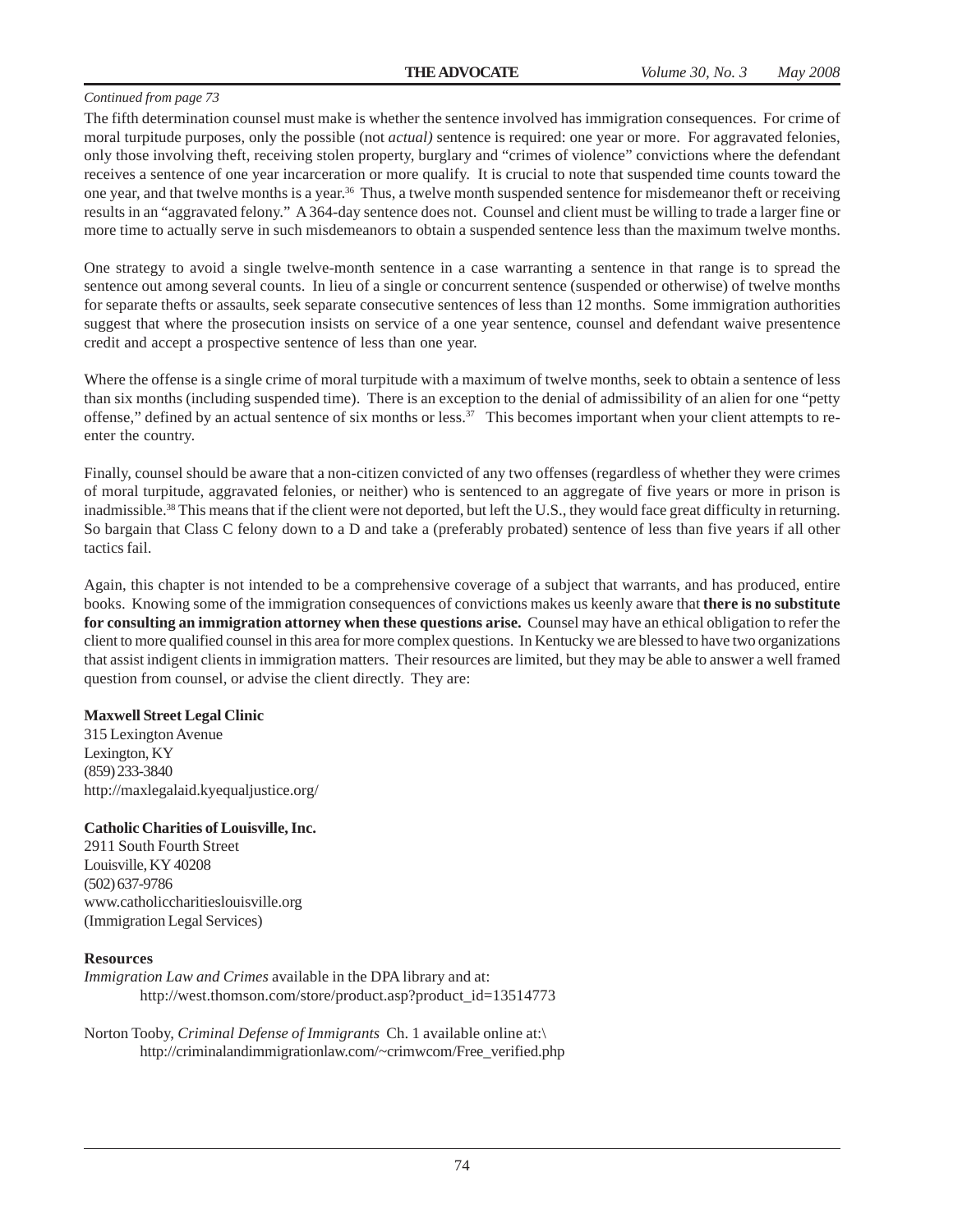The fifth determination counsel must make is whether the sentence involved has immigration consequences. For crime of moral turpitude purposes, only the possible (not *actual)* sentence is required: one year or more. For aggravated felonies, only those involving theft, receiving stolen property, burglary and "crimes of violence" convictions where the defendant receives a sentence of one year incarceration or more qualify. It is crucial to note that suspended time counts toward the one year, and that twelve months is a year.36 Thus, a twelve month suspended sentence for misdemeanor theft or receiving results in an "aggravated felony." A 364-day sentence does not. Counsel and client must be willing to trade a larger fine or more time to actually serve in such misdemeanors to obtain a suspended sentence less than the maximum twelve months.

One strategy to avoid a single twelve-month sentence in a case warranting a sentence in that range is to spread the sentence out among several counts. In lieu of a single or concurrent sentence (suspended or otherwise) of twelve months for separate thefts or assaults, seek separate consecutive sentences of less than 12 months. Some immigration authorities suggest that where the prosecution insists on service of a one year sentence, counsel and defendant waive presentence credit and accept a prospective sentence of less than one year.

Where the offense is a single crime of moral turpitude with a maximum of twelve months, seek to obtain a sentence of less than six months (including suspended time). There is an exception to the denial of admissibility of an alien for one "petty offense," defined by an actual sentence of six months or less.<sup>37</sup> This becomes important when your client attempts to reenter the country.

Finally, counsel should be aware that a non-citizen convicted of any two offenses (regardless of whether they were crimes of moral turpitude, aggravated felonies, or neither) who is sentenced to an aggregate of five years or more in prison is inadmissible.<sup>38</sup> This means that if the client were not deported, but left the U.S., they would face great difficulty in returning. So bargain that Class C felony down to a D and take a (preferably probated) sentence of less than five years if all other tactics fail.

Again, this chapter is not intended to be a comprehensive coverage of a subject that warrants, and has produced, entire books. Knowing some of the immigration consequences of convictions makes us keenly aware that **there is no substitute for consulting an immigration attorney when these questions arise.** Counsel may have an ethical obligation to refer the client to more qualified counsel in this area for more complex questions. In Kentucky we are blessed to have two organizations that assist indigent clients in immigration matters. Their resources are limited, but they may be able to answer a well framed question from counsel, or advise the client directly. They are:

#### **Maxwell Street Legal Clinic**

315 Lexington Avenue Lexington, KY (859) 233-3840 http://maxlegalaid.kyequaljustice.org/

#### **Catholic Charities of Louisville, Inc.**

2911 South Fourth Street Louisville, KY 40208 (502) 637-9786 www.catholiccharitieslouisville.org (Immigration Legal Services)

### **Resources**

*Immigration Law and Crimes* available in the DPA library and at: http://west.thomson.com/store/product.asp?product\_id=13514773

Norton Tooby, *Criminal Defense of Immigrants* Ch. 1 available online at:\ http://criminalandimmigrationlaw.com/~crimwcom/Free\_verified.php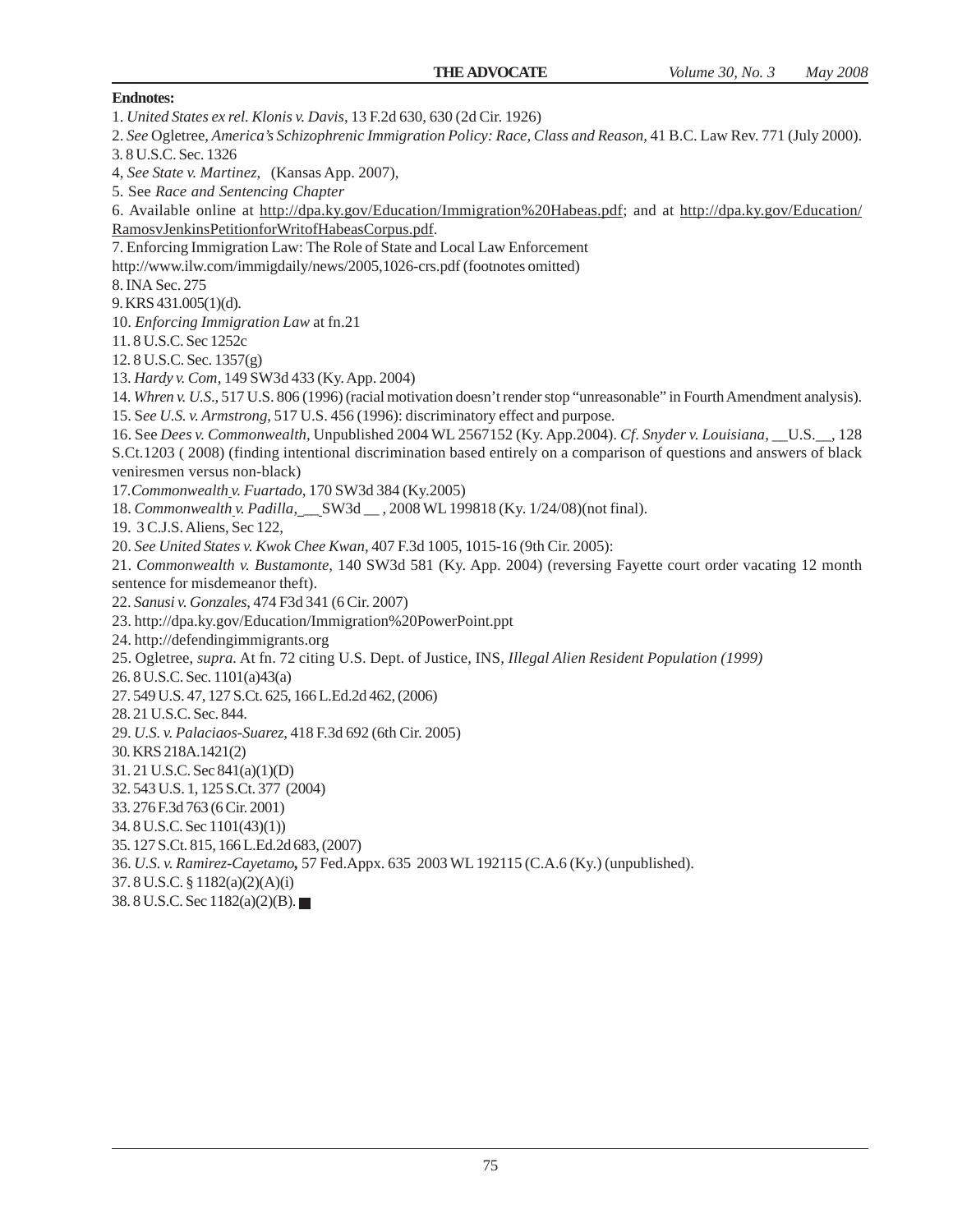**Endnotes:** 1. *United States ex rel. Klonis v. Davis*, 13 F.2d 630, 630 (2d Cir. 1926) 2. *See* Ogletree, *America's Schizophrenic Immigration Policy: Race, Class and Reason*, 41 B.C. Law Rev. 771 (July 2000). 3. 8 U.S.C. Sec. 1326 4, *See State v. Martinez*, (Kansas App. 2007), 5. See *Race and Sentencing Chapter* 6. Available online at http://dpa.ky.gov/Education/Immigration%20Habeas.pdf; and at http://dpa.ky.gov/Education/ RamosvJenkinsPetitionforWritofHabeasCorpus.pdf. 7. Enforcing Immigration Law: The Role of State and Local Law Enforcement http://www.ilw.com/immigdaily/news/2005,1026-crs.pdf (footnotes omitted) 8. INA Sec. 275 9. KRS 431.005(1)(d). 10. *Enforcing Immigration Law* at fn.21 11. 8 U.S.C. Sec 1252c 12. 8 U.S.C. Sec. 1357(g) 13. *Hardy v. Com*, 149 SW3d 433 (Ky. App. 2004) 14. *Whren v. U.S*., 517 U.S. 806 (1996) (racial motivation doesn't render stop "unreasonable" in Fourth Amendment analysis). 15. S*ee U.S. v. Armstrong*, 517 U.S. 456 (1996): discriminatory effect and purpose. 16. See *Dees v. Commonwealth,* Unpublished 2004 WL 2567152 (Ky. App.2004)*. Cf*. *Snyder v. Louisiana*, \_\_U.S.\_\_, 128 S.Ct.1203 ( 2008) (finding intentional discrimination based entirely on a comparison of questions and answers of black veniresmen versus non-black) 17*.Commonwealth v. Fuartado*, 170 SW3d 384 (Ky.2005) 18. *Commonwealth v. Padilla*, \_\_ SW3d \_\_ , 2008 WL 199818 (Ky. 1/24/08)(not final). 19. 3 C.J.S. Aliens, Sec 122, 20. *See United States v. Kwok Chee Kwan*, 407 F.3d 1005, 1015-16 (9th Cir. 2005): 21. *Commonwealth v. Bustamonte*, 140 SW3d 581 (Ky. App. 2004) (reversing Fayette court order vacating 12 month sentence for misdemeanor theft). 22. *Sanusi v. Gonzales*, 474 F3d 341 (6 Cir. 2007) 23. http://dpa.ky.gov/Education/Immigration%20PowerPoint.ppt 24. http://defendingimmigrants.org 25. Ogletree, *supra.* At fn. 72 citing U.S. Dept. of Justice, INS, *Illegal Alien Resident Population (1999)* 26. 8 U.S.C. Sec. 1101(a)43(a) 27. 549 U.S. 47, 127 S.Ct. 625, 166 L.Ed.2d 462, (2006) 28. 21 U.S.C. Sec. 844. 29. *U.S. v. Palaciaos-Suarez*, 418 F.3d 692 (6th Cir. 2005) 30. KRS 218A.1421(2) 31. 21 U.S.C. Sec 841(a)(1)(D) 32. 543 U.S. 1, 125 S.Ct. 377 (2004) 33. 276 F.3d 763 (6 Cir. 2001) 34. 8 U.S.C. Sec 1101(43)(1)) 35. 127 S.Ct. 815, 166 L.Ed.2d 683, (2007) 36. *U.S. v. Ramirez-Cayetamo,* 57 Fed.Appx. 635 2003 WL 192115 (C.A.6 (Ky.) (unpublished). 37. 8 U.S.C. § 1182(a)(2)(A)(i) 38. 8 U.S.C. Sec 1182(a)(2)(B).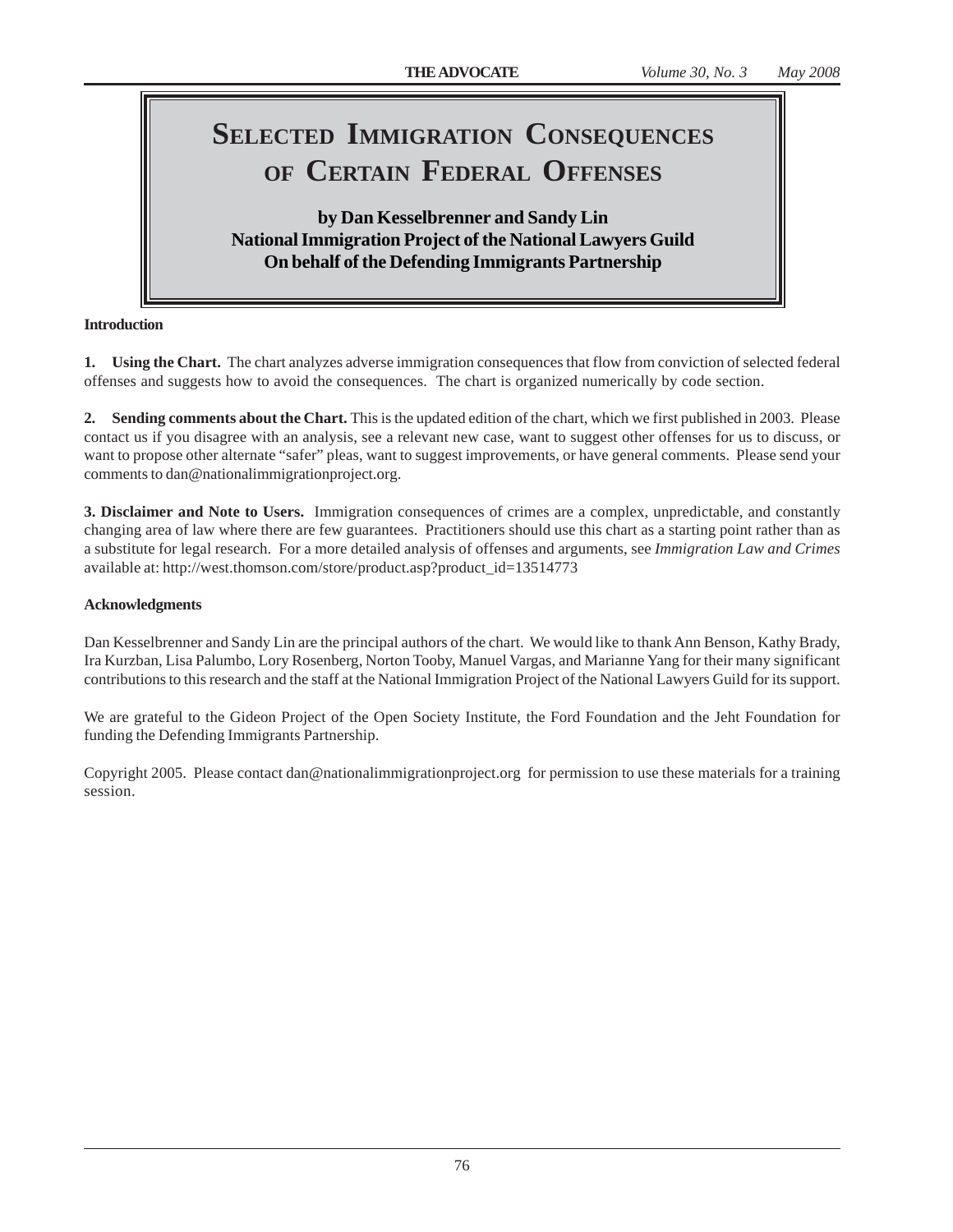# **SELECTED IMMIGRATION CONSEQUENCES OF CERTAIN FEDERAL OFFENSES**

# **by Dan Kesselbrenner and Sandy Lin National Immigration Project of the National Lawyers Guild On behalf of the Defending Immigrants Partnership**

# **Introduction**

**1.** Using the Chart. The chart analyzes adverse immigration consequences that flow from conviction of selected federal offenses and suggests how to avoid the consequences. The chart is organized numerically by code section.

**2. Sending comments about the Chart.** This is the updated edition of the chart, which we first published in 2003. Please contact us if you disagree with an analysis, see a relevant new case, want to suggest other offenses for us to discuss, or want to propose other alternate "safer" pleas, want to suggest improvements, or have general comments. Please send your comments to dan@nationalimmigrationproject.org.

**3. Disclaimer and Note to Users.** Immigration consequences of crimes are a complex, unpredictable, and constantly changing area of law where there are few guarantees. Practitioners should use this chart as a starting point rather than as a substitute for legal research. For a more detailed analysis of offenses and arguments, see *Immigration Law and Crimes* available at: http://west.thomson.com/store/product.asp?product\_id=13514773

# **Acknowledgments**

Dan Kesselbrenner and Sandy Lin are the principal authors of the chart. We would like to thank Ann Benson, Kathy Brady, Ira Kurzban, Lisa Palumbo, Lory Rosenberg, Norton Tooby, Manuel Vargas, and Marianne Yang for their many significant contributions to this research and the staff at the National Immigration Project of the National Lawyers Guild for its support.

We are grateful to the Gideon Project of the Open Society Institute, the Ford Foundation and the Jeht Foundation for funding the Defending Immigrants Partnership.

Copyright 2005. Please contact dan@nationalimmigrationproject.org for permission to use these materials for a training session.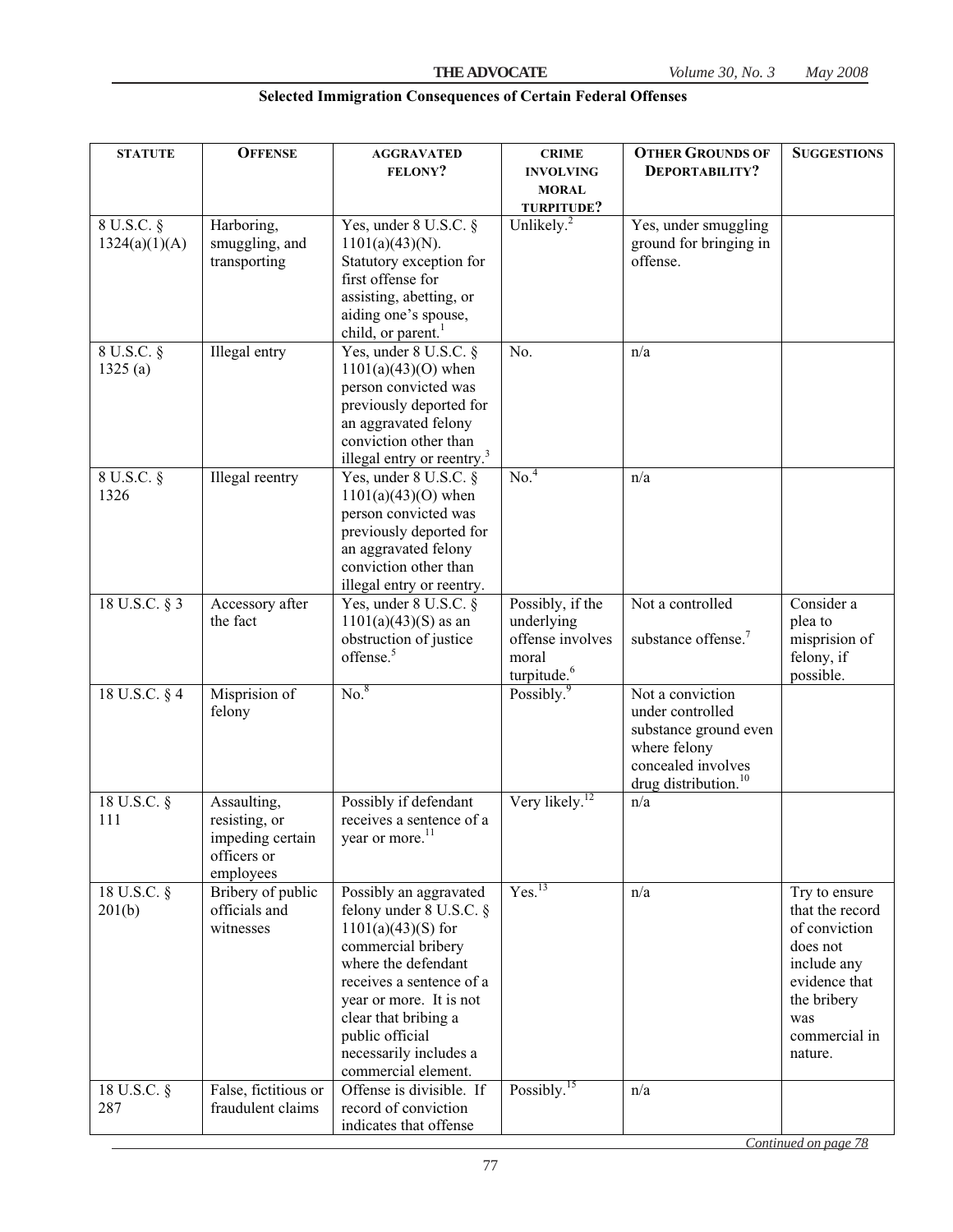| <b>STATUTE</b>              | <b>OFFENSE</b>                                                               | <b>AGGRAVATED</b>                                                                                                                                                                                                                                                         | <b>CRIME</b>                                                                           | <b>OTHER GROUNDS OF</b>                                                                                                                 | <b>SUGGESTIONS</b>                                                                                                                              |
|-----------------------------|------------------------------------------------------------------------------|---------------------------------------------------------------------------------------------------------------------------------------------------------------------------------------------------------------------------------------------------------------------------|----------------------------------------------------------------------------------------|-----------------------------------------------------------------------------------------------------------------------------------------|-------------------------------------------------------------------------------------------------------------------------------------------------|
|                             |                                                                              | <b>FELONY?</b>                                                                                                                                                                                                                                                            | <b>INVOLVING</b><br><b>MORAL</b>                                                       | DEPORTABILITY?                                                                                                                          |                                                                                                                                                 |
|                             |                                                                              |                                                                                                                                                                                                                                                                           | TURPITUDE?                                                                             |                                                                                                                                         |                                                                                                                                                 |
| 8 U.S.C. §<br>1324(a)(1)(A) | Harboring,<br>smuggling, and<br>transporting                                 | Yes, under 8 U.S.C. §<br>$1101(a)(43)(N)$ .<br>Statutory exception for<br>first offense for<br>assisting, abetting, or<br>aiding one's spouse,<br>child, or parent. <sup>1</sup>                                                                                          | Unlikely. $^{2}$                                                                       | Yes, under smuggling<br>ground for bringing in<br>offense.                                                                              |                                                                                                                                                 |
| 8 U.S.C. §<br>1325(a)       | Illegal entry                                                                | Yes, under 8 U.S.C. §<br>$1101(a)(43)(O)$ when<br>person convicted was<br>previously deported for<br>an aggravated felony<br>conviction other than<br>illegal entry or reentry. <sup>3</sup>                                                                              | No.                                                                                    | n/a                                                                                                                                     |                                                                                                                                                 |
| 8 U.S.C. §<br>1326          | Illegal reentry                                                              | Yes, under 8 U.S.C. §<br>$1101(a)(43)(O)$ when<br>person convicted was<br>previously deported for<br>an aggravated felony<br>conviction other than<br>illegal entry or reentry.                                                                                           | No. <sup>4</sup>                                                                       | n/a                                                                                                                                     |                                                                                                                                                 |
| 18 U.S.C. § 3               | Accessory after<br>the fact                                                  | Yes, under 8 U.S.C. §<br>$1101(a)(43)(S)$ as an<br>obstruction of justice<br>offense. <sup>5</sup>                                                                                                                                                                        | Possibly, if the<br>underlying<br>offense involves<br>moral<br>turpitude. <sup>6</sup> | Not a controlled<br>substance offense. <sup>7</sup>                                                                                     | Consider a<br>plea to<br>misprision of<br>felony, if<br>possible.                                                                               |
| 18 U.S.C. § 4               | Misprision of<br>felony                                                      | No. <sup>8</sup>                                                                                                                                                                                                                                                          | Possibly. <sup>9</sup>                                                                 | Not a conviction<br>under controlled<br>substance ground even<br>where felony<br>concealed involves<br>drug distribution. <sup>10</sup> |                                                                                                                                                 |
| 18 U.S.C. §<br>111          | Assaulting,<br>resisting, or<br>impeding certain<br>officers or<br>employees | Possibly if defendant<br>receives a sentence of a<br>year or more. <sup>11</sup>                                                                                                                                                                                          | Very likely. <sup>12</sup>                                                             | n/a                                                                                                                                     |                                                                                                                                                 |
| 18 U.S.C. §<br>201(b)       | Bribery of public<br>officials and<br>witnesses                              | Possibly an aggravated<br>felony under 8 U.S.C. §<br>$1101(a)(43)(S)$ for<br>commercial bribery<br>where the defendant<br>receives a sentence of a<br>year or more. It is not<br>clear that bribing a<br>public official<br>necessarily includes a<br>commercial element. | Yes. <sup>13</sup>                                                                     | n/a                                                                                                                                     | Try to ensure<br>that the record<br>of conviction<br>does not<br>include any<br>evidence that<br>the bribery<br>was<br>commercial in<br>nature. |
| 18 U.S.C. §<br>287          | False, fictitious or<br>fraudulent claims                                    | Offense is divisible. If<br>record of conviction<br>indicates that offense                                                                                                                                                                                                | Possibly. <sup>15</sup>                                                                | n/a                                                                                                                                     |                                                                                                                                                 |

# **Selected Immigration Consequences of Certain Federal Offenses**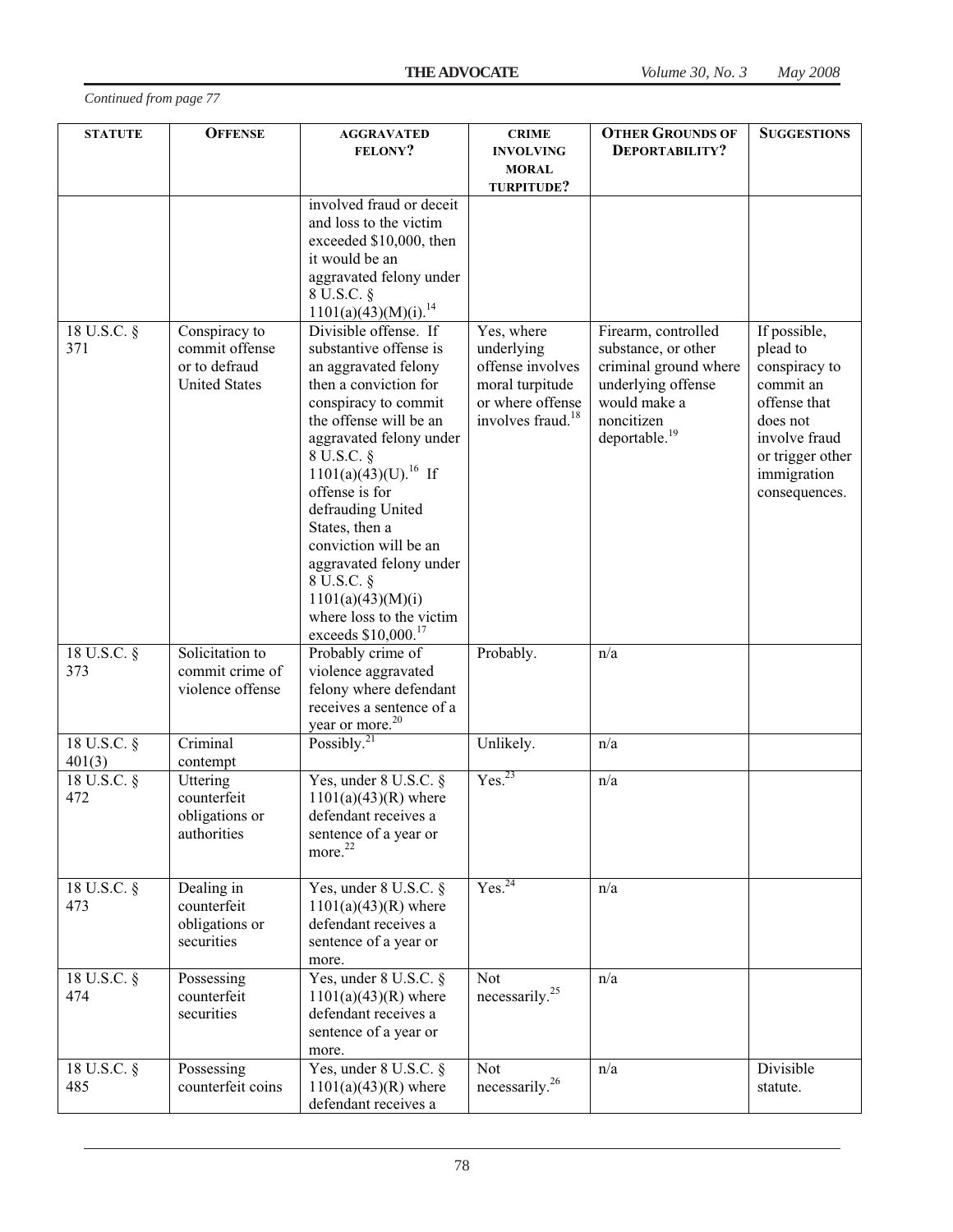| <b>STATUTE</b>          | <b>OFFENSE</b>                                                           | <b>AGGRAVATED</b><br>FELONY?                                                                                                                                                                                                                                                                                                                                                                                                                     | <b>CRIME</b><br><b>INVOLVING</b><br><b>MORAL</b><br>TURPITUDE?                                                       | <b>OTHER GROUNDS OF</b><br>DEPORTABILITY?                                                                                                            | <b>SUGGESTIONS</b>                                                                                                                                      |
|-------------------------|--------------------------------------------------------------------------|--------------------------------------------------------------------------------------------------------------------------------------------------------------------------------------------------------------------------------------------------------------------------------------------------------------------------------------------------------------------------------------------------------------------------------------------------|----------------------------------------------------------------------------------------------------------------------|------------------------------------------------------------------------------------------------------------------------------------------------------|---------------------------------------------------------------------------------------------------------------------------------------------------------|
|                         |                                                                          | involved fraud or deceit<br>and loss to the victim<br>exceeded \$10,000, then<br>it would be an<br>aggravated felony under<br>8 U.S.C. §<br>1101(a)(43)(M)(i). <sup>14</sup>                                                                                                                                                                                                                                                                     |                                                                                                                      |                                                                                                                                                      |                                                                                                                                                         |
| 18 U.S.C. §<br>371      | Conspiracy to<br>commit offense<br>or to defraud<br><b>United States</b> | Divisible offense. If<br>substantive offense is<br>an aggravated felony<br>then a conviction for<br>conspiracy to commit<br>the offense will be an<br>aggravated felony under<br>8 U.S.C. §<br>$1101(a)(43)(U).$ <sup>16</sup> If<br>offense is for<br>defrauding United<br>States, then a<br>conviction will be an<br>aggravated felony under<br>8 U.S.C. §<br>1101(a)(43)(M)(i)<br>where loss to the victim<br>exceeds \$10,000. <sup>17</sup> | Yes, where<br>underlying<br>offense involves<br>moral turpitude<br>or where offense<br>involves fraud. <sup>18</sup> | Firearm, controlled<br>substance, or other<br>criminal ground where<br>underlying offense<br>would make a<br>noncitizen<br>deportable. <sup>19</sup> | If possible,<br>plead to<br>conspiracy to<br>commit an<br>offense that<br>does not<br>involve fraud<br>or trigger other<br>immigration<br>consequences. |
| 18 U.S.C. §<br>373      | Solicitation to<br>commit crime of<br>violence offense                   | Probably crime of<br>violence aggravated<br>felony where defendant<br>receives a sentence of a<br>year or more. <sup>20</sup>                                                                                                                                                                                                                                                                                                                    | Probably.                                                                                                            | n/a                                                                                                                                                  |                                                                                                                                                         |
| 18 U.S.C. §<br>401(3)   | Criminal<br>contempt                                                     | Possibly. $^{21}$                                                                                                                                                                                                                                                                                                                                                                                                                                | Unlikely.                                                                                                            | n/a                                                                                                                                                  |                                                                                                                                                         |
| $18$ U.S.C. $\S$<br>472 | Uttering<br>counterfeit<br>obligations or<br>authorities                 | Yes, under 8 U.S.C. §<br>$1101(a)(43)(R)$ where<br>defendant receives a<br>sentence of a year or<br>more. <sup>22</sup>                                                                                                                                                                                                                                                                                                                          | Yes. <sup>23</sup>                                                                                                   | n/a                                                                                                                                                  |                                                                                                                                                         |
| 18 U.S.C. §<br>473      | Dealing in<br>counterfeit<br>obligations or<br>securities                | Yes, under 8 U.S.C. §<br>$1101(a)(43)(R)$ where<br>defendant receives a<br>sentence of a year or<br>more.                                                                                                                                                                                                                                                                                                                                        | Yes. <sup>24</sup>                                                                                                   | n/a                                                                                                                                                  |                                                                                                                                                         |
| 18 U.S.C. §<br>474      | Possessing<br>counterfeit<br>securities                                  | Yes, under 8 U.S.C. §<br>$1101(a)(43)(R)$ where<br>defendant receives a<br>sentence of a year or<br>more.                                                                                                                                                                                                                                                                                                                                        | Not<br>necessarily. $25$                                                                                             | n/a                                                                                                                                                  |                                                                                                                                                         |
| 18 U.S.C. §<br>485      | Possessing<br>counterfeit coins                                          | Yes, under 8 U.S.C. §<br>$1101(a)(43)(R)$ where<br>defendant receives a                                                                                                                                                                                                                                                                                                                                                                          | Not<br>necessarily. <sup>26</sup>                                                                                    | n/a                                                                                                                                                  | Divisible<br>statute.                                                                                                                                   |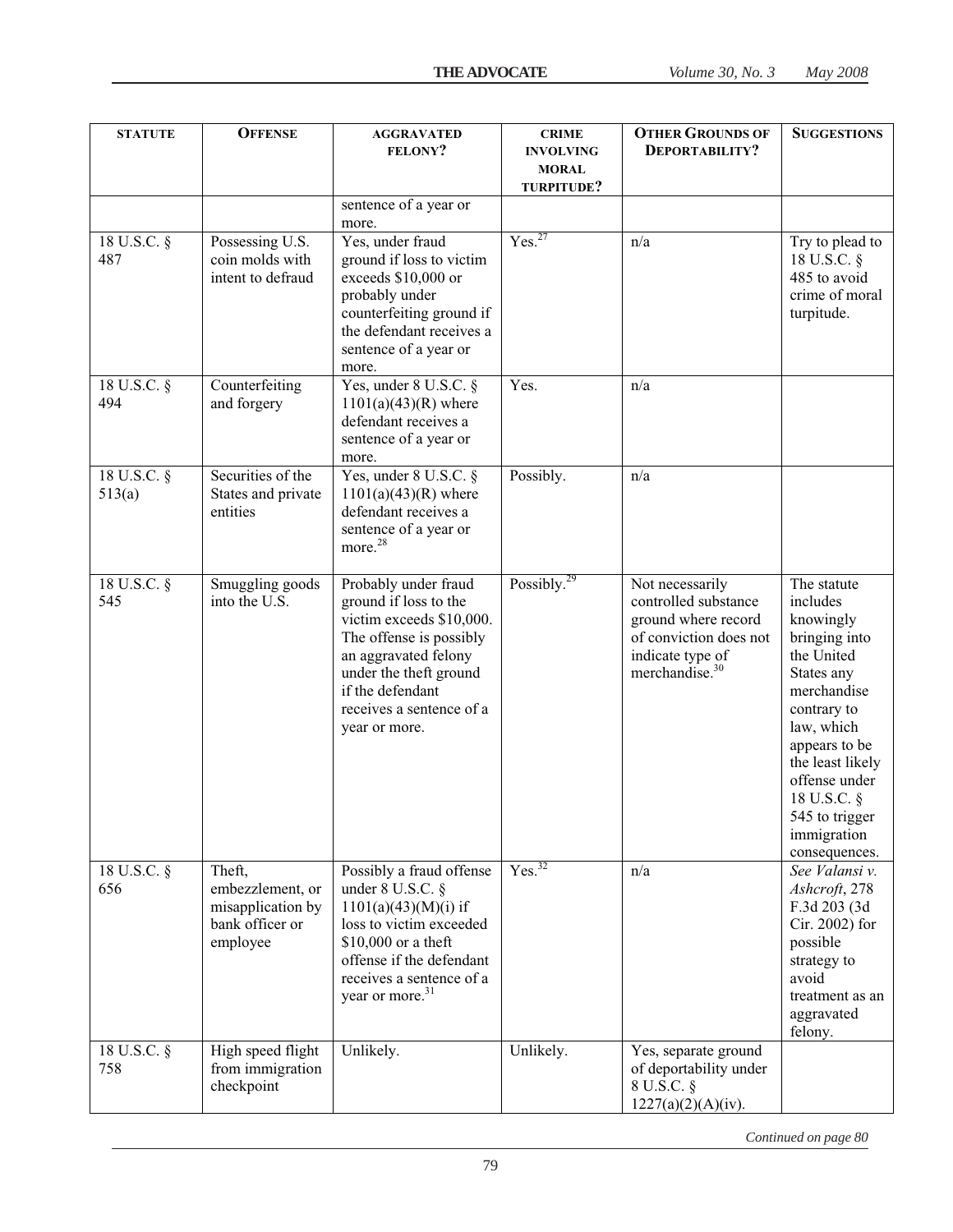| <b>STATUTE</b>          | <b>OFFENSE</b>                                                                 | <b>AGGRAVATED</b><br><b>FELONY?</b>                                                                                                                                                                                     | <b>CRIME</b><br><b>INVOLVING</b><br><b>MORAL</b><br>TURPITUDE? | <b>OTHER GROUNDS OF</b><br>DEPORTABILITY?                                                                                                  | <b>SUGGESTIONS</b>                                                                                                                                                                                                                                   |
|-------------------------|--------------------------------------------------------------------------------|-------------------------------------------------------------------------------------------------------------------------------------------------------------------------------------------------------------------------|----------------------------------------------------------------|--------------------------------------------------------------------------------------------------------------------------------------------|------------------------------------------------------------------------------------------------------------------------------------------------------------------------------------------------------------------------------------------------------|
|                         |                                                                                | sentence of a year or                                                                                                                                                                                                   |                                                                |                                                                                                                                            |                                                                                                                                                                                                                                                      |
| 18 U.S.C. §<br>487      | Possessing U.S.<br>coin molds with<br>intent to defraud                        | more.<br>Yes, under fraud<br>ground if loss to victim<br>exceeds \$10,000 or<br>probably under<br>counterfeiting ground if<br>the defendant receives a<br>sentence of a year or                                         | Yes. <sup>27</sup>                                             | n/a                                                                                                                                        | Try to plead to<br>18 U.S.C. §<br>485 to avoid<br>crime of moral<br>turpitude.                                                                                                                                                                       |
| 18 U.S.C. §<br>494      | Counterfeiting<br>and forgery                                                  | more.<br>Yes, under 8 U.S.C. §<br>$1101(a)(43)(R)$ where<br>defendant receives a<br>sentence of a year or<br>more.                                                                                                      | Yes.                                                           | n/a                                                                                                                                        |                                                                                                                                                                                                                                                      |
| 18 U.S.C. §<br>513(a)   | Securities of the<br>States and private<br>entities                            | Yes, under 8 U.S.C. §<br>$1101(a)(43)(R)$ where<br>defendant receives a<br>sentence of a year or<br>more. <sup>28</sup>                                                                                                 | Possibly.                                                      | n/a                                                                                                                                        |                                                                                                                                                                                                                                                      |
| $18$ U.S.C. $\S$<br>545 | Smuggling goods<br>into the U.S.                                               | Probably under fraud<br>ground if loss to the<br>victim exceeds \$10,000.<br>The offense is possibly<br>an aggravated felony<br>under the theft ground<br>if the defendant<br>receives a sentence of a<br>year or more. | Possibly. <sup>29</sup>                                        | Not necessarily<br>controlled substance<br>ground where record<br>of conviction does not<br>indicate type of<br>merchandise. <sup>30</sup> | The statute<br>includes<br>knowingly<br>bringing into<br>the United<br>States any<br>merchandise<br>contrary to<br>law, which<br>appears to be<br>the least likely<br>offense under<br>18 U.S.C. §<br>545 to trigger<br>immigration<br>consequences. |
| 18 U.S.C. §<br>656      | Theft,<br>embezzlement, or<br>misapplication by<br>bank officer or<br>employee | Possibly a fraud offense<br>under $8$ U.S.C. $\S$<br>$1101(a)(43)(M)(i)$ if<br>loss to victim exceeded<br>\$10,000 or a theft<br>offense if the defendant<br>receives a sentence of a<br>year or more. <sup>31</sup>    | Yes. <sup>32</sup>                                             | n/a                                                                                                                                        | See Valansi v.<br>Ashcroft, 278<br>F.3d 203 (3d<br>Cir. 2002) for<br>possible<br>strategy to<br>avoid<br>treatment as an<br>aggravated<br>felony.                                                                                                    |
| 18 U.S.C. §<br>758      | High speed flight<br>from immigration<br>checkpoint                            | Unlikely.                                                                                                                                                                                                               | Unlikely.                                                      | Yes, separate ground<br>of deportability under<br>8 U.S.C. §<br>1227(a)(2)(A)(iv).                                                         |                                                                                                                                                                                                                                                      |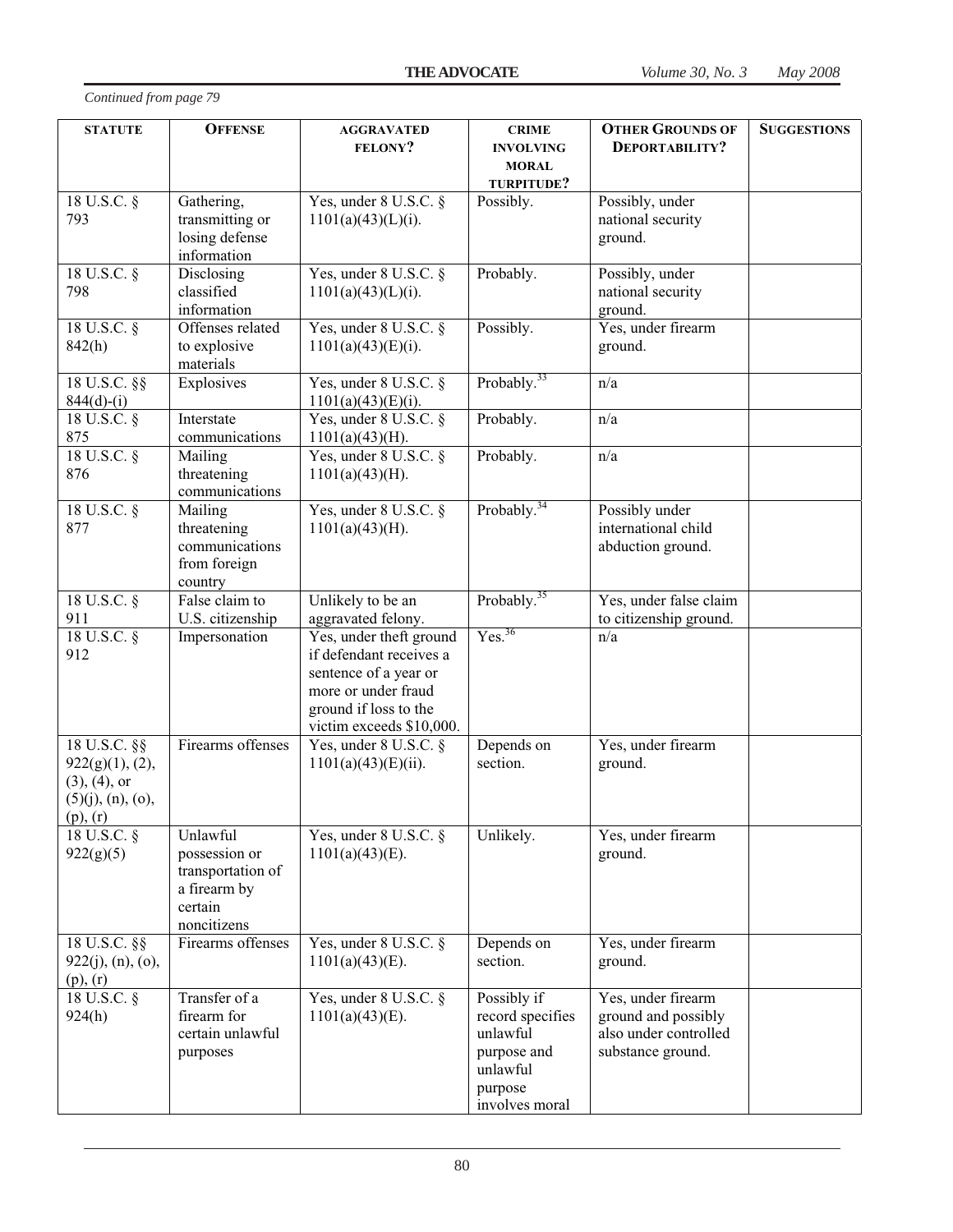| <b>STATUTE</b>                                                                                | <b>OFFENSE</b>                                                                           | <b>AGGRAVATED</b><br><b>FELONY?</b>                                                                                                                     | <b>CRIME</b><br><b>INVOLVING</b><br><b>MORAL</b><br>TURPITUDE?                                      | <b>OTHER GROUNDS OF</b><br>DEPORTABILITY?                                               | <b>SUGGESTIONS</b> |
|-----------------------------------------------------------------------------------------------|------------------------------------------------------------------------------------------|---------------------------------------------------------------------------------------------------------------------------------------------------------|-----------------------------------------------------------------------------------------------------|-----------------------------------------------------------------------------------------|--------------------|
| 18 U.S.C. $\overline{\S}$<br>793                                                              | Gathering,<br>transmitting or<br>losing defense<br>information                           | Yes, under 8 U.S.C. §<br>$1101(a)(43)(L)(i)$ .                                                                                                          | Possibly.                                                                                           | Possibly, under<br>national security<br>ground.                                         |                    |
| 18 U.S.C. §<br>798                                                                            | Disclosing<br>classified<br>information                                                  | Yes, under 8 U.S.C. §<br>$1101(a)(43)(L)(i)$ .                                                                                                          | Probably.                                                                                           | Possibly, under<br>national security<br>ground.                                         |                    |
| $18$ U.S.C. $\S$<br>842(h)                                                                    | Offenses related<br>to explosive<br>materials                                            | Yes, under 8 U.S.C. §<br>$1101(a)(43)(E)(i)$ .                                                                                                          | Possibly.                                                                                           | Yes, under firearm<br>ground.                                                           |                    |
| 18 U.S.C. §§<br>$844(d)-(i)$                                                                  | Explosives                                                                               | Yes, under 8 U.S.C. §<br>$1101(a)(43)(E)(i)$ .                                                                                                          | Probably. <sup>33</sup>                                                                             | n/a                                                                                     |                    |
| $18 \text{ U.S.C.}$ §<br>875                                                                  | Interstate<br>communications                                                             | Yes, under 8 U.S.C. §<br>$1101(a)(43)(H)$ .                                                                                                             | Probably.                                                                                           | n/a                                                                                     |                    |
| $18$ U.S.C. $\S$<br>876                                                                       | Mailing<br>threatening<br>communications                                                 | Yes, under 8 U.S.C. §<br>$1101(a)(43)(H)$ .                                                                                                             | Probably.                                                                                           | n/a                                                                                     |                    |
| $18$ U.S.C. $\S$<br>877                                                                       | Mailing<br>threatening<br>communications<br>from foreign<br>country                      | Yes, under 8 U.S.C. §<br>$1101(a)(43)(H)$ .                                                                                                             | Probably. <sup>34</sup>                                                                             | Possibly under<br>international child<br>abduction ground.                              |                    |
| 18 U.S.C. §<br>911                                                                            | False claim to<br>U.S. citizenship                                                       | Unlikely to be an<br>aggravated felony.                                                                                                                 | Probably. $35$                                                                                      | Yes, under false claim<br>to citizenship ground.                                        |                    |
| $18$ U.S.C. $\S$<br>912                                                                       | Impersonation                                                                            | Yes, under theft ground<br>if defendant receives a<br>sentence of a year or<br>more or under fraud<br>ground if loss to the<br>victim exceeds \$10,000. | Yes. <sup>36</sup>                                                                                  | n/a                                                                                     |                    |
| $18$ U.S.C. §§<br>922(g)(1), (2),<br>$(3), (4),$ or<br>$(5)(j)$ , $(n)$ , $(o)$ ,<br>(p), (r) | Firearms offenses                                                                        | Yes, under 8 U.S.C. §<br>$1101(a)(43) (E)(ii)$ .                                                                                                        | Depends on<br>section.                                                                              | Yes, under firearm<br>ground.                                                           |                    |
| 18 U.S.C. §<br>922(g)(5)                                                                      | Unlawful<br>possession or<br>transportation of<br>a firearm by<br>certain<br>noncitizens | Yes, under 8 U.S.C. §<br>$1101(a)(43)(E)$ .                                                                                                             | Unlikely.                                                                                           | Yes, under firearm<br>ground.                                                           |                    |
| 18 U.S.C. §§<br>922(j), (n), (o),<br>$(p)$ , $(r)$                                            | Firearms offenses                                                                        | Yes, under 8 U.S.C. §<br>$1101(a)(43)(E)$ .                                                                                                             | Depends on<br>section.                                                                              | Yes, under firearm<br>ground.                                                           |                    |
| $18$ U.S.C. $\S$<br>924(h)                                                                    | Transfer of a<br>firearm for<br>certain unlawful<br>purposes                             | Yes, under 8 U.S.C. §<br>$1101(a)(43)(E)$ .                                                                                                             | Possibly if<br>record specifies<br>unlawful<br>purpose and<br>unlawful<br>purpose<br>involves moral | Yes, under firearm<br>ground and possibly<br>also under controlled<br>substance ground. |                    |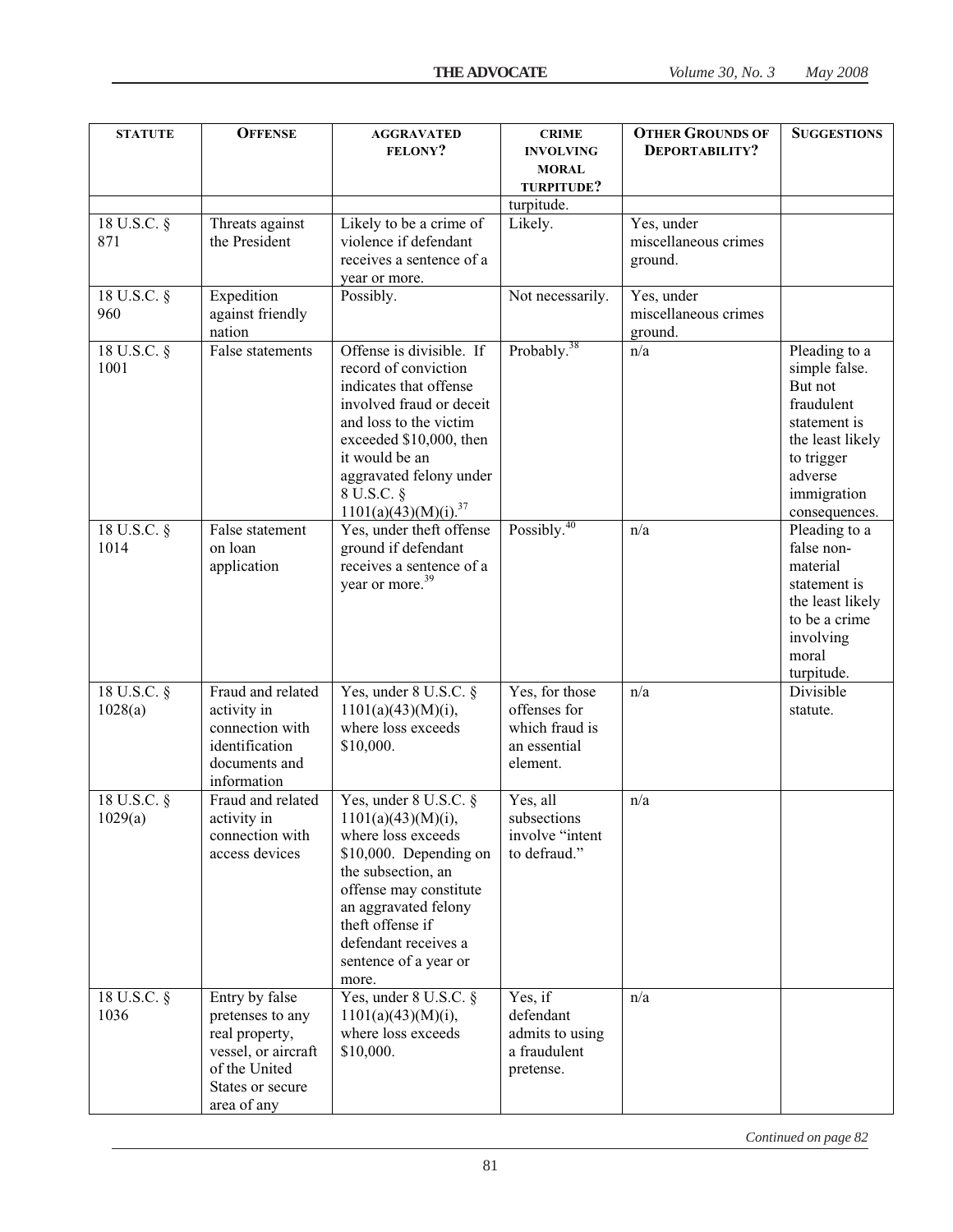| <b>STATUTE</b>              | <b>OFFENSE</b>                                                                                                                  | <b>AGGRAVATED</b><br><b>FELONY?</b>                                                                                                                                                                                                                       | <b>CRIME</b><br><b>INVOLVING</b><br><b>MORAL</b><br>TURPITUDE?               | <b>OTHER GROUNDS OF</b><br>DEPORTABILITY?     | <b>SUGGESTIONS</b>                                                                                                                                   |
|-----------------------------|---------------------------------------------------------------------------------------------------------------------------------|-----------------------------------------------------------------------------------------------------------------------------------------------------------------------------------------------------------------------------------------------------------|------------------------------------------------------------------------------|-----------------------------------------------|------------------------------------------------------------------------------------------------------------------------------------------------------|
|                             |                                                                                                                                 |                                                                                                                                                                                                                                                           | turpitude.                                                                   |                                               |                                                                                                                                                      |
| 18 U.S.C. §<br>871          | Threats against<br>the President                                                                                                | Likely to be a crime of<br>violence if defendant<br>receives a sentence of a<br>year or more.                                                                                                                                                             | Likely.                                                                      | Yes, under<br>miscellaneous crimes<br>ground. |                                                                                                                                                      |
| 18 U.S.C. §<br>960          | Expedition<br>against friendly<br>nation                                                                                        | Possibly.                                                                                                                                                                                                                                                 | Not necessarily.                                                             | Yes, under<br>miscellaneous crimes<br>ground. |                                                                                                                                                      |
| 18 U.S.C. $\S$<br>1001      | False statements                                                                                                                | Offense is divisible. If<br>record of conviction<br>indicates that offense<br>involved fraud or deceit<br>and loss to the victim<br>exceeded \$10,000, then<br>it would be an<br>aggravated felony under<br>8 U.S.C. §<br>$1101(a)(43)(M)(i).^{37}$       | Probably. <sup>38</sup>                                                      | n/a                                           | Pleading to a<br>simple false.<br>But not<br>fraudulent<br>statement is<br>the least likely<br>to trigger<br>adverse<br>immigration<br>consequences. |
| 18 U.S.C. §<br>1014         | False statement<br>on loan<br>application                                                                                       | Yes, under theft offense<br>ground if defendant<br>receives a sentence of a<br>year or more. <sup>39</sup>                                                                                                                                                | Possibly. $40$                                                               | n/a                                           | Pleading to a<br>false non-<br>material<br>statement is<br>the least likely<br>to be a crime<br>involving<br>moral<br>turpitude.                     |
| $18$ U.S.C. $\S$<br>1028(a) | Fraud and related<br>activity in<br>connection with<br>identification<br>documents and<br>information                           | Yes, under 8 U.S.C. §<br>$1101(a)(43)(M)(i)$ ,<br>where loss exceeds<br>\$10,000.                                                                                                                                                                         | Yes, for those<br>offenses for<br>which fraud is<br>an essential<br>element. | n/a                                           | Divisible<br>statute.                                                                                                                                |
| 18 U.S.C. §<br>1029(a)      | Fraud and related<br>activity in<br>connection with<br>access devices                                                           | Yes, under $8$ U.S.C. $\S$<br>$1101(a)(43)(M)(i)$ ,<br>where loss exceeds<br>\$10,000. Depending on<br>the subsection, an<br>offense may constitute<br>an aggravated felony<br>theft offense if<br>defendant receives a<br>sentence of a year or<br>more. | Yes, all<br>subsections<br>involve "intent<br>to defraud."                   | n/a                                           |                                                                                                                                                      |
| 18 U.S.C. §<br>1036         | Entry by false<br>pretenses to any<br>real property,<br>vessel, or aircraft<br>of the United<br>States or secure<br>area of any | Yes, under $8$ U.S.C. $\S$<br>$1101(a)(43)(M)(i)$ ,<br>where loss exceeds<br>\$10,000.                                                                                                                                                                    | Yes, if<br>defendant<br>admits to using<br>a fraudulent<br>pretense.         | n/a                                           |                                                                                                                                                      |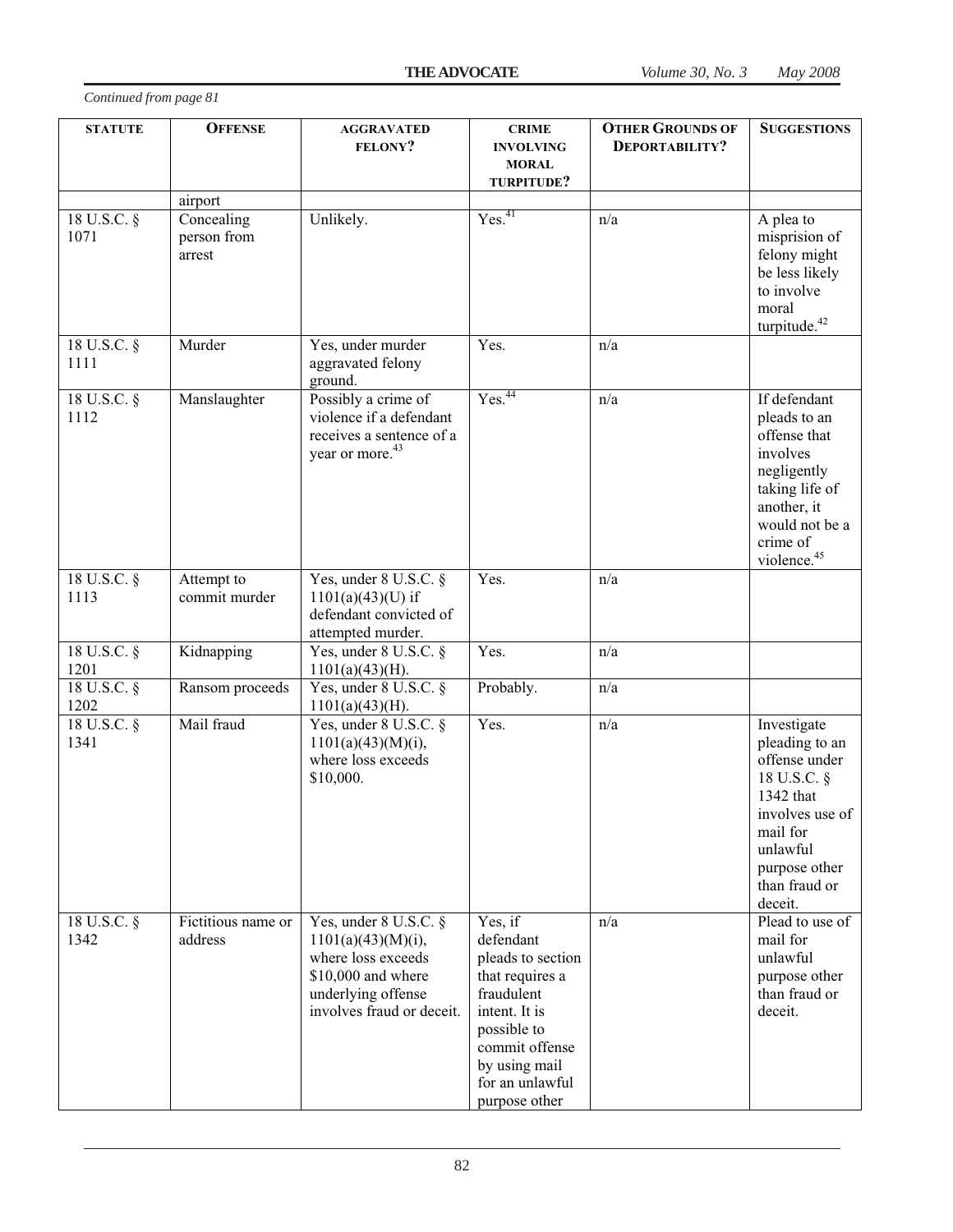| <b>STATUTE</b>      | <b>OFFENSE</b>                      | <b>AGGRAVATED</b><br><b>FELONY?</b>                                                                                                           | <b>CRIME</b><br><b>INVOLVING</b><br><b>MORAL</b><br>TURPITUDE?                                                                                                                    | <b>OTHER GROUNDS OF</b><br>DEPORTABILITY? | <b>SUGGESTIONS</b>                                                                                                                                                 |
|---------------------|-------------------------------------|-----------------------------------------------------------------------------------------------------------------------------------------------|-----------------------------------------------------------------------------------------------------------------------------------------------------------------------------------|-------------------------------------------|--------------------------------------------------------------------------------------------------------------------------------------------------------------------|
|                     | airport                             |                                                                                                                                               |                                                                                                                                                                                   |                                           |                                                                                                                                                                    |
| 18 U.S.C. §<br>1071 | Concealing<br>person from<br>arrest | Unlikely.                                                                                                                                     | Yes. <sup>41</sup>                                                                                                                                                                | n/a                                       | A plea to<br>misprision of<br>felony might<br>be less likely<br>to involve<br>moral<br>turpitude. <sup>42</sup>                                                    |
| 18 U.S.C. §<br>1111 | Murder                              | Yes, under murder<br>aggravated felony<br>ground.                                                                                             | Yes.                                                                                                                                                                              | n/a                                       |                                                                                                                                                                    |
| 18 U.S.C. §<br>1112 | Manslaughter                        | Possibly a crime of<br>violence if a defendant<br>receives a sentence of a<br>year or more. <sup>43</sup>                                     | Yes. <sup>44</sup>                                                                                                                                                                | n/a                                       | If defendant<br>pleads to an<br>offense that<br>involves<br>negligently<br>taking life of<br>another, it<br>would not be a<br>crime of<br>violence. <sup>45</sup>  |
| 18 U.S.C. §<br>1113 | Attempt to<br>commit murder         | Yes, under 8 U.S.C. §<br>$1101(a)(43)(U)$ if<br>defendant convicted of<br>attempted murder.                                                   | Yes.                                                                                                                                                                              | n/a                                       |                                                                                                                                                                    |
| 18 U.S.C. §<br>1201 | Kidnapping                          | Yes, under 8 U.S.C. §<br>$1101(a)(43)(H)$ .                                                                                                   | Yes.                                                                                                                                                                              | n/a                                       |                                                                                                                                                                    |
| 18 U.S.C. §<br>1202 | Ransom proceeds                     | Yes, under 8 U.S.C. §<br>$1101(a)(43)(H)$ .                                                                                                   | Probably.                                                                                                                                                                         | n/a                                       |                                                                                                                                                                    |
| 18 U.S.C. §<br>1341 | Mail fraud                          | Yes, under 8 U.S.C. §<br>$1101(a)(43)(M)(i)$ ,<br>where loss exceeds<br>\$10,000.                                                             | Yes.                                                                                                                                                                              | n/a                                       | Investigate<br>pleading to an<br>offense under<br>18 U.S.C. §<br>1342 that<br>involves use of<br>mail for<br>unlawful<br>purpose other<br>than fraud or<br>deceit. |
| 18 U.S.C. §<br>1342 | Fictitious name or<br>address       | Yes, under 8 U.S.C. §<br>$1101(a)(43)(M)(i)$ ,<br>where loss exceeds<br>\$10,000 and where<br>underlying offense<br>involves fraud or deceit. | Yes, if<br>defendant<br>pleads to section<br>that requires a<br>fraudulent<br>intent. It is<br>possible to<br>commit offense<br>by using mail<br>for an unlawful<br>purpose other | n/a                                       | Plead to use of<br>mail for<br>unlawful<br>purpose other<br>than fraud or<br>deceit.                                                                               |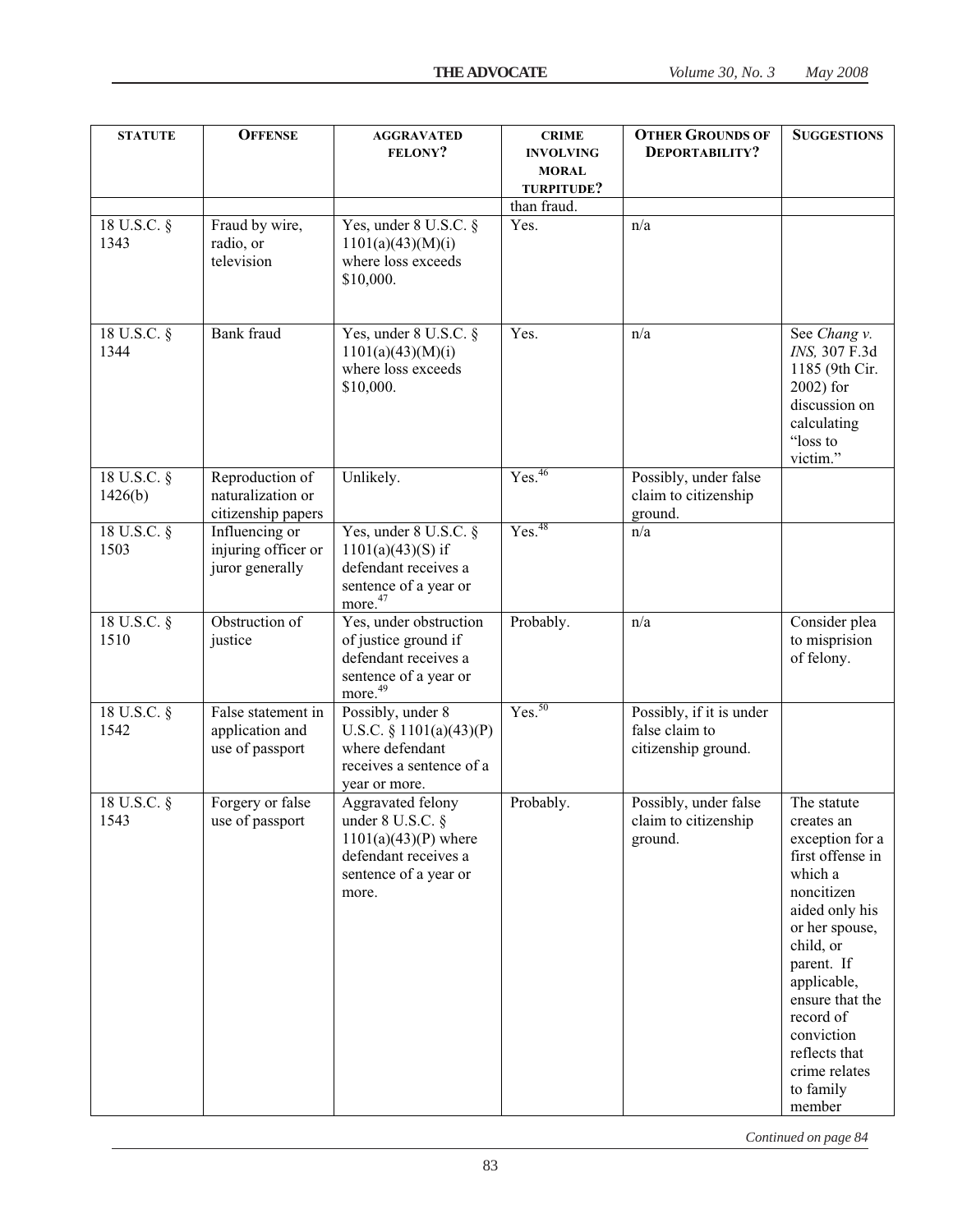| <b>STATUTE</b>         | <b>OFFENSE</b>                                             | <b>AGGRAVATED</b><br><b>FELONY?</b>                                                                                            | <b>CRIME</b><br><b>INVOLVING</b><br><b>MORAL</b><br>TURPITUDE? | <b>OTHER GROUNDS OF</b><br>DEPORTABILITY?                         | <b>SUGGESTIONS</b>                                                                                                                                                                                                                                                             |
|------------------------|------------------------------------------------------------|--------------------------------------------------------------------------------------------------------------------------------|----------------------------------------------------------------|-------------------------------------------------------------------|--------------------------------------------------------------------------------------------------------------------------------------------------------------------------------------------------------------------------------------------------------------------------------|
| 18 U.S.C. §<br>1343    | Fraud by wire,<br>radio, or<br>television                  | Yes, under $8$ U.S.C. $\S$<br>1101(a)(43)(M)(i)<br>where loss exceeds<br>\$10,000.                                             | than fraud.<br>Yes.                                            | n/a                                                               |                                                                                                                                                                                                                                                                                |
| 18 U.S.C. §<br>1344    | Bank fraud                                                 | Yes, under 8 U.S.C. §<br>1101(a)(43)(M)(i)<br>where loss exceeds<br>\$10,000.                                                  | Yes.                                                           | n/a                                                               | See Chang v.<br>INS, 307 F.3d<br>1185 (9th Cir.<br>$2002$ ) for<br>discussion on<br>calculating<br>"loss to<br>victim."                                                                                                                                                        |
| 18 U.S.C. §<br>1426(b) | Reproduction of<br>naturalization or<br>citizenship papers | Unlikely.                                                                                                                      | Yes. <sup>46</sup>                                             | Possibly, under false<br>claim to citizenship<br>ground.          |                                                                                                                                                                                                                                                                                |
| 18 U.S.C. §<br>1503    | Influencing or<br>injuring officer or<br>juror generally   | Yes, under 8 U.S.C. §<br>$1101(a)(43)(S)$ if<br>defendant receives a<br>sentence of a year or<br>more. <sup>47</sup>           | Yes. <sup>48</sup>                                             | n/a                                                               |                                                                                                                                                                                                                                                                                |
| 18 U.S.C. §<br>1510    | Obstruction of<br>justice                                  | Yes, under obstruction<br>of justice ground if<br>defendant receives a<br>sentence of a year or<br>more. <sup>49</sup>         | Probably.                                                      | n/a                                                               | Consider plea<br>to misprision<br>of felony.                                                                                                                                                                                                                                   |
| 18 U.S.C. §<br>1542    | False statement in<br>application and<br>use of passport   | Possibly, under 8<br>U.S.C. $\S$ 1101(a)(43)(P)<br>where defendant<br>receives a sentence of a<br>year or more.                | Yes. <sup>50</sup>                                             | Possibly, if it is under<br>false claim to<br>citizenship ground. |                                                                                                                                                                                                                                                                                |
| 18 U.S.C. §<br>1543    | Forgery or false<br>use of passport                        | Aggravated felony<br>under $8$ U.S.C. $\S$<br>$1101(a)(43)(P)$ where<br>defendant receives a<br>sentence of a year or<br>more. | Probably.                                                      | Possibly, under false<br>claim to citizenship<br>ground.          | The statute<br>creates an<br>exception for a<br>first offense in<br>which a<br>noncitizen<br>aided only his<br>or her spouse,<br>child, or<br>parent. If<br>applicable,<br>ensure that the<br>record of<br>conviction<br>reflects that<br>crime relates<br>to family<br>member |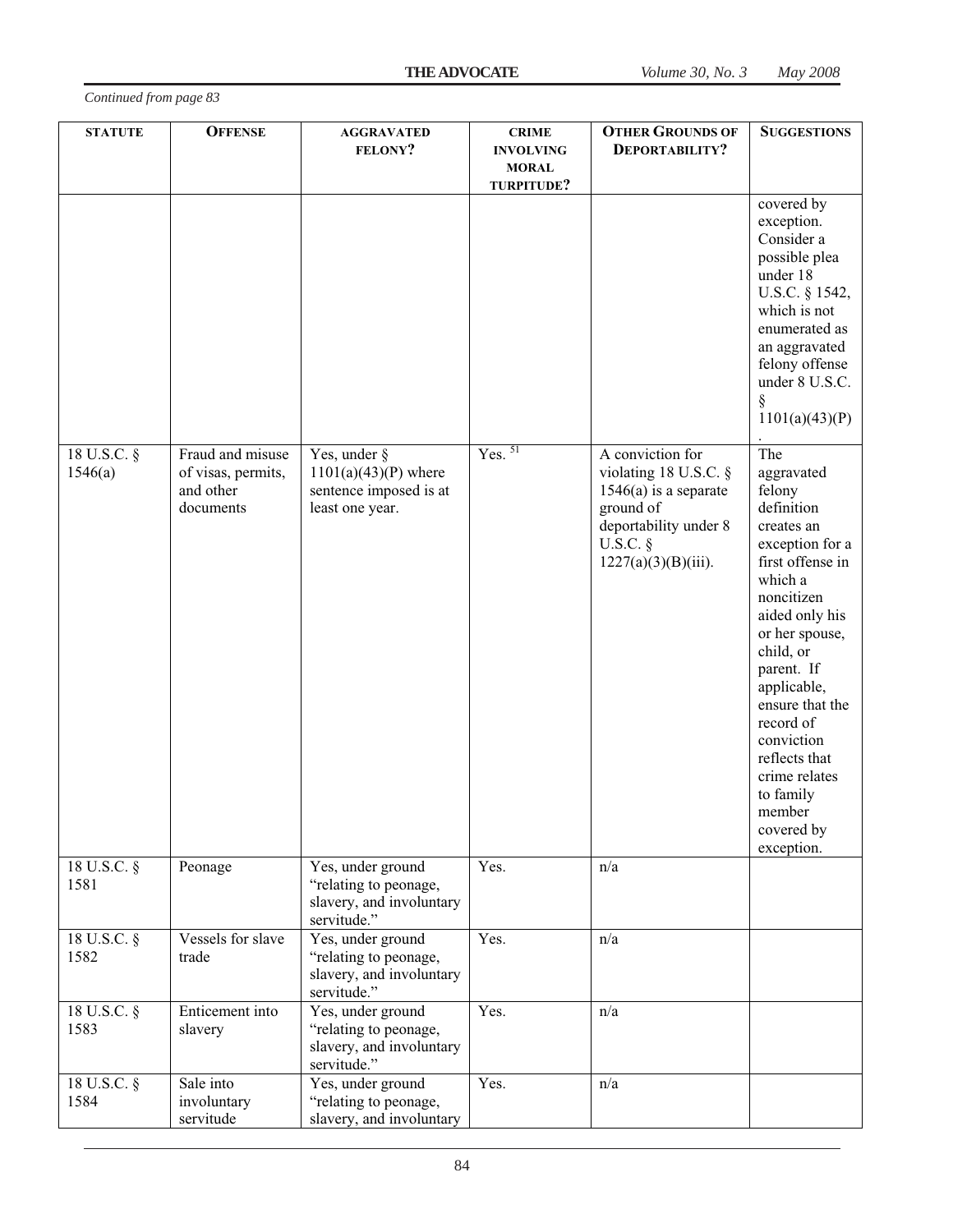| Continued from page 83 |
|------------------------|
|------------------------|

| <b>STATUTE</b>           | <b>OFFENSE</b>                                                   | <b>AGGRAVATED</b><br>FELONY?                                                                    | <b>CRIME</b><br><b>INVOLVING</b><br><b>MORAL</b><br>TURPITUDE? | <b>OTHER GROUNDS OF</b><br>DEPORTABILITY?                                                                                                          | <b>SUGGESTIONS</b>                                                                                                                                                                                                                                                                                                                       |
|--------------------------|------------------------------------------------------------------|-------------------------------------------------------------------------------------------------|----------------------------------------------------------------|----------------------------------------------------------------------------------------------------------------------------------------------------|------------------------------------------------------------------------------------------------------------------------------------------------------------------------------------------------------------------------------------------------------------------------------------------------------------------------------------------|
|                          |                                                                  |                                                                                                 |                                                                |                                                                                                                                                    | covered by<br>exception.<br>Consider a<br>possible plea<br>under 18<br>U.S.C. § 1542,<br>which is not<br>enumerated as<br>an aggravated<br>felony offense<br>under 8 U.S.C.<br>1101(a)(43)(P)                                                                                                                                            |
| 18 U.S.C. §<br>1546(a)   | Fraud and misuse<br>of visas, permits,<br>and other<br>documents | Yes, under $\frac{8}{9}$<br>$1101(a)(43)(P)$ where<br>sentence imposed is at<br>least one year. | $Yes.$ <sup>51</sup>                                           | A conviction for<br>violating 18 U.S.C. §<br>$1546(a)$ is a separate<br>ground of<br>deportability under 8<br>$U.S.C.$ §<br>$1227(a)(3)(B)(iii)$ . | The<br>aggravated<br>felony<br>definition<br>creates an<br>exception for a<br>first offense in<br>which a<br>noncitizen<br>aided only his<br>or her spouse,<br>child, or<br>parent. If<br>applicable,<br>ensure that the<br>record of<br>conviction<br>reflects that<br>crime relates<br>to family<br>member<br>covered by<br>exception. |
| 18 U.S.C. §<br>1581      | Peonage                                                          | Yes, under ground<br>"relating to peonage,<br>slavery, and involuntary<br>servitude."           | Yes.                                                           | n/a                                                                                                                                                |                                                                                                                                                                                                                                                                                                                                          |
| $18$ U.S.C. $\S$<br>1582 | Vessels for slave<br>trade                                       | Yes, under ground<br>"relating to peonage,<br>slavery, and involuntary<br>servitude."           | Yes.                                                           | n/a                                                                                                                                                |                                                                                                                                                                                                                                                                                                                                          |
| 18 U.S.C. §<br>1583      | Enticement into<br>slavery                                       | Yes, under ground<br>"relating to peonage,<br>slavery, and involuntary<br>servitude."           | Yes.                                                           | n/a                                                                                                                                                |                                                                                                                                                                                                                                                                                                                                          |
| 18 U.S.C. §<br>1584      | Sale into<br>involuntary<br>servitude                            | Yes, under ground<br>"relating to peonage,<br>slavery, and involuntary                          | Yes.                                                           | n/a                                                                                                                                                |                                                                                                                                                                                                                                                                                                                                          |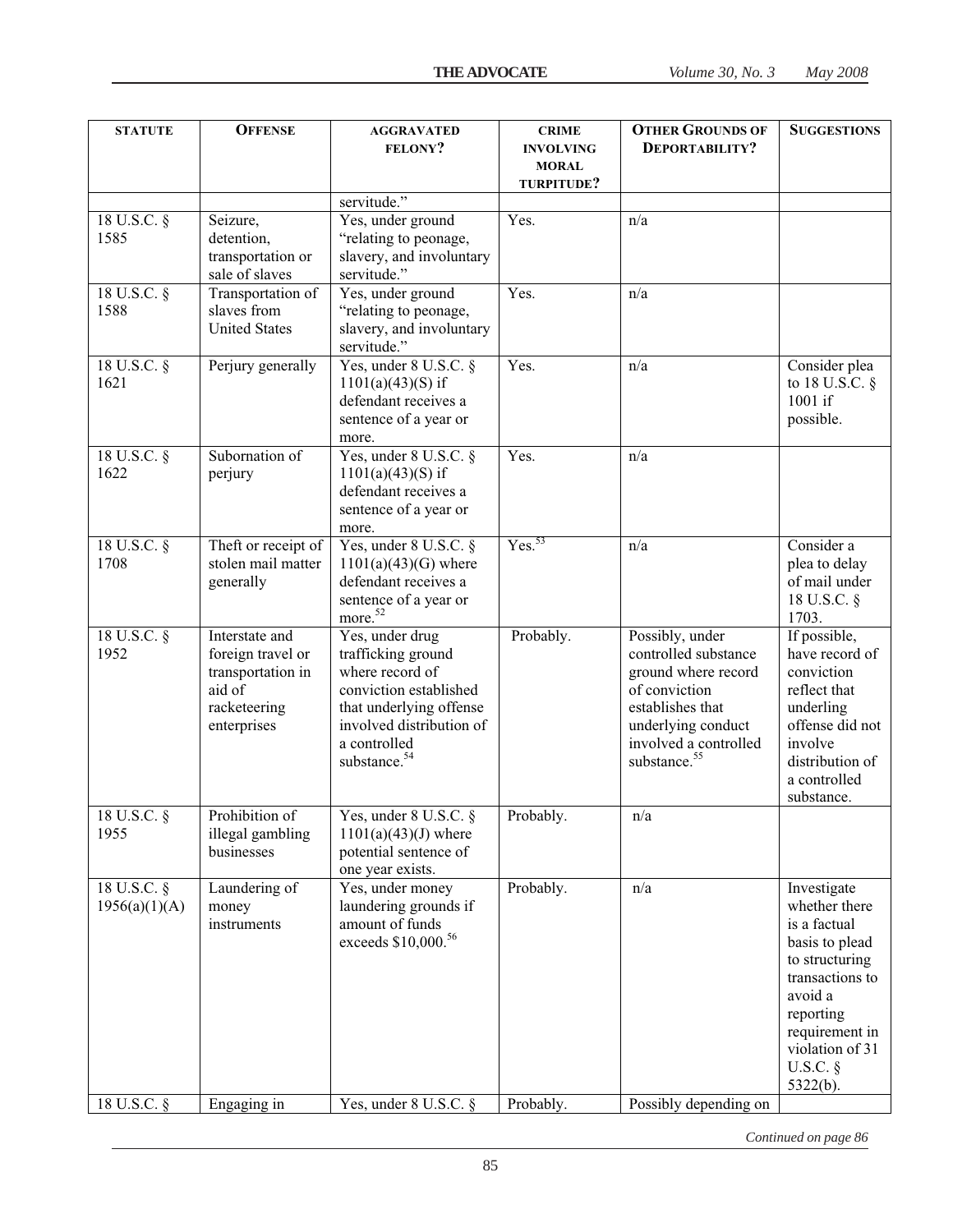| <b>STATUTE</b>               | <b>OFFENSE</b>                                                                                    | <b>AGGRAVATED</b><br><b>FELONY?</b>                                                                                                                                                   | <b>CRIME</b><br><b>INVOLVING</b><br><b>MORAL</b><br>TURPITUDE? | <b>OTHER GROUNDS OF</b><br>DEPORTABILITY?                                                                                                                                      | <b>SUGGESTIONS</b>                                                                                                                                                                         |
|------------------------------|---------------------------------------------------------------------------------------------------|---------------------------------------------------------------------------------------------------------------------------------------------------------------------------------------|----------------------------------------------------------------|--------------------------------------------------------------------------------------------------------------------------------------------------------------------------------|--------------------------------------------------------------------------------------------------------------------------------------------------------------------------------------------|
|                              |                                                                                                   | servitude."                                                                                                                                                                           |                                                                |                                                                                                                                                                                |                                                                                                                                                                                            |
| 18 U.S.C. §<br>1585          | Seizure,<br>detention,<br>transportation or<br>sale of slaves                                     | Yes, under ground<br>"relating to peonage,<br>slavery, and involuntary<br>servitude."                                                                                                 | Yes.                                                           | n/a                                                                                                                                                                            |                                                                                                                                                                                            |
| 18 U.S.C. §<br>1588          | Transportation of<br>slaves from<br><b>United States</b>                                          | Yes, under ground<br>"relating to peonage,<br>slavery, and involuntary<br>servitude."                                                                                                 | Yes.                                                           | n/a                                                                                                                                                                            |                                                                                                                                                                                            |
| 18 U.S.C. §<br>1621          | Perjury generally                                                                                 | Yes, under 8 U.S.C. §<br>$1101(a)(43)(S)$ if<br>defendant receives a<br>sentence of a year or<br>more.                                                                                | Yes.                                                           | n/a                                                                                                                                                                            | Consider plea<br>to 18 U.S.C. $\S$<br>1001 if<br>possible.                                                                                                                                 |
| 18 U.S.C. §<br>1622          | Subornation of<br>perjury                                                                         | Yes, under 8 U.S.C. §<br>$1101(a)(43)(S)$ if<br>defendant receives a<br>sentence of a year or<br>more.                                                                                | Yes.                                                           | n/a                                                                                                                                                                            |                                                                                                                                                                                            |
| 18 U.S.C. §<br>1708          | Theft or receipt of<br>stolen mail matter<br>generally                                            | Yes, under 8 U.S.C. §<br>$1101(a)(43)(G)$ where<br>defendant receives a<br>sentence of a year or<br>more. <sup>52</sup>                                                               | Yes. <sup>53</sup>                                             | n/a                                                                                                                                                                            | Consider a<br>plea to delay<br>of mail under<br>18 U.S.C. §<br>1703.                                                                                                                       |
| 18 U.S.C. §<br>1952          | Interstate and<br>foreign travel or<br>transportation in<br>aid of<br>racketeering<br>enterprises | Yes, under drug<br>trafficking ground<br>where record of<br>conviction established<br>that underlying offense<br>involved distribution of<br>a controlled<br>substance. <sup>54</sup> | Probably.                                                      | Possibly, under<br>controlled substance<br>ground where record<br>of conviction<br>establishes that<br>underlying conduct<br>involved a controlled<br>substance. <sup>55</sup> | If possible,<br>have record of<br>conviction<br>reflect that<br>underling<br>offense did not<br>involve<br>distribution of<br>a controlled<br>substance.                                   |
| 18 U.S.C. §<br>1955          | Prohibition of<br>illegal gambling<br>businesses                                                  | Yes, under 8 U.S.C. §<br>$1101(a)(43)(J)$ where<br>potential sentence of<br>one year exists.                                                                                          | Probably.                                                      | $\mathrm{n}/\mathrm{a}$                                                                                                                                                        |                                                                                                                                                                                            |
| 18 U.S.C. §<br>1956(a)(1)(A) | Laundering of<br>money<br>instruments                                                             | Yes, under money<br>laundering grounds if<br>amount of funds<br>exceeds \$10,000.56                                                                                                   | Probably.                                                      | n/a                                                                                                                                                                            | Investigate<br>whether there<br>is a factual<br>basis to plead<br>to structuring<br>transactions to<br>avoid a<br>reporting<br>requirement in<br>violation of 31<br>$U.S.C.$ §<br>5322(b). |
| $18$ U.S.C. $\S$             | Engaging in                                                                                       | Yes, under 8 U.S.C. §                                                                                                                                                                 | Probably.                                                      | Possibly depending on                                                                                                                                                          |                                                                                                                                                                                            |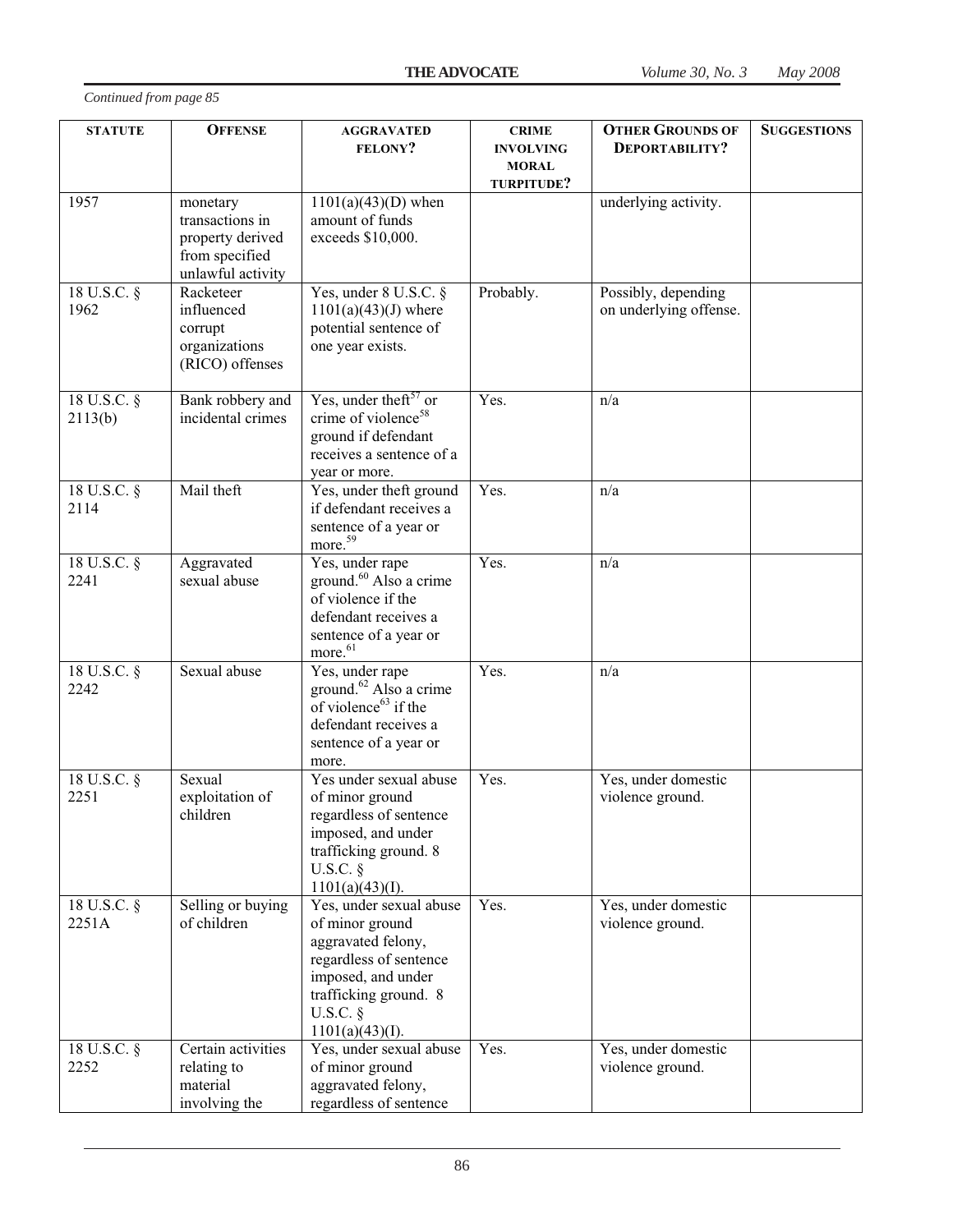| <b>STATUTE</b>         | <b>OFFENSE</b>                                                                         | <b>AGGRAVATED</b><br><b>FELONY?</b>                                                                                                                                        | <b>CRIME</b><br><b>INVOLVING</b> | <b>OTHER GROUNDS OF</b><br>DEPORTABILITY?     | <b>SUGGESTIONS</b> |
|------------------------|----------------------------------------------------------------------------------------|----------------------------------------------------------------------------------------------------------------------------------------------------------------------------|----------------------------------|-----------------------------------------------|--------------------|
|                        |                                                                                        |                                                                                                                                                                            | <b>MORAL</b><br>TURPITUDE?       |                                               |                    |
| 1957                   | monetary<br>transactions in<br>property derived<br>from specified<br>unlawful activity | $1101(a)(43)(D)$ when<br>amount of funds<br>exceeds \$10,000.                                                                                                              |                                  | underlying activity.                          |                    |
| 18 U.S.C. §<br>1962    | Racketeer<br>influenced<br>corrupt<br>organizations<br>(RICO) offenses                 | Yes, under $8$ U.S.C. $\S$<br>$1101(a)(43)(J)$ where<br>potential sentence of<br>one year exists.                                                                          | Probably.                        | Possibly, depending<br>on underlying offense. |                    |
| 18 U.S.C. §<br>2113(b) | Bank robbery and<br>incidental crimes                                                  | Yes, under the ft <sup>57</sup> or<br>crime of violence <sup>58</sup><br>ground if defendant<br>receives a sentence of a<br>year or more.                                  | Yes.                             | n/a                                           |                    |
| 18 U.S.C. §<br>2114    | Mail theft                                                                             | Yes, under theft ground<br>if defendant receives a<br>sentence of a year or<br>more. <sup>59</sup>                                                                         | Yes.                             | n/a                                           |                    |
| 18 U.S.C. §<br>2241    | Aggravated<br>sexual abuse                                                             | Yes, under rape<br>ground. <sup>60</sup> Also a crime<br>of violence if the<br>defendant receives a<br>sentence of a year or<br>more. <sup>61</sup>                        | Yes.                             | n/a                                           |                    |
| 18 U.S.C. §<br>2242    | Sexual abuse                                                                           | Yes, under rape<br>ground. <sup>62</sup> Also a crime<br>of violence $63$ if the<br>defendant receives a<br>sentence of a year or<br>more.                                 | Yes.                             | n/a                                           |                    |
| 18 U.S.C. §<br>2251    | Sexual<br>exploitation of<br>children                                                  | Yes under sexual abuse<br>of minor ground<br>regardless of sentence<br>imposed, and under<br>trafficking ground. 8<br>$U.S.C.$ §<br>1101(a)(43)(I).                        | Yes.                             | Yes, under domestic<br>violence ground.       |                    |
| 18 U.S.C. §<br>2251A   | Selling or buying<br>of children                                                       | Yes, under sexual abuse<br>of minor ground<br>aggravated felony,<br>regardless of sentence<br>imposed, and under<br>trafficking ground. 8<br>$U.S.C.$ §<br>1101(a)(43)(I). | Yes.                             | Yes, under domestic<br>violence ground.       |                    |
| 18 U.S.C. §<br>2252    | Certain activities<br>relating to<br>material<br>involving the                         | Yes, under sexual abuse<br>of minor ground<br>aggravated felony,<br>regardless of sentence                                                                                 | Yes.                             | Yes, under domestic<br>violence ground.       |                    |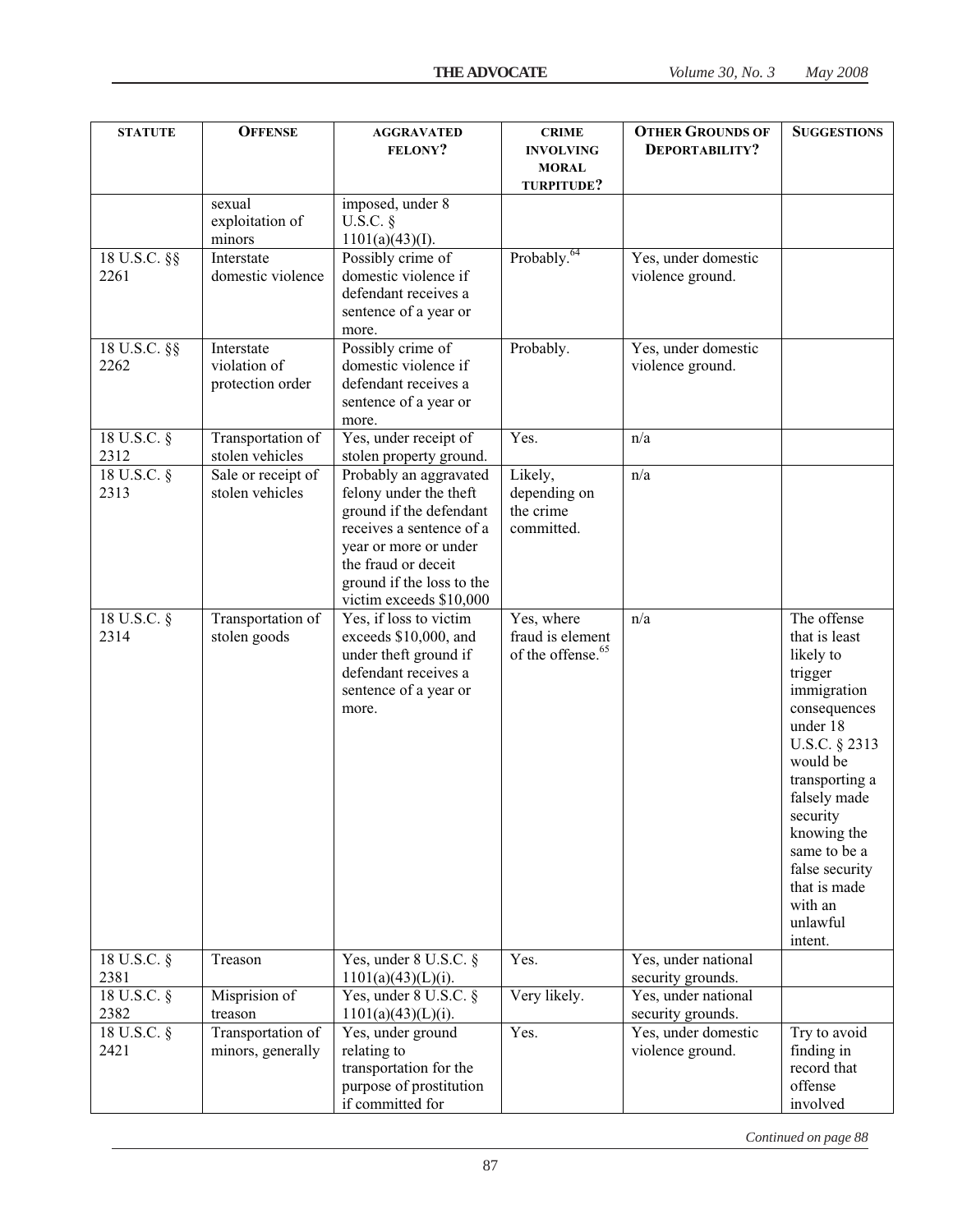| <b>STATUTE</b>           | <b>OFFENSE</b>                                 | <b>AGGRAVATED</b><br><b>FELONY?</b>                                                                                                                                                                             | <b>CRIME</b><br><b>INVOLVING</b><br><b>MORAL</b><br>TURPITUDE?  | <b>OTHER GROUNDS OF</b><br>DEPORTABILITY? | <b>SUGGESTIONS</b>                                                                                                                                                                                                                                                            |
|--------------------------|------------------------------------------------|-----------------------------------------------------------------------------------------------------------------------------------------------------------------------------------------------------------------|-----------------------------------------------------------------|-------------------------------------------|-------------------------------------------------------------------------------------------------------------------------------------------------------------------------------------------------------------------------------------------------------------------------------|
|                          | sexual<br>exploitation of<br>minors            | imposed, under 8<br>U.S.C. $\S$<br>1101(a)(43)(I).                                                                                                                                                              |                                                                 |                                           |                                                                                                                                                                                                                                                                               |
| 18 U.S.C. §§<br>2261     | Interstate<br>domestic violence                | Possibly crime of<br>domestic violence if<br>defendant receives a<br>sentence of a year or<br>more.                                                                                                             | Probably. <sup>64</sup>                                         | Yes, under domestic<br>violence ground.   |                                                                                                                                                                                                                                                                               |
| 18 U.S.C. §§<br>2262     | Interstate<br>violation of<br>protection order | Possibly crime of<br>domestic violence if<br>defendant receives a<br>sentence of a year or<br>more.                                                                                                             | Probably.                                                       | Yes, under domestic<br>violence ground.   |                                                                                                                                                                                                                                                                               |
| 18 U.S.C. §<br>2312      | Transportation of<br>stolen vehicles           | Yes, under receipt of<br>stolen property ground.                                                                                                                                                                | Yes.                                                            | n/a                                       |                                                                                                                                                                                                                                                                               |
| 18 U.S.C. §<br>2313      | Sale or receipt of<br>stolen vehicles          | Probably an aggravated<br>felony under the theft<br>ground if the defendant<br>receives a sentence of a<br>year or more or under<br>the fraud or deceit<br>ground if the loss to the<br>victim exceeds \$10,000 | Likely,<br>depending on<br>the crime<br>committed.              | n/a                                       |                                                                                                                                                                                                                                                                               |
| 18 U.S.C. §<br>2314      | Transportation of<br>stolen goods              | Yes, if loss to victim<br>exceeds \$10,000, and<br>under theft ground if<br>defendant receives a<br>sentence of a year or<br>more.                                                                              | Yes, where<br>fraud is element<br>of the offense. <sup>65</sup> | n/a                                       | The offense<br>that is least<br>likely to<br>trigger<br>immigration<br>consequences<br>under 18<br>U.S.C. § 2313<br>would be<br>transporting a<br>falsely made<br>security<br>knowing the<br>same to be a<br>false security<br>that is made<br>with an<br>unlawful<br>intent. |
| 18 U.S.C. §<br>2381      | Treason                                        | Yes, under $8$ U.S.C. $§$<br>$1101(a)(43)(L)(i)$ .                                                                                                                                                              | Yes.                                                            | Yes, under national<br>security grounds.  |                                                                                                                                                                                                                                                                               |
| $18$ U.S.C. $\S$<br>2382 | Misprision of<br>treason                       | Yes, under 8 U.S.C. $\S$<br>$1101(a)(43)(L)(i)$ .                                                                                                                                                               | Very likely.                                                    | Yes, under national<br>security grounds.  |                                                                                                                                                                                                                                                                               |
| 18 U.S.C. §<br>2421      | Transportation of<br>minors, generally         | Yes, under ground<br>relating to<br>transportation for the<br>purpose of prostitution<br>if committed for                                                                                                       | Yes.                                                            | Yes, under domestic<br>violence ground.   | Try to avoid<br>finding in<br>record that<br>offense<br>involved                                                                                                                                                                                                              |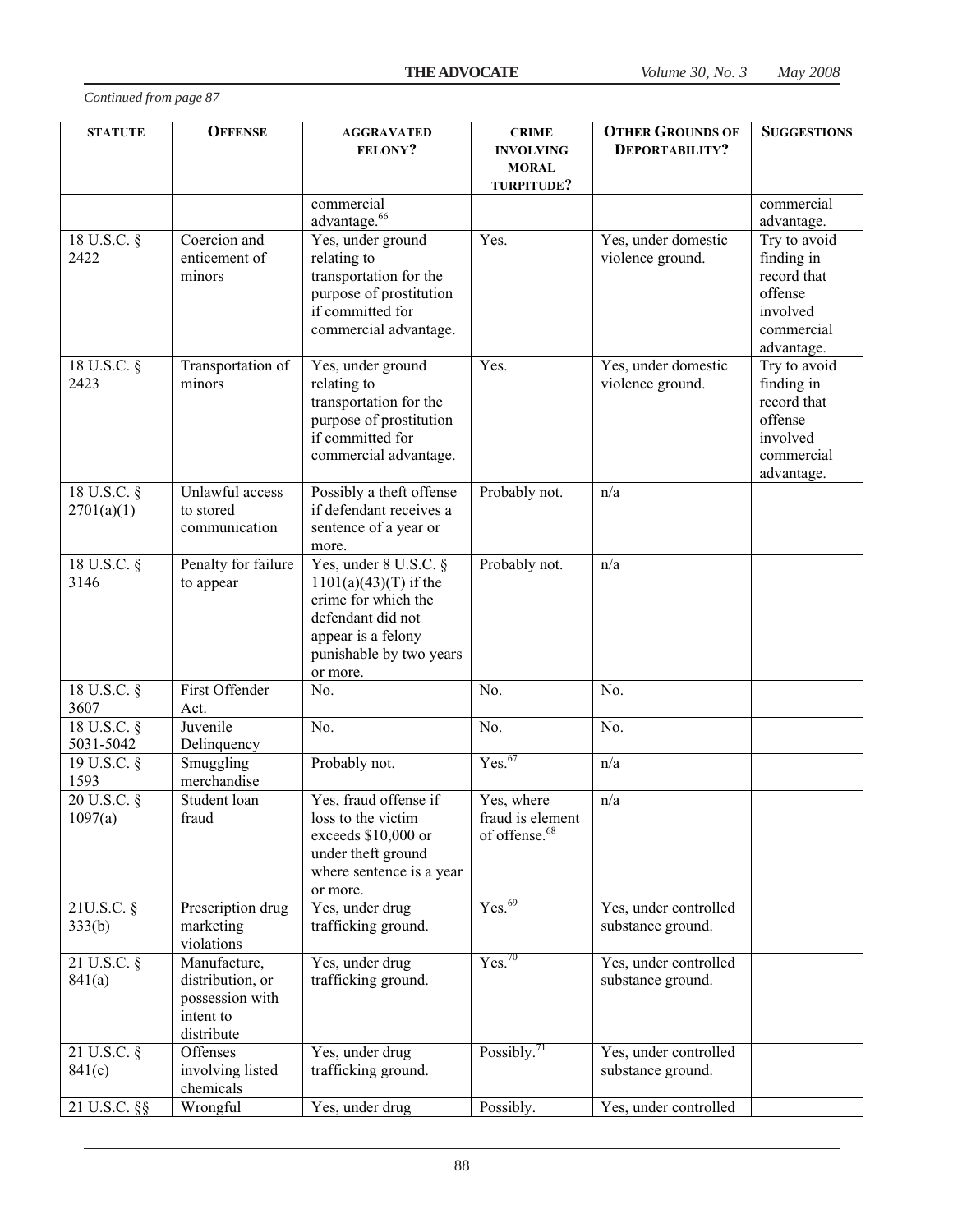| <b>STATUTE</b>                    | <b>OFFENSE</b>                                                                 | <b>AGGRAVATED</b><br><b>FELONY?</b>                                                                                                                       | <b>CRIME</b><br><b>INVOLVING</b><br><b>MORAL</b><br>TURPITUDE? | <b>OTHER GROUNDS OF</b><br>DEPORTABILITY?  | <b>SUGGESTIONS</b>                                                                           |
|-----------------------------------|--------------------------------------------------------------------------------|-----------------------------------------------------------------------------------------------------------------------------------------------------------|----------------------------------------------------------------|--------------------------------------------|----------------------------------------------------------------------------------------------|
|                                   |                                                                                | commercial<br>advantage. <sup>66</sup>                                                                                                                    |                                                                |                                            | commercial<br>advantage.                                                                     |
| 18 U.S.C. §<br>2422               | Coercion and<br>enticement of<br>minors                                        | Yes, under ground<br>relating to<br>transportation for the<br>purpose of prostitution<br>if committed for<br>commercial advantage.                        | Yes.                                                           | Yes, under domestic<br>violence ground.    | Try to avoid<br>finding in<br>record that<br>offense<br>involved<br>commercial<br>advantage. |
| 18 U.S.C. §<br>2423               | Transportation of<br>minors                                                    | Yes, under ground<br>relating to<br>transportation for the<br>purpose of prostitution<br>if committed for<br>commercial advantage.                        | Yes.                                                           | Yes, under domestic<br>violence ground.    | Try to avoid<br>finding in<br>record that<br>offense<br>involved<br>commercial<br>advantage. |
| 18 U.S.C. §<br>2701(a)(1)         | Unlawful access<br>to stored<br>communication                                  | Possibly a theft offense<br>if defendant receives a<br>sentence of a year or<br>more.                                                                     | Probably not.                                                  | n/a                                        |                                                                                              |
| 18 U.S.C. §<br>3146               | Penalty for failure<br>to appear                                               | Yes, under 8 U.S.C. §<br>$1101(a)(43)(T)$ if the<br>crime for which the<br>defendant did not<br>appear is a felony<br>punishable by two years<br>or more. | Probably not.                                                  | n/a                                        |                                                                                              |
| 18 U.S.C. §<br>3607               | First Offender<br>Act.                                                         | No.                                                                                                                                                       | No.                                                            | No.                                        |                                                                                              |
| 18 U.S.C. §<br>5031-5042          | Juvenile<br>Delinquency                                                        | No.                                                                                                                                                       | No.                                                            | No.                                        |                                                                                              |
| 19 U.S.C. $\overline{\S}$<br>1593 | Smuggling<br>merchandise                                                       | Probably not.                                                                                                                                             | Yes. <sup>67</sup>                                             | n/a                                        |                                                                                              |
| 20 U.S.C. §<br>1097(a)            | Student loan<br>fraud                                                          | Yes, fraud offense if<br>loss to the victim<br>exceeds \$10,000 or<br>under theft ground<br>where sentence is a year<br>or more.                          | Yes, where<br>fraud is element<br>of offense. <sup>68</sup>    | n/a                                        |                                                                                              |
| 21U.S.C. §<br>333(b)              | Prescription drug<br>marketing<br>violations                                   | Yes, under drug<br>trafficking ground.                                                                                                                    | Yes. <sup>69</sup>                                             | Yes, under controlled<br>substance ground. |                                                                                              |
| 21 U.S.C. §<br>841(a)             | Manufacture,<br>distribution, or<br>possession with<br>intent to<br>distribute | Yes, under drug<br>trafficking ground.                                                                                                                    | Yes. <sup>70</sup>                                             | Yes, under controlled<br>substance ground. |                                                                                              |
| 21 U.S.C. §<br>841(c)             | Offenses<br>involving listed<br>chemicals                                      | Yes, under drug<br>trafficking ground.                                                                                                                    | Possibly. $^{71}$                                              | Yes, under controlled<br>substance ground. |                                                                                              |
| 21 U.S.C. §§                      | Wrongful                                                                       | Yes, under drug                                                                                                                                           | Possibly.                                                      | Yes, under controlled                      |                                                                                              |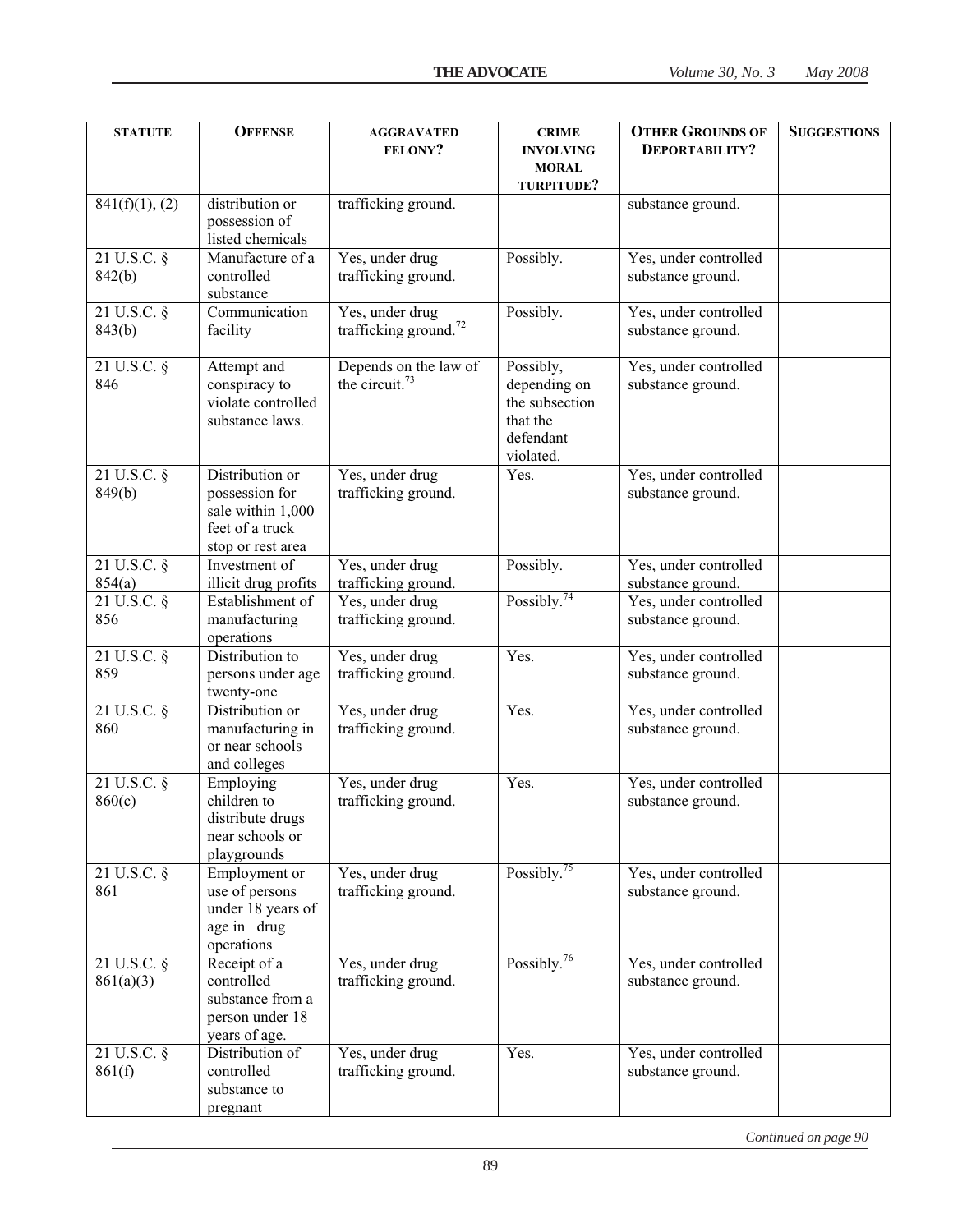| <b>STATUTE</b>             | <b>OFFENSE</b>                                                                                 | <b>AGGRAVATED</b><br>FELONY?                         | <b>CRIME</b><br><b>INVOLVING</b><br><b>MORAL</b><br>TURPITUDE?                    | <b>OTHER GROUNDS OF</b><br>DEPORTABILITY?  | <b>SUGGESTIONS</b> |
|----------------------------|------------------------------------------------------------------------------------------------|------------------------------------------------------|-----------------------------------------------------------------------------------|--------------------------------------------|--------------------|
| 841(f)(1), (2)             | distribution or<br>possession of<br>listed chemicals                                           | trafficking ground.                                  |                                                                                   | substance ground.                          |                    |
| $21$ U.S.C. $\S$<br>842(b) | Manufacture of a<br>controlled<br>substance                                                    | Yes, under drug<br>trafficking ground.               | Possibly.                                                                         | Yes, under controlled<br>substance ground. |                    |
| 21 U.S.C. §<br>843(b)      | Communication<br>facility                                                                      | Yes, under drug<br>trafficking ground. <sup>72</sup> | Possibly.                                                                         | Yes, under controlled<br>substance ground. |                    |
| 21 U.S.C. §<br>846         | Attempt and<br>conspiracy to<br>violate controlled<br>substance laws.                          | Depends on the law of<br>the circuit. <sup>73</sup>  | Possibly,<br>depending on<br>the subsection<br>that the<br>defendant<br>violated. | Yes, under controlled<br>substance ground. |                    |
| 21 U.S.C. §<br>849(b)      | Distribution or<br>possession for<br>sale within 1,000<br>feet of a truck<br>stop or rest area | Yes, under drug<br>trafficking ground.               | Yes.                                                                              | Yes, under controlled<br>substance ground. |                    |
| 21 U.S.C. §<br>854(a)      | Investment of<br>illicit drug profits                                                          | Yes, under drug<br>trafficking ground.               | Possibly.                                                                         | Yes, under controlled<br>substance ground. |                    |
| $21$ U.S.C. $\S$<br>856    | Establishment of<br>manufacturing<br>operations                                                | Yes, under drug<br>trafficking ground.               | Possibly. $74$                                                                    | Yes, under controlled<br>substance ground. |                    |
| 21 U.S.C. §<br>859         | Distribution to<br>persons under age<br>twenty-one                                             | Yes, under drug<br>trafficking ground.               | Yes.                                                                              | Yes, under controlled<br>substance ground. |                    |
| 21 U.S.C. §<br>860         | Distribution or<br>manufacturing in<br>or near schools<br>and colleges                         | Yes, under drug<br>trafficking ground.               | Yes.                                                                              | Yes, under controlled<br>substance ground. |                    |
| 21 U.S.C. §<br>860(c)      | Employing<br>children to<br>distribute drugs<br>near schools or<br>playgrounds                 | Yes, under drug<br>trafficking ground.               | Yes.                                                                              | Yes, under controlled<br>substance ground. |                    |
| $21$ U.S.C. $\S$<br>861    | Employment or<br>use of persons<br>under 18 years of<br>age in drug<br>operations              | Yes, under drug<br>trafficking ground.               | Possibly. $75$                                                                    | Yes, under controlled<br>substance ground. |                    |
| 21 U.S.C. §<br>861(a)(3)   | Receipt of a<br>controlled<br>substance from a<br>person under 18<br>years of age.             | Yes, under drug<br>trafficking ground.               | Possibly. $76$                                                                    | Yes, under controlled<br>substance ground. |                    |
| 21 U.S.C. §<br>861(f)      | Distribution of<br>controlled<br>substance to<br>pregnant                                      | Yes, under drug<br>trafficking ground.               | Yes.                                                                              | Yes, under controlled<br>substance ground. |                    |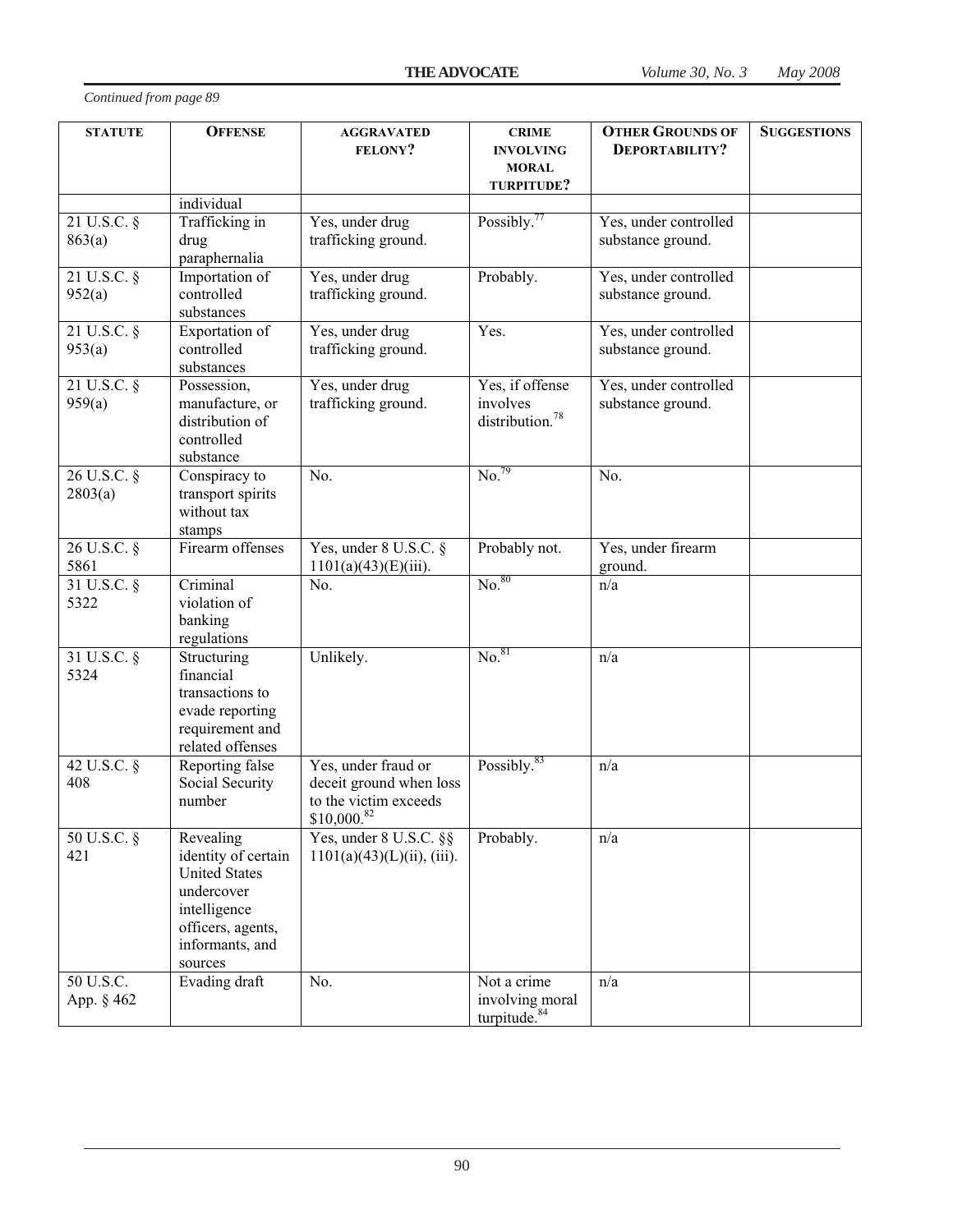| <b>STATUTE</b>              | <b>OFFENSE</b>                     | <b>AGGRAVATED</b>                      | <b>CRIME</b>                     | <b>OTHER GROUNDS OF</b> | <b>SUGGESTIONS</b> |
|-----------------------------|------------------------------------|----------------------------------------|----------------------------------|-------------------------|--------------------|
|                             |                                    | <b>FELONY?</b>                         | <b>INVOLVING</b><br><b>MORAL</b> | DEPORTABILITY?          |                    |
|                             |                                    |                                        | TURPITUDE?                       |                         |                    |
|                             | individual                         |                                        |                                  |                         |                    |
| $21$ U.S.C. $\overline{\S}$ | Trafficking in                     | Yes, under drug                        | Possibly. $77$                   | Yes, under controlled   |                    |
| 863(a)                      | drug<br>paraphernalia              | trafficking ground.                    |                                  | substance ground.       |                    |
| $21$ U.S.C. $\S$            | Importation of                     | Yes, under drug                        | Probably.                        | Yes, under controlled   |                    |
| 952(a)                      | controlled<br>substances           | trafficking ground.                    |                                  | substance ground.       |                    |
| $21 \text{ U.S.C. }$ §      | Exportation of                     | Yes, under drug                        | Yes.                             | Yes, under controlled   |                    |
| 953(a)                      | controlled<br>substances           | trafficking ground.                    |                                  | substance ground.       |                    |
| 21 U.S.C. §                 | Possession,                        | Yes, under drug                        | Yes, if offense                  | Yes, under controlled   |                    |
| 959(a)                      | manufacture, or                    | trafficking ground.                    | involves                         | substance ground.       |                    |
|                             | distribution of                    |                                        | distribution. <sup>78</sup>      |                         |                    |
|                             | controlled<br>substance            |                                        |                                  |                         |                    |
| 26 U.S.C. §                 | Conspiracy to                      | No.                                    | No. <sup>79</sup>                | No.                     |                    |
| 2803(a)                     | transport spirits                  |                                        |                                  |                         |                    |
|                             | without tax                        |                                        |                                  |                         |                    |
| 26 U.S.C. §                 | stamps<br>Firearm offenses         | Yes, under 8 U.S.C. §                  | Probably not.                    | Yes, under firearm      |                    |
| 5861                        |                                    | $1101(a)(43)(E)(iii)$ .                |                                  | ground.                 |                    |
| 31 U.S.C. §                 | Criminal                           | No.                                    | No. <sup>80</sup>                | n/a                     |                    |
| 5322                        | violation of                       |                                        |                                  |                         |                    |
|                             | banking<br>regulations             |                                        |                                  |                         |                    |
| 31 U.S.C. §                 | Structuring                        | Unlikely.                              | No. <sup>81</sup>                | n/a                     |                    |
| 5324                        | financial                          |                                        |                                  |                         |                    |
|                             | transactions to                    |                                        |                                  |                         |                    |
|                             | evade reporting<br>requirement and |                                        |                                  |                         |                    |
|                             | related offenses                   |                                        |                                  |                         |                    |
| 42 U.S.C. §                 | Reporting false                    | Yes, under fraud or                    | Possibly. <sup>83</sup>          | n/a                     |                    |
| 408                         | Social Security                    | deceit ground when loss                |                                  |                         |                    |
|                             | number                             | to the victim exceeds<br>$$10,000$ .82 |                                  |                         |                    |
| 50 U.S.C. §                 | Revealing                          | Yes, under 8 U.S.C. §§                 | Probably.                        | n/a                     |                    |
| 421                         | identity of certain                | $1101(a)(43)(L)(ii)$ , (iii).          |                                  |                         |                    |
|                             | <b>United States</b>               |                                        |                                  |                         |                    |
|                             | undercover<br>intelligence         |                                        |                                  |                         |                    |
|                             | officers, agents,                  |                                        |                                  |                         |                    |
|                             | informants, and                    |                                        |                                  |                         |                    |
|                             | sources                            |                                        |                                  |                         |                    |
| 50 U.S.C.                   | Evading draft                      | No.                                    | Not a crime<br>involving moral   | n/a                     |                    |
| App. § 462                  |                                    |                                        | turpitude. <sup>84</sup>         |                         |                    |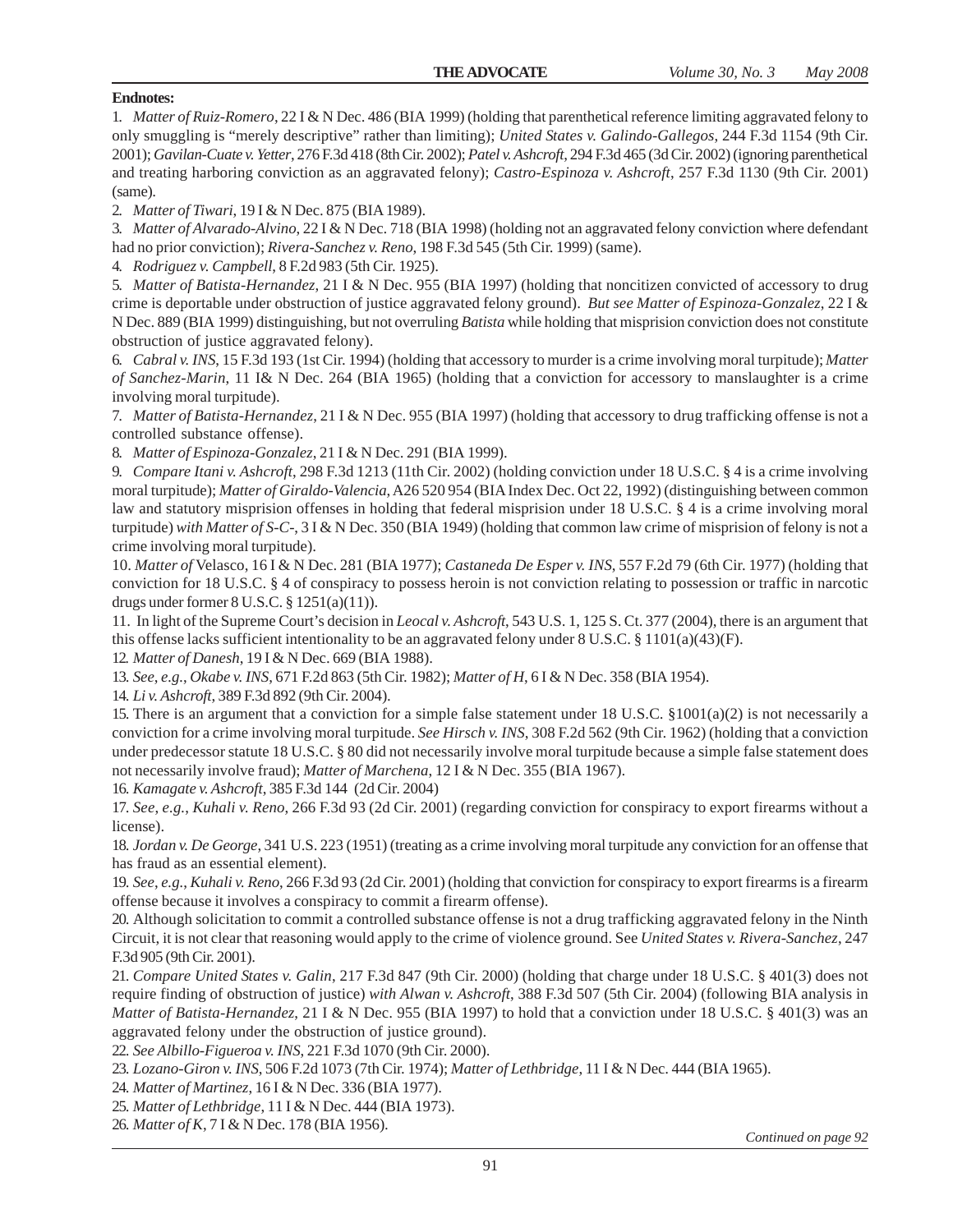# **Endnotes:**

1. *Matter of Ruiz-Romero*, 22 I & N Dec. 486 (BIA 1999) (holding that parenthetical reference limiting aggravated felony to only smuggling is "merely descriptive" rather than limiting); *United States v. Galindo-Gallegos*, 244 F.3d 1154 (9th Cir. 2001); *Gavilan-Cuate v. Yetter*, 276 F.3d 418 (8th Cir. 2002); *Patel v. Ashcroft*, 294 F.3d 465 (3d Cir. 2002) (ignoring parenthetical and treating harboring conviction as an aggravated felony); *Castro-Espinoza v. Ashcroft*, 257 F.3d 1130 (9th Cir. 2001) (same).

2. *Matter of Tiwari*, 19 I & N Dec. 875 (BIA 1989).

3. *Matter of Alvarado-Alvino*, 22 I & N Dec. 718 (BIA 1998) (holding not an aggravated felony conviction where defendant had no prior conviction); *Rivera-Sanchez v. Reno*, 198 F.3d 545 (5th Cir. 1999) (same).

4. *Rodriguez v. Campbell*, 8 F.2d 983 (5th Cir. 1925).

5. *Matter of Batista-Hernandez*, 21 I & N Dec. 955 (BIA 1997) (holding that noncitizen convicted of accessory to drug crime is deportable under obstruction of justice aggravated felony ground). *But see Matter of Espinoza-Gonzalez*, 22 I & N Dec. 889 (BIA 1999) distinguishing, but not overruling *Batista* while holding that misprision conviction does not constitute obstruction of justice aggravated felony).

6. *Cabral v. INS*, 15 F.3d 193 (1st Cir. 1994) (holding that accessory to murder is a crime involving moral turpitude); *Matter of Sanchez-Marin*, 11 I& N Dec. 264 (BIA 1965) (holding that a conviction for accessory to manslaughter is a crime involving moral turpitude).

7. *Matter of Batista-Hernandez*, 21 I & N Dec. 955 (BIA 1997) (holding that accessory to drug trafficking offense is not a controlled substance offense).

8. *Matter of Espinoza-Gonzalez*, 21 I & N Dec. 291 (BIA 1999).

9. *Compare Itani v. Ashcroft*, 298 F.3d 1213 (11th Cir. 2002) (holding conviction under 18 U.S.C. § 4 is a crime involving moral turpitude); *Matter of Giraldo-Valencia*, A26 520 954 (BIA Index Dec. Oct 22, 1992) (distinguishing between common law and statutory misprision offenses in holding that federal misprision under 18 U.S.C. § 4 is a crime involving moral turpitude) *with Matter of S-C-*, 3 I & N Dec. 350 (BIA 1949) (holding that common law crime of misprision of felony is not a crime involving moral turpitude).

10. *Matter of* Velasco, 16 I & N Dec. 281 (BIA 1977); *Castaneda De Esper v. INS*, 557 F.2d 79 (6th Cir. 1977) (holding that conviction for 18 U.S.C. § 4 of conspiracy to possess heroin is not conviction relating to possession or traffic in narcotic drugs under former 8 U.S.C. § 1251(a)(11)).

11. In light of the Supreme Court's decision in *Leocal v. Ashcroft*, 543 U.S. 1, 125 S. Ct. 377 (2004), there is an argument that this offense lacks sufficient intentionality to be an aggravated felony under 8 U.S.C. § 1101(a)(43)(F).

12*. Matter of Danesh*, 19 I & N Dec. 669 (BIA 1988).

13. *See*, *e.g.*, *Okabe v. INS*, 671 F.2d 863 (5th Cir. 1982); *Matter of H*, 6 I & N Dec. 358 (BIA 1954).

14. *Li v. Ashcroft*, 389 F.3d 892 (9th Cir. 2004).

15. There is an argument that a conviction for a simple false statement under 18 U.S.C. §1001(a)(2) is not necessarily a conviction for a crime involving moral turpitude. *See Hirsch v. INS*, 308 F.2d 562 (9th Cir. 1962) (holding that a conviction under predecessor statute 18 U.S.C. § 80 did not necessarily involve moral turpitude because a simple false statement does not necessarily involve fraud); *Matter of Marchena*, 12 I & N Dec. 355 (BIA 1967).

16. *Kamagate v. Ashcroft*, 385 F.3d 144 (2d Cir. 2004)

17. *See*, *e.g.*, *Kuhali v. Reno*, 266 F.3d 93 (2d Cir. 2001) (regarding conviction for conspiracy to export firearms without a license).

18. *Jordan v. De George*, 341 U.S. 223 (1951) (treating as a crime involving moral turpitude any conviction for an offense that has fraud as an essential element).

19. *See*, *e.g.*, *Kuhali v. Reno*, 266 F.3d 93 (2d Cir. 2001) (holding that conviction for conspiracy to export firearms is a firearm offense because it involves a conspiracy to commit a firearm offense).

20. Although solicitation to commit a controlled substance offense is not a drug trafficking aggravated felony in the Ninth Circuit, it is not clear that reasoning would apply to the crime of violence ground. See *United States v. Rivera-Sanchez*, 247 F.3d 905 (9th Cir. 2001).

21. *Compare United States v. Galin*, 217 F.3d 847 (9th Cir. 2000) (holding that charge under 18 U.S.C. § 401(3) does not require finding of obstruction of justice) *with Alwan v. Ashcroft*, 388 F.3d 507 (5th Cir. 2004) (following BIA analysis in *Matter of Batista-Hernandez*, 21 I & N Dec. 955 (BIA 1997) to hold that a conviction under 18 U.S.C. § 401(3) was an aggravated felony under the obstruction of justice ground).

22. *See Albillo-Figueroa v. INS*, 221 F.3d 1070 (9th Cir. 2000).

23. *Lozano-Giron v. INS*, 506 F.2d 1073 (7th Cir. 1974); *Matter of Lethbridge*, 11 I & N Dec. 444 (BIA 1965).

24. *Matter of Martinez*, 16 I & N Dec. 336 (BIA 1977).

25. *Matter of Lethbridge*, 11 I & N Dec. 444 (BIA 1973).

26. *Matter of K*, 7 I & N Dec. 178 (BIA 1956).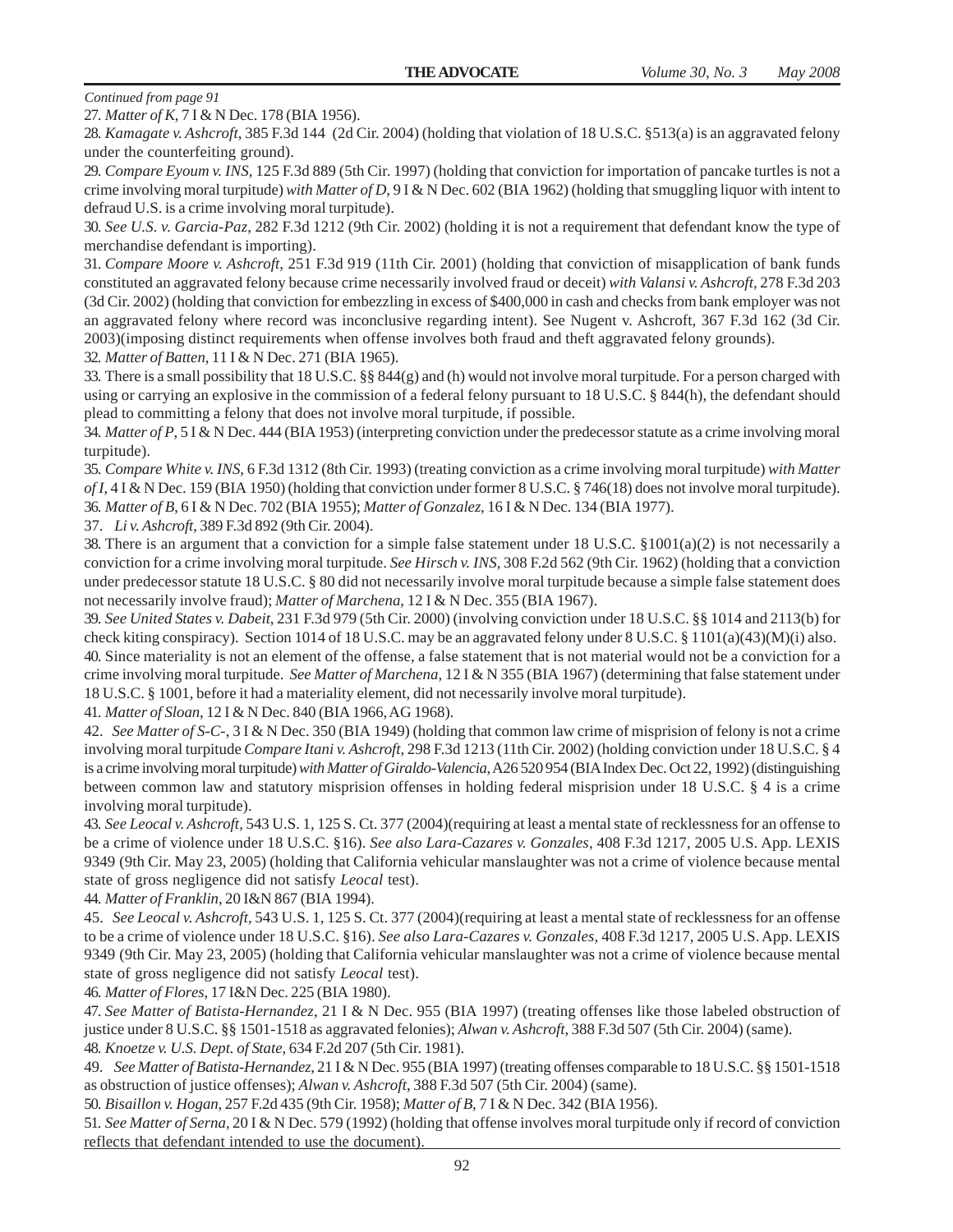27. *Matter of K*, 7 I & N Dec. 178 (BIA 1956).

28. *Kamagate v. Ashcroft*, 385 F.3d 144 (2d Cir. 2004) (holding that violation of 18 U.S.C. §513(a) is an aggravated felony under the counterfeiting ground).

29. *Compare Eyoum v. INS*, 125 F.3d 889 (5th Cir. 1997) (holding that conviction for importation of pancake turtles is not a crime involving moral turpitude) *with Matter of D*, 9 I & N Dec. 602 (BIA 1962) (holding that smuggling liquor with intent to defraud U.S. is a crime involving moral turpitude).

30. *See U.S. v. Garcia-Paz*, 282 F.3d 1212 (9th Cir. 2002) (holding it is not a requirement that defendant know the type of merchandise defendant is importing).

31. *Compare Moore v. Ashcroft*, 251 F.3d 919 (11th Cir. 2001) (holding that conviction of misapplication of bank funds constituted an aggravated felony because crime necessarily involved fraud or deceit) *with Valansi v. Ashcroft*, 278 F.3d 203 (3d Cir. 2002) (holding that conviction for embezzling in excess of \$400,000 in cash and checks from bank employer was not an aggravated felony where record was inconclusive regarding intent). See Nugent v. Ashcroft, 367 F.3d 162 (3d Cir. 2003)(imposing distinct requirements when offense involves both fraud and theft aggravated felony grounds).

32. *Matter of Batten*, 11 I & N Dec. 271 (BIA 1965).

33. There is a small possibility that 18 U.S.C. §§ 844(g) and (h) would not involve moral turpitude. For a person charged with using or carrying an explosive in the commission of a federal felony pursuant to 18 U.S.C. § 844(h), the defendant should plead to committing a felony that does not involve moral turpitude, if possible.

34. *Matter of P*, 5 I & N Dec. 444 (BIA 1953) (interpreting conviction under the predecessor statute as a crime involving moral turpitude).

35. *Compare White v. INS*, 6 F.3d 1312 (8th Cir. 1993) (treating conviction as a crime involving moral turpitude) *with Matter of I*, 4 I & N Dec. 159 (BIA 1950) (holding that conviction under former 8 U.S.C. § 746(18) does not involve moral turpitude). 36. *Matter of B*, 6 I & N Dec. 702 (BIA 1955); *Matter of Gonzalez*, 16 I & N Dec. 134 (BIA 1977).

37. *Li v. Ashcroft*, 389 F.3d 892 (9th Cir. 2004).

38. There is an argument that a conviction for a simple false statement under 18 U.S.C. §1001(a)(2) is not necessarily a conviction for a crime involving moral turpitude. *See Hirsch v. INS*, 308 F.2d 562 (9th Cir. 1962) (holding that a conviction under predecessor statute 18 U.S.C. § 80 did not necessarily involve moral turpitude because a simple false statement does not necessarily involve fraud); *Matter of Marchena*, 12 I & N Dec. 355 (BIA 1967).

39. *See United States v. Dabeit*, 231 F.3d 979 (5th Cir. 2000) (involving conviction under 18 U.S.C. §§ 1014 and 2113(b) for check kiting conspiracy). Section 1014 of 18 U.S.C. may be an aggravated felony under 8 U.S.C. § 1101(a)(43)(M)(i) also. 40. Since materiality is not an element of the offense, a false statement that is not material would not be a conviction for a crime involving moral turpitude. *See Matter of Marchena*, 12 I & N 355 (BIA 1967) (determining that false statement under 18 U.S.C. § 1001, before it had a materiality element, did not necessarily involve moral turpitude).

41. *Matter of Sloan*, 12 I & N Dec. 840 (BIA 1966, AG 1968).

42. *See Matter of S-C-*, 3 I & N Dec. 350 (BIA 1949) (holding that common law crime of misprision of felony is not a crime involving moral turpitude *Compare Itani v. Ashcroft*, 298 F.3d 1213 (11th Cir. 2002) (holding conviction under 18 U.S.C. § 4 is a crime involving moral turpitude) *with Matter of Giraldo-Valencia*, A26 520 954 (BIA Index Dec. Oct 22, 1992) (distinguishing between common law and statutory misprision offenses in holding federal misprision under 18 U.S.C. § 4 is a crime involving moral turpitude).

43. *See Leocal v. Ashcroft,* 543 U.S. 1, 125 S. Ct. 377 (2004)(requiring at least a mental state of recklessness for an offense to be a crime of violence under 18 U.S.C. §16). *See also Lara-Cazares v. Gonzales*, 408 F.3d 1217, 2005 U.S. App. LEXIS 9349 (9th Cir. May 23, 2005) (holding that California vehicular manslaughter was not a crime of violence because mental state of gross negligence did not satisfy *Leocal* test).

44. *Matter of Franklin*, 20 I&N 867 (BIA 1994).

45. *See Leocal v. Ashcroft,* 543 U.S. 1, 125 S. Ct. 377 (2004)(requiring at least a mental state of recklessness for an offense to be a crime of violence under 18 U.S.C. §16). *See also Lara-Cazares v. Gonzales*, 408 F.3d 1217, 2005 U.S. App. LEXIS 9349 (9th Cir. May 23, 2005) (holding that California vehicular manslaughter was not a crime of violence because mental state of gross negligence did not satisfy *Leocal* test).

46. *Matter of Flores*, 17 I&N Dec. 225 (BIA 1980).

47. *See Matter of Batista-Hernandez*, 21 I & N Dec. 955 (BIA 1997) (treating offenses like those labeled obstruction of justice under 8 U.S.C. §§ 1501-1518 as aggravated felonies); *Alwan v. Ashcroft*, 388 F.3d 507 (5th Cir. 2004) (same).

48. *Knoetze v. U.S. Dept. of State*, 634 F.2d 207 (5th Cir. 1981).

49. *See Matter of Batista-Hernandez*, 21 I & N Dec. 955 (BIA 1997) (treating offenses comparable to 18 U.S.C. §§ 1501-1518 as obstruction of justice offenses); *Alwan v. Ashcroft*, 388 F.3d 507 (5th Cir. 2004) (same).

50. *Bisaillon v. Hogan*, 257 F.2d 435 (9th Cir. 1958); *Matter of B*, 7 I & N Dec. 342 (BIA 1956).

51. *See Matter of Serna*, 20 I & N Dec. 579 (1992) (holding that offense involves moral turpitude only if record of conviction reflects that defendant intended to use the document).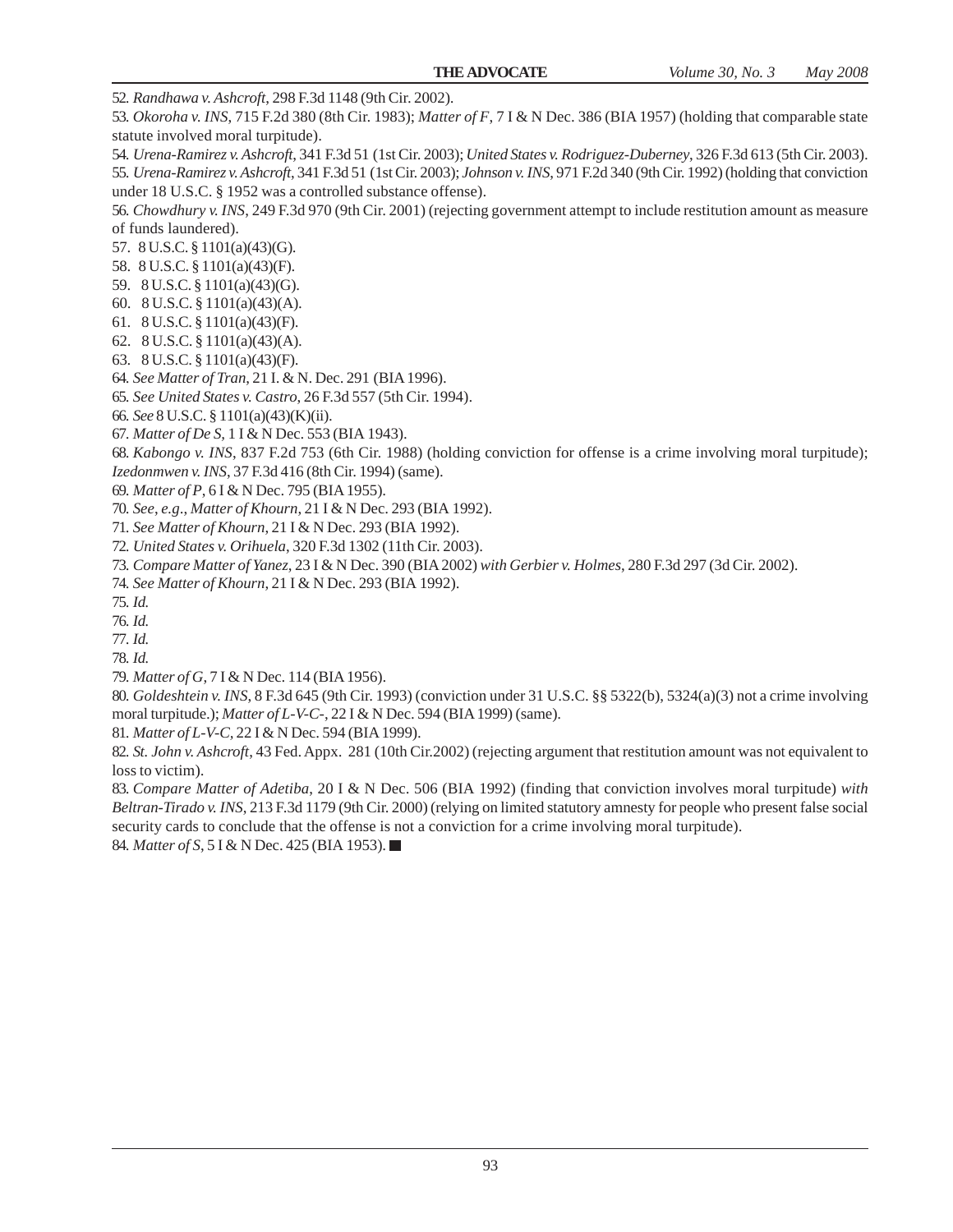52. *Randhawa v. Ashcroft*, 298 F.3d 1148 (9th Cir. 2002).

53. *Okoroha v. INS*, 715 F.2d 380 (8th Cir. 1983); *Matter of F*, 7 I & N Dec. 386 (BIA 1957) (holding that comparable state statute involved moral turpitude).

54. *Urena-Ramirez v. Ashcroft*, 341 F.3d 51 (1st Cir. 2003); *United States v. Rodriguez-Duberney*, 326 F.3d 613 (5th Cir. 2003). 55. *Urena-Ramirez v. Ashcroft*, 341 F.3d 51 (1st Cir. 2003); *Johnson v. INS*, 971 F.2d 340 (9th Cir. 1992) (holding that conviction

under 18 U.S.C. § 1952 was a controlled substance offense).

56. *Chowdhury v. INS*, 249 F.3d 970 (9th Cir. 2001) (rejecting government attempt to include restitution amount as measure of funds laundered).

- 57. 8 U.S.C. § 1101(a)(43)(G).
- 58. 8 U.S.C. § 1101(a)(43)(F).
- 59. 8 U.S.C. § 1101(a)(43)(G).
- 60. 8 U.S.C. § 1101(a)(43)(A).
- 61. 8 U.S.C. § 1101(a)(43)(F).
- 62. 8 U.S.C. § 1101(a)(43)(A).
- 63. 8 U.S.C. § 1101(a)(43)(F).
- 64. *See Matter of Tran*, 21 I. & N. Dec. 291 (BIA 1996).
- 65. *See United States v. Castro*, 26 F.3d 557 (5th Cir. 1994).
- 66. *See* 8 U.S.C. § 1101(a)(43)(K)(ii).
- 67. *Matter of De S,* 1 I & N Dec. 553 (BIA 1943).

68. *Kabongo v. INS*, 837 F.2d 753 (6th Cir. 1988) (holding conviction for offense is a crime involving moral turpitude);

*Izedonmwen v. INS*, 37 F.3d 416 (8th Cir. 1994) (same).

69. *Matter of P*, 6 I & N Dec. 795 (BIA 1955).

70. *See*, *e.g*., *Matter of Khourn*, 21 I & N Dec. 293 (BIA 1992).

- 71. *See Matter of Khourn*, 21 I & N Dec. 293 (BIA 1992).
- 72. *United States v. Orihuela*, 320 F.3d 1302 (11th Cir. 2003).
- 73. *Compare Matter of Yanez*, 23 I & N Dec. 390 (BIA 2002) *with Gerbier v. Holmes*, 280 F.3d 297 (3d Cir. 2002).
- 74. *See Matter of Khourn*, 21 I & N Dec. 293 (BIA 1992).

75. *Id.*

- 76. *Id.*
- 77. *Id.*
- 78. *Id.*
- 79. *Matter of G*, 7 I & N Dec. 114 (BIA 1956).

80. *Goldeshtein v. INS*, 8 F.3d 645 (9th Cir. 1993) (conviction under 31 U.S.C. §§ 5322(b), 5324(a)(3) not a crime involving moral turpitude.); *Matter of L-V-C-*, 22 I & N Dec. 594 (BIA 1999) (same).

81. *Matter of L-V-C,* 22 I & N Dec. 594 (BIA 1999).

82. *St. John v. Ashcroft*, 43 Fed. Appx. 281 (10th Cir.2002) (rejecting argument that restitution amount was not equivalent to loss to victim).

83. *Compare Matter of Adetiba*, 20 I & N Dec. 506 (BIA 1992) (finding that conviction involves moral turpitude) *with Beltran-Tirado v. INS*, 213 F.3d 1179 (9th Cir. 2000) (relying on limited statutory amnesty for people who present false social security cards to conclude that the offense is not a conviction for a crime involving moral turpitude). 84. *Matter of S*, 5 I & N Dec. 425 (BIA 1953). ■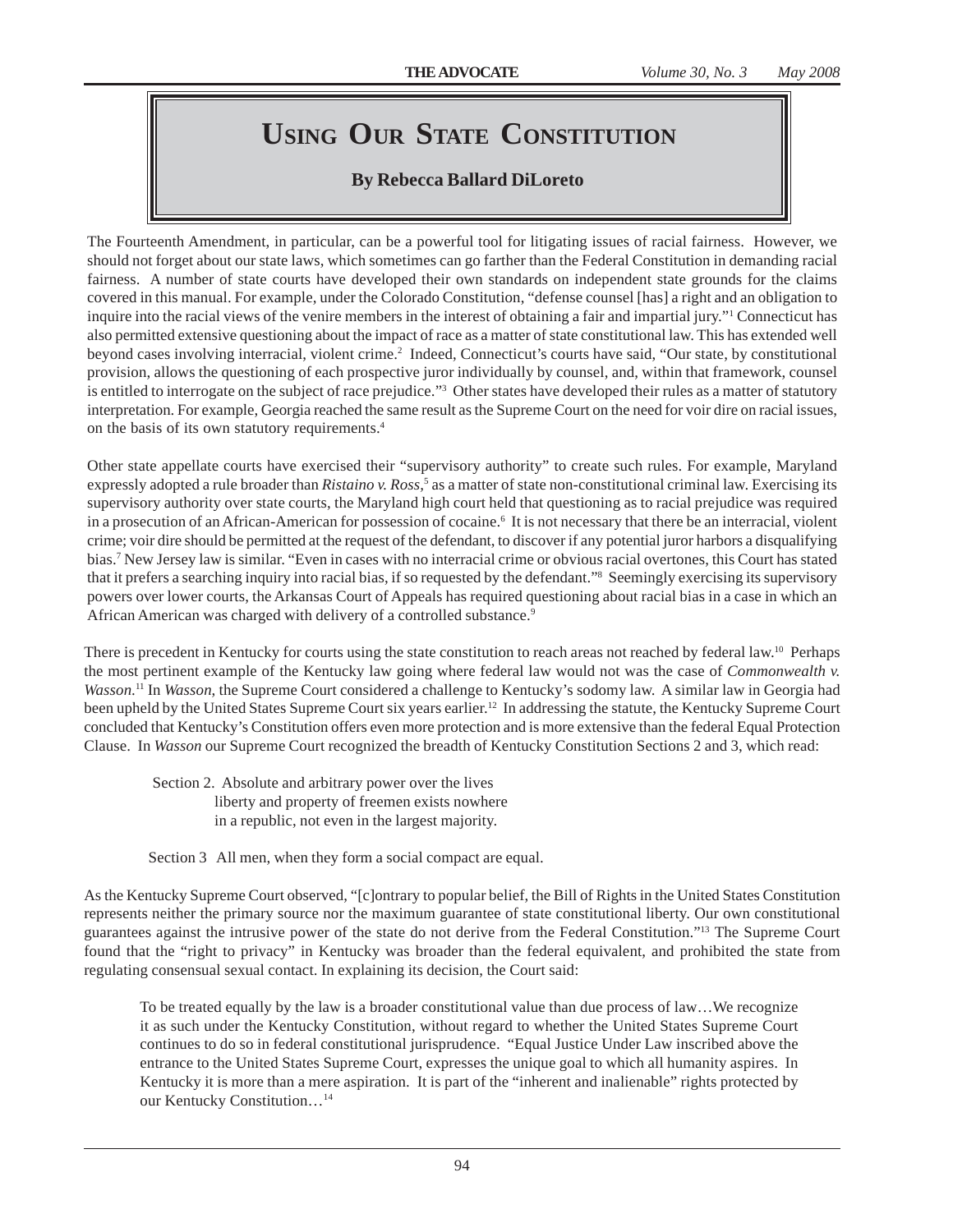# **USING OUR STATE CONSTITUTION**

# **By Rebecca Ballard DiLoreto**

The Fourteenth Amendment, in particular, can be a powerful tool for litigating issues of racial fairness. However, we should not forget about our state laws, which sometimes can go farther than the Federal Constitution in demanding racial fairness. A number of state courts have developed their own standards on independent state grounds for the claims covered in this manual. For example, under the Colorado Constitution, "defense counsel [has] a right and an obligation to inquire into the racial views of the venire members in the interest of obtaining a fair and impartial jury."<sup>1</sup> Connecticut has also permitted extensive questioning about the impact of race as a matter of state constitutional law. This has extended well beyond cases involving interracial, violent crime.<sup>2</sup> Indeed, Connecticut's courts have said, "Our state, by constitutional provision, allows the questioning of each prospective juror individually by counsel, and, within that framework, counsel is entitled to interrogate on the subject of race prejudice."3 Other states have developed their rules as a matter of statutory interpretation. For example, Georgia reached the same result as the Supreme Court on the need for voir dire on racial issues, on the basis of its own statutory requirements.4

Other state appellate courts have exercised their "supervisory authority" to create such rules. For example, Maryland expressly adopted a rule broader than *Ristaino v. Ross*,<sup>5</sup> as a matter of state non-constitutional criminal law. Exercising its supervisory authority over state courts, the Maryland high court held that questioning as to racial prejudice was required in a prosecution of an African-American for possession of cocaine.<sup>6</sup> It is not necessary that there be an interracial, violent crime; voir dire should be permitted at the request of the defendant, to discover if any potential juror harbors a disqualifying bias.7 New Jersey law is similar. "Even in cases with no interracial crime or obvious racial overtones, this Court has stated that it prefers a searching inquiry into racial bias, if so requested by the defendant."8 Seemingly exercising its supervisory powers over lower courts, the Arkansas Court of Appeals has required questioning about racial bias in a case in which an African American was charged with delivery of a controlled substance.<sup>9</sup>

There is precedent in Kentucky for courts using the state constitution to reach areas not reached by federal law.<sup>10</sup> Perhaps the most pertinent example of the Kentucky law going where federal law would not was the case of *Commonwealth v. Wasson*. 11 In *Wasson*, the Supreme Court considered a challenge to Kentucky's sodomy law. A similar law in Georgia had been upheld by the United States Supreme Court six years earlier.12 In addressing the statute, the Kentucky Supreme Court concluded that Kentucky's Constitution offers even more protection and is more extensive than the federal Equal Protection Clause. In *Wasson* our Supreme Court recognized the breadth of Kentucky Constitution Sections 2 and 3, which read:

 Section 2. Absolute and arbitrary power over the lives liberty and property of freemen exists nowhere in a republic, not even in the largest majority.

Section 3 All men, when they form a social compact are equal.

As the Kentucky Supreme Court observed, "[c]ontrary to popular belief, the Bill of Rights in the United States Constitution represents neither the primary source nor the maximum guarantee of state constitutional liberty. Our own constitutional guarantees against the intrusive power of the state do not derive from the Federal Constitution."13 The Supreme Court found that the "right to privacy" in Kentucky was broader than the federal equivalent, and prohibited the state from regulating consensual sexual contact. In explaining its decision, the Court said:

To be treated equally by the law is a broader constitutional value than due process of law…We recognize it as such under the Kentucky Constitution, without regard to whether the United States Supreme Court continues to do so in federal constitutional jurisprudence. "Equal Justice Under Law inscribed above the entrance to the United States Supreme Court, expresses the unique goal to which all humanity aspires. In Kentucky it is more than a mere aspiration. It is part of the "inherent and inalienable" rights protected by our Kentucky Constitution…14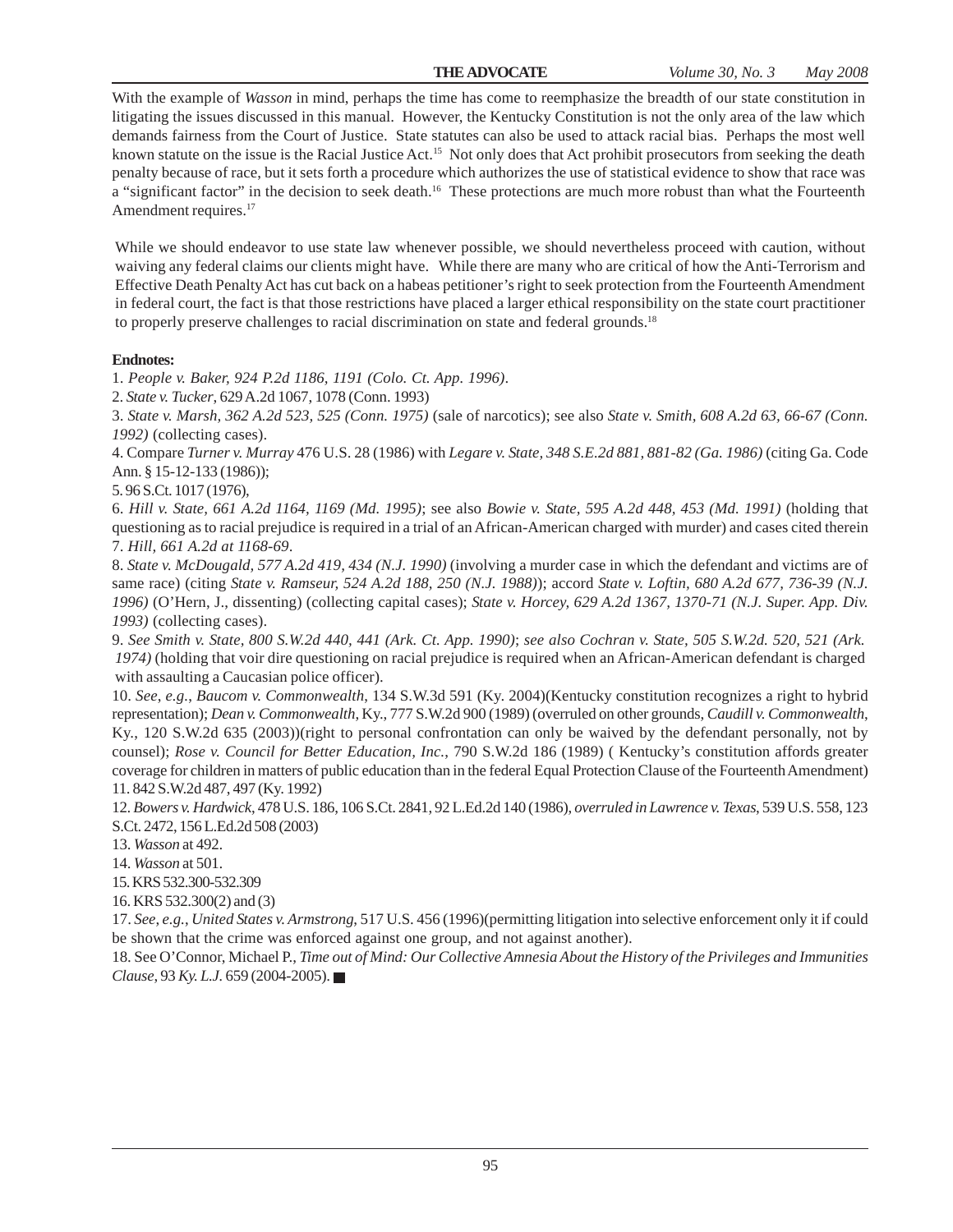With the example of *Wasson* in mind, perhaps the time has come to reemphasize the breadth of our state constitution in litigating the issues discussed in this manual. However, the Kentucky Constitution is not the only area of the law which demands fairness from the Court of Justice. State statutes can also be used to attack racial bias. Perhaps the most well known statute on the issue is the Racial Justice Act.<sup>15</sup> Not only does that Act prohibit prosecutors from seeking the death penalty because of race, but it sets forth a procedure which authorizes the use of statistical evidence to show that race was a "significant factor" in the decision to seek death.<sup>16</sup> These protections are much more robust than what the Fourteenth Amendment requires.<sup>17</sup>

While we should endeavor to use state law whenever possible, we should nevertheless proceed with caution, without waiving any federal claims our clients might have. While there are many who are critical of how the Anti-Terrorism and Effective Death Penalty Act has cut back on a habeas petitioner's right to seek protection from the Fourteenth Amendment in federal court, the fact is that those restrictions have placed a larger ethical responsibility on the state court practitioner to properly preserve challenges to racial discrimination on state and federal grounds.<sup>18</sup>

#### **Endnotes:**

1. *People v. Baker, 924 P.2d 1186, 1191 (Colo. Ct. App. 1996)*.

2. *State v. Tucker*, 629 A.2d 1067, 1078 (Conn. 1993)

3. *State v. Marsh, 362 A.2d 523, 525 (Conn. 1975)* (sale of narcotics); see also *State v. Smith, 608 A.2d 63, 66-67 (Conn. 1992)* (collecting cases).

4. Compare *Turner v. Murray* 476 U.S. 28 (1986) with *Legare v. State, 348 S.E.2d 881, 881-82 (Ga. 1986)* (citing Ga. Code Ann. § 15-12-133 (1986));

5. 96 S.Ct. 1017 (1976),

6. *Hill v. State, 661 A.2d 1164, 1169 (Md. 1995)*; see also *Bowie v. State, 595 A.2d 448, 453 (Md. 1991)* (holding that questioning as to racial prejudice is required in a trial of an African-American charged with murder) and cases cited therein 7. *Hill, 661 A.2d at 1168-69*.

8. *State v. McDougald, 577 A.2d 419, 434 (N.J. 1990)* (involving a murder case in which the defendant and victims are of same race) (citing *State v. Ramseur, 524 A.2d 188, 250 (N.J. 1988)*); accord *State v. Loftin, 680 A.2d 677, 736-39 (N.J. 1996)* (O'Hern, J., dissenting) (collecting capital cases); *State v. Horcey, 629 A.2d 1367, 1370-71 (N.J. Super. App. Div. 1993)* (collecting cases).

9. *See Smith v. State, 800 S.W.2d 440, 441 (Ark. Ct. App. 1990)*; *see also Cochran v. State, 505 S.W.2d. 520, 521 (Ark. 1974)* (holding that voir dire questioning on racial prejudice is required when an African-American defendant is charged with assaulting a Caucasian police officer).

10. *See*, *e.g.*, *Baucom v. Commonwealth*, 134 S.W.3d 591 (Ky. 2004)(Kentucky constitution recognizes a right to hybrid representation); *Dean v. Commonwealth*, Ky., 777 S.W.2d 900 (1989) (overruled on other grounds, *Caudill v. Commonwealth*, Ky., 120 S.W.2d 635 (2003))(right to personal confrontation can only be waived by the defendant personally, not by counsel); *Rose v. Council for Better Education, Inc.*, 790 S.W.2d 186 (1989) ( Kentucky's constitution affords greater coverage for children in matters of public education than in the federal Equal Protection Clause of the Fourteenth Amendment) 11. 842 S.W.2d 487, 497 (Ky. 1992)

12. *Bowers v. Hardwick*, 478 U.S. 186, 106 S.Ct. 2841, 92 L.Ed.2d 140 (1986), *overruled in Lawrence v. Texas*, 539 U.S. 558, 123 S.Ct. 2472, 156 L.Ed.2d 508 (2003)

13. *Wasson* at 492.

14. *Wasson* at 501.

15. KRS 532.300-532.309

16. KRS 532.300(2) and (3)

17. *See*, *e.g.*, *United States v. Armstrong*, 517 U.S. 456 (1996)(permitting litigation into selective enforcement only it if could be shown that the crime was enforced against one group, and not against another).

18. See O'Connor, Michael P., *Time out of Mind: Our Collective Amnesia About the History of the Privileges and Immunities Clause*, 93 *Ky. L.J.* 659 (2004-2005).